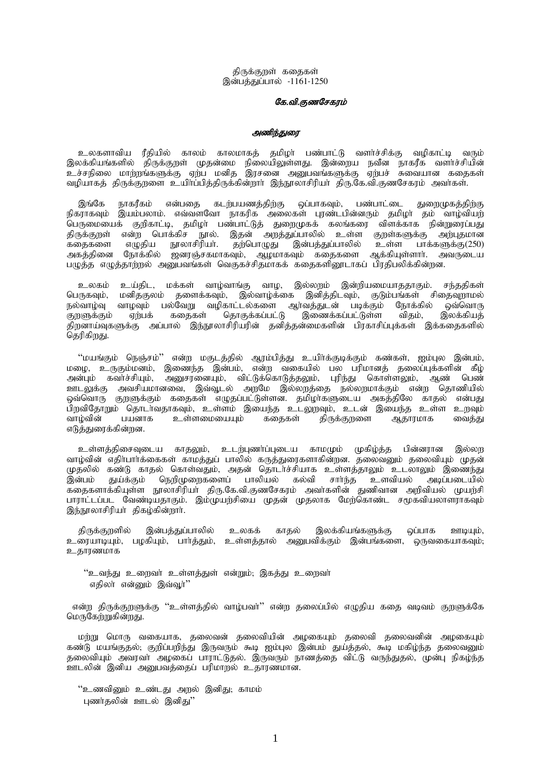திருக்குறள் கதைகள் இன்பத்துப்பால் -1161-1250

## கே.வி.குணசேகரம்

# அணிந்துரை

உலகளாவிய ரீதியில் காலம் காலமாகத் தமிழா பண்பாட்டு வளா்ச்சிக்கு வழிகாட்டி வரும் இலக்கியங்களில் திருக்குறள் முதன்மை நிலையிலுள்ளது. இன்றைய நவீன நாகரீக வளர்ச்சியின் .<br>உச்சநிலை மாற்றங்களுக்கு ஏற்ப மனித இரசனை அனுபவங்களுக்கு ஏற்பச் சுவையான கதைகள் வழியாகத் திருக்குறளை உயிாப்பித்திருக்கின்றாா் இந்நூலாசிரியா் திரு.கே.வி.குணசேகரம் அவாகள்.

இங்கே நாகரீகம் என்பதை கடற்பயணத்திற்கு ஒப்பாகவும், பண்பாட்டை துறைமுகத்திற்கு நிகராகவும் இயம்பலாம். எவ்வளவோ நாகரிக அலைகள் புரண்டபின்னரும் தமிழா் தம் வாழ்வியற் பெருமையைக் குறிகாட்டி, தமிழா் பண்பாட்டுத் துறைமுகக் கலங்கரை விளக்காக நின்றுரைப்பது திருக்குறள் என்ற பொக்கிச நூல். இதன் அறத்துப்பாலில் உள்ள குறள்களுக்கு அற்புதமான கதைகளை எழுதிய நூலாசிரியா். தற்பொழுது இன்பத்துப்பாலில் உள்ள பாக்களுக்கு(250) அகத்தினை நோக்கில் ஜனரஞ்சகமாகவும், ஆழமாகவும் கதைகளை ஆக்கியுள்ளாா். அவருடைய பழுத்த எழுத்தாற்றல் அனுபவங்கள் வெகுகச்சிதமாகக் கதைகளினூடாகப் பிரதிபலிக்கின்றன.

உலகம் உய்திட, மக்கள் வாழ்வாங்கு வாழ, இல்லறம் இன்றியமையாததாகும். சந்ததிகள் பெருகவும், மனிதகுலம் தளைக்கவும், இல்வாழ்க்கை இனித்திடவும், குடும்பங்கள் சிதைவுறாமல் நல்வாழ்வு வாழவும் பல்வேறு வழிகாட்டல்களை ஆர்வத்துடன் படிக்கும் நோக்கில் ஒவ்வொரு<br>குறளுக்கும் ஏற்பக் கதைகள் தொகுக்கப்பட்டு இணைக்கப்பட்டுள்ள விதம், இலக்கியத் குறளுக்கும் ஏற்பக் கதைகள் தொகுக்கப்பட்டு இணைக்கப்பட்டுள்ள விதம், இலக்கியத் திறனாய்வுகளுக்கு அப்பால் இந்நூலாசிரியரின் தனித்தன்மைகளின் பிரகாசிப்புக்கள் இக்கதைகளில் தெரிகிறது.

"மயங்கும் நெஞ்சம்" என்ற மகுடத்தில் ஆரம்பித்து உயிர்க்குடிக்கும் கண்கள், ஐம்புல இன்பம், மழை, உருகும்மனம், இணைந்த இன்பம், என்ற வகையில் பல பரிமானத் தலைப்புக்களின் கீழ் அன்பும் கவர்ச்சியும், அனுசரனையும், விட்டுக்கொடுத்தலும், புரிந்து கொள்ளலும், ஆண் பெண் உளடலுக்கு அவசியமானவை, இவ்வூடல் அறமே இல்லறத்தை நல்லறமாக்கும் என்ற தொணியில் ஒவ்வொரு குறளுக்கும் கதைகள் எழுதப்பட்டுள்ளன. தமிழாகளுடைய அகத்திலே காதல் என்பது பிறவிதோறும் தொடாவதாகவும், உள்ளம் இயைந்த உடலுறவும், உடன் இயைந்த உள்ள உறவும்<br>வாழ்வின் பயனாக உள்ளமையையும் கதைகள் திருக்குறளை ஆதாரமாக வைத்து .<br>• <u>உ</u>ள்ளமையையும் எடுத்துரைக்கின்றன.

உள்ளத்திசைவுடைய காதலும், உடற்புணா்ப்புடைய காமமும் முகிழ்த்த பின்னரான இல்லற வாழ்வின் எதிா்பாா்க்கைகள் காமத்துப் பாலில் கருத்துரைகளாகின்றன. தலைவனும் தலைவியும் முதன் முதலில் கண்டு காதல் கொள்வதும், அதன் தொடர்ச்சியாக உள்ளத்தாலும் உடலாலும் இணைந்து<br>இன்பம் துய்க்கும் நெறிமுறைகளைப் பாலியல் கல்வி சார்ந்த உளவியல் அடிப்படையில் துய்க்கும் நெறிமுறைகளைப் பாலியல் கதைகளாக்கியுள்ள நூலாசிரியா் திரு.கே.வி.குணசேகரம் அவாகளின் துணிவான அறிவியல் முயற்சி பாராட்டப்பட வேண்டியதாகும். இம்முயற்சியை முதன் முதலாக மேற்கொண்ட சமூகவியலாளராகவும் இந்நூலாசிரியா திகழ்கின்றாா்.

திருக்குறளில் இன்பத்துப்பாலில் உலகக் காதல் இலக்கியங்களுக்கு ஒப்பாக ஊடியும், உரையாடியும், பழகியும், பார்த்தும், உள்ளத்தால் அனுபவிக்கும் இன்பங்களை, ஒருவகையாகவும், உதாரணமாக

"உவந்து உறைவா் உள்ளத்துள் என்றும்; இகத்து உறைவா் எதிலா என்னும் இவ்வூர்''

என்ற திருக்குறளுக்கு ''உள்ளத்தில் வாழ்பவா்'' என்ற தலைப்பில் எழுதிய கதை வடிவம் குறளுக்கே மெருகேற்றுகின்றது.

மற்று மொரு வகையாக, தலைவன் தலைவியின் அழகையும் தலைவி தலைவனின் அழகையும் கண்டு மயங்குதல், குறிப்பறிந்து இருவரும் கூடி ஐம்புல இன்பம் துய்த்தல், கூடி மகிழ்ந்த தலைவனும் தலைவியும் அவரவா அழகைப் பாராட்டுதல். இருவரும் நாணத்தை விட்டு வருந்துதல், முன்பு நிகழ்ந்த ஊடலின் இனிய அனுபவத்தைப் பரிமாறல் உதாரணமான.

"உணவினும் உண்டது அறல் இனிது; காமம் புணர்தலின் ஊடல் இனிது''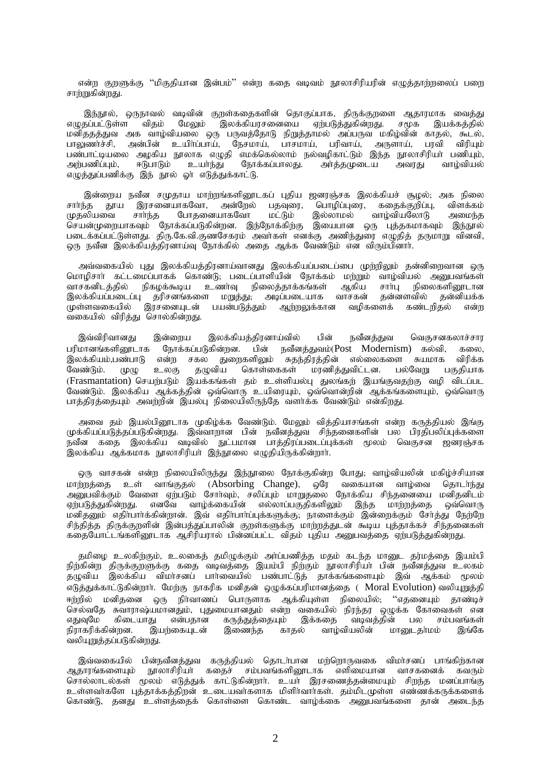என்ற குறளுக்கு ''மிகுதியான இன்பம்'' என்ற கதை வடிவம் நூலாசிரியரின் எழுத்தாற்றலைப் பறை சாற்றுகின்றது.

இந்நூல், ஒருநாவல் வடிவின் குறள்கதைகளின் தொகுப்பாக, திருக்குறளை ஆதாரமாக வைத்து எமுதப்பட்டுள்ள விதம் மேலும் இலக்கியரசனையை ஏற்படுத்துகின்றது. சமூக இயக்கக்கில் மனிததத்துவ அக வாழ்வியலை ஒரு பருவத்தோடு நிறுத்தாமல் அப்பருவ மகிழ்வின் காதல், கூடல், பாலுணர்ச்சி, அன்பின் உயிர்ப்பாய், நேசமாய், பாசமாய், பரிவாய், அருளாய், பரவி விரியும் பண்பாட்டியலை அழகிய நூலாக எழுதி எமக்கெல்லாம் நல்வழிகாட்டும் இந்த நூலாசிரியா் பணியும், அற்பணிப்பும், ஈடுபாடும் உயாந்து நோக்கப்பாலது. அர்த்தமுடைய அவரது வாழ்வியல் எழுத்துப்பணிக்கு இந் நூல் ஓர் எடுத்துக்காட்டு.

இன்றைய நவீன சமுதாய மாற்றங்களினூடகப் புதிய ஜனரஞ்சக இலக்கியச் சூழல்; அக நிலை சார்ந்த காய இரசனையாகவோ. அன்றேல் பகவரை. பொழிப்புரை, கதைக்குறிப்பு, விளக்கம் முதலியவை போகுனையாகவோ இல்லாமல் சார்ந்த மட்டும் வாம்வியலோடு அமைந்த .<br>செயன்முறையாகவும் நோக்கப்படுகின்றன. இந்நோக்கிற்கு இயைபான ஒரு புத்தகமாகவும் இந்நூல் படைக்கப்பட்டுள்ளது. திரு.கே.வி.குணசேகரம் அவர்கள் எனக்கு அணிந்துரை எழுதித் தருமாறு வினவி, ஒரு நவீன இலக்கியத்திரனாய்வு நோக்கில் அதை ஆக்க வேண்டும் என விரும்பினாா்.

அவ்வகையில் புது இலக்கியத்திரனாய்வானது இலக்கியப்படைப்பை முற்றிலும் தன்னிறைவான ஒரு மொழிசாா கட்டமைப்பாகக் கொண்டு, படைப்பாளியின் நோக்கம் மற்றும் வாழ்வியல் அனுபவங்கள் உணர்வு நிகழக்கூடிய நிலைத்தாக்கங்கள் நிலைகளினூடான வாசகனிடத்தில் ஆகிய சார்பு .<br>இலக்கியப்படைப்பு தரிசனங்களை மறுத்து, அடிப்படையாக தன்னளவில் வாசகன் தன்னியக்க முள்ளவகையில் இரசனையுடன் பயன்படுத்தும் ஆற்றலுக்கான வழிகளைக் கண்டரிகல் என்ற வகையில் விரித்து சொல்கின்றது.

இவ்விரிவானது இன்றைய இலக்கியத்திரனாய்வில் பின் நவீனக்குவ வெகுசனகலாச்சார நோக்கப்படுகின்றன. நவீனத்துவம்(Post Modernism) கல்வி, பரிமானங்களினூடாக பின் கலை இலக்கியம்,பண்பாடு என்ற சகல துறைகளிலும் சுதந்திரத்தின் எல்லைகளை சுயமாக விரிக்க .<br>கொள்கைகள் மரணித்துவிட்டன. பகுதியாக வேண்டும். தமுவிய பல்வேறு  $(\mathsf{L}\mathsf{D}(\mathsf{L}\mathsf{D})$ உலகு (Frasmantation) செயற்படும் இயக்கங்கள் தம் உள்ளியல்பு துலங்கற் இயங்குவதற்கு வழி விடப்பட வேண்டும். இலக்கிய ஆக்கத்தின் ஒவ்வொரு உயிரையும், ஒவ்வொன்றின் ஆக்கங்களையும், ஒவ்வொரு பாத்திரத்தையும் அவற்றின் இயல்பு நிலையிலிருந்தே வளர்க்க வேண்டும் என்கிறது.

அவை தம் இயல்பினூடாக முகிழ்க்க வேண்டும். மேலும் வித்தியாசங்கள் என்ற கருத்தியல் இங்கு முக்கியப்படுத்தப்படுகின்றது. இவ்வாறான பின் நவீனத்துவ சிந்தனைகளின் பல பிரதிபலிப்புக்களை .<br>நவீன கதை இலக்கிய வடிவில் நுட்பமான பாத்திரப்படைப்புக்கள் மூலம் வெகுசன ஜனரஞ்சக .<br>இலக்கிய ஆக்கமாக நூலாசிரியா் இந்நூலை எழுதியிருக்கின்றாா்.

ஒரு வாசகன் என்ற நிலையிலிருந்து இந்நூலை நோக்குகின்ற போது; வாழ்வியலின் மகிழ்ச்சியான மாற்றத்தை உள் வாங்குதல் (Absorbing Change), ஒரே வகையான வாழ்வை தொடாந்து<br>அனுபவிக்கும் வேளை ஏற்படும் சோாவும், சலிப்பும் மாறுதலை நோக்கிய சிந்தனையை மனிதனிடம் ஏற்படுத்துகின்றது. எனவே வாழ்க்கையின் எல்லாப்பகுதிகளிலும் இந்த மாற்றத்தை ஒவ்வொரு மனிதனும் எதிர்பார்க்கின்றான். இவ் எதிர்பார்ப்புக்களுக்கு; நாளைக்கும் இன்றைக்கும் சேர்த்து நேற்றே .<br>சிந்தித்த திருக்குறளின் இன்பத்துப்பாலின் குறள்களுக்கு மாற்றத்துடன் கூடிய புத்தாக்கச் சிந்தனைகள் கதையோட்டங்களினூடாக ஆசிரியரால் பின்னப்பட்ட விதம் புதிய அனுபவத்தை ஏற்படுத்துகின்றது.

தமிழை உலகிற்கும், உலகைத் தமிழுக்கும் அர்ப்பணித்த மதம் கடந்த மானுட தர்மத்தை இயம்பி நிற்கின்ற திருக்குறளுக்கு கதை வடிவத்தை இயம்பி நிற்கும் நூலாசிரியா பின் நவீனத்துவ உலகம்<br>தழுவிய இலக்கிய விமாசனப் பாாவையில் பண்பாட்டுத் தாக்கங்களையும் இவ் ஆக்கம் மூலம் எடுத்துக்காட்டுகின்றார். மேற்கு நாகரிக மனிதன் ஒழுக்கப்பரிமானத்தை ( Moral Evolution) வலியுறுத்தி ஈற்றில் மனிதனை ஒரு நிர்வாணப் பொருளாக ஆக்கியுள்ள நிலையில், ''எதனையும் தாண்டிச் செல்வதே சுவாராஷ்யமானதும், புதுமையானதும் என்ற வகையில் நிரந்தர ஒழுக்க கோவைகள் என எதுவுமே கிடையாது என்பதான கருத்துத்தையும் இக்கதை வடிவத்தின் பல சம்பவங்கள் நிராகரிக்கின்றன. இயற்கையுடன் இணைந்த காதல் வாழ்வியலின் மானுடகா்மம் இங்கே வலியுறுத்தப்படுகின்றது.

இவ்வகையில் பின்நவீனத்துவ கருத்தியல் தொடர்பான மற்றொருவகை விமர்சனப் பாங்கிற்கான ஆதாரங்களையும் நூலாசிரியா் கதைச் சம்பவங்களினூடாக எளிமையான வாசகனைக் கவரும் சொல்லாடல்கள் மூலம் எடுத்துக் காட்டுகின்றார். உயர் இரசணைத்தன்மையும் சிறந்த மனப்பாங்கு உள்ளவாகளே புத்தாக்கத்திறன் உடையவாகளாக மிளிாவாாகள். தம்மிடமுள்ள எண்ணக்கருக்களைக் கொண்டு, தனது உள்ளத்தைக் கொள்ளை கொண்ட வாழ்க்கை அனுபவங்களை தான் அடைந்த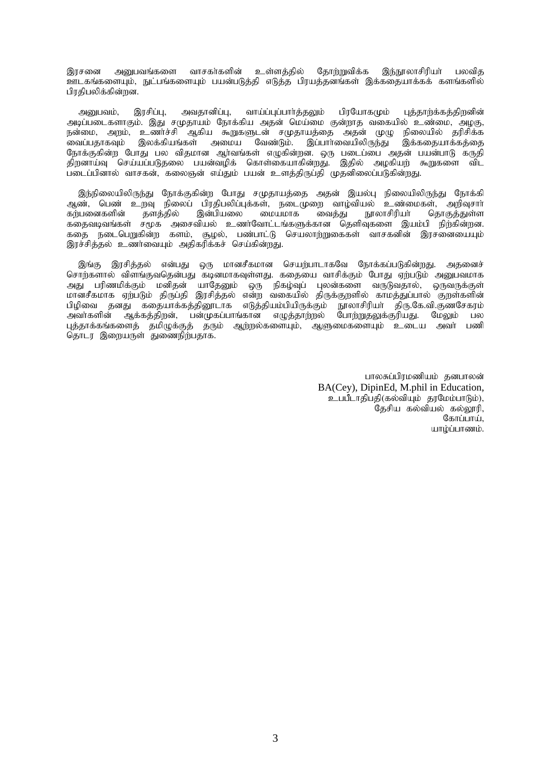இரசனை அனுபவங்களை வாசகர்களின் உள்ளத்தில் தோற்றுவிக்க இந்நூலாசிரியா் பலவித ஊடகங்களையும், நுட்பங்களையும் பயன்படுத்தி எடுத்த பிரயத்தனங்கள் இக்கதையாக்கக் களங்களில் பிாகிபலிக்கின்றன.

அனுபவம், இரசிப்பு, அவதானிப்பு, வாய்ப்புப்பார்த்தலும் பிரயோகமும் புத்தாற்க்கத்திறனின் அடிப்படைகளாகும். இது சமுதாயம் நோக்கிய அதன் மெய்மை குன்றாத வகையில் உண்மை, அழகு, நன்மை, அறம், உணர்ச்சி ஆகிய கூறுகளுடன் சமுதாயத்தை அதன் முழு நிலையில் தரிசிக்க .<br>வைப்பதாகவும் இலக்கியங்கள் அமைய வேண்டும். இப்பாாவையிலிருந்து இக்கதையாக்கக்கை நோக்குகின்ற போது பல விதமான ஆர்வங்கள் எழுகின்றன. ஒரு படைப்பை அதன் பயன்பாடு கருதி ்திறனாய்வு செய்யப்படுதலை பயன்வழிக் கொள்கையாகின்றது. இதில் அழகியற் கூறுகளை விட .<br>படைப்பினால் வாசகன், கலைஞன் எய்தும் பயன் உளத்திருப்தி முதனிலைப்படுகின்றது.

இந்நிலையிலிருந்து நோக்குகின்ற போது சமுதாயத்தை அதன் இயல்பு நிலையிலிருந்து நோக்கி ஆண், பெண் உறவு நிலைப் பிரதிபலிப்புக்கள், நடைமுறை வாழ்வியல் உண்மைகள், அறிவுசாா்<br>கற்பனைகளின் தளத்தில் இன்பியலை மையமாக வைத்து நூலாசிரியா் தொகுத்துள்ள கற்பனைகளின் தளத்தில் இன்பியலை மையமாக வைத்து நூலாசிரியா் தொகுத்துள்ள கதைவடிவங்கள் சமூக அசைவியல் உணர்வோட்டங்களுக்கான தெளிவுகளை இயம்பி நிற்கின்றன. கதை நடைபெறுகின்ற களம், சூழல், பண்பாட்டு செயலாற்றுகைகள் வாசகனின் இரசனையையும் இரச்சித்தல் உணர்வையும் அதிகரிக்கச் செய்கின்றது.

இங்கு இரசித்தல் என்பது ஒரு மானசீகமான செயற்பாடாகவே நோக்கப்படுகின்றது. அதனைச் சொற்களால் விளங்குவதென்பது கடினமாகவுள்ளது. கதையை வாசிக்கும் போது ஏற்படும் அனுபவமாக அது பரிணமிக்கும் மனிதன் யாதேனும் ஒரு நிகழ்வுப் புலன்களை வருடுவதால், ஒருவருக்குள் மானசீகமாக ஏற்படும் திருப்தி இரசித்தல் என்ற வகையில் திருக்குறளில் காமத்துப்பால் குறள்களின் பிழிவை தனது கதையாக்கத்தினூடாக எடுத்தியம்பியிருக்கும் நூலாசிரியா திரு.கே.வி.குணசேகரம்<br>அவாகளின் ஆக்கத்திறன், பன்முகப்பாங்கான எழுத்தாற்றல் போற்றுதலுக்குரியது. மேலும் பல ஆக்கத்திறன், பன்முகப்பாங்கான எழுத்தாற்றல் புத்தாக்கங்களைத் தமிழுக்குத் தரும் ஆற்றல்களையும், ஆளுமைகளையும் உடைய அவா் பணி நொடர இறையருள் துணைநிற்பதாக.

> பாலசுப்பிரமணியம் தனபாலன் BA(Cey), DipinEd, M.phil in Education, உபபீடாதிபதி(கல்வியும் தரமேம்பாடும்), தேசிய கல்வியல் கல்லூரி,  $\mathcal{C}_{\text{faffi} \text{in} \text{in}}$ யாம்ப்பாணம்.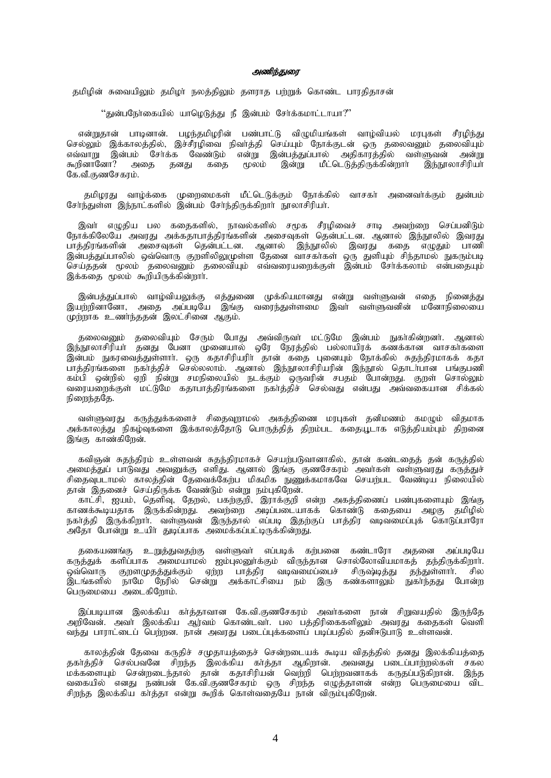# அணிந்துரை

தமிழின் சுவையிலும் தமிழா நலத்திலும் தளராத பற்றுக் கொண்ட பாரதிதாசன்

 $\lq\lq$ துன்பநேர்கையில் யாழெடுத்து நீ இன்பம் சேர்க்கமாட்டாயா $\lq\lq\lq$ 

என்றுதான் பாடினான். பழந்தமிழரின் பண்பாட்டு விழுமியங்கள் வாழ்வியல் மரபுகள் சீரழிந்து செல்லும் இக்காலத்தில், இச்சீரழிவை நிவாத்தி செய்யும் நோக்குடன் ஒரு தலைவனும் தலைவியும் எவ்வாறு இன்பம் சேர்க்க வேண்டும் என்று இன்பத்துப்பால் அதிகாரத்தில் வள்ளுவன் அன்று கூறினானோ? அதை தனது கதை மூலம் இன்று மீட்டெடுத்திருக்கின்றார் இந்நூலாசிரியா் கே.வீ.குணசேகரம்.

தமிழரது வாழ்க்கை முறைமைகள் மீட்டெடுக்கும் நோக்கில் வாசகா் அனைவா்க்கும் குன்பம் சேர்ந்துள்ள இந்நாட்களில் இன்பம் சேர்ந்திருக்கிறார் நாலாசிரியர்.

இவா் எழுதிய பல கதைகளில், நாவல்களில் சமூக சீரழிவைச் சாடி அவர்றை செப்பனிடும் நோக்கிலேயே அவரது அக்கதாபாத்திரங்களின் அசைவுகள் தென்பட்டன. ஆனால் இந்நூலில் இவரது பாத்திரங்களின் அசைவுகள் தென்பட்டன. ஆனால் இந்நூலில் இவரது கதை எழுதும் பாணி இன்பத்துப்பாலில் ஒவ்வொரு குறளிலிலுமுள்ள தேனை வாசகாகள் ஒரு துளியும் சிந்தாமல் நுகரும்படி செய்ததன் மூலம் தலைவனும் தலைவியும் எவ்வரையறைக்குள் இன்பம் சேர்க்கலாம் என்பதையும் இக்கதை மூலம் கூறியிருக்கின்றார்.

இன்பத்துப்பால் வாழ்வியலுக்கு எத்துணை முக்கியமானது என்று வள்ளுவன் எதை நினைத்து இயற்றினானோ, அதை அப்படியே இங்கு வரைந்துள்ளமை இவர் வள்ளுவனின் மனோநிலையை முற்றாக உணர்ந்ததன் இலட்சினை ஆகும்.

தலைவனும் தலைவியும் சேரும் போது அவ்விருவர் மட்டுமே இன்பம் நுகர்கின்றனர். ஆனால் இந்நூலாசிரியா் தனது பேனா முனையால் ஒரே நேரத்தில் பல்லாயிரக் கணக்கான வாசகா்களை இன்பம் நுகரவைத்துள்ளார். ஒரு கதாசிரியரிர் தான் கதை புனையும் நோக்கில் சுதந்திரமாகக் கதா ு<br>பாத்திரங்களை நகர்த்திச் செல்லலாம். ஆனால் இந்நூலாசிரியரின் இந்நூல் தொடர்பான பங்குபணி கம்பி ஒன்றில் ஏறி நின்று சமநிலையில் நடக்கும் ஒருவரின் சபதம் போன்றது. குறள் சொல்லும் வரையறைக்குள் மட்டுமே கதாபாத்திரங்களை நகர்த்திச் செல்வது என்பது அவ்வகையான சிக்கல் நிறைந்ததே.

வள்ளுவரது கருத்துக்களைச் சிதைவுறாமல் அகத்திணை மரபுகள் தனிமணம் கமழும் விதமாக அக்காலத்து நிகழ்வுகளை இக்காலத்தோடு பொருத்தித் திறம்பட கதையூடாக எடுத்தியம்பும் திறனை இங்கு காண்கிறேன்.

கவிஞன் சுதந்திரம் உள்ளவன் சுதந்திரமாகச் செயற்படுவானாகில், தான் கண்டதைத் தன் கருத்தில் அமைத்துப் பாடுவது அவனுக்கு எளிது. ஆனால் இங்கு குணசேகரம் அவாகள் வள்ளுவரது கருத்துச் சிதைவுபடாமல் காலத்தின் தேவைக்கேற்ப மிகமிக நுணுக்கமாகவே செயற்பட வேண்டிய நிலையில் தான் இதனைச் செய்திருக்க வேண்டும் என்று நம்புகிறேன்.

காட்சி, ஐயம், தெளிவு, தேறல், பகற்குறி, இராக்குறி என்ற அகத்திணைப் பண்புகளையும் இங்கு காணக்கூடியதாக இருக்கின்றது. அவற்றை அடிப்படையாகக் கொண்டு கதையை அழகு தமிழில் நகர்த்தி இருக்கிறார். வள்ளுவன் இருந்தால் எப்படி இதற்குப் பாத்திர வடிவமைப்புக் கொடுப்பாரோ .<br>அதோ போன்று உயிா துடிப்பாக அமைக்கப்பட்டிருக்கின்றது.

தகையணங்கு உறுத்துவதற்கு வள்ளுவர் எப்படிக் கற்பனை கண்டாரோ அதனை அப்படியே கருத்துக் களிப்பாக அமையாமல் ஐம்புலனுா்க்கும் விருந்தான சொல்லோவியமாகத் தந்திருக்கிறாா். ஒவ்வொரு குறளமுதத்துக்கும் ஏற்ற பாத்திர வடிவமைப்பைச் சிருஷ்டித்து தந்துள்ளாா். சில .<br>இடங்களில் நாமே நேரில் சென்று அக்காட்சியை நம் இரு கண்களாலும் நுகாந்தது போன்ற பெருமையை அடைகிறோம்.

இப்படியான இலக்கிய கர்த்தாவான கே.வி.குணசேகரம் அவர்களை நான் சிறுவயதில் இருந்தே அறீவேன். அவர் இலக்கிய ஆர்வம் கொண்டவர். பல பத்திரிகைகளிலும் அவரது கதைகள் வெளி வந்து பாராட்டைப் பெற்றன. நான் அவரது படைப்புக்களைப் படிப்பதில் தனிஈடுபாடு உள்ளவன்.

காலக்கின் கேவை கருகிச் சமுதாயக்கைச் சென்றடையக் கூடிய விகக்கில் கனது இலக்கியக்கை தகாத்திச் செல்பவனே சிறந்த இலக்கிய காத்தா ஆகிறான். அவனது படைப்பாற்றல்கள் சகல மக்களையும் சென்றடைந்தால் தான் கதாசிரியன் வெற்றி பெற்றவனாகக் கருதப்படுகிறான். இந்த வகையில் எனது நண்பன் கே.வி.குணசேகரம் ஒரு சிறந்த எழுத்தாளன் என்ற பெருமையை விட சிறந்த இலக்கிய கா்த்தா என்று கூறிக் கொள்வதையே நான் விரும்புகிறேன்.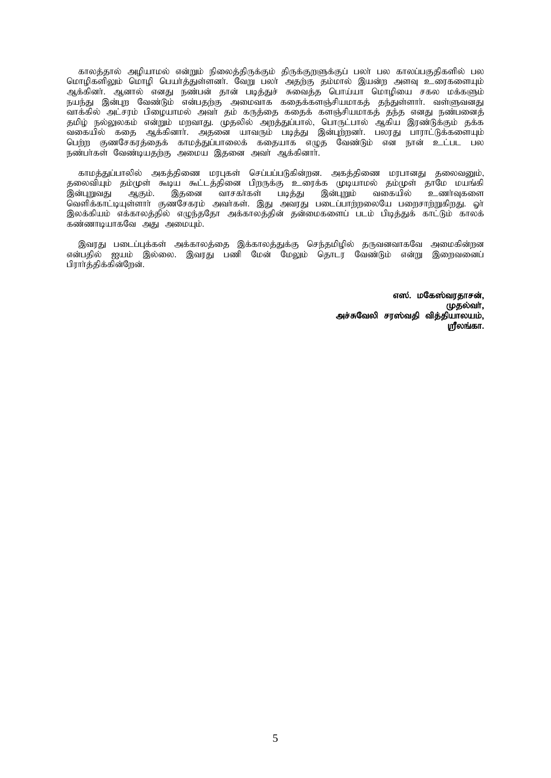காலத்தால் அழியாமல் என்றும் நிலைத்திருக்கும் திருக்குறளுக்குப் பலா் பல காலப்பகுதிகளில் பல மொழிகளிலும் மொழி பெயாத்துள்ளனா். வேறு பலா் அதற்கு தம்மால் இயன்ற அளவு உரைகளையும் ஆக்கினர். ஆனால் எனது நண்பன் தான் படித்துச் சுவைத்த பொய்யா மொழியை சகல மக்களும் நயந்து இன்புற வேண்டும் என்பதற்கு அமைவாக கதைக்களஞ்சியமாகத் தந்துள்ளாா். வள்ளுவனது ்வாக்கில் அட்சரம் பிழையாமல் அவா தம் கருத்தை கதைக் களஞ்சியமாகத் தந்த எனது நண்பனைத் தமிழ் நல்லுலகம் என்றும் மறவாது. முதலில் அறத்துப்பால், பொருட்பால் ஆகிய இரண்டுக்கும் தக்க ்வகையில் கதை ஆக்கினார். அதனை யாவரும் படித்து இன்புற்றனர். பலரது பாராட்டுக்களையும் <u>பெற்ற</u> குணசேகரத்தைக் காமத்துப்பாலைக் கதையாக எழுத வேண்டும் என நான் உட்பட பல நண்பாகள் வேண்டியதற்கு அமைய இதனை அவா ஆக்கினார்.

காமத்துப்பாலில் அகத்திணை மரபுகள் செப்பப்படுகின்றன. அகத்திணை மரபானது தலைவனும், தலைவியும் தம்முள் கூடிய கூட்டத்தினை பிறருக்கு உரைக்க முடியாமல் தம்முள் தாமே மயங்கி இன்புறுவது ஆகும். இதனை வாசகர்கள் படித்து இன்புறும் வகையில் உணர்வுகளை வெளிக்காட்டியுள்ளாா் குணசேகரம் அவா்கள். இது அவரது படைப்பாற்றலையே பறைசாற்றுகிறது. ஓா் இலக்கியம் எக்காலத்தில் எழுந்ததோ அக்காலத்தின் தன்மைகளைப் படம் பிடித்துக் காட்டும் காலக் கண்ணாடியாகவே அது அமையும்.

இவரது படைப்புக்கள் அக்காலத்தை இக்காலத்துக்கு செந்தமிழில் தருவனவாகவே அமைகின்றன என்பதில் ஐயம் இல்லை. இவரது பணி மேன் மேலும் தொடர் வேண்டும் என்று இறைவனைப் பிரார்த்திக்கின்றேன்.

> எஸ். மகேஸ்வரதாசன், (ழதல்வர், அச்சுவேலி சரஸ்வதி வித்தியாலயம்,  $\mu$ ரீலங்கா.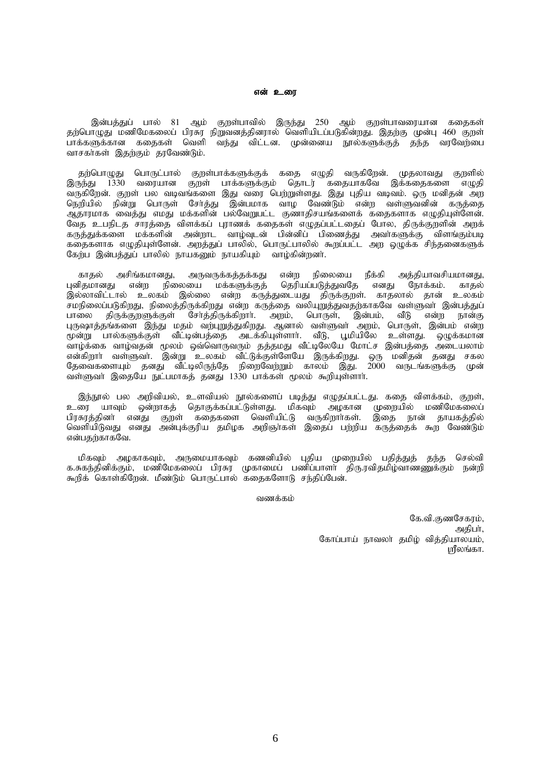#### என் உரை

இன்பத்துப் பால் 81 ஆம் குறள்பாவில் இருந்து 250 ஆம் குறள்பாவரையான கதைகள் தற்பொழுது மணிமேகலைப் பிரசுர நிறுவனத்தினரால் வெளியிடப்படுகின்றது. இதற்கு முன்பு 460 குறள் பாக்களுக்கான ககைகள் வெளி வந்து விட்டன. முன்னைய நூல்களுக்குக் கந்த வரவேற்பை வாசகர்கள் இதற்கும் தரவேண்டும்.

தற்பொழுது பொருட்பால் குறள்பாக்களுக்குக் கதை எழுதி வருகிறேன். முதலாவது குறளில் இருந்து 1330 வரையான குறள் பாக்களுக்கும் தொடர் கதையாகவே இக்கதைகளை எழுதி வருகிறேன். குறள் பல வடிவங்களை இது வரை பெற்றுள்ளது. இது புதிய வடிவம். ஒரு மனிதன் அற நெறியில் நின்று பொருள் சோத்து இன்பமாக வாழ வேண்டும் என்ற வள்ளுவனின் கருத்தை ்.<br>ஆதாரமாக வைத்து எமது மக்களின் பல்வேறுபட்ட குணாதிசயங்களைக் கதைகளாக எழுதியுள்ளேன். ு.<br>வேத உபநிடத சாரத்தை விளக்கப் புராணக் கதைகள் எழுதப்பட்டதைப் போல, திருக்குறளின் அறக் கருத்துக்களை மக்களின் அன்றாட வாழ்வுடன் பின்னிப் பிணைத்து அவர்களுக்கு விளங்கும்படி கதைகளாக எழுதியுள்ளேன். அறத்துப் பாலில், பொருட்பாலில் கூறப்பட்ட அற ஒழுக்க சிந்தனைகளுக் கேற்ப இன்பத்துப் பாலில் நாயகனும் நாயகியும் வாழ்கின்றனா்.

காதல் அசிங்கமானது, அருவருக்கத்தக்கது என்ற நிலையை நீக்கி அத்தியாவசியமானது,<br>ரிதமானது என்ற நிலையை மக்களுக்குத் தெரியப்படுத்துவதே எனது நோக்கம். காதல் புனிதமானது என்ற நிலையை மக்களுக்குத் தெரியப்படுத்துவதே எனது நோக்கம். காதல் இல்லாவிட்டால் உலகம் இல்லை என்ற கருத்துடையது திருக்குறள். காதலால் தான் உலகம் சமநிலைப்படுகிறது, நிலைத்திருக்கிறது என்ற கருத்தை வலியுறுத்துவதற்காகவே வள்ளுவா் இன்பத்துப் பாலை திருக்குறளுக்குள் சேர்த்திருக்கிறார். அறம், பொருள், இன்பம், வீடு என்ற நான்கு புருஷாத்தங்களை இந்து மதம் வற்புறுத்துகிறது. ஆனால் வள்ளுவர் அறம், பொருள், இன்பம் என்ற மூன்று பால்களுக்குள் வீட்டின்பத்தை அடக்கியுள்ளாா். வீடு, பூமியிலே உள்ளது. ஒழுக்கமான ் வாழ்க்கை வாழ்வதன் மூலம் ஒவ்வொருவரும் தத்தமது வீட்டிலேயே மோட்ச இன்பத்தை அடையலாம் என்கிறார் வள்ளுவர். இன்று உலகம் வீட்டுக்குள்ளேயே இருக்கிறது. ஒரு மனிதன் தனது சகல தேவைகளையும் தனது வீட்டிலிருந்தே நிறைவேற்றும் காலம் இது. 2000 வருடங்களுக்கு முன் வள்ளுவா் இதையே நுட்பமாகத் தனது 1330 பாக்கள் மூலம் கூறியுள்ளாா்.

இந்நூல் பல அறிவியல், உளவியல் நூல்களைப் படித்து எழுதப்பட்டது. கதை விளக்கம், குறள்,<br>ரை யாவும் ஒன்றாகத் தொகுக்கப்பட்டுள்ளது. மிகவும் அழகான முறையில் மணிமேகலைப் உரை யாவும் ஒன்றாகத் தொகுக்கப்பட்டுள்ளது. மிகவும் பிரசுரத்தினா எனது குறள் கதைகளை வெளியிட்டு வருகிறாாகள். இதை நான் தாயகத்தில் வெளியிடுவது எனது அன்புக்குரிய தமிழக அறிஞாகள் இதைப் பற்றிய கருத்தைக் கூற வேண்டும் என்பதற்காகவே.

மிகவும் அழகாகவும், அருமையாகவும் கணனியில் புதிய முறையில் பதித்துத் தந்த செல்வி க.சுகந்தினிக்கும், மணிமேகலைப் பிரசுர முகாமைப் பணிப்பாளர் திரு.ரவிதமிழ்வாணணுக்கும் நன்றி கூறிக் கொள்கிறேன். மீண்டும் பொருட்பால் கதைகளோடு சந்திப்பேன்.

வணக்கம்

கே.வி.குணசேகரம், அதிபர், கோப்பாய் நாவலா் தமிழ் வித்தியாலயம், மரீலங்கா.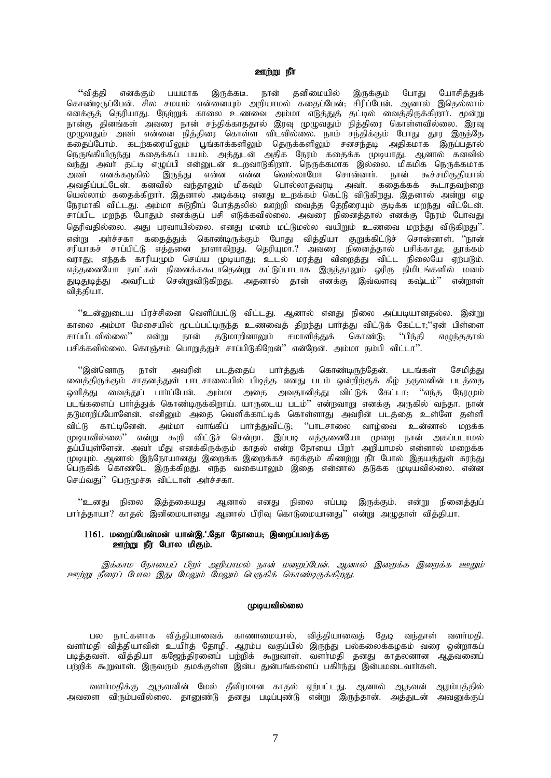### ஊற்று நீர்

**"**வித்தி எனக்கும் பயமாக இருக்கடீ. நான் தனிமையில் இருக்கும் போது யோசித்துக் கொண்டிருப்பேன். சில சமயம் என்னையும் அறியாமல் கதைப்பேன், சிரிப்பேன். ஆனால் இதெல்லாம் எனக்குத் தெரியாது. நேற்றுக் காலை உணவை அம்மா எடுத்துத் தட்டில் வைத்திருக்கிறாா். மூன்று நான்கு தினங்கள் அவரை நான் சந்திக்காததால் இரவு முழுவதும் நித்திரை கொள்ளவில்லை. இரவு .<br>முழுவதும் அவா் என்னை நித்திரை கொள்ள விடவில்லை. நாம் சந்திக்கும் போது தூர இருந்தே ்ததைப்போம். கடற்கரையிலும் பூங்காக்களிலும் தெருக்களிலும் சனசந்தடி அதிகமாக இருப்பதால் நெருங்கியிருந்து கதைக்கப் பயம். அத்துடன் அதிக நேரம் கதைக்க முடியாது. ஆனால் கனவில் ்படுது<br>வந்து அவர் தட்டி எழுப்பி என்னுடன் உறவாடுகிறார். நெருக்கமாக இல்லை. மிகமிக நெருக்கமாக அவர் எனக்கருகில் இருந்து என்ன என்ன வெல்லாமோ சொன்னார். நான் கூச்சமிகுதியால் அவதிப்பட்டேன். கனவில் வந்தாலும் மிகவும் பொல்லாதவரடி அவர். கதைக்கக் கூடாதவற்றை பெல்லாம் கதைக்கிறாா். இதனால் அடிக்கடி எனது உறக்கம் கெட்டு விடுகிறது. இதனால் அன்று எழ நேரமாகி விட்டது. அம்மா சுடுநீரப் போத்தலில் ஊற்றி வைத்த தேநீரையும் குடிக்க மறந்து விட்டேன். சாப்பிட மறந்த போதும் எனக்குப் பசி எடுக்கவில்லை. அவரை நினைத்தால் எனக்கு நேரம் போவது தெரிவதில்லை. அது பரவாயில்லை. எனது மனம் மட்டுமல்ல வயிறும் உணவை மறந்து விடுகிறது''. என்று அர்ச்சகா கதைத்துக் கொண்டிருக்கும் போது வித்தியா குறுக்கிட்டுச் சொன்னாள். ''நான் சரியாகச் சாப்பிட்டு எத்தனை நாளாகிறது. தெரியுமா.? அவரை நினைத்தால் பசிக்காது; தூக்கம் ு, காக்சி சாக்கட்டு எத்தவை நாளாகந்து. நெருடிகாட் அதனை நினைத்தான் காக்காது, தூக்கம்<br>வராது: எந்தக் காரியமும் செய்ய முடியாது: உடல் மாத்து விளைத்து விட்ட நிலையே ஏற்படும். எத்தனையோ நாட்கள் நினைக்ககூடாதென்று கட்டுப்பாடாக இருந்தாலும் ஓரிரு நிமிடங்களில் மனம்<br>துடிதுடித்து அவரிடம் சென்றுவிடுகிறது. அகனால் கான் எனக்கு இவ்வளவ கல்பம்?' என்றாள் துடிதுடித்து அவரிடம் சென்றுவிடுகிறது. அதனால் தான் எனக்கு இவ்வளவு கஷ்டம்'' வித்தியா.

"உன்னுடைய பிரச்சினை வெளிப்பட்டு விட்டது. ஆனால் எனது நிலை அப்படியானதல்ல. இன்று காலை அம்மா மேசையில் மூடப்பட்டிருந்த உணவைத் திறந்து பார்த்து விட்டுக் கேட்டா;''ஏன் பிள்ளை<br>சாப்பிடவில்லை'' என்று நான் தடுமாறினாலும் சமாளித்துக் கொண்டு: ''பிந்தி எமுந்ததால் என்று நான் தடுமாறினாலும் சமாளித்துக் கொண்டு; ''பிந்தி எழுந்ததால் பசிக்கவில்லை. கொஞ்சம் பொறுத்துச் சாப்பிடுகிறேன்'' என்றேன். அம்மா நம்பி விட்டா''.

"இன்னொரு நாள் அவரின் படத்தைப் பார்த்துக் கொண்டிருந்தேன். படங்கள் சேமித்து வைத்திருக்கும் சாதனத்துள் பாடசாலையில் பிடித்த எனது படம் ஒன்றிற்குக் கீழ் நகுலனின் படத்தை ஒளித்து வைத்துப் பாா்ப்பேன். அம்மா அதை அவதானித்து விட்டுக் கேட்டா; ''எந்த நேரமும் படங்களைப் பார்த்துக் கொண்டிருக்கிறாய். யாருடைய படம்'' என்றவாறு எனக்கு அருகில் வந்தா. நான் தடுமாறிப்போனேன். எனினும் அதை வெளிக்காட்டிக் கொள்ளாது அவரின் படத்தை உள்ளே தள்ளி .<br>விட்டு காட்டினேன். அம்மா வாங்கிப் பாா்த்துவிட்டு; ''பாடசாலை வாழ்வை உன்னால் மறக்க முடியவில்லை'' என்று கூறி விட்டுச் சென்றா. இப்படி எத்தனையோ முறை நான் அகப்படாமல் தப்பியுள்ளேன். அவர் மீது எனக்கிருக்கும் காதல் என்ற நோயை பிறா அறியாமல் என்னால் மறைக்க .<br>முடியும். ஆனால் இந்நோயானது இறைக்க இறைக்கச் சுரக்கும் கிணற்று நீா போல் இதயத்துள் சுரந்து பெருகிக் கொண்டே இருக்கிறது. எந்த வகையாலும் இதை என்னால் தடுக்க முடியவில்லை. என்ன செய்வது" பெருமூச்சு விட்டாள் அர்ச்சகா.

"உனது நிலை இத்தகையது ஆனால் எனது நிலை எப்படி இருக்கும். என்று நினைத்துப் பார்த்தாயா? காதல் இனிமையானது ஆனால் பிரிவு கொடுமையானது'' என்று அழுதாள் வித்தியா.

# $1161.$  மறைப்பேன்மன் யான்இ. கோ நோயை: இறைப்பவர்க்கு ஊற்று நீர் போல மிகும்.

இக்காம நோயைப் பிறர் அறியாமல் நான் மறைப்பேன். ஆனால் இறைக்க இறைக்க ஊறும் <u>ஊற்று</u> நீரைப் போல இது மேலும் மேலும் பெருகிக் கொண்டிருக்கிறது.

# (முடியவில்லை

பல நாட்களாக வித்தியாவைக் காணாமையால், வித்தியாவைத் தேடி வந்தாள் வளா்மதி. வளாமகி வித்தியாவின் உயிா்த் தோமி. ஆரம்ப வகுப்பில் இருந்து பல்கலைக்கழகம் வரை ஒன்றாகப் படித்தவள். வித்தியா கஜேந்திரனைப் பற்றிக் கூறுவாள். வளர்மதி தனது காதலனான ஆதவனைப் பற்றிக் கூறுவாள். இருவரும் தமக்குள்ள இன்ப துன்பங்களைப் பகிா்ந்து இன்பமடைவாா்கள்.

வளர்மதிக்கு ஆதவனின் மேல் தீவிரமான காதல் ஏற்பட்டது. ஆனால் ஆதவன் ஆரம்பத்தில் அவளை விரும்பவில்லை. தானுண்டு தனது படிப்புண்டு என்று இருந்தான். அத்துடன் அவனுக்குப்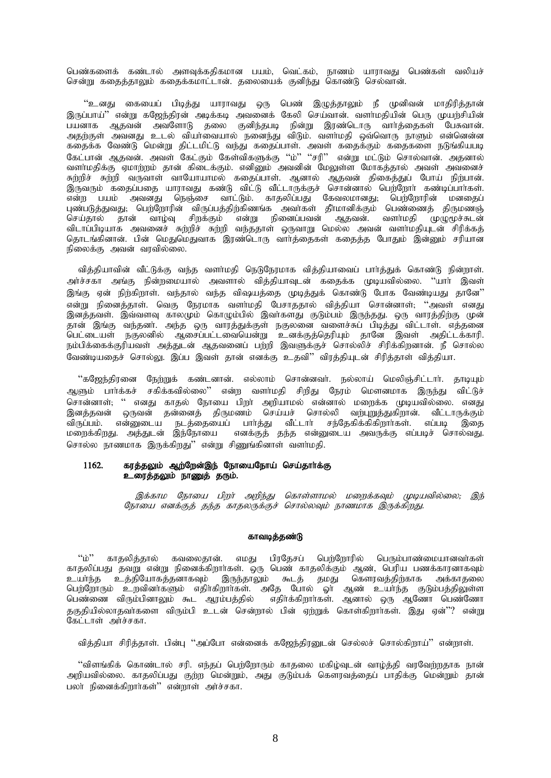பெண்களைக் கண்டால் அளவுக்கதிகமான பயம், வெட்கம், நாணம் யாராவது பெண்கள் வலியச் சென்று கதைத்தாலும் கதைக்கமாட்டான். தலையைக் குனிந்து கொண்டு செல்வான்.

"உனது கையைப் பிடித்து யாராவது ஒரு பெண் இழுத்தாலும் நீ முனிவன் மாதிரித்தான் இருப்பாய்'' என்று கஜேந்திரன் அடிக்கடி அவனைக் கேலி செய்வான். வளர்மதியின் பெரு முயற்சியின் பயனாக ஆதவன் அவளோடு தலை குனிந்தபடி நின்று இரண்டொரு வார்த்தைகள் பேசுவான். அதற்குள் அவனது உடல் வியர்வையால் நனைந்து விடும். வளர்மதி ஒவ்வொரு நாளும் என்னென்ன கதைக்க வேண்டு மென்று திட்டமிட்டு வந்து கதைப்பாள். அவள் கதைக்கும் கதைகளை நடுங்கியபடி கேட்பான் ஆதவன். அவள் கேட்கும் கேள்விகளுக்கு ''ம்'' ''சரி'' என்று மட்டும் சொல்வான். அதனால் வளர்மதிக்கு ஏமாற்றம் தான் கிடைக்கும். எனினும் அவனின் மேலுள்ள மோகத்தால் அவள் அவனைச் சுற்றிச் சுற்றி வருவாள் வாயோயாமல் கதைப்பாள். ஆனால் ஆதவன் திகைத்துப் போய் நிற்பான். இருவரும் கதைப்பதை யாராவது கண்டு விட்டு வீட்டாருக்குச் சொன்னால் பெற்றோர் கண்டிப்பார்கள். என்ற பயம் அவனது நெஞ்சை வாட்டும். காதலிப்பது கேவலமானது; பெற்றோரின் மனதைப் புண்படுத்துவது; பெற்றோரின் விருப்பத்திற்கிணங்க அவர்கள் தீா்மானிக்கும் பெண்ணைத் திருமணஞ் செய்தால் தான் வாழ்வு சிறக்கும் என்று நினைப்பவன் ஆதவன். வளர்மதி முழுமூச்சுடன் விடாப்பிடியாக அவனைச் சுற்றிச் சுற்றி வந்ததாள் ஒருவாறு மெல்ல அவன் வளா்மதியுடன் சிரிக்கத் கொடங்கினான். பின் மெதுமெதுவாக இரண்டொரு வார்க்கைகள் ககைக்க போதும் இன்னும் சரியான நிலைக்கு அவன் வாவில்லை.

வித்தியாவின் வீட்டுக்கு வந்த வளா்மதி நெடுநேரமாக வித்தியாவைப் பாா்த்துக் கொண்டு நின்றாள். அர்ச்சகா அங்கு நின்றமையால் அவளால் விக்கியாவுடன் ககைக்க முடியவில்லை. ''யார் இவள் இங்கு ஏன் நிற்கிறாள். வந்தால் வந்த விஷயத்தை முடித்துக் கொண்டு போக வேண்டியது தானே'' என்று நினைத்தாள். வெகு நேரமாக வளர்மதி பேசாததால் வித்தியா சொன்னாள்; ''அவள் எனது இனத்தவள். இவ்வளவு காலமும் கொழும்பில் இவர்களது குடும்பம் இருந்தது. ஒரு வாரத்திற்கு முன் தான் இங்கு வந்தனர். அந்த ஒரு வாரத்துக்குள் நகுலனை வளைச்சுப் பிடித்து விட்டாள். எத்தனை பெட்டையள் நகுலனில் ஆசைப்பட்டவையென்று உனக்குத்தெரியும் தானே இவள் அதிட்டக்காரி. நம்பிக்கைக்குரியவள் அத்துடன் ஆதவனைப் பற்றி இவளுக்குச் சொல்லிச் சிரிக்கிறனான். நீ சொல்ல வேண்டியதைச் சொல்லு. இப்ப இவள் தான் எனக்கு உதவி" விரத்தியுடன் சிரித்தாள் வித்தியா.

"கஜேந்திரனை நேற்றுக் கண்டனான். எல்லாம் சொன்னவர். நல்லாய் மெலிஞ்சிட்டார். தாடியும் ஆளும் பார்க்கச் சகிக்கவில்லை'' என்ற வளர்மதி சிறிது நேரம் மௌனமாக இருந்து விட்டுச் ு<br>சொன்னாள்; '' எனது காதல் நோயை பிறா் அறியாமல் என்னால் மறைக்க முடியவில்லை. எனது .<br>இனத்தவன் ஒருவன் தன்னைத் திருமணம் செய்யச் சொல்லி வ<u>ற்புறுத்து</u>கிறான். வீட்டாருக்கும் விருப்பம். என்னுடைய நடத்தையைப் பாா்த்து வீட்டாா் சந்தேகிக்கிகிறாா்கள். எப்படி இதை மறைக்கிறது. அத்துடன் இந்நோயை எனக்குத் தந்த என்னுடைய அவருக்கு எப்படிச் சொல்வது. சொல்ல நாணமாக இருக்கிறது'' என்று சிணுங்கினாள் வளர்மதி.

# 1162. கரத்தலும் ஆற்றேன்இந் நோயைநோய் செய்தார்க்கு உரைத்தலும் நாணுத் தரும்.

இக்காம நோயை பிறர் அறிந்து கொள்ளாமல் மறைக்கவும் முடியவில்லை; இந் நோயை எனக்குக் கந்த காதலருக்குச் சொல்லவும் நாணமாக இருக்கிறது.

## காவடித்தண்டு

"ம்'' காதலித்தால் கவலைதான். எமது பிரதேசப் பெற்றோரில் பெரும்பாண்மையானவர்கள் காதலிப்பது தவறு என்று நினைக்கிறார்கள். ஒரு பெண் காதலிக்கும் ஆண், பெரிய பணக்காரனாகவும் உயா்ந்த உத்தியோகத்தனாகவும் இருந்தாலும் கூடத் தமது கௌரவத்திற்காக அக்காதலை பெற்றோரும் உறவினா்களும் எதிா்கிறாா்கள். அதே போல் ஓா் ஆண் உயா்ந்த குடும்பத்திலுள்ள பெண்ணை விரும்பினாலும் கூட ஆரம்பத்தில் எதிர்க்கிறார்கள். ஆனால் ஒரு ஆணோ பெண்ணோ தகுதியில்லாதவா்களை விரும்பி உடன் சென்றால் பின் ஏற்றுக் கொள்கிறாா்கள். இது ஏன்''? என்று .<br>கேட்டாள் அர்ச்சகா.

வித்தியா சிரித்தாள். பின்பு ''அப்போ என்னைக் கஜேந்திரனுடன் செல்லச் சொல்கிறாய்'' என்றாள்.

"விளங்கிக் கொண்டால் சரி. எந்தப் பெற்றோரும் காதலை மகிழ்வுடன் வாழ்த்தி வரவேற்றதாக நான் அறியவில்லை. காதலிப்பது குற்ற மென்றும், அது குடும்பக் கௌரவத்தைப் பாதிக்கு மென்றும் தான் பலர் நினைக்கிறார்கள்'' என்றாள் அர்ச்சகா.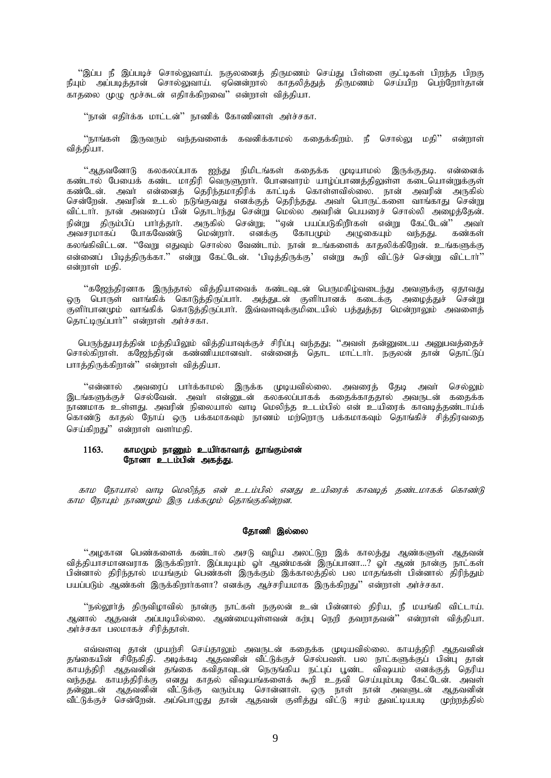''இப்ப நீ இப்படிச் சொல்லுவாய். நகுலனைத் திருமணம் செய்து பிள்ளை குட்டிகள் பிறந்த பிறகு . ஆட்ட ந துப்படிச் என்னதுவாய். நகுணைத் தருமணம் மையமை போனை படத்தி திருமணம் வெற்றோர்தான்<br>நீயும் அப்படித்தான் சொல்லுவாய். ஏனென்றால் காதலித்துத் திருமணம் செய்யிற பெற்றோர்தான் காதலை முழு மூச்சுடன் எதிாக்கிறவை'' என்றாள் வித்தியா.

''நான் எதிர்க்க மாட்டன்'' நாணிக் கோணினாள் அர்ச்சகா.

"நாங்கள் இருவரும் வந்தவளைக் கவனிக்காமல் கதைக்கிறம். நீ சொல்லு மதி'' என்றாள் விக்கியா.

ஆதவளோடு கலகலப்பாக ஐந்து நிமிடங்கள் கதைக்க முடியாமல் இருக்குதடி. என்னைக்<br>கண்டால் பேயைக் கண்ட மாதிரி வெருளுறார். போனவாரம் யாழ்ப்பாணத்திலுள்ள கடையொன்றுக்குள் கண்டால் பேல்வே கண்ட மாதிரி வேருளுநாட் போன்வாரம் பாழ்ப்பாணத்தினுள் கலட்டியானதுக்குள்<br>கண்டேன். அவர் என்னைத் தெரிந்தமாதிரிக் காட்டிக் கொள்ளவில்லை. நான் அவரின் அருகில்<br>சென்றேன். அவரின் உடல் நடுங்குவது எனக்குத் தெரிந்தது. அவர் விட்டாா். நான் அவரைப் பின் தொடா்ந்து சென்று மெல்ல அவரின் பெயரைச் சொல்லி அழைத்தேன். . பெய்வது திரும்பிப் பார்த்தார். அருகில் சென்று, "ஏன் பயப்படுகிறீர்கள் என்று கேட்டேன்" அவர்<br>அவசரமாகப் போகவேண்டு மென்றார். எனக்கு கோபமும் அழுகையும் வந்தது. கண்கள் கலங்கிவிட்டன. ''வேறு எதுவும் சொல்ல வேண்டாம். நான் உங்களைக் காதலிக்கிறேன். உங்களுக்கு என்னைப் பிடித்திருக்கா.'' என்று கேட்டேன். 'பிடித்திருக்கு' என்று கூறி விட்டுச் சென்று விட்டார்'' என்றாள் மகி.

''கஜேந்திரனாக இருந்தால் வித்தியாவைக் கண்டவுடன் பெருமகிழ்வடைந்து அவளுக்கு ஏதாவது ஒரு பொருள் வாங்கிக் கொடுத்திருப்பாா். அத்துடன் குளிா்பானக் கடைக்கு அழைத்துச் சென்று குளிா்பானமும் வாங்கிக் கொடுத்திருப்பாா். இவ்வளவுக்குமிடையில் பத்துத்தர மென்றாலும் அவளைத் கொட்டிருப்பார்" என்றாள் அர்ச்சகா.

பெருந்துயரத்தின் மத்தியிலும் வித்தியாவுக்குச் சிரிப்பு வந்தது; ''அவள் தன்னுடைய அனுபவத்தைச் சொல்கிறாள். கஜேந்திரன் கண்ணியமானவா். என்னைத் தொட மாட்டாா். நகுலன் தான் தொட்டுப் பாாத்திருக்கிறான்'' என்றாள் வித்தியா.

''என்னால் அவரைப் பார்க்காமல் இருக்க முடியவில்லை. அவரைத் தேடி அவர் செல்லும் இடங்களுக்குச் செல்வேன். அவர் என்னுடன் கலகலப்பாகக் கதைக்காததால் அவருடன் கதைக்க நாணமாக உள்ளது. அவரின் நிலையால் வாடி மெலிந்த உடம்பில் என் உயிரைக் காவடித்தண்டாய்க் கொண்டு காதல் நோய் ஒரு பக்கமாகவும் நாணம் மற்றொரு பக்கமாகவும் தொங்கிச் சித்திரவதை செய்கிறது'' என்றாள் வளா்மதி.

#### 1163. காமமும் நாணும் உயிர்காவாத் தூங்கும்என் நோனா உடம்பின் அகத்து.

காம நோயால் வாடி மெலிந்த என் உடம்பில் எனது உயிரைக் காவடித் தண்டமாகக் கொண்டு காம நோயும் நாணமும் இரு பக்கமும் தொங்குகின்றன.

# தோணி இல்லை

''அழகான பெண்களைக் கண்டால் அசடு வழிய அலட்டுற இக் காலத்து ஆண்களுள் ஆதவன் வித்தியாசமானவராக இருக்கிறாா். இப்படியும் ஓா் ஆண்மகன் இருப்பானா…? ஓா் ஆண் நான்கு நாட்கள் பின்னால் திரிந்தால் மயங்கும் பெண்கள் இருக்கும் இக்காலத்தில் பல மாதங்கள் பின்னால் திரிந்தும் பயப்படும் ஆண்கள் இருக்கிறார்களா? எனக்கு ஆச்சரியமாக இருக்கிறது'' என்றாள் அர்ச்சகா.

''நல்லூர்த் திருவிழாவில் நான்கு நாட்கள் நகுலன் உன் பின்னால் திரிய, நீ மயங்கி விட்டாய். ஆனால் ஆதவன் அப்படியில்லை. ஆண்மையுள்ளவன் கற்பு நெறி தவறாதவன்'' என்றாள் வித்தியா. அர்ச்சகா பலமாகச் சிரித்தாள்.

எவ்வளவு தான் முயற்சி செய்தாலும் அவருடன் கதைக்க முடியவில்லை. காயத்திரி ஆதவனின் தங்கையின் சிநேகிதி. அடிக்கடி ஆதவனின் வீட்டுக்குச் செல்பவள். பல நாட்களுக்குப் பின்பு தான் .<br>காயத்திரி ஆதவனின் தங்கை கவிதாவுடன் நெருங்கிய நட்புப் பூண்ட விஷயம் எனக்குத் தெரிய வந்தது. காயத்திரிக்கு எனது காதல் விஷயங்களைக் கூறி உதவி செய்யும்படி கேட்டேன். அவள்<br>தன்னுடன் ஆதவனின் வீட்டுக்கு வரும்படி சொன்னாள். ஒரு நாள் நான் அவளுடன் ஆதவனின் ு.<br>வீட்டுக்குச் சென்றேன். அப்பொழுது தான் ஆதவன் குளித்து விட்டு ஈரம் துவட்டியபடி முற்றத்தில்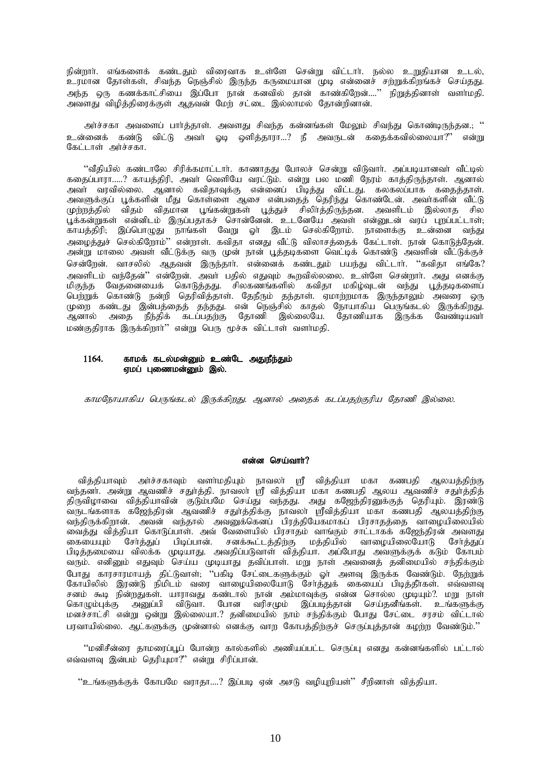நின்றார். எங்களைக் கண்டதும் விரைவாக உள்ளே சென்று விட்டார். நல்ல உறுதியான உடல், உரமான தோள்கள், சிவந்த நெஞ்சில் இருந்த கருமையான முடி என்னைச் சற்றுக்கிறங்கச் செய்தது. அந்த ஒரு கணக்காட்சியை இப்போ நான் கனவில் தான் காண்கிறேன்....'' நிறுத்தினாள் வளாமதி. அவளது விழித்திரைக்குள் ஆதவன் மேற் சட்டை இல்லாமல் தோன்றினான்.

அர்ச்சகா அவளைப் பார்த்தாள். அவளது சிவந்த கன்னங்கள் மேலும் சிவந்து கொண்டிருந்தன.; '' உன்னைக் கண்டு விட்டு அவர் ஓடி ஒளித்தாரா...? நீ அவருடன் கதைக்கவில்லையா?'' என்று கேட்டாள் அர்ச்சகா.

''வீதியில் கண்டாலே சிரிக்கமாட்டார். காணாதது போலச் சென்று விடுவார். அப்படியானவர் வீட்டில் ககைப்பாரா.....? காயக்கிரி, அவா் வெளியே வாட்டும். என்று பல மணி நேரம் காக்கிருந்தாள். ஆனால் அவா் வாவில்லை. ஆனால் கவிகாவக்கு என்னைப் பிடிக்கு விட்டது. கலகலப்பாக ககைக்காள். அவளுக்குப் பூக்களின் மீது கொள்ளை ஆசை என்பதைத் தெரிந்து கொண்டேன். அவாகளின் வீட்டு முற்றத்தில் விதம் விதமான பூங்கன்றுகள் பூத்துச் சிலிர்த்திருந்தன. அவளிடம் இல்லாத சில பக்கன்றுகள் என்னிடம் இருப்பகாகச் சொன்னேன். உடனேயே அவள் என்னுடன் வரப் பறப்பட்டாள். காயத்திரி. இப்பொழுது நாங்கள் வேறு ஓா இடம் செல்கிறோம். நாளைக்கு உன்னை வந்து அழைத்துச் செல்கிறோம்'' என்றாள். கவிதா எனது வீட்டு விலாசத்தைக் கேட்டாள். நான் கொடுத்தேன். அன்று மாலை அவள் வீட்டுக்கு வரு முன் நான் பூத்தடிகளை வெட்டிக் கொண்டு அவளின் வீட்டுக்குச் சென்றேன். வாசலில் ஆதவன் இருந்தார். என்னைக் கண்டதும் பயந்து விட்டார். ''கவிதா எங்கே? அவளிடம் வந்தேன்'' என்றேன். அவர் பதில் எதுவும் கூறவில்லலை. உள்ளே சென்றார். அது எனக்கு .<br>மிகுந்த வேதனையைக் கொடுத்தது. சிலகணங்களில் கவிதா மகிழ்வுடன் வந்து பூத்தடிகளைப்<br>பெற்றுக் கொண்டு நன்றி தெரிவித்தாள். தேநீரும் தந்தாள். ஏமாற்றமாக இருந்தாலும் அவரை ஒரு . பான் கண்டது இன்பத்தைத் தந்தது. என் நெஞ்சில் காதல் நோயாகிய பெருங்கடல் இருக்கிறது.<br>ஆனால் அதை நீந்திக் கடப்பதற்கு தோணி இல்லையே. தோணியாக இருக்க வேண்டியவர் மண்குதிராக இருக்கிறார்'' என்று பெரு மூச்சு விட்டாள் வளர்மதி.

#### காமக் கடல்மன்னும் உண்டே அதுநீந்தும் 1164. ஏமப் புணைமன்னும் இல்.

காமநோயாகிய பெருங்கடல் இருக்கிறது. ஆனால் அதைக் கடப்பதற்குரிய தோணி இல்லை.

# என்ன செய்வார்?

வித்தியாவும் அர்ச்சகாவும் வளர்மதியும் நாவலர் ஸ்ரீ வித்தியா மகா கணபதி ஆலயத்திற்கு வந்தனர். அன்று ஆவணிச் சதுர்த்தி. நாவலா ஸ்ரீ வித்தியா மகா கணபதி ஆலய ஆவணிச் சதுர்த்தித் திருவிழாவை வித்தியாவின் குடும்பமே செய்து வந்தது. அது கஜேந்திரனுக்குத் தெரியும். இரண்டு .<br>வருடங்களாக கஜேந்திரன் ஆவணிச் சதுாத்திக்கு நாவலா ஸ்ரீவித்தியா மகா கணபதி ஆலயத்திற்கு வந்திருக்கிறான். அவன் வந்தால் அவனுக்கெனப் பிரத்தியேகமாகப் பிரசாதத்தை வாமையிலையில் வைக்கு விக்கியா கொடுப்பாள். அவ் வேளையில் பிரசாகம் வாங்கும் சாட்டாகக் கஜேந்கிரன் அவளது கையையும் சேர்த்துப் பிடிப்பான். சனக்கூட்டத்திற்கு மத்தியில் வாமையிலையோடு சேர்த்துப் பிடித்தமையை விலக்க முடியாது. அவதிப்படுவாள் வித்தியா. அப்போது அவளுக்குக் கடும் கோபம் வரும். எனினும் எதுவும் செய்ய முடியாது தவிப்பாள். மறு நாள் அவனைத் தனிமையில் சந்திக்கும் போது காரசாரமாயத் திட்டுவாள்; ''பகிடி சேட்டைகளுக்கும் ஓா் அளவு இருக்க வேண்டும். நேற்றுக் கோயிலில் இரண்டு நிமிடம் வரை வாழையிலையோடு சேர்த்துக் கையைப் பிடித்தீர்கள். எவ்வளவு சனம் கூடி நின்றதுகள். யாராவது கண்டால் நான் அம்மாவுக்கு என்ன சொல்ல முடியும்?. மறு நாள் கொழும்புக்கு அனுப்பி விடுவா. போன வரிசமும் இப்படித்தான் செய்தனீங்கள். உங்களுக்கு மனச்சாட்சி என்று ஒன்று இல்லையா.? தனிமையில் நாம் சந்திக்கும் போது சேட்டை சரசம் விட்டால் பரவாயில்லை. ஆட்களுக்கு முன்னால் எனக்கு வாறு கோபத்திற்குச் செருப்புத்தான் கமற்ற வேண்டும்.''

''மனிசீன்ரை தாமரைப்பூப் போன்ற கால்களில் அணியப்பட்ட செருப்பு எனது கன்னங்களில் பட்டால் எவ்வளவு இன்பம் தெரியுமா?" என்று சிரிப்பான்.

''உங்களுக்குக் கோபமே வராதா....? இப்படி ஏன் அசடு வழியுறியள்'' சீறினாள் வித்தியா.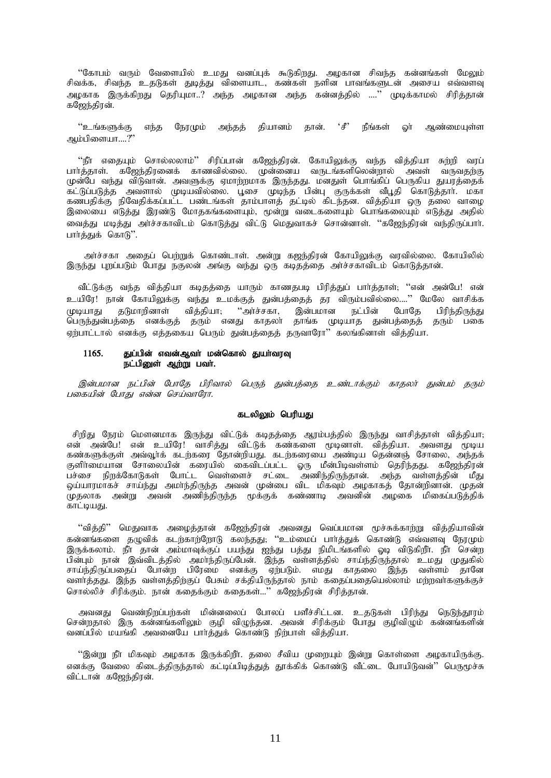''கோபம் வரும் வேளையில் உமது வனப்புக் கூடுகிறது. அழகான சிவந்த கன்னங்கள் மேலும் சிவக்க, சிவந்த உதடுகள் துடித்து விளையாட, கண்கள் நளின பாவங்களுடன் அசைய எவ்வளவு அழகாக இருக்கிறது தெரியுமா..? அந்த அழகான அந்த கன்னத்தில் ....'' முடிக்காமல் சிரித்தான் கஜேந்திரன்.

''உங்களுக்கு எந்த நேரமும் அந்தத் தியானம் தான்.  $\cdot$ g' நீங்கள் ஆண்மையுள்ள ெர் அம்பிளையா….?"

''நீா எதையும் சொல்லலாம்'' சிரிப்பான் கஜேந்திரன். கோயிலுக்கு வந்த வித்தியா சுற்றி வரப்<br>பாா்த்தாள். கஜேந்திரனைக் காணவில்லை. முன்னைய வருடங்களிலென்றால் அவள் வருவதற்கு முன்பே வந்து விடுவான். அவளுக்கு ஏமாற்றமாக இருந்தது. மனதுள் பொங்கிப் பெருகிய துயர்க்கைக் .<br>கட்டுப்படுத்த அவளால் முடியவில்லை. பூசை முடிந்த பின்பு குருக்கள் வீபூதி கொடுத்தார். மகா<br>கணபதிக்கு நிவேதிக்கப்பட்ட பண்டங்கள் தாம்பாளத் தட்டில் கிடந்தன. வித்தியா ஒரு தலை வாழை இலையை எடுத்து இரண்டு மோதகங்களையும், மூன்று வடைகளையும் பொங்கலையும் எடுத்து அதில் வைக்கு மடிக்கு அர்ச்சகாவிடம் கொடுக்கு விட்டு மெகுவாகச் சொன்னாள். ''கஜேந்திரன் வந்திருப்பார். பார்க்குக் கொடு".

அர்ச்சகா அதைப் பெற்றுக் கொண்டாள். அன்று கஜந்திரன் கோயிலுக்கு வரவில்லை. கோயிலில் இருந்து புறப்படும் போது நகுலன் அங்கு வந்து ஒரு கடிதத்தை அர்ச்சகாவிடம் கொடுத்தான்.

வீட்டுக்கு வந்த வித்தியா கடிதத்தை யாரும் காணதபடி பிரித்துப் பார்த்தாள்; ''என் அன்பே! என் உயிரே! நான் கோயிலுக்கு வந்து உமக்குத் துன்பத்தைத் தர விரும்பவில்லை....'' மேலே வாசிக்க .<br>தடுமாறினாள் வித்தியா; "அர்ச்சகா, இன்பமான நட்பின் போகே (முடியாகு) பிரிந்திருந்து பெருந்துன்பத்தை எனக்குத் தரும் எனது காதலா தாங்க முடியாத துன்பத்தைத் தரும் பகை ஏற்பாட்டால் எனக்கு எத்தகைய பெரும் துன்பத்தைத் தருவாரோ'' கலங்கினாள் வித்தியா.

#### 1165. துப்பின் எவன்ஆவா் மன்கொல் துயா்வரவு நட்பினுள் ஆற்று பவர்.

இன்பமான நட்பின் போதே பிரிவால் பெருந் துன்பத்தை உண்டாக்கும் காதலர் துன்பம் கரும் பகையின் போது என்ன செய்வாரோ.

# கடலிலும் பெரியது

சிறிது நேரம் மௌனமாக இருந்து விட்டுக் கடிதத்தை ஆரம்பத்தில் இருந்து வாசித்தாள் வித்தியா; என் அன்பே! என் உயிரே! வாசித்து விட்டுக் கண்களை முடினாள். வித்தியா. அவளது முடிய கண்களுக்குள் அவ்வூர்க் கடற்கரை தோன்றியது. கடற்கரையை அண்டிய தென்னஞ் சோலை, அந்தக் ஒய்யாரமாகச் சாய்ந்து அமாந்திருந்த அவன் முன்பை விட மிகவும் அழகாகத் தோன்றினான். முதன் முதலாக அன்று அவன் அணிந்திருந்த மூக்குக் கண்ணாடி அவனின் அழகை மிகைப்படுத்திக் காட்டியது.

''வித்தி'' மெதுவாக அழைத்தான் கஜேந்திரன் அவனது வெப்பமான மூச்சுக்காற்று வித்தியாவின் கன்னங்களை தழுவிக் கடற்காற்றோடு கலந்தது; ''உம்மைப் பார்த்துக் கொண்டு எவ்வளவு நேரமும் இருக்கலாம். நீா தான் அம்மாவுக்குப் பயந்து ஐந்து பத்து நிமிடங்களில் ஓடி விடுகிறீா. நீா சென்ற . இருக்கணக்கு நான் அடிகாவுக்கும் எதேது மூத்து முத்து நிகைகளை சூடி கருக்குமான நான் அதி<br>பின்பும் நான் இவ்விடத்தில் அமாந்திருப்பேன். இந்த வள்ளத்தில் சாய்ந்திருந்தால் உமது முதுகில்<br>சாய்ந்திருப்பதைப் போன்ற பிரேமை எனக்கு ஏற்படு வளர்த்தது. இந்த வள்ளத்திற்குப் பேசும் சக்தியிருந்தால் நாம் கதைப்பதையெல்லாம் மற்றவர்களுக்குச் சொல்லிச் சிரிக்கும். நான் கதைக்கும் கதைகள்...'' கஜேந்திரன் சிரித்தான்.

அவனது வெண்நிறப்பற்கள் மின்னலைப் போலப் பளீச்சிட்டன. உதடுகள் பிரிந்து நெடுந்தூரம் சென்றதால் இரு கன்னங்களிலும் குழி விழுந்தன. அவன் சிரிக்கும் போது குழிவிழும் கன்னங்களின் வனப்பில் மயங்கி அவனையே பார்த்துக் கொண்டு நிற்பாள் வித்தியா.

''இன்று நீா மிகவும் அழகாக இருக்கிறீா. தலை சீவிய முறையும் இன்று கொள்ளை அழகாயிருக்கு. எனக்கு வேலை கிடைத்திருந்தால் கட்டிப்பிடித்துத் தூக்கிக் கொண்டு வீட்டை போயிடுவன்'' பெருமூச்சு விட்டான் கஜேந்திரன்.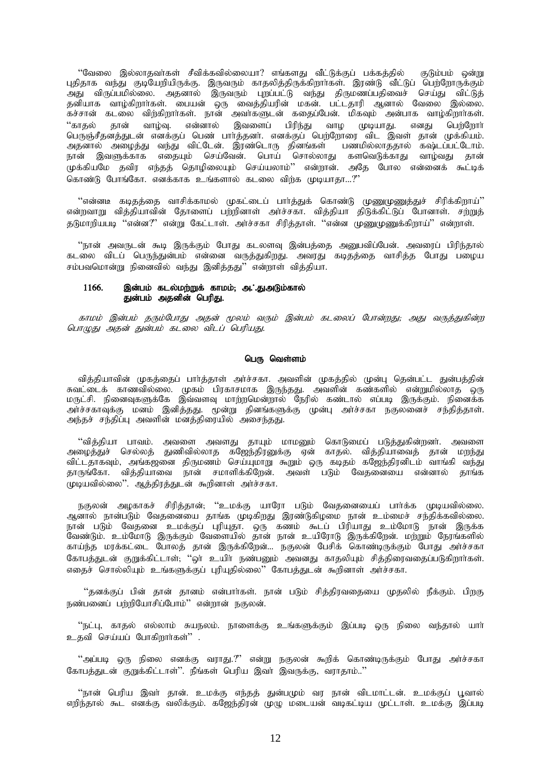"வேலை இல்லாதவா்கள் சீவிக்கவில்லையா? எங்களது வீட்டுக்குப் பக்கத்தில் குடும்பம் ஒன்று புதிதாக வந்து குடியேறியிருக்கு. இருவரும் காதலித்திருக்கிறார்கள். இரண்டு வீட்டுப் பெற்றோருக்கும் அது விருப்பமில்லை. அதனால் இருவரும் புறப்பட்டு வந்து திருமணப்பதிவைச் செய்து விட்டுத் தனியாக வாழ்கிறார்கள். பையன் ஒரு வைத்தியரின் மகன். பட்டதாரி ஆனால் வேலை இல்லை. கச்சான் கடலை விற்கிறார்கள். நான் அவர்களுடன் கதைப்பேன். மிகவும் அன்பாக வாழ்கிறார்கள். .<br>''காதல் தான் வாழ்வு. என்னால் இவளைப் பிரிந்து வாழ முடியாது. எனது பெற்றோர் பெருஞ்சீதனத்துடன் எனக்குப் பெண் பார்த்தனர். எனக்குப் பெற்றோரை விட இவள் தான் முக்கியம். அதனால் அழைத்து வந்து விட்டேன். இரண்டொரு தினங்கள் பணமில்லாததால் கஷ்டப்பட்டோம். நான் இவளுக்காக எதையும் செய்வேன். பொய் சொல்லாது களவெடுக்காது வாழ்வது தான் முக்கியமே தவிர எந்தத் தொழிலையும் செய்யலாம்'' என்றான். அதே போல என்னைக் கூட்டிக் கொண்டு போங்கோ, எனக்காக உங்களால் கடலை விற்க முடியாகா...?"

 $\lq\lq$ என்னடீ கடிதத்தை வாசிக்காமல் முகட்டைப் பார்த்துக் கொண்டு முணுமுணுத்துச் சிரிக்கிறாய் $\lq\lq$ என்றவாறு வித்தியாவின் தோளைப் பற்றினாள் அர்ச்சகா. வித்தியா திடுக்கிட்டுப் போனாள். சற்றுத் து.<br>துபோரியபடி "என்ன?" என்று கேட்டாள். அர்ச்சகா சிரிக்காள். "என்ன முணைமணுக்கிறாய்" என்றாள்.

"நான் அவருடன் கூடி இருக்கும் போது கடலளவு இன்பத்தை அனுபவிப்பேன். அவரைப் பிரிந்தால் கடலை விடப் பெருந்துன்பம் என்னை வருத்துகிறது. அவரது கடிதத்தை வாசித்த போது பழைய சம்பவமொன்று நினைவில் வந்து இனித்தது $"$  என்றாள் வித்தியா.

# $1166.$  இன்பம் கடல்மற்றுக் காமம்; அ $\cdot$ .துஅடும்கால் துன்பம் அதனின் பெரிது.

காமம் இன்பம் தரும்போது அதன் மூலம் வரும் இன்பம் கடலைப் போன்றது; அது வருத்துகின்ற பொழுது அதன் துன்பம் கடலை விடப் பெரியது.

# பெரு வெள்ளம்

வித்தியாவின் முகத்தைப் பார்த்தாள் அர்ச்சகா. அவளின் முகத்தில் முன்பு தென்பட்ட துன்பத்தின் Rtl;ilf; fhztpy;iy. Kfk; gpufhrkhf ,Ue;jJ. mtspd; fz;fspy; vd;Wkpy;yhj xU மருட்சி. நினைவுகளுக்கே இவ்வளவு மாற்றமென்றால் நேரில் கண்டால் எப்படி இருக்கும். நினைக்க அர்ச்சகாவுக்கு மனம் இனித்தது. முன்று தினங்களுக்கு முன்பு அர்ச்சகா நகுலனைச் சந்தித்தாள். அந்தச் சந்திப்பு அவளின் மனத்திரையில் அசைந்தது.

"வித்தியா பாவம். அவளை அவளது தாயும் மாமனும் கொடுமைப் படுத்துகின்றனா். அவளை அழைத்துச் செல்லத் துணிவில்லாத கஜேந்திரனுக்கு ஏன் காதல். வித்தியாவைத் தான் மறந்து விட்டதாகவும், அங்கஜனை திருமணம் செய்யுமாறு கூறும் ஒரு கடிதம் கஜேந்திரனிடம் வாங்கி வந்து தாருங்கோ. வித்தியாவை நான் சமாளிக்கிறேன். அவள் படும் வேதனையை என்னால் தாங்க முடியவில்லை''. ஆத்திரத்துடன் கூறினாள் அர்ச்சகா.

நகுலன் அமகாகச் சிரிக்கான்; ''உமக்கு யாரோ படும் வேகனையைப் பார்க்க முடியவில்லை. அனால் நான்படும் வேதனையை தாங்க முடிகிறது இரண்டுகிழமை நான் உம்மைச் சந்திக்கவில்லை. நான் படும் வேதனை உமக்குப் புரியுதா. ஒரு கணம் கூடப் பிரியாது உம்மோடு நான் இருக்க வேண்டும். உம்மோடு இருக்கும் வேளையில் தான் நான் உயிரோடு இருக்கிறேன். மற்றும் நேரங்களில் காய்ந்த மரக்கட்டை போலத் தான் இருக்கிறேன்... நகுலன் பேசிக் கொண்டிருக்கும் போது அர்ச்சகா கோபத்துடன் குறுக்கிட்டாள்; ''ஒர் உயிர் நண்பனும் அவனது காதலியும் சித்திரைவதைப்படுகிறார்கள். எதைச் சொல்லியும் உங்களுக்குப் புரியுதில்லை'' கோபத்துடன் கூறினாள் அர்ச்சகா.

"தனக்குப் பின் தான் தானம் என்பார்கள். நான் படும் சித்திரவதையை முதலில் நீக்கும். பிறகு நண்பனைப் பற்றியோசிப்போம்'' என்றான் நகுலன்.

"நட்பு, காதல் எல்லாம் சுயநலம். நாளைக்கு உங்களுக்கும் இப்படி ஒரு நிலை வந்தால் யாா் உதவி செய்யப் போகிறார்கள்" .

"அப்படி ஒரு நிலை எனக்கு வராது.?" என்று நகுலன் கூறிக் கொண்டிருக்கும் போது அர்ச்சகா கோபத்துடன் குறுக்கிட்டாள்''. நீங்கள் பெரிய இவர் இவருக்கு, வராதாம்..''

"நான் பெரிய இவர் தான். உமக்கு எந்தத் துன்பமும் வர நான் விடமாட்டன். உமக்குப் பூவால் எறிந்தால் கூட எனக்கு வலிக்கும். கஜேந்திரன் முமு மடையன் வடிகட்டிய முட்டாள். உமக்கு இப்படி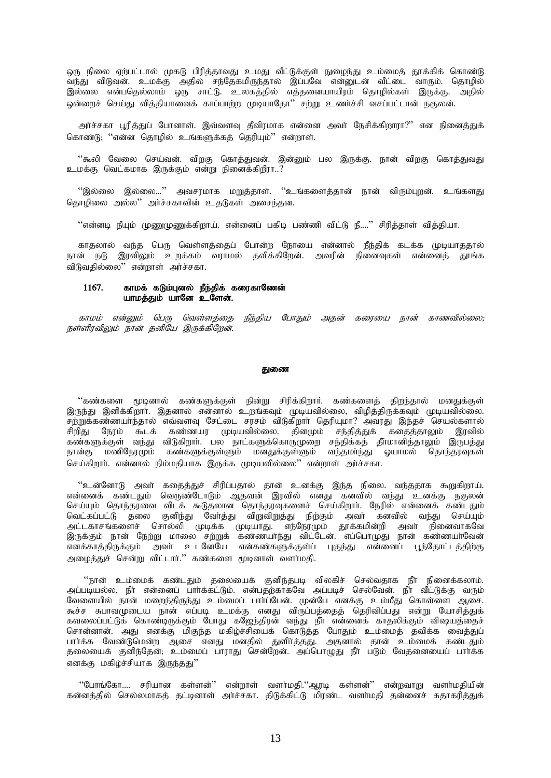ஒரு நிலை ஏற்பட்டால் முகடு பிரித்தாவது உமது வீட்டுக்குள் நுழைந்து உம்மைத் தூக்கிக் கொண்டு வந்து விடுவன். உமக்கு அதில் சந்தேகமிருந்தால் இப்பவே என்னுடன் வீட்டை வாரும். தொழில் இல்லை என்பதெல்லாம் ஒரு சாட்டு. உலகத்தில் எத்தனையாயிரம் தொழில்கள் இருக்கு. அதில் ஒன்றைச் செய்து வித்தியாவைக் காப்பாற்ற முடியாதோ'' சற்று உணர்ச்சி வசப்பட்டான் நகுலன்.

அர்ச்சகா பூரித்துப் போனாள். இவ்வளவு தீவிரமாக என்னை அவர் நேசிக்கிறாரா?'' என நினைத்துக் கொண்டு; ''என்ன தொழில் உங்களுக்கத் தெரியும்'' என்றாள்.

''கூலி வேலை செய்வன். விறகு கொத்துவன். இன்னும் பல இருக்கு. நான் விறகு கொத்துவது உமக்கு வெட்கமாக இருக்கும் என்று நினைக்கிறீரா..?

''இல்லை இல்லை...'' அவசரமாக மறுத்தாள். ''உங்களைத்தான் நான் விரும்புறன். உங்களது தொழிலை அல்ல'' அர்ச்சகாவின் உதடுகள் அசைந்தன.

''என்னடி நீயும் முணுமுணுக்கிறாய். என்னைப் பகிடி பண்ணி விட்டு நீ....'' சிரித்தாள் வித்தியா.

காதலால் வந்த பெரு வெள்ளத்தைப் போன்ற நோயை என்னால் நீந்திக் கடக்க முடியாததால் நான் நடு இரவிலும் உறக்கம் வராமல் தவிக்கிறேன். அவரின் நினைவுகள் என்னைத் தூங்க விடுவதில்லை'' என்றாள் அர்ச்சகா.

#### 1167. காமக் கடும்புனல் நீந்திக் கரைகாணேன் யாமத்தும் யானே உளேன்.

காமம் என்னும் பெரு வெள்ளத்தை நீந்திய போதும் அதன் கரையை நான் காணவில்லை; நள்ளிரவிலும் நான் தனியே இருக்கிறேன்.

#### துணை

''கண்களை மூடினால் கண்களுக்குள் நின்று சிரிக்கிறார். கண்களைத் திறந்தால் மனதுக்குள் இருந்து இனிக்கிறார். இதனால் என்னால் உறங்கவும் முடியவில்லை, விழித்திருக்கவும் முடியவில்லை. சற்றுக்கண்ணயாந்தால் எவ்வளவு சேட்டை சரசம் விடுகிறார் தெரியுமா? அவரது இந்தச் செயல்களால் ்.<br>`கூடக் கண்ணயர முடியவில்லை. தினமும் சந்தித்துக் கதைத்தாலும் சிறிகுட நோம் இாவில் கண்களுக்குள் வந்து விடுகிறார். பல நாட்களுக்கொருமுறை சந்திக்கத் தீாமானித்தாலும் இருபத்து மணிநேரமும் கண்களுக்குள்ளும் மனதுக்குள்ளும் வந்தமாந்து ஓயாமல் தொந்தரவுகள் நான்கு செய்கிறார். என்னால் நிம்மதியாக இருக்க முடியவில்லை'' என்றாள் அர்ச்சகா.

''உன்னோடு அவா் கதைத்துச் சிரிப்பதால் தான் உனக்கு இந்த நிலை. வந்ததாக கூறுகிறாய். என்னைக் கண்டதும் வெருண்டோடும் ஆதவன் இரவில் எனது கனவில் வந்து உனக்கு நகுலன் செய்யும் தொந்தரவை விடக் கூடுதலான தொந்தாவகளைச் செய்கிறார். நேரில் என்னைக் கண்டதும் வெட்கப்பட்டு தலை குனிந்து வேர்த்து விறுவிறுத்து நிற்கும் அவர் கனவில் வந்து செய்யும் .<br>அட்டகாசங்களைச் சொல்லி முடிக்க முடியாது. எந்நேரமும் தூக்கமின்றி அவா நினைவாகவே<br>இருக்கும் நான் நேற்று மாலை சற்றுக் கண்ணயாந்து விட்டேன். எப்பொமுது நான் கண்ணயாவேன் அமைக்துச் சென்று விட்டார்.'' கண்களை மூடினாள் வளர்மதி.

் நான் உம்மைக் கண்டதும் தலையைக் குனிந்தபடி விலகிச் செல்வதாக நீா நினைக்கலாம்.<br>அப்படியல்ல, நீா என்னைப் பார்க்கட்டும். என்பதற்காகவே அப்படிச் செல்வேன். நீா வீட்டுக்கு வரும் வேளையில் நான் மறைந்திருந்து உம்மைப் பாா்ப்பேன். முன்பே எனக்கு உம்மீது கொள்ளை ஆசை. கூச்ச சுபாவமுடைய நான் எப்படி உமக்கு எனது விருப்பத்தைத் தெரிவிப்பது என்று யோசித்துக் கவலைப்பட்டுக் கொண்டிருக்கும் போது கஜேந்திரன் வந்து நீா என்னைக் காதலிக்கும் விஷயத்தைச் சொன்னான். அது எனக்கு மிகுந்த மகிழ்ச்சியைக் கொடுத்த போதும் உம்மைத் தவிக்க வைத்துப் பார்க்க வேண்டுமென்ற ஆசை எனது மனதில் துளிர்த்தது. அதனால் தான் உம்மைக் கண்டதும் தலையைக் குனிந்தேன், உம்மைப் பாராது சென்றேன். அப்பொழுது நீா படும் வேதனையைப் பார்க்க எனக்கு மகிழ்ச்சியாக இருந்தது''

''போங்கோ.... சரியான கள்ளன்'' என்றாள் வளா்மதி.''ஆரடி கள்ளன்'' என்றவாறு வளா்மதியின்<br>கன்னத்தில் செல்லமாகத் தட்டினாள் அா்ச்சகா. திடுக்கிட்டு மிரண்ட வளா்மதி தன்னைச் சுதாகரித்துக்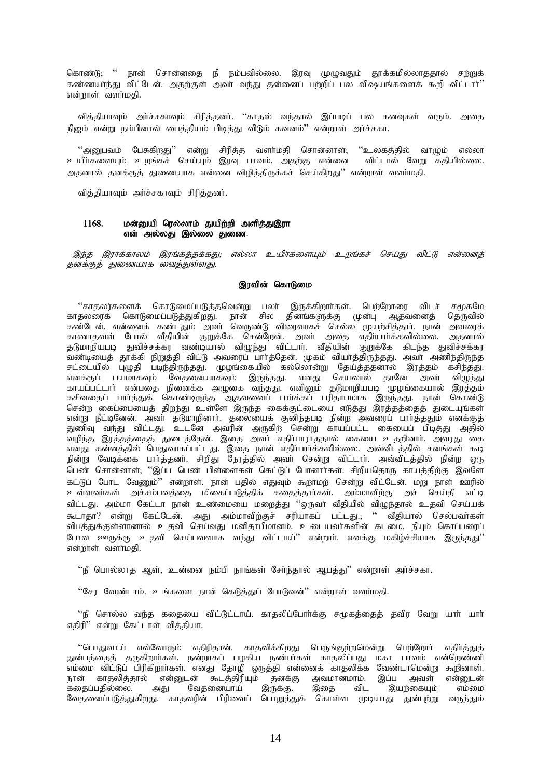கொண்டு; '' நான் சொன்னதை நீ நம்பவில்லை. இரவு முழுவதும் தூக்கமில்லாததால் சற்றுக் கண்ணயா்ந்து விட்டேன். அதற்குள் அவா் வந்து தன்னைப் பற்றிப் பல விஷயங்களைக் கூறி விட்டாா்'' என்றாள் வளர்மதி.

வித்தியாவும் அர்ச்சகாவும் சிரித்தனர். ''காதல் வந்தால் இப்படிப் பல கனவுகள் வரும். அதை நிஜம் என்று நம்பினால் பைத்தியம் பிடித்து விடும் கவனம்'' என்றாள் அர்ச்சகா.

''அனுபவம் பேசுகிறது'' என்று சிரித்த வளா்மதி சொன்னாள்; ''உலகத்தில் வாழும் எல்லா<br>யிா்களையும் உறங்கச் செய்யும் இரவு பாவம். அதற்கு என்னை விட்டால் வேறு கதியில்லை. caphicalisac comparisor controlled in the second international controller in the second in the second in the s<br>"Pappy" of the second in the second in the second in the second in the second in the second in the second in t அதனால் தனக்குத் துணையாக என்னை விழித்திருக்கச் செய்கிறது'' என்றாள் வளர்மதி.

வித்தியாவும் அர்ச்சகாவும் சிரித்தனர்.

## 1168. மன்னுயி ரெல்லாம் துயிற்றி அளித்துஇரா என் அல்லது இல்லை துணை.

இந்த இராக்காலம் இரங்கத்தக்கது; எல்லா உயிர்களையும் உறங்கச் செய்து விட்டு என்னைத் தனக்குத் துணையாக வைத்துள்ளது.

## இரவின் கொடுமை

"காதலர்களைக் கொடுமைப்படுத்தவென்று பலா் இருக்கிறாா்கள். பெற்றோரை விடச் சமூகமே காதலரைக் கொடுமைப்படுத்துகிறது. நான் சில தினங்களுக்கு முன்பு ஆதவனைத் தெருவில் கண்டேன். என்னைக் கண்டதும் அவர் வெருண்டு விரைவாகச் செல்ல முயற்சித்தார். நான் அவரைக் காணாதவள் போல் வீதியின் குறுக்கே சென்றேன். அவர் அதை எதிர்பார்க்கவில்லை. அதனால் தடுமாறியபடி துவிச்சக்கர வண்டியால் விழுந்து விட்டார். வீதியின் குறுக்கே கிடந்த துவிச்சக்கர .<br>வண்டியைத் தூக்கி நிறுத்தி விட்டு அவரைப் பாா்த்தேன். முகம் வியா்த்திருந்தது. அவா் அணிந்திருந்த சட்டையில் புழுதி படிந்திருந்தது. முழங்கையில் கல்லொன்று தேய்த்ததனால் இரத்தம் கசிந்தது. எனக்குப் பயமாகவும் வேதனையாகவும் இருந்தது. எனது செயலால் தானே அவா் விழுந்து காயப்பட்டாா் என்பதை நினைக்க அழுகை வந்தது. எனினும் தடுமாறியபடி முழங்கையால் இரத்தம் கசிவதைப் பார்த்துக் கொண்டிருந்த ஆதவனைப் பார்க்கப் பரிதாபமாக இருந்தது. நான் கொண்டு சென்ற கைப்பையைத் திறந்து உள்ளே இருந்த கைக்குட்டையை எடுத்து இரத்தத்தைத் துடையுங்கள் என்று நீட்டினேன். அவா் தடுமாறினாா். தலையைக் குனிந்தபடி நின்ற அவரைப் பாா்த்ததும் எனக்குத் துணிவு வந்து விட்டது. உடனே அவரின் அருகிற் சென்று காயப்பட்ட கையைப் பிடித்து அதில் வழிந்த இரத்தத்தைத் துடைத்தேன். இதை அவர் எதிர்பாராததால் கையை உதறினார். அவரது கை எனது கன்னத்தில் மெதுவாகப்பட்டது. இதை நான் எதிா்பாா்க்கவில்லை. அவ்விடத்தில் சனங்கள் கூடி நின்று வேடிக்கை பார்த்தனா். சிறிது நேரத்தில் அவா் சென்று விட்டாா். அவ்விடத்தில் நின்ற ஒரு பெண் சொன்னாள்; ''இப்ப பெண் பிள்ளைகள் கெட்டுப் போனார்கள். சிறியதொரு காயத்திற்கு இவளே கட்டுப் போட வேணும்'' என்றாள். நான் பகில் எதுவும் கூறாமற் சென்று விட்டேன். மறு நாள் ஊரில் உள்ளவாகள் அச்சம்பவத்தை மிகைப்படுத்திக் கதைத்தாாகள். அம்மாவிற்கு அச் செய்தி எட்டி விட்டது. அம்மா கேட்டா நான் உண்மையை மறைத்து ''ஒருவா் வீதியில் விழுந்தால் உதவி செய்யக் கூடாதா? என்று கேட்டேன். அது அம்மாவிற்குச் சரியாகப் பட்டது.; '' வீதியால் செல்பவர்கள் விபத்துக்குள்ளானால் உதவி செய்வது மனிதாபிமானம். உடையவாகளின் கடமை. நீயும் கொப்பரைப் போல ஊருக்கு உதவி செய்பவளாக வந்து விட்டாய்'' என்றார். எனக்கு மகிழ்ச்சியாக இருந்தது'' என்றாள் வளர்மதி.

''நீ பொல்லாத ஆள், உன்னை நம்பி நாங்கள் சேர்ந்தால் ஆபத்து'' என்றாள் அர்ச்சகா.

"சேர வேண்டாம். உங்களை நான் கெடுத்துப் போடுவன்" என்றாள் வளர்மதி.

"நீ சொல்ல வந்த கதையை விட்டுட்டாய். காதலிப்போர்க்கு சமூகத்தைத் தவிர வேறு யார் யார் எதிரி" என்று கேட்டாள் வித்தியா.

''பொதுவாய் எல்லோரும் எதிரிதான். காதலிக்கிறது பெருங்குற்றமென்று பெற்றோா் எதிா்த்துத் துன்பத்தைத் தருகிறாா்கள். நன்றாகப் பழகிய நண்பா்கள் காதலிப்பது மகா பாவம் என்றெண்ணி எம்மை விட்டுப் பிரிகிறார்கள். எனது தோழி ஒருத்தி என்னைக் காதலிக்க வேண்டாமென்று கூறினாள். நான் காதலித்தால் என்னுடன் கூடத்திரியும் தனக்கு அவமானமாம். இப்ப அவள் என்னுடன்<br>கதைப்பதில்லை. அது வேதனையாய் இருக்கு. இதை விட இயற்கையும் எம்மை கதைப்பதில்லை. அது வேதனைப்படுத்துகிறது. காதலரின் பிரிவைப் பொறுத்துக் கொள்ள முடியாது துன்புற்று வருந்தும்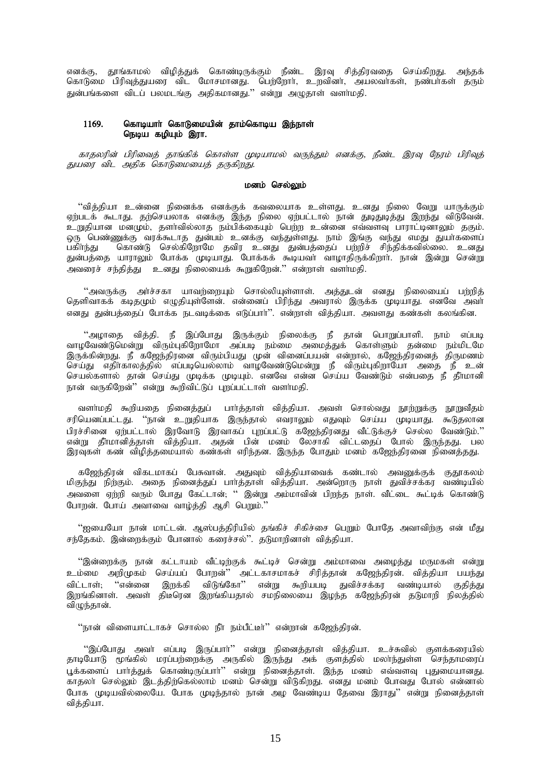எனக்கு, தூங்காமல் விழித்துக் கொண்டிருக்கும் நீண்ட இரவு சித்திரவதை செய்கிறது. அந்தக் கொடுமை பிரிவுத்துயரை விட மோசமானது. பெற்றோர், உறவினர், அயலவர்கள், நண்பாகள் தரும் .<br>துன்பங்களை விடப் பலமடங்கு அதிகமானது.'' என்று அழுதாள் வளாமதி.

#### கொடியாா் கொடுமையின் தாம்கொடிய இந்நாள் 1169. நெடிய கழியும் இரா.

காதலரின் பிரிவைத் தாங்கிக் கொள்ள முடியாமல் வருந்தும் எனக்கு, நீண்ட இரவு நேரம் பிரிவுத் துயரை விட அதிக கொடுமையைத் தருகிறது.

# மனம் செல்லும்

''வித்தியா உன்னை நினைக்க எனக்குக் கவலையாக உள்ளது. உனது நிலை வேறு யாருக்கும் ஏற்படக் கூடாது. தற்செயலாக எனக்கு இந்த நிலை ஏற்பட்டால் நான் துடிதுடித்து இறந்து விடுவேன். ு.<br>உறுதியான மனமும், தளாவில்லாத நம்பிக்கையும் பெற்ற உன்னை எவ்வளவு பாராட்டினாலும் தகும். ஒரு பெண்ணுக்கு வரக்கூடாத துன்பம் உனக்கு வந்துள்ளது. நாம் இங்கு வந்து எமது துயாகனைப் பகிர்ந்து கொண்டு செல்கிறோமே தவிர உனது துன்பத்தைப் பற்றிச் சிந்திக்கவில்லை. உனது துன்பத்தை யாராலும் போக்க முடியாது. போக்கக் கூடியவா வாழாதிருக்கிறாா். நான் இன்று சென்று .<br>அவரைச் சந்திக்கு உ னது நிலையைக் கூறுகிறேன்.'' என்றாள் வளர்மதி.

''அவருக்கு அர்ச்சகா யாவற்றையும் சொல்லியுள்ளாள். அத்துடன் எனது நிலையைப் பற்றித் தெளிவாகக் கடிதமும் எழுதியுள்ளேன். என்னைப் பிரிந்து அவரால் இருக்க முடியாது. எனவே அவா எனது துன்பத்தைப் போக்க நடவடிக்கை எடுப்பார்''. என்றாள் வித்தியா. அவளது கண்கள் கலங்கின.

''அழாதை வித்தி. நீ இப்போது இருக்கும் நிலைக்கு நீ தான் பொறுப்பாளி. நாம் எப்படி வாழவேண்டுமென்று விரும்புகிறோமோ அப்படி நம்மை அமைத்துக் கொள்ளும் தன்மை நம்மிடமே இருக்கின்றது. நீ கஜேந்திரனை விரும்பியது முன் வினைப்பயன் என்றால், கஜேந்திரனைத் திருமணம் செயல்களால் தான் செய்து முடிக்க முடியும். எனவே என்ன செய்ய வேண்டும் என்பதை நீ தீாமானி நான் வருகிறேன்'' என்று கூறிவிட்டுப் புறப்பட்டாள் வளர்மதி.

வளா்மதி கூறியதை நினைத்துப் பாா்த்தாள் வித்தியா. அவள் சொல்வது நூற்றுக்கு நூறுவீதம் .<br>சரியெனப்பட்டது. ''நான் உறுதியாக இருந்தால் எவராலும் எதுவும் செய்ய முடியாது. கூடுதலான பிரச்சினை ஏற்பட்டால் இரவோடு இரவாகப் புறப்பட்டு கஜேந்திரனது வீட்டுக்குச் செல்ல வேண்டும்.'' என்று தீாமானித்தாள் வித்தியா. அதன் பின் மனம் லேசாகி விட்டதைப் போல் இருந்தது. பல இரவுகள் கண் விழித்தமையால் கண்கள் எரிந்தன. இருந்த போதும் மனம் கஜேந்திரனை நினைத்தது.

கஜேந்திரன் விகடமாகப் பேசுவான். அதுவும் வித்தியாவைக் கண்டால் அவனுக்குக் குதூகலம்<br>மிகுந்து நிற்கும். அதை நினைத்துப் பார்த்தாள் வித்தியா. அன்றொரு நாள் துவிச்சக்கர வண்டியில் அவளை எற்றி வரும் போது கேட்டான். '' இன்று அம்மாவின் பிறந்த நாள். வீட்டை கூட்டிக் கொண்டு போரன். போய் அவாவை வாழ்த்தி ஆசி பெறும்."

''ஐயையோ நான் மாட்டன். ஆஸ்பத்திரியில் தங்கிச் சிகிச்சை பெறும் போதே அவாவிற்கு என் மீது சந்தேகம். இன்றைக்கும் போனால் கரைச்சல்". தடுமாறினாள் வித்தியா.

''இன்றைக்கு நான் கட்டாயம் வீட்டிற்குக் கூட்டிச் சென்று அம்மாவை அழைத்து மருமகள் என்று உம்மை அறிமுகம் செய்யப் போறன்'' அட்டகாசமாகச் சிரித்தான் கஜேந்திரன். வித்தியா பயந்து விடுங்கோ'' என்று கூறியபடி துவிச்சக்கர வண்டியால் குதித்து "என்னை இறக்கி விட்டாள்: இறங்கினாள். அவள் திடீரென இறங்கியதால் சமநிலையை இழந்த கஜேந்திரன் தடுமாறி நிலத்தில் விழுந்தான்.

"நான் விளையாட்டாகச் சொல்ல நீா நம்பீட்டீர்" என்றான் கஜேந்திரன்.

''இப்போது அவா் எப்படி இருப்பாா்'' என்று நினைத்தாள் வித்தியா. உச்சுவில் குளக்கரையில் தாடியோடு மூங்கில் மரப்பற்றைக்கு அருகில் இருந்து அக் குளத்தில் மலாந்துள்ள செந்தாமரைப் பூக்களைப் பார்த்துக் கொண்டிருப்பார்'' என்று நினைத்தாள். இந்த மனம் எவ்வளவு புதுமையானது. காதலா் செல்லும் இடத்திற்கெல்லாம் மனம் சென்று விடுகிறது. எனது மனம் போவது போல் என்னால் போக முடியவில்லையே. போக முடிந்தால் நான் அழ வேண்டிய தேவை இராது'' என்று நினைத்தாள் விக்கியா.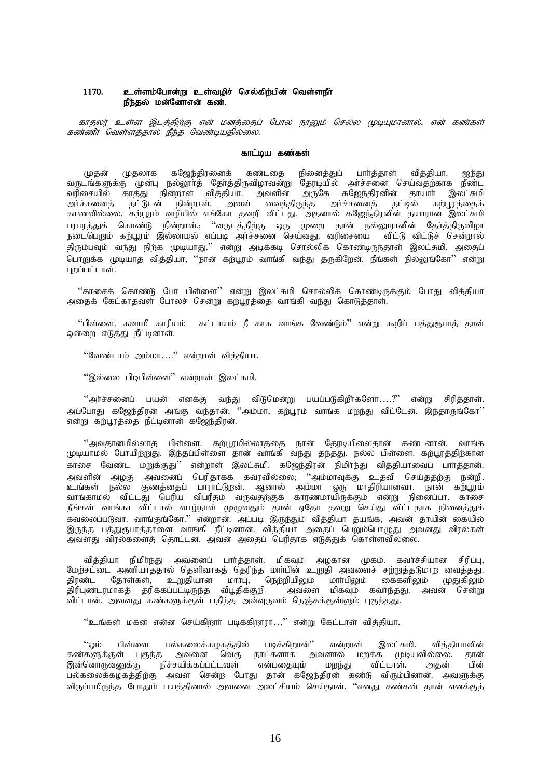# $1170.$  உள்ளம்போன்று உள்வழிச் செல்கிற்பின் வெள்ளநீா் நீந்தல் மன்னோஎன் கண்.

காதலர் உள்ள இடத்திற்கு என் மனத்தைப் போல நானும் செல்ல முடியுமானால், என் கண்கள்  $\bm{x}$ ண்ணீர் வெள்ளக்கால் நீந்த வேண்டியகில்லை.

#### காட்டிய கண்கள்

முதன் முதலாக கஜேந்திரனைக் கண்டதை நினைத்துப் பாா்த்தாள் வித்தியா. ஐந்து வருடங்களுக்கு முன்பு நல்லூர்த் தேர்த்திருவிழாவன்று தேரடியில் அர்ச்சனை செய்வதற்காக நீண்ட வரிசையில் காத்து நின்றாள் வித்தியா. அவளின் அருகே கஜேந்திரனின் தாயார் இலட்சுமி அர்ச்சனைத் தட்டுடன் நின்றாள். அவள் வைத்திருந்த அர்ச்சனைத் தட்டில் கற்பூரத்தைக் காணவில்லை. கற்பூரம் வழியில் எங்கோ தவறி விட்டது. அதனால் கஜேந்திரனின் தயாரான இலட்சுமி பரபரத்துக் கொண்டு நின்றாள்.; ''வருடத்திற்கு ஒரு முறை தான் நல்லூரானின் தேர்த்திருவிழா நடைபெறும் கற்பூரம் இல்லாமல் எப்படி அர்ச்சனை செய்வது. வரிசையை விட்டு விட்டுச் சென்றால் திரும்பவும் வந்து நிற்க முடியாது.'' என்று அடிக்கடி சொல்லிக் கொண்டிருந்தாள் இலட்சுமி. அதைப் .<br>பொறுக்க முடியாத வித்தியா; ''நான் கற்பூரம் வாங்கி வந்து தருகிறேன். நீங்கள் நில்லுங்கோ'' என்று  $\liminf$ ,  $\lim$ 

"காசைக் கொண்டு போ பிள்ளை" என்று இலட்சுமி சொல்லிக் கொண்டிருக்கும் போது வித்தியா அதைக் கேட்காதவள் போலச் சென்று கற்பூரத்தை வாங்கி வந்து கொடுத்தாள்.

 $\lq$ ிள்ளை, சுவாமி காரியம் கட்டாயம் நீ காசு வாங்க வேண்டும் $\lqq$  என்று கூறிப் பத்துரூபாத் தாள் ஒன்றை எடுத்து நீட்டினாள்.

"வேண்டாம் அம்மா…." என்றாள் வித்தியா.

"இல்லை பிடிபிள்ளை" என்றாள் இலட்சுமி.

 $\lq$ ் அர்ச்சனைப் பயன் எனக்கு வந்து விடுமென்று பயப்படுகிறீர்களோ $\dots$ ?" என்று சிரித்தாள். .<br>அப்போது கஜேந்திரன் அங்கு வந்தான், ''அம்மா, கற்பூரம் வாங்க மறந்து விட்டேன். இந்தாருங்கோ'' என்று கற்பூரத்தை நீட்டினான் கஜேந்திரன்.

"அவதானமில்லாத பிள்ளை. கற்பூரமில்லாததை நான் தேரடியிலைதான் கண்டனான். வாங்க முடியாமல் போயிற்றுது. இந்தப்பிள்ளை தான் வாங்கி வந்து தந்தது. நல்ல பிள்ளை. கற்பூரத்திற்கான காசை வேண்ட மறுக்குது'' என்றாள் இலட்சுமி. கஜேந்திரன் நிமிர்ந்து வித்தியாவைப் பார்த்தான். அவளின் அழகு அவனைப் பெரிதாகக் கவரவில்லை; ''அம்மாவுக்கு உதவி செய்ததற்கு நன்றி. உங்கள் நல்ல குணத்தைப் பாராட்டுறன். ஆனால் அம்மா ஒரு மாதிரியானவா. நான் கற்பூரம் வாங்காமல் விட்டது பெரிய விபரீதம் வருவதற்குக் காரணமாயிருக்கும் என்று நினைப்பா. காசை நீங்கள் வாங்கா விட்டால் வாழ்நாள் முழுவதும் தான் ஏதோ தவறு செய்து விட்டதாக நினைத்துக் கவலைப்படுவா. வாங்குங்கோ.'' என்றான். அப்படி இருந்தும் வித்தியா தயங்க; அவன் தாயின் கையில் இருந்த பத்துரூபாத்தாளை வாங்கி நீட்டினான். வித்தியா அதைப் பெறும்பொழுது அவனது விரல்கள் அவளது விரல்களைத் தொட்டன. அவன் அதைப் பெரிதாக எடுத்துக் கொள்ளவில்லை.

வித்தியா நிமிர்ந்து அவனைப் பார்த்தாள். மிகவும் அழகான முகம். கவர்ச்சியான சிரிப்பு, மேற்சட்டை அணியாததால் தெளிவாகத் தெரிந்த மாா்பின் உறுதி அவளைச் சற்றுத்தடுமாற வைத்தது. திரண்ட தோள்கள், உறுதியான மாா்பு, நெற்றியிலும் மாா்பிலும் கைகளிலும் முதுகிலும் திரிபுண்டரமாகத் தரிக்கப்பட்டிருந்த வீபூதிக்குறி அவளை மிகவும் கவா்ந்தது. அவன் சென்று ்விட்டான். அவளது கண்களுக்குள் பதிந்த அவ்வுருவம் நெஞ்சுக்குள்ளும் புகுந்தது.

"உங்கள் மகன் என்ன செய்கிறார் படிக்கிறாரா…" என்று கேட்டாள் வித்தியா.

്ஓம் பிள்ளை பல்கலைக்கழகத்தில் படிக்கிறான்'' என்றாள் இலட்சுமி. வித்தியாவின்<br>கண்களுக்குள் புகுந்த அவனை வெகு நாட்களாக அவளால் மறக்க முடியவில்லை. தான் கண்களுக்குள் புகுந்த அவனை வெகு நாட்களாக அவளால் மறக்க முடியவில்லை. தான்<br>இன்னொருவனுக்கு நிச்சயிக்கப்பட்டவள் என்பதையும் மறந்து விட்டாள். அதன் பின் நிச்சயிக்கப்பட்டவள் பல்கலைக்கழகத்திற்கு அவள் சென்ற போது தான் கஜேந்திரன் கண்டு விரும்பினான். அவளுக்கு விருப்பமிருந்த போதும் பயத்தினால் அவனை அலட்சியம் செய்தாள். ''எனது கண்கள் தான் எனக்குத்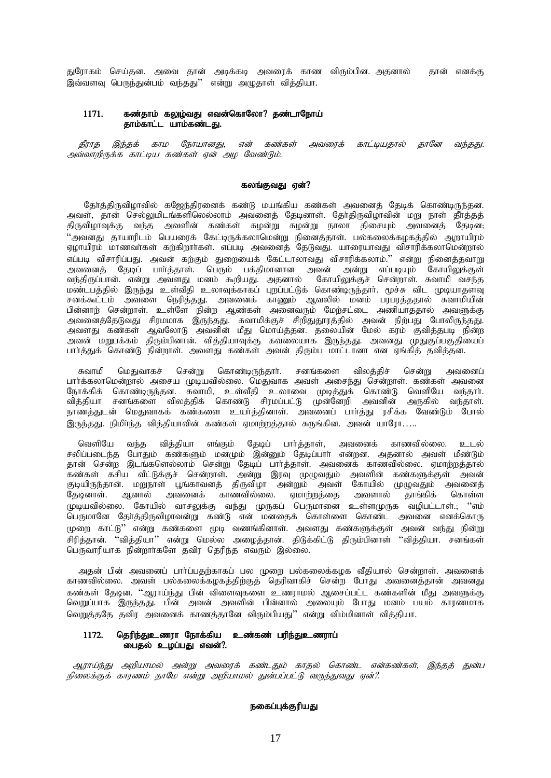துரோகம் செய்தன. அவை தான் அடிக்கடி அவரைக் காண விரும்பின. அதனால் தான் எனக்கு இவ்வளவு பெருந்துன்பம் வந்தது" என்று அழுதாள் வித்தியா.

# $1171.$  கண்தாம் கலுழ்வது எவன்கொலோ? தண்டாநோய் காம்காட்ட யாம்கண்டது.

தீராத இந்தக் காம நோயானது, என் கண்கள் அவரைக் காட்டியதால் தானே வந்தது. அவ்வாறிருக்க காட்டிய கண்கள் ஏன் அழ வேண்டும்.

### கலங்குவது ஏன்?

கேர்க்கிருவிமாவில் கஜேந்கிரனைக் கண்டு மயங்கிய கண்கள் அவனைக் கேடிக் கொண்டிருந்கன. அவள், தான் செல்லுமிடங்களிலெல்லாம் அவனைத் தேடினாள். தோ்திருவிழாவின் மறு நாள் தீா்த்தத் திருவிழாவுக்கு வந்த அவளின் கண்கள் சுழன்று சுழன்று நாலா திசையும் அவனைத் தேடின; "அவனது தாயாரிடம் பெயரைக் கேட்டிருக்கலாமென்று நினைத்தாள். பல்கலைக்கழகத்தில் ஆறாயிரம் ஏழாயிரம் மாணவாகள் கற்கிறாாகள். எப்படி அவனைத் தேடுவது. யாரையாவது விசாரிக்கலாமென்றால் ்பட்டி விசாரிப்பது. அவன் கற்கும் துறையைக் கேட்டாலாவது விசாரிக்கலாம்." என்று நினைத்தவாறு அவனைத் தேடிப் பார்த்தாள். பெரும் பக்திமானான அவன் அன்று எப்படியும் கோயிலுக்குள் வந்திருப்பான். என்று அவளது மனம் கூறியது. அதனால் கோயிலுக்குச் சென்றாள். சுவாமி வசந்த .<br>மண்டபத்தில் இருந்து உள்வீதி உலாவுக்காகப் புறப்பட்டுக் கொண்டிருந்தாா். மூச்சு விட முடியாதளவு சனக்கூட்டம் அவளை நெரித்தது. அவனைக் காணும் ஆவலில் மனம் பரபரத்ததால் சுவாமியின் பின்னாற் சென்றாள். உள்ளே நின்ற ஆண்கள் அனைவரும் மேற்சட்டை அணியாததால் அவளுக்கு அவனைத்தேடுவது சிரமமாக இருந்தது. சுவாமிக்குச் சிறிதுதூரத்தில் அவன் நிற்பது போலிருந்தது. அவளது கண்கள் ஆவலோடு அவனின் மீது மொய்த்தன. தலையின் மேல் கரம் குவித்தபடி நின்ற அவன் மறுபக்கம் திரும்பினான். வித்தியாவுக்கு கவலையாக இருந்தது. அவனது முதுகுப்பகுதியைப் பார்க்குக் கொண்டு நின்றாள். அவளது கண்கள் அவன் திரும்ப மாட்டானா என எங்கிக் கவிக்கன.

சுவாமி மெதுவாகச் சென்று கொண்டிருந்தார். சனங்களை விலத்திச் சென்று அவனைப் பார்க்கலாமென்றால் அசைய முடியவில்லை. மெதுவாக அவள் அசைந்து சென்றாள். கண்கள் அவனை நோக்கிக் கொண்டிருந்தன. சுவாமி, உள்வீதி உலாவை முடித்துக் கொண்டு வெளியே வந்தாா். வித்தியா சனங்களை விலத்திக் கொண்டு சிரமப்பட்டு முன்னேறி அவனின் அருகில் வந்தாள். நாணத்துடன் மெதுவாகக் கண்களை உயர்த்தினாள். அவனைப் பார்த்து ரசிக்க வேண்டும் போல் இருந்தது. நிமிர்ந்த வித்தியாவின் கண்கள் ஏமாற்றத்தால் சுருங்கின. அவன் யாரோ…..

வெளியே வந்த வித்தியா எங்கும் தேடிப் பாா்த்தாள், அவனைக் காணவில்லை. உடல் சலிப்படைந்த போதும் கண்களும் மனமும் இன்னும் தேடிப்பாா் என்றன. அதனால் அவள் மீண்டும் கான் சென்ற இடங்களெல்லாம் சென்று தேடிப் பார்த்தாள். அவனைக் காணவில்லை. ஏமாற்றத்தால் கண்கள் கசிய வீட்டுக்குச் சென்றாள். அன்று இரவு முழுவதும் அவளின் கண்களுக்குள் அவன் குடியிருந்தான். மறுநாள் பூங்காவனத் திருவிழா அன்றும் அவள் கோயில் முழுவதும் அவனைத்<br>தேடினாள். ஆனால் அவனைக் காணவில்லை. ஏமாற்றத்தை அவளால் தாங்கிக் கொள்ள தேடினாள். ஆனால் அவனைக் காணவில்லை. முடியவில்லை. கோயில் வாசலுக்கு வந்து முருகப் பெருமானை உள்ளமுருக வழிபட்டாள்.; ''எம் பெருமானே தேர்த்திருவிழாவன்று கண்டு என் மனதைக் கொள்ளை கொண்ட அவனை எனக்கொரு முறை காட்டு'' என்று கண்களை மூடி வணங்கினாள். அவளது கண்களுக்குள் அவன் வந்து நின்று சிரித்தான். ''வித்தியா'' என்று மெல்ல அழைத்தான். திடுக்கிட்டு திரும்பினாள் ''வித்தியா. சனங்கள் பெருவாரியாக நின்றாாகளே தவிர தெரிந்த எவரும் இல்லை.

அதன் பின் அவனைப் பாா்ப்பதற்காகப் பல முறை பல்கலைக்கழக வீதியால் சென்றாள். அவனைக் காணவில்லை. அவள் பல்கலைக்கழகத்திற்குத் தெரிவாகிச் சென்ற போது அவனைத்தான் அவனது கண்கள் தேடின. ''ஆராய்ந்து பின் விளைவுகளை உணராமல் ஆசைப்பட்ட கண்களின் மீது அவளுக்கு வெறுப்பாக இருந்தது. பின் அவன் அவளின் பின்னால் அலையும் போது மனம் பயம் காரணமாக வெறுத்ததே தவிர அவனைக் காணத்தானே விரும்பியது'' என்று விம்மினாள் வித்தியா.

# 1172. தெரிந்துஉணரா நோக்கிய உண்கண் பரிந்துஉணராப் பைதல் உழப்பது எவன்?.

ஆராய்ந்து அறியாமல் அன்று அவரைக் கண்டதும் காதல் கொண்ட என்கண்கள், இந்தத் துன்ப நிலைக்குக் காரணம் தாமே என்று அறியாமல் துன்பப்பட்டு வருந்துவது ஏன்?.

# நகைப்புக்குரியது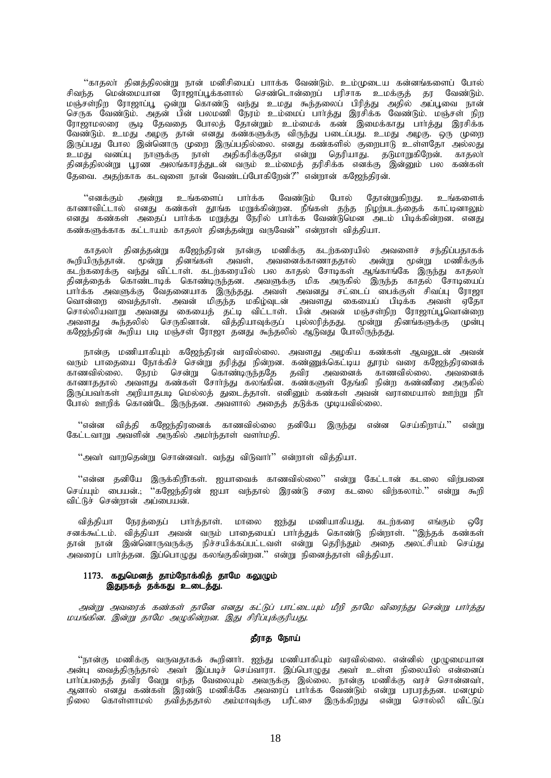''காதலா் கினக்கிலன்று நான் மனிசியைப் பாாக்க வேண்டும். உம்முடைய கன்னங்களைப் போல் சிவந்த மென்மையான ரோஜாப்பூக்களால் செண்டொன்றைப் பரிசாக உமக்குத் தர வேண்டும். .<br>மஞ்சள்நிற ரோஜாப்பூ ஒன்று கொண்டு வந்து உமது கூந்தலைப் பிரித்து அதில் அப்பூவை நான்<br>செருக வேண்டும். அதன் பின் பலமணி நேரம் உம்மைப் பாா்த்து இரசிக்க வேண்டும். மஞ்சள் நிற ு குட் போன்கும். அதன் மன் மாமணம் பத்தம் மாமாமம் மறைது. இதனை போன்கும் மஞ்சன் தந்த<br>ரோஜாமலரை சூடி தேவதை போலத் தோன்றும் உம்மைக் கண் இமைக்காது பார்த்து இரசிக்க லேண்டும். உமது அழகு தான் எனது கண்களுக்கு விருந்து படைப்பது. உமது அழகு. ஒரு முறை இருப்பது போல இன்னொரு முறை இருப்பதில்லை. எனது கண்களில் குறைபாடு உள்ளதோ அல்லது தினத்திலன்று பூரண அலங்காரத்துடன் வரும் உம்மைத் தரிசிக்க எனக்கு இன்னும் பல கண்கள் தேவை. அதற்காக கடவுளை நான் வேண்டப்போகிறேன்?" என்றான் கஜேந்திரன்.

"எனக்கும் அன்று உங்களைப் பார்க்க வேண்டும் போல் தோன்றுகிறது. உங்களைக் காணாவிட்டால் எனது கண்கள் தூங்க மறுக்கின்றன. நீங்கள் தந்த நிழற்படத்தைக் காட்டினாலும் எனது கண்கள் அதைப் பார்க்க மறுத்து நேரில் பார்க்க வேண்டுமென அடம் பிடிக்கின்றன. எனது கண்களுக்காக கட்டாயம் காதலா் தினத்தன்று வருவேன்'' என்றாள் வித்தியா.

காதலா் தினத்தன்று கஜேந்திரன் நான்கு மணிக்கு கடற்கரையில் அவளைச் சந்திப்பதாகக் தினத்தைக் கொண்டாடிக் கொண்டிருந்தன. அவளுக்கு மிக அருகில் இருந்த காதல் சோடியைப் தினத்தைக் வேள்ளைக்கும் கொண்டிருந்தன. அவளுக்கு மிக அருகில் திருந்த காதில் கோடிகைப்<br>பார்க்க அவளுக்கு வேதனையாக இருந்தது. அவள் அவனது சட்டைப் பைக்குள் சிவப்பு ரோஜா<br>வொன்றை வைத்தாள். அவன் மிகுந்த மகிழ்வுடன் அவளது கையைப் பிடிக்க அவளது கூந்தலில் செருகினான். வித்தியாவுக்குப் புல்லரித்தது. முன்று தினங்களுக்கு முன்பு கஜேந்திரன் கூறிய படி மஞ்சள் ரோஜா தனது கூந்தலில் ஆடுவது போலிருந்தது.

நான்கு மணியாகியும் கஜேந்திரன் வரவில்லை. அவளது அழகிய கண்கள் ஆவலுடன் அவன்<br>வரும் பாதையை நோக்கிச் சென்று தரித்து நின்றன. கண்ணுக்கெட்டிய தூரம் வரை கஜேந்திரனைக் களும் பாதைகை நோக்கை என்று தடுத்து நனநன. கண்ணுக்கைட்டிய தூரம் கதை கட்டுத்திரனைக்<br>காணவில்லை. நேரம் சென்று கொண்டிருந்ததே தவிர அவனைக் காணவில்லை. அவனைக்<br>காணாததால் அவளது கண்கள் சோர்ந்து கலங்கின. கண்களுள் தேங்கி நின்ற கண்ணீரை அர இருப்பவர்கள் அறியாதபடி மெல்லத் துடைத்தாள். எனினும் கண்கள் அவன் வராமையால் ஊற்று நீா 

''என்ன வித்தி கஜேந்திரனைக் காணவில்லை தனியே இருந்து என்ன செய்கிறாய்.'' என்று கேட்டவாறு அவளின் அருகில் அமா்ந்தாள் வளா்மதி.

''அவா் வாறதென்று சொன்னவா். வந்து விடுவாா்'' என்றாள் வித்தியா.

''என்ன தனியே இருக்கிறீர்கள். ஐயாவைக் காணவில்லை'' என்று கேட்டான் கடலை விற்பனை செய்யும் பையன்.; ''கஜேந்திரன் ஐயா வந்தால் இரண்டு சரை கடலை விற்கலாம்.'' என்று கூறி விட்டுச் சென்றான் அப்பையன்.

வித்தியா நேரத்தைப் பார்த்தாள். மாலை ஐந்து மணியாகியது. கடற்கரை எங்கும் ஓரே சனக்கூட்டம். வித்தியா அவன் வரும் பாதையைப் பார்த்துக் கொண்டு நின்றாள். ''இந்தக் கண்கள் தான் நான் இன்னொருவருக்கு நிச்சயிக்கப்பட்டவள் என்று தெரிந்தும் அதை அலட்சியம் செய்து .<br>அவரைப் பார்த்தன. இப்பொழுது கலங்குகின்றன.'' என்று நினைத்தாள் வித்தியா.

# 1173. கதுமெனத் தாம்நோக்கித் தாமே கலுழும் இதுநகத் தக்கது உடைத்து.

அன்று அவரைக் கண்கள் தானே எனது கட்டுப் பாட்டையும் மீறி தாமே விரைந்து சென்று பார்த்து மயங்கின. இன்று தாமே அழுகின்றன. இது சிரிப்புக்குரியது.

### தீராக நோய்

''நான்கு மணிக்கு வருவதாகக் கூறினாா். ஐந்து மணியாகியும் வரவில்லை. என்னில் முழுமையான அன்பு வைத்திருந்தால் அவா் இப்படிச் செய்வாரா. இப்பொழுது அவா் உள்ள நிலையில் என்னைப் பார்ப்பதைத் தவிர வேறு எந்த வேலையும் அவருக்கு இல்லை. நான்கு மணிக்கு வரச் சொன்னவர்,<br>ஆனால் எனது கண்கள் இரண்டு மணிக்கே அவரைப் பார்க்க வேண்டும் என்று பரபரத்தன. மனமும் நிலை கொள்ளாமல் தவித்ததால் அம்மாவுக்கு பரீட்சை இருக்கிறது என்று சொல்லி விட்டுப்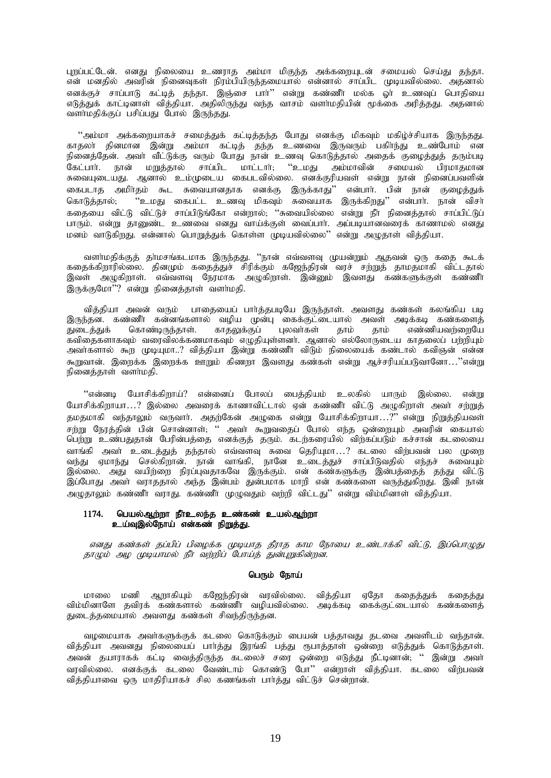புறப்பட்டேன். எனது நிலையை உணராத அம்மா மிகுந்த அக்கறையுடன் சமையல் செய்து தந்தா. என் மனதில் அவரின் நினைவுகள் நிரம்பியிருந்தமையால் என்னால் சாப்பிட முடியவில்லை. அதனால் எனக்குச் சாப்பாடு கட்டித் தந்தா. இஞ்சை பார்'' என்று கண்ணீர் மல்க ஓர் உணவுப் பொதியை எடுத்துக் காட்டினாள் வித்தியா. அதிலிருந்து வந்த வாசம் வளா்மதியின் முக்கை அரித்தது. அதனால் வளாமதிக்குப் பசிப்பது போல் இருந்தது.

"அம்மா அக்கறையாகச் சமைத்துக் கட்டித்தந்த போது எனக்கு மிகவும் மகிழ்ச்சியாக இருந்தது. காதலா தினமான இன்று அம்மா கட்டித் தந்த உணவை இருவரும் பகிா்ந்து உண்போம் என நினைத்தேன். அவா் வீட்டுக்கு வரும் போது நான் உணவு கொடுத்தால் அதைக் குழைத்துத் தரும்படி<br>கேட்பாா். நான் மறுக்கால் சாப்பிட மாட்டாா்: ''உமது அம்மாவின் சமையல் பிரமாதமான கேட்பார். நான் மறுத்தால் சாப்பிட மாட்டார்; .<br>சுவையுடையது. ஆனால் உம்முடைய கைபடவில்லை. எனக்குரியவள் என்று நான் நினைப்பவளின் கைபடாத அமிர்தம் கூட சுவையானதாக எனக்கு இருக்காது'' என்பார். பின் நான் குழைத்துக் கொடுத்தால்; "உமது கைபட்ட உணவு மிகவும் சுவையாக இருக்கிறது'' என்பாா். நான் விசா் ்கதையை விட்டு விட்டுச் சாப்பிடுங்கோ என்றால்; ''சுவையில்லை என்று நீா் நினைத்தால் சாப்பிட்டுப் கவைதயை வட்டு வட்டு சாப்படுக்கள் என்றால், எண்டிக்கை என்று நாட்டாத்த்து .<br>பாரும். என்று தானுண்ட உணவை எனது வாய்க்குள் வைப்பார். அப்படியானவரைக் காணாமல் எனது மனம் வாடுகிறது. என்னால் பொறுத்துக் கொள்ள முடியவில்லை'' என்று அழுதாள் வித்தியா.

வளர்மதிக்குத் தர்மசங்கடமாக இருந்தது. ''நான் எவ்வளவு முயன்றும் ஆதவன் ஒரு கதை கூடக் கதைக்கிறாரில்லை. தினமும் கதைத்துச் சிரிக்கும் கஜேந்திரன் வரச் சற்றுத் தாமதமாகி விட்டதால் இவள் அழுகிறாள். எவ்வளவு நேரமாக அழுகிறாள். இன்னும் இவளது கண்களுக்குள் கண்ணீா இருக்குமோ $"$ ? என்று நினைக்காள் வளர்மகி.

வித்தியா அவன் வரும் பாதையைப் பார்த்தபடியே இருந்தாள். அவளது கண்கள் கலங்கிய படி இருந்தன. கண்ணீர் கன்னங்களால் வழிய முன்பு கைக்குட்டையால் அவள் அடிக்கடி கண்களைத்<br>துடைத்துக் கொண்டிருந்தாள். காதலுக்குப் புலவர்கள் தாம் தாம் எண்ணியவற்றையே காதலுக்குப் புலவாகள் தாம் தாம் எண்ணியவற்றையே கவிகைகளாகவும் வரைவிலக்கணமாகவும் எழுதியுள்ளனா். ஆனால் எல்லோருடைய காதலைப் பற்றியும் அவர்களால் கூற முடியுமா..? வித்தியா இன்று கண்ணீர் விடும் நிலையைக் கண்டால் கவிஞன் என்ன கூறுவான். இரைக்க இறைக்க ஊறும் கிணறா இவளது கண்கள் என்று ஆச்சரியப்படுவானோ..."என்று  $\mathsf{r}$ ணெக்காள் வளர்மகி.

"என்னடி யோசிக்கிறாய்? என்னைப் போலப் பைத்தியம் உலகில் யாரும் இல்லை. என்று போசிக்கிறாயா…? இல்லை அவரைக் காணாவிட்டால் ஏன் கண்ணீர் விட்டு அழுகிறாள் அவர் சற்றுத் தமதமாகி வந்தாலும் வருவார். அதற்கேன் அழுகை என்று யோசிக்கிறாயா…?" என்று நிறுத்தியவள் சற்று நேரத்தின் பின் சொன்னாள்; '' அவா் கூறுவதைப் போல் எந்த ஒன்றையும் அவரின் கையால் பெற்று உண்பதுதான் பேரின்பத்தை எனக்குத் தரும். கடற்கரையில் விற்கப்படும் கச்சான் கடலையை ் வாங்கி அவர் உடைத்துத் தந்தால் எவ்வளவு சுவை தெரியுமா…? கடலை விர்பவன் பல முறை வந்து ஏமாந்து செல்கிறான். நான் வாங்கி, நானே உடைத்துச் சாப்பிடுவதில் எந்தச் சுவையும் இல்லை. அது வயிற்றை நிரப்புவதாகவே இருக்கும். என் கண்களுக்கு இன்பத்தைத் தந்து விட்டு இப்போது அவா் வராததால் அந்த இன்பம் துன்பமாக மாறி என் கண்களை வருத்துகிறது. இனி நான் அழுதாலும் கண்ணீர் வராது. கண்ணீர் முழுவதும் வர்றி விட்டது'' என்று விம்மினாள் வித்தியா.

# 1174. பெயல்ஆற்றா நீாஉலந்த உண்கண் உயல்ஆற்றா உய்வுஇல்நோய் என்கண் நிறுத்து.

எனது கண்கள் தப்பிப் பிழைக்க முடியாத தீராத காம நோயை உண்டாக்கி விட்டு, இப்பொழுது தாமும் அழ முடியாமல் நீர் வற்றிப் போய்த் துன்புறுகின்றன.

# பெரும் நோய்

மாலை மணி ஆறாகியும் கஜேந்திரன் வரவில்லை. வித்தியா ஏதோ கதைத்துக் கதைத்து ் விம்மினாளே தவிரக் கண்களால் கண்ணீர் வழியவில்லை. அடிக்கடி கைக்குட்டையால் கண்களைத் துடைத்தமையால் அவளது கண்கள் சிவந்திருந்தன.

வழமையாக அவா்களுக்குக் கடலை கொடுக்கும் பையன் பத்தாவது தடவை அவளிடம் வந்தான். வித்தியா அவனது நிலையைப் பார்த்து இரங்கி பத்து ரூபாத்தாள் ஒன்றை எடுத்துக் கொடுத்தாள். அவன் தயாராகக் கட்டி வைத்திருந்த கடலைச் சரை ஒன்றை எடுத்து நீட்டினான்; '' இன்று அவா் ் பயன் தயாராகை கட்டி கைத்துளுத்த கட்சுப்பட்ட பார்.<br>வரவில்லை. எனக்குக் கடலை வேண்டாம் கொண்டு போ" என்றாள் வித்தியா. கடலை விற்பவன் வித்தியாவை ஒரு மாதிரியாகச் சில கணங்கள் பார்த்து விட்டுச் சென்றான்.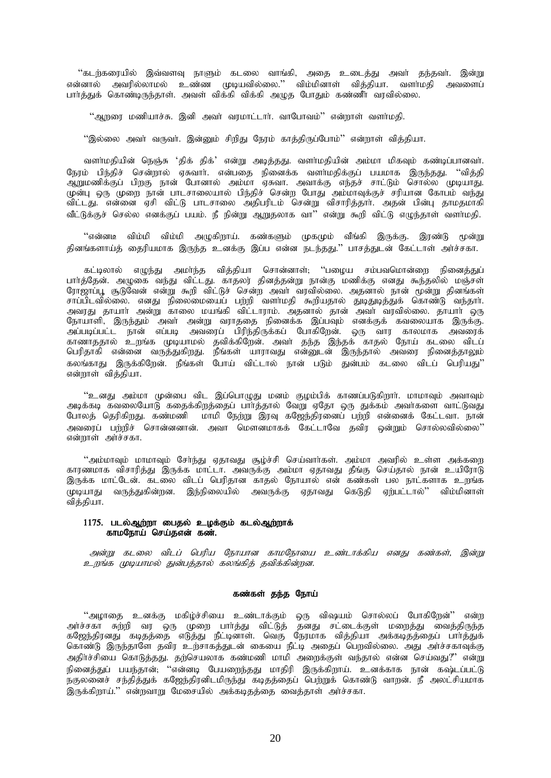''கடற்கரையில் இவ்வளவு நாளும் கடலை வாங்கி, அதை உடைத்து அவா் தந்தவா். இன்று என்னால் அவரில்லாமல் உண்ண முடியவில்லை.'' விம்மினாள் வித்தியா. வளர்மதி அவளைப் பார்த்துக் கொண்டிருந்தாள். அவள் விக்கி விக்கி அழுத போதும் கண்ணீர் வரவில்லை.

 $``$ ஆறரை மணியாச்சு. இனி அவா் வரமாட்டாா். வாபோவம் $"$  என்றாள் வளா்மதி.

 $\%$ ல்லை அவர் வருவர். இன்மை சிறிது நோம் காக்கிருப்போம் $^{\prime\prime}$  என்றாள் விக்கியா.

வளா்மதியின் நெஞ்சு 'திக் திக்' என்று அடித்தது. வளா்மதியின் அம்மா மிகவும் கண்டிப்பானவா். நேரம் பிந்திச் சென்றால் ஏசுவார். என்பதை நினைக்க வளர்மதிக்குப் பயமாக இருந்தது. ''வித்தி .<br>ஆறுமணிக்குப் பிறகு நான் போனால் அம்மா ஏசுவா. அவாக்கு எந்தச் சாட்டும் சொல்ல முடியாது. முன்பு ஒரு முறை நான் பாடசாலையால் பிந்திச் சென்ற போது அம்மாவுக்குச் சரியான கோபம் வந்து விட்டது. என்னை ஏசி விட்டு பாடசாலை அதிபரிடம் சென்று விசாரித்தார். அதன் பின்பு தாமதமாகி வீட்டுக்குச் செல்ல எனக்குப் பயம். நீ நின்று ஆறுதலாக வா" என்று கூறி விட்டு எமுந்தாள் வளா்மதி.

 $\lq\lq$ என்னடீ விம்மி அழுகிறாய். கண்களும் முகமும் வீங்கி இருக்கு. இரண்டு மூன்று தினங்களாய்த் தைரியமாக இருந்த உனக்கு இப்ப என்ன நடந்தது.'' பாசத்துடன் கேட்டாள் அர்ச்சகா.

கட்டிலால் எழுந்து அமா்ந்த வித்தியா சொன்னாள்; ''பழைய சம்பவமொன்றை நினைத்துப் பார்த்தேன். அழுகை வந்து விட்டது. காதலர் தினத்தன்று நான்கு மணிக்கு எனது கூந்தலில் மஞ்சள் ரோஜாப்பூ சூடுவேன் என்று கூறி விட்டுச் சென்ற அவர் வரவில்லை. அதனால் நான் மூன்று தினங்கள் சாப்பிடவில்லை. எனது நிலைமையைப் பற்றி வளா்மதி கூறியதால் துடிதுடித்துக் கொண்டு வந்தாா். அவரது தாயாா் அன்று காலை மயங்கி விட்டாராம். அதனால் தான் அவா் வரவில்லை. தாயாா் ஒரு ு<br>நோயாளி, இருந்தும் அவா் அன்று வராததை நினைக்க இப்பவும் எனக்குக் கவலையாக இருக்கு. அப்படிப்பட்ட நான் எப்படி அவரைப் பிரிந்திருக்கப் போகிறேன். ஒரு வார காலமாக அவரைக் காணாததால் உறங்க முடியாமல் தவிக்கிறேன். அவர் தந்த இந்தக் காதல் நோய் கடலை விடப் பெரிதாகி என்னை வருத்துகிறது. நீங்கள் யாராவது என்னுடன் இருந்தால் அவரை நினைத்தாலும் ்கலங்காகு இருக்கிறேன். நீங்கள் போய் விட்டால் நான் படும் துன்பம் கடலை விடப் பெரியகுட் என்றாள் வித்தியா.

"உனது அம்மா முன்பை விட இப்பொழுது மனம் குழம்பிக் காணப்படுகிறாா். மாமாவும் அவாவும் அடிக்கடி கவலையோடு கதைக்கிறத்தைப் பார்த்தால் வேறு ஏதோ ஒரு துக்கம் அவர்களை வாட்டுவது போலத் தெரிகிறது. கண்மணி மாமி நேற்று இரவு கஜேந்திரனைப் பற்றி என்னைக் கேட்டவா. நான் அவரைப் பற்றிச் சொன்னனான். அவா மௌனமாகக் கேட்டாவே தவிர ஒன்றும் சொல்லவில்லை''  $\sigma$ ண்றாள் அர்ச்சகா.

 $``$ அம்மாவும் மாமாவும் சேர்ந்து ஏதாவது சூழ்ச்சி செய்வார்கள். அம்மா அவரில் உள்ள அக்கறை காரணமாக விசாரித்து இருக்க மாட்டா. அவருக்கு அம்மா ஏதாவது தீங்கு செய்தால் நான் உயிரோடு இருக்க மாட்டேன். கடலை விடப் பெரிதான காதல் நோயால் என் கண்கள் பல நாட்களாக உறங்க rமுடியாது வருத்துகின்றன. இந்நிலையில் அவருக்கு ஏதாவது கெடுதி ஏற்பட்டால்'' விம்மினாள் வித்தியா.

# 1175. படல்ஆற்றா பைதல் உழக்கும் கடல்ஆற்றாக் காமநோய் செய்தஎன் கண்.

அன்று கடலை விடப் பெரிய நோயான காமநோயை உண்டாக்கிய எனது கண்கள், இன்று உறங்க முடியாமல் துன்பத்தால் கலங்கித் தவிக்கின்றன.

# கண்கள் தந்த நோய்

''அழாதை உனக்கு மகிழ்ச்சியை உண்டாக்கும் ஒரு விஷயம் சொல்லப் போகிறேன்'' என்ற அர்ச்சகா சுற்றி வர ஒரு முறை பார்த்து விட்டுத் தனது சட்டைக்குள் மறைத்து வைத்திருந்த கஜேந்திரனது கடிதத்தை எடுத்து நீட்டினாள். வெகு நேரமாக வித்தியா அக்கடிதத்தைப் பாா்த்துக் கொண்டு இருந்தாளே தவிர உற்சாகத்துடன் கையை நீட்டி அதைப் பெறவில்லை. அது அர்ச்சகாவுக்கு அதிர்ச்சியை கொடுத்தது. தற்செயலாக கண்மணி மாமி அறைக்குள் வந்தால் என்ன செய்வது?" என்று .<br>நினைத்துப் பயந்தான், ''என்னடி பேயறைந்தது மாதிரி இருக்கிறாய். உனக்காக நான் கஷ்டப்பட்டு .<br>நகுலனைச் சந்தித்துக் கஜேந்திரனிடமிருந்து கடிதத்தைப் பெற்றுக் கொண்டு வாறன். நீ அலட்சியமாக இருக்கிறாய்." என்றவாறு மேசையில் அக்கடிதத்தை வைத்தாள் அர்ச்சகா.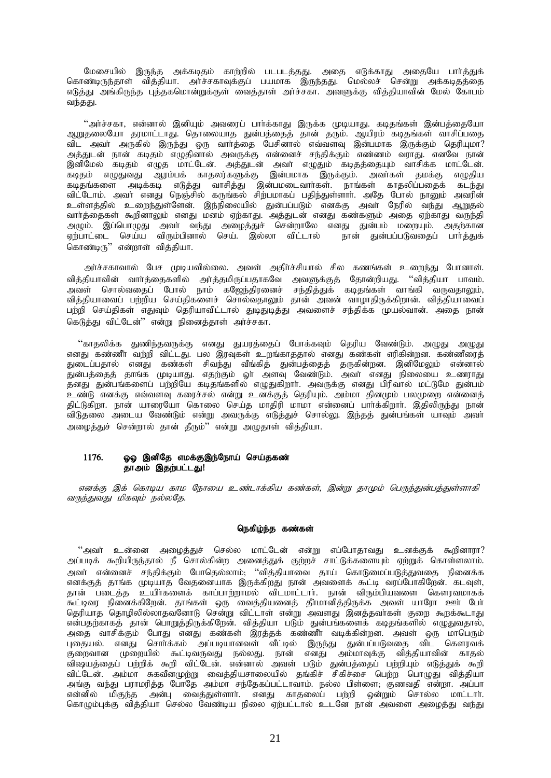மேசையில் இருந்த அக்கடிதம் காற்றில் படபடத்தது. அதை எடுக்காது அதையே பார்த்துக் கொண்டிருந்தாள் வித்தியா. அர்ச்சகாவுக்குப் பயமாக இருந்தது. மெல்லச் சென்று அக்கடிதத்தை எடுத்து அங்கிருந்த புத்தகமொன்றுக்குள் வைத்தாள் அர்ச்சகா. அவளுக்கு வித்தியாவின் மேல் கோபம் வந்தது.

"அர்ச்சகா, என்னால் இனியும் அவரைப் பார்க்காது இருக்க முடியாது. கடிதங்கள் இன்பத்தையோ ஆறுதலையோ தரமாட்டாது. தொலையாத துன்பத்தைத் தான் தரும். ஆயிரம் கடிதங்கள் வாசிப்பதை விட அவா அருகில் இருந்து ஒரு வாா்த்தை பேசினால் எவ்வளவு இன்பமாக இருக்கும் தெரியுமா? அத்துடன் நான் கடிதம் எழுதினால் அவருக்கு என்னைச் சந்திக்கும் எண்ணம் வராது. எனவே நான் இனிமேல் கடிதம் எழுத மாட்டேன். அத்துடன் அவர் எழுதும் கடிதத்தையும் வாசிக்க மாட்டேன். கடிதம் எழுதுவது ஆரம்பக் காதலர்களுக்கு இன்பமாக இருக்கும். அவர்கள் தமக்கு எழுதிய கடிதங்களை அடிக்கடி எடுத்து வாசித்து இன்பமடைவாா்கள். நாங்கள் காதலிப்பதைக் கடந்து விட்டோம். அவர் எனது நெஞ்சில் கருங்கல் சிற்பமாகப் பதிந்துள்ளார். அதே போல் நானும் அவரின் உள்ளத்தில் உறைந்துள்ளேன். இந்நிலையில் துன்பப்படும் எனக்கு அவர் நேரில் வந்து ஆறுதல் வார்த்தைகள் கூறினாலும் எனது மனம் ஏற்காது. அத்துடன் எனது கண்களும் அதை ஏற்காது வருந்தி அழும். இப்பொழுது அவா் வந்து அழைத்துச் சென்றாலே எனது துன்பம் மறையும். அதற்கான ஏற்பாட்டை செய்ய விரும்பினால் செய். இல்லா விட்டால் நான் துன்பப்படுவதைப் பார்த்துக் கொண்டிரு" என்றாள் வித்தியா.

அர்ச்சகாவால் பேச முடியவில்லை. அவள் அதிர்ச்சியால் சில கணங்கள் உறைந்து போனாள். வித்தியாவின் வார்த்தைகளில் அர்த்தமிருப்பதாகவே அவளுக்குத் தோன்றியது. ''வித்தியா பாவம். அவள் சொல்வதைப் போல் நாம் கஜேந்திரனைச் சந்தித்துக் கடிதங்கள் வாங்கி வருவதாலும், வித்தியாவைப் பற்றிய செய்திகளைச் சொல்வதாலும் தான் அவன் வாழாதிருக்கிறான். வித்தியாவைப் பற்றி செய்திகள் எதுவும் தெரியாவிட்டால் துடிதுடித்து அவளைச் சந்திக்க முயல்வான். அதை நான் கெடுக்கு விட்டேன்" என்று நினைக்காள் அர்ச்சகா.

"காதலிக்க துணிந்தவருக்கு எனது துயரத்தைப் போக்கவும் தெரிய வேண்டும். அழுது அழுது எனது கண்ணீர் வற்றி விட்டது. பல இரவுகள் உறங்காததால் எனது கண்கள் எரிகின்றன. கண்ணீரைத் துடைப்பதால் எனது கண்கள் சிவந்து வீங்கித் துன்பத்தைத் தருகின்றன. இனிமேலும் என்னால் துன்பத்தைத் தாங்க முடியாது. எதற்கும் ஓா் அளவு வேண்டும். அவா் எனது நிலையை உணராது ்தனது துன்பங்களைப் பற்றியே கடிதங்களில் எழுதுகிறாா். அவருக்கு எனது பிரிவால் மட்டுமே துன்பம் ்உண்டு எனக்கு எவ்வளவு கரைச்சல் என்று உனக்குத் தெரியும். அம்மா தினமும் பலமுறை என்னைத் கிட்டுகிறா. நான் யாரையோ கொலை செய்த மாகிரி மாமா என்னைப் பார்க்கிறார். இதிலிருந்து நான் விடுதலை அடைய வேண்டும் என்று அவருக்கு எடுத்துச் சொல்லு. இந்தத் துன்பங்கள் யாவும் அவா் அழைத்துச் சென்றால் தான் தீரும்'' என்று அழுதாள் வித்தியா.

# 1176. ஓஓ இனிதே எமக்குஇந்நோய் செய்தகண் தாஅம் இதற்பட்டது!

எனக்கு இக் கொடிய காம நோயை உண்டாக்கிய கண்கள், இன்று தாமும் பெருந்துன்பத்துள்ளாகி வருந்துவது மிகவும் நல்லதே.

### நெகிழ்ந்த கண்கள்

 $"$ அவா் உன்னை அழைத்துச் செல்ல மாட்டேன் என்று எப்போதாவது உனக்குக் கூறினாரா $?$ அப்படிக் கூறியிருந்தால் நீ சொல்கின்ற அனைத்துக் குற்றச் சாட்டுக்களையும் ஏற்றுக் கொள்ளலாம். அவா<sup>்</sup> என்னைச் சந்திக்கும் போதெல்லாம்; ''வித்தியாவை தாய் கொடுமைப்படுத்துவதை நினைக்க எனக்குத் தாங்க முடியாத வேதனையாக இருக்கிறது நான் அவளைக் கூட்டி வரப்போகிறேன். கடவுள், தான் படைத்த உயிர்களைக் காப்பாற்றாமல் விடமாட்டார். நான் விரும்பியவளை கௌரவமாகக் .<br>கூட்டிவர நினைக்கிறேன். தாங்கள் ஒரு வைத்தியனைத் தீாமானித்திருக்க அவள் யாரோ ஊா் போ் தெரியாத தொழிலில்லாதவனோடு சென்று விட்டாள் என்று அவளது இனத்தவாகள் குறை கூறக்கூடாது என்பதற்காகத் தான் பொறுத்திருக்கிறேன். வித்தியா படும் துன்பங்களைக் கடிதங்களில் எழுதுவதால், அதை வாசிக்கும் போது எனது கண்கள் இரத்தக் கண்ணீர் வடிக்கின்றன. அவள் ஒரு மாபெரும் புதையல். எனது சொர்க்கம் அப்படியானவள் வீட்டில் இருந்து துன்பப்படுவதை விட கௌரவக் குறைவான முறையில் கூட்டிவருவது நல்லது. நான் எனது அம்மாவுக்கு வித்தியாவின் காதல் விஷயத்தைப் பற்றிக் கூறி விட்டேன். என்னால் அவள் படும் துன்பத்தைப் பற்றியும் எடுத்துக் கூறி விட்டேன். அம்மா சுகவீனமுற்று வைத்தியசாலையில் தங்கிச் சிகிச்சை பெற்ற பொழுது வித்தியா அங்கு வந்து பராமரித்த போதே அம்மா சந்தேகப்பட்டாவாம். நல்ல பிள்ளை, குணவதி என்றா. அப்பா என்னில் மிகுந்த அன்பு வைக்குள்ளார். எனது காகலைப் பற்றி ஒன்றும் சொல்ல மாட்டார். கொழும்புக்கு வித்தியா செல்ல வேண்டிய நிலை ஏற்பட்டால் உடனே நான் அவளை அழைத்து வந்து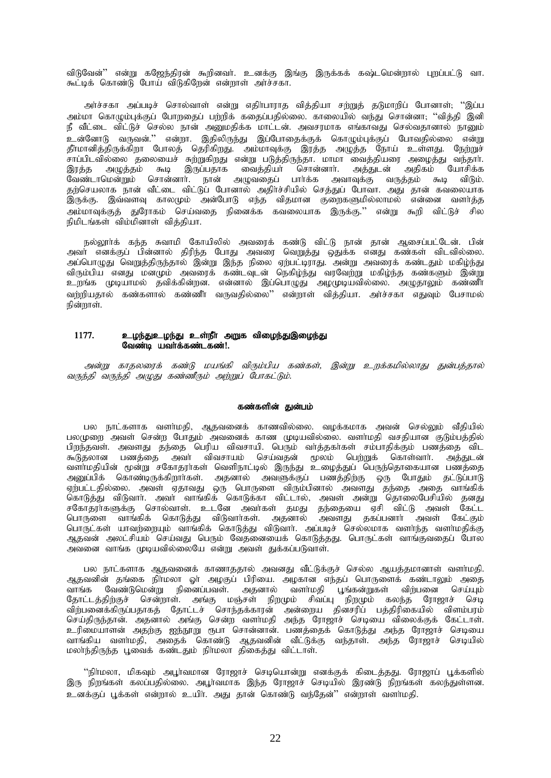விடுவேன்'' என்று கஜேந்திரன் கூறினவா். உனக்கு இங்கு இருக்கக் கஷ்டமென்றால் புறப்பட்டு வா. கூட்டிக் கொண்டு போய் விடுகிறேன் என்றாள் அர்ச்சகா.

அர்ச்சகா அப்படிச் சொல்வாள் என்று எதிர்பாராத வித்தியா சற்றுத் தடுமாறிப் போனாள்; ''இப்ப அம்மா கொழும்புக்குப் போறதைப் பற்றிக் கதைப்பதில்லை. காலையில் வந்து சொன்னா; ''வித்தி இனி ் நீ வீட்டை விட்டுச் செல்ல நான் அனுமதிக்க மாட்டன். அவசரமாக எங்காவது செல்வதானால் நானும் .<br>உன்னோடு வருவன்.'' என்றா. இதிலிருந்து இப்போதைக்குக் கொழும்புக்குப் போவதில்லை என்று தீர்மானித்திருக்கிறா போலத் தெரிகிறது. அம்மாவுக்கு இரத்த அழுத்த நோய் உள்ளது. நேற்றுச் .<br>சாப்பிடவில்லை தலையைச் சுற்றுகிறது என்று படுத்திருந்தா. மாமா வைத்தியரை அழைத்து வந்தாா்.<br>இரத்த அழுத்தம் கூடி இருப்பதாக வைத்தியா் சொன்னாா். அக்துடன் அதிகம் யோசிக்க அழுத்தம் கூடி இருப்பதாக வைத்தியா சொன்னாா். அத்துடன் அதிகம் யோசிக்க ு.<br>வேண்டாமென்றும் சொன்னாா். நான் அழுவதைப் பாா்க்க அவாவுக்கு வருத்தம் கூடி விடும். ்கற்செயலாக நான் வீட்டை விட்டுப் போனால் அகிர்ச்சியில் செக்குப் போவா. அது கான் கவலையாக இருக்கு. இவ்வளவு காலமும் அன்போடு எந்த விதமான குறைகளுமில்லாமல் என்னை வளா்த்த அம்மாவுக்குத் துரோகம் செய்வதை நினைக்க கவலையாக இருக்கு.'' என்று கூறி விட்டுச் சில நிமிடங்கள் விம்மினாள் வித்தியா.

நல்லூர்க் கந்த சுவாமி கோயிலில் அவரைக் கண்டு விட்டு நான் தான் ஆசைப்பட்டேன். பின் அவா் எனக்குப் பின்னால் திரிந்த போது அவரை வெறுத்து ஒதுக்க எனது கண்கள் விடவில்லை. அப்பொழுது வெறுத்திருந்தால் இன்று இந்த நிலை ஏற்பட்டிராது. அன்று அவரைக் கண்டதும் மகிழ்ந்து விரும்பிய எனது மனமும் அவரைக் கண்டவுடன் நெகிழ்ந்து வரவேற்று மகிழ்ந்த கண்களும் இன்று உறங்க முடியாமல் தவிக்கின்றன. என்னால் இப்பொழுது அழமுடியவில்லை. அழுதாலும் கண்ணீா வர்றியதால் கண்களால் கண்ணீர் வருவதில்லை'' என்றாள் வித்தியா. அர்ச்சகா எதுவும் பேசாமல்  $\overline{B}$ ன்றாள்.

# $1177.$  உழந்துஉழந்து உள்நீா அறுக விழைந்துஇழைந்து வேண்டி யவர்க்கண்டகண்!.

அன்று காதலரைக் கண்டு மயங்கி விரும்பிய கண்கள், இன்று உறக்கமில்லாது துன்பத்தால் வருந்தி வருந்தி அழுது கண்ணீரும் அற்றுப் போகட்டும்.

### கண்களின் துன்பம்

பல நாட்களாக வளா்மதி, ஆதவனைக் காணவில்லை. வழக்கமாக அவன் செல்லும் வீதியில் பலமுறை அவள் சென்ற போதும் அவனைக் காண முடியவில்லை. வளா்மதி வசதியான குடும்பத்தில் பிறந்தவள். அவளது தந்தை பெரிய விவசாயி. பெரும் வாத்தகாகள் சம்பாதிக்கும் பணத்தை விட கூடுதலான பணத்தை அவர் விவசாயம் செய்வதன் மூலம் பெற்றுக் கொள்வார். அத்துடன் வளாமதியின் மூன்று சகோதராகள் வெளிநாட்டில் இருந்து உழைத்துப் பெருந்தொகையான பணத்தை அனுப்பிக் கொண்டிருக்கிறார்கள். அதனால் அவளுக்குப் பணத்திற்கு ஒரு போதும் தட்டுப்பாடு ஏற்பட்டதில்லை. அவள் ஏதாவது ஒரு பொருளை விரும்பினால் அவளது தந்தை அதை வாங்கிக் கொடுத்து விடுவாா். அவா் வாங்கிக் கொடுக்கா விட்டால், அவள் அன்று தொலைபேசியில் தனது சகோதரா்களுக்கு சொல்வாள். உடனே அவா்கள் தமது தந்தையை ஏசி விட்டு அவள் கேட்ட பொருளை வாங்கிக் கொடுத்து விடுவாா்கள். அதனால் அவளது தகப்பனாா் அவள் கேட்கும் பொருட்கள் யாவற்றையும் வாங்கிக் கொடுத்து விடுவாா். அப்படிச் செல்லமாக வளா்ந்த வளா்மதிக்கு ஆதவன் அலட்சியம் செய்வது பெரும் வேதனையைக் கொடுத்தது. பொருட்கள் வாங்குவதைப் போல ு<br>அவனை வாங்க முடியவில்லையே என்று அவள் துக்கப்படுவாள்.

பல நாட்களாக ஆதவனைக் காணாததால் அவனது வீட்டுக்குச் செல்ல ஆயத்தமானாள் வளா்மதி. ஆதவனின் தங்கை நிர்மலா ஓர் அழகுப் பிரியை. அழகான எந்தப் பொருளைக் கண்டாலும் அதை வாங்க வேண்டுமென்று நினைப்பவள். அதனால் வளாமதி பூங்கன்றுகள் விற்பனை செய்யும் தோட்டத்திற்குச் சென்றாள். அங்கு மஞ்சள் நிறமும் சிவப்பு நிறமும் கலந்த ரோஜாச் செடி விற்பனைக்கிருப்பதாகத் தோட்டச் சொந்தக்காரன் அன்றைய தினசரிப் பத்திரிகையில் விளம்பரம் செய்திருந்தான். அதனால் அங்கு சென்ற வளர்மதி அந்த ரோஜாச் செடியை விலைக்குக் கேட்டாள். உரிமையாளன் அதற்கு ஐந்நூறு ரூபா சொன்னான். பணத்தைக் கொடுத்து அந்த ரோஜாச் செடியை வாங்கிய வளாமதி, அதைக் கொண்டு ஆதவனின் வீட்டுக்கு வந்தாள். அந்த ரோஜாச் செடியில் மலாந்திருந்த பூவைக் கண்டதும் நிர்மலா திகைத்து விட்டாள்.

"நிர்மலா, மிகவும் அபூர்வமான ரோஜாச் செடியொன்று எனக்குக் கிடைத்தது. ரோஜாப் பூக்களில் இரு நிறங்கள் கலப்பதில்லை. அபூர்வமாக இந்த ரோஜாச் செடியில் இரண்டு நிறங்கள் கலந்துள்ளன. .<br>உனக்குப் பூக்கள் என்றால் உயிர். அது தான் கொண்டு வந்தேன்'' என்றாள் வளர்மதி.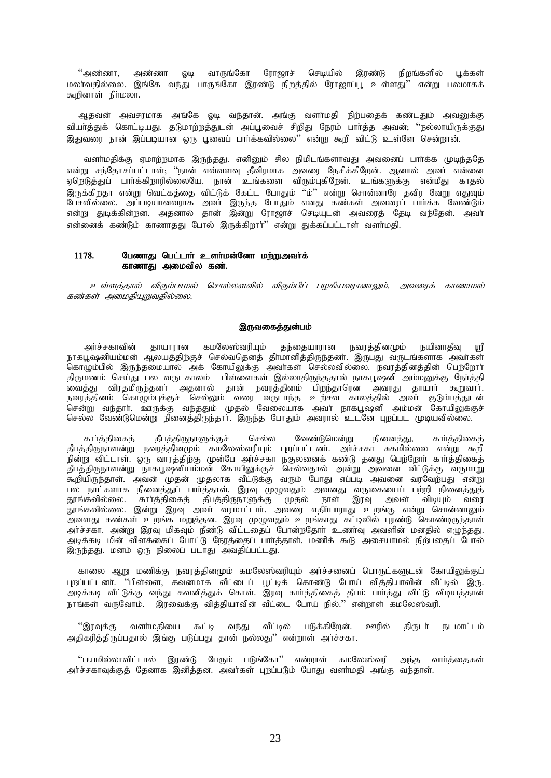செடியில் ''அண்ணா, அண்ணா ஓடி வாருங்கோ ரோஜாச் இரண்டு நிறங்களில் பூக்கள் மலாவதில்லை. இங்கே வந்து பாருங்கோ இரண்டு நிறத்தில் ரோஜாப்பூ உள்ளது'' என்று பலமாகக் கூறினாள் நிர்மலா.

ஆதவன் அவசரமாக அங்கே ஓடி வந்தான். அங்கு வளா்மதி நிற்பதைக் கண்டதும் அவனுக்கு வியா்த்துக் கொட்டியது. தடுமாற்றத்துடன் அப்பூவைச் சிறிது நேரம் பாா்த்த அவன்; ''நல்லாயிருக்குது இதுவரை நான் இப்படியான ஒரு புவைப் பார்க்கவில்லை'' என்று கூறி விட்டு உள்ளே சென்றான்.

வளா்மதிக்கு ஏமாற்றமாக இருந்தது. எனினும் சில நிமிடங்களாவது அவனைப் பாா்க்க முடிந்ததே என்று சந்தோசப்பட்டாள்; ''நான் எவ்வளவு தீவிரமாக அவரை நேசிக்கிறேன். ஆனால் அவர் என்னை .<br>ஏறெடுத்துப் பார்க்கிறாரில்லையே. நான் உங்களை விரும்புகிறேன். உங்களுக்கு என்மீது காதல் .<br>பேசவில்லை. அப்படியானவராக அவா் இருந்த போதும் எனது கண்கள் அவரைப் பாா்க்க வேண்டும்<br>என்று துடிக்கின்றன. அதனால் தான் இன்று ரோஜாச் செடியுடன் அவரைத் தேடி வந்தேன். அவா் என்னைக் கண்டும் காணாதது போல் இருக்கிறார்" என்று துக்கப்பட்டாள் வளர்மதி.

#### 1178. பேணாது பெட்டார் உளர்மன்னோ மற்றுஅவர்க் காணாது அமைவில கண்.

உள்ளத்தால் விரும்பாமல் சொல்லளவில் விரும்பிப் பழகியவரானாலும், அவரைக் காணாமல் கண்கள் அமைதியுறுவதில்லை.

#### இருவகைத்துன்பம்

அர்ச்சகாவின் தாயாரான கமலேஸ்வரியும் தந்தையாரான நவரத்தினமும் நயினாதீவு ஸ்ரீ<br>நாகபூஷனியம்மன் ஆலயத்திற்குச் செல்வதெனத் தீர்மானித்திருந்தனர். இருபது வருடங்களாக அவர்கள் கொழும்பில் இருந்தமையால் அக் கோயிலுக்கு அவர்கள் செல்லவில்லை. நவரத்தினத்தின் பெற்றோர் திருமணம் செய்து பல வருடகாலம் பிள்ளைகள் இல்லாதிருந்ததால் நாகபூஷனி அம்மனுக்கு நோத்தி வைத்து விரதமிருந்தனா் அதனால் தான் நவரத்தினம் பிறந்தாரென அவரது தாயாா் கூறுவாா். நவரத்தினம் கொழும்புக்குச் செல்லும் வரை வருடாந்த உற்சவ காலத்தில் அவா குடும்பத்துடன் .<br>சென்று வந்தார். ஊருக்கு வந்ததும் முதல் வேலையாக அவர் நாகபூஷனி அம்மன் கோயிலுக்குச் செல்ல வேண்டுமென்று நினைத்திருந்தார். இருந்த போதும் அவரால் உடனே புறப்பட முடியவில்லை.

தீபத்திருநாளுக்குச் கார்த்திகைத் செல்ல வேண்டுமென்று நினைத்து, கார்த்திகைத் கீபத்திருநாளன்று நவரத்தினமும் கமலேஸ்வரியும் புறப்பட்டனர். அர்ச்சகா சுகமில்லை என்று கூறி நின்று விட்டாள். ஒரு வாரத்திற்கு முன்பே அர்ச்சகா நகுலனைக் கண்டு தனது பெற்றோர் கார்த்திகைத் தீபத்திருநாளன்று நாகபூஷனியம்மன் கோயிலுக்குச் செல்வதால் அன்று அவனை வீட்டுக்கு வருமாறு கூறியிருந்தாள். அவன் முதன் முதலாக வீட்டுக்கு வரும் போது எப்படி அவனை வரவேற்பது என்று பல் நாட்களாக நினைத்துப் பார்த்தாள். இரவு முழுவதும் அவனது வருகையைப் பற்றி நினைத்துத் தூங்கவில்லை. காாத்திகைத் தீபத்திருநாளுக்கு முதல் நாள் இரவு அவள் விடியும் வரை தூங்கவில்லை. இன்று இரவு அவா வரமாட்டாா். அவரை எதிா்பாராது உறங்கு என்று சொன்னாலும் அவளது கண்கள் உறங்க மறுத்தன. இரவு முழுவதும் உறங்காது கட்டிலில் புரண்டு கொண்டிருந்தாள் அர்ச்சகா. அன்று இரவு மிகவும் நீண்டு விட்டதைப் போன்றதோர் உணர்வு அவளின் மனதில் எழுந்தது. அடிக்கடி மின் விளக்கைப் போட்டு நேரத்தைப் பார்த்தாள். மணிக் கூடு அசையாமல் நிற்பதைப் போல் இருந்தது. மனம் ஒரு நிலைப் படாது அவதிப்பட்டது.

காலை ஆறு மணிக்கு நவரத்தினமும் கமலேஸ்வரியும் அர்ச்சனைப் பொருட்களுடன் கோயிலுக்குப் புறப்பட்டனர். ''பிள்ளை, கவனமாக வீட்டைப் பூட்டிக் கொண்டு போய் வித்தியாவின் வீட்டில் இரு. அடிக்கடி வீட்டுக்கு வந்து கவனித்துக் கொள். இரவு காா்த்திகைத் தீபம் பாா்த்து விட்டு விடியத்தான் நாங்கள் வருவோம். இரவைக்கு விக்கியாவின் வீட்டை போய் நில்.'' என்றாள் கமலேஸ்வரி.

படுக்கிறேன். ஊரில் நடமாட்டம் ''இரவுக்கு வளர்மதியை கூட்டி வந்து வீட்டில் கிருடர் அதிகரித்திருப்பதால் இங்கு படுப்பது தான் நல்லது'' என்றாள் அர்ச்சகா.

''பயமில்லாவிட்டால் இரண்டு பேரும் படுங்கோ'' என்றாள் கமலேஸ்வரி அந்த வார்த்தைகள் அர்ச்சகாவுக்குத் தேனாக இனித்தன. அவர்கள் புறப்படும் போது வளர்மதி அங்கு வந்தாள்.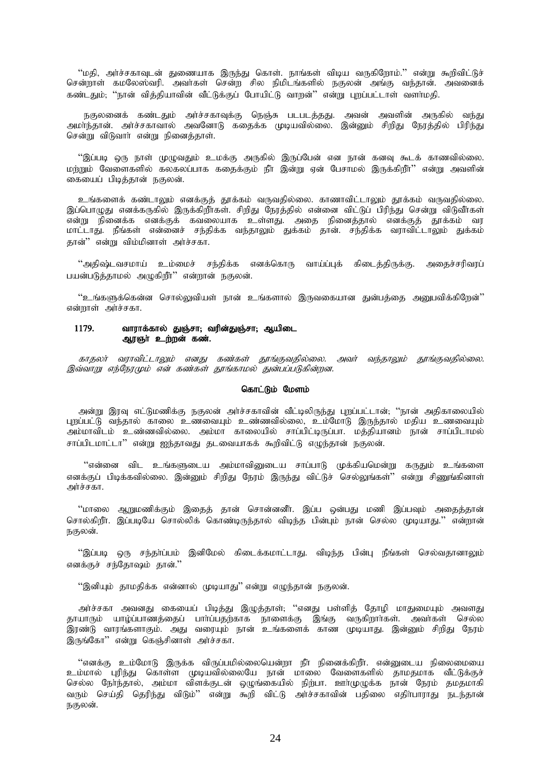''மதி, அர்ச்சகாவுடன் துணையாக இருந்து கொள். நாங்கள் விடிய வருகிறோம்.'' என்று கூறிவிட்டுச் சென்றாள் கமலேஸ்வரி. அவாகள் சென்ற சில நிமிடங்களில் நகுலன் அங்கு வந்தான். அவனைக் கண்டதும், ''நான் வித்தியாவின் வீட்டுக்குப் போயிட்டு வாறன்'' என்று புறப்பட்டாள் வளா்மதி.

நகுலனைக் கண்டதும் அர்ச்சகாவுக்கு நெஞ்சு படபடத்தது. அவன் அவளின் அருகில் வந்து<br>அமர்ந்தான். அர்ச்சகாவால் அவனோடு கதைக்க முடியவில்லை. இன்னும் சிறிது நேரத்தில் பிரிந்து சென்று விடுவார் என்று நினைத்தாள்.

''இப்படி ஒரு நாள் முழுவதும் உமக்கு அருகில் இருப்பேன் என நான் கனவு கூடக் காணவில்லை. மள்ளம் வேளைகளில் கலகலப்பாக ககைக்கும் நீா இன்று என் பேசாமல் இருக்கிறீர்'' என்று அவளின் கையைப் பிடித்தான் நகுலன்.

உங்களைக் கண்டாலும் எனக்குத் தூக்கம் வருவதில்லை. காணாவிட்டாலும் தூக்கம் வருவதில்லை. இப்பொமுது எனக்கருகில் இருக்கிறீர்கள். சிறிது நேரத்தில் என்னை விட்டுப் பிரிந்து சென்று விடுவீர்கள் என்று நினைக்க எனக்குக் கவலையாக உள்ளது. அகை நினைக்கால் எனக்குக் காக்கம் வர மாட்டாது. நீங்கள் என்னைச் சந்திக்க வந்தாலும் துக்கம் தான். சந்திக்க வராவிட்டாலும் துக்கம் கான்'' என்று விம்மினாள் அர்ச்சகா.

''அதிஷ்டவசமாய் உம்மைச் சந்திக்க எனக்கொரு வாய்ப்புக் கிடைத்திருக்கு. அதைச்சரிவரப் பயன்படுத்தாமல் அழுகிறீா்'' என்றான் நகுலன்.

''உங்களுக்கென்ன சொல்லுவியள் நான் உங்களால் இருவகையான துன்பத்தை அனுபவிக்கிறேன்'' என்றாள் அர்ச்சகா.

#### 1179. வாராக்கால் துஞ்சா; வரின்துஞ்சா; ஆயிடை ஆர்ஞர் உற்றன் கண்.

காதலர் வராவிட்டாலும் எனது கண்கள் தூங்குவதில்லை. அவர் வந்தாலும் தூங்குவதில்லை. இவ்வாறு எந்நேரமும் என் கண்கள் தூங்காமல் துன்பப்படுகின்றன.

### கொட்டும் மேளம்

அன்று இரவு எட்டுமணிக்கு நகுலன் அர்ச்சகாவின் வீட்டிலிருந்து புறப்பட்டான்; ''நான் அதிகாலையில் புறப்பட்டு வந்தால் காலை உணவையும் உண்ணவில்லை, உம்மோடு இருந்தால் மதிய உணவையும் .<br>அம்மாவிடம் உண்ணவில்லை. அம்மா காலையில் சாப்பிட்டிருப்பா. மத்தியானம் நான் சாப்பிடாமல் சாப்பிடமாட்டா'' என்று ஐந்தாவது தடவையாகக் கூறிவிட்டு எமுந்தான் நகுலன்.

"என்னை விட உங்களுடைய அம்மாவினுடைய சாப்பாடு முக்கியமென்று கருதும் உங்களை எனக்குப் பிடிக்கவில்லை. இன்னும் சிறிது நேரம் இருந்து விட்டுச் செல்லுங்கள்'' என்று சிணுங்கினாள் அர்ச்சகா

''மாலை ஆறுமணிக்கும் இதைத் தான் சொன்னனீா். இப்ப ஒன்பது மணி இப்பவும் அதைத்தான் சொல்கிறீா. இப்படியே சொல்லிக் கொண்டிருந்தால் விடிந்த பின்பும் நான் செல்ல முடியாது.'' என்றான் நகுலன்.

''இப்படி ஒரு சந்தாப்பம் இனிமேல் கிடைக்கமாட்டாது. விடிந்த பின்பு நீங்கள் செல்வதானாலும் எனக்குச் சந்தோஷம் தான்."

''இனியும் தாமதிக்க என்னால் முடியாது'' என்று எழுந்தான் நகுலன்.

அர்ச்சகா அவனது கையைப் பிடித்து இழுத்தாள்; ''எனது பள்ளித் தோழி மாதுமையும் அவளது .<br>தாயாரும் யாழ்ப்பாணத்தைப் பாா்ப்பதற்காக நாளைக்கு இங்கு வருகிறாா்கள். அவா்கள் செல்ல<br>இரண்டு வாரங்களாகும். அது வரையும் நான் உங்களைக் காண முடியாது. இன்னும் சிறிது நேரம் இருங்கோ" என்று கெஞ்சினாள் அர்ச்சகா.

''எனக்கு உம்மோடு இருக்க விருப்பமில்லையென்றா நீா நினைக்கிறீா். என்னுடைய நிலைமையை உம்மால் புரிந்து கொள்ள முடியவில்லையே நான் மாலை வேளைகளில் தாமதமாக வீட்டுக்குச் செல்ல நோந்தால், அம்மா விளக்குடன் ஒழுங்கையில் நிற்பா. ஊாழுழுக்க நான் நேரம் தமதமாகி வரும் செய்தி தெரிந்து விடும்'' என்று கூறி விட்டு அர்ச்சகாவின் பதிலை எதிர்பாராது நடந்தான் நகுலன்.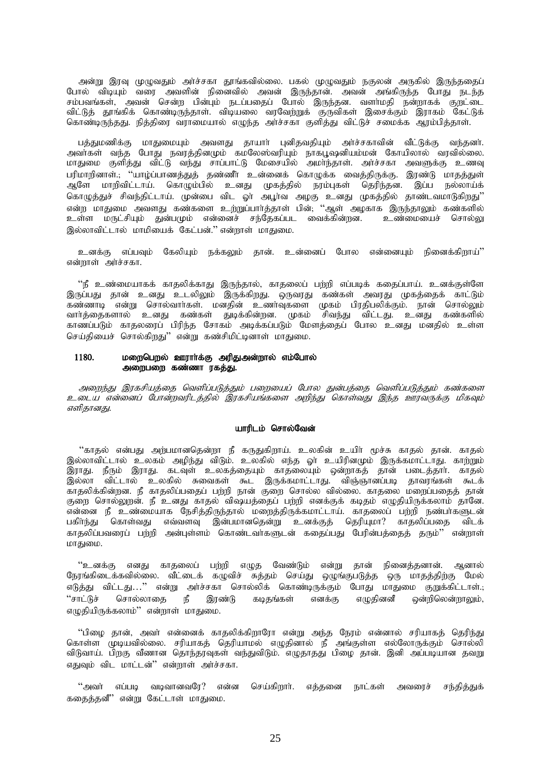அன்று இரவு முழுவதும் அர்ச்சகா தூங்கவில்லை. பகல் முழுவதும் நகுலன் அருகில் இருந்ததைப் போல் விடியும் வரை அவளின் நினைவில் அவன் இருந்தான். அவன் அங்கிருந்த போது நடந்த சம்பவங்கள், அவன் சென்ற பின்பும் நடப்பதைப் போல் இருந்தன. வளர்மதி நன்றாகக் குறட்டை விட்டுத் தூங்கிக் கொண்டிருந்தாள். விடியலை வரவேற்றுக் குருவிகள் இசைக்கும் இராகம் கேட்டுக் கொண்டிருந்தது. நித்திரை வராமையால் எழுந்த அர்ச்சகா குளித்து விட்டுச் சமைக்க ஆரம்பித்தாள்.

பத்துமணிக்கு மாதுமையும் அவளது தாயாா் புனிதவதியும் அா்ச்சகாவின் வீட்டுக்கு வந்தனா். அவாகள் வந்த போது நவரத்தினமும் கமலேஸ்வரியும் நாகபூஷனியம்மன் கோயிலால் வரவில்லை. மாதுமை குளித்து விட்டு வந்து சாப்பாட்டு மேசையில் அமாந்தாள். அர்ச்சகா அவளுக்கு உணவு பரிமாறினாள்.; ''யாழ்ப்பாணத்துத் தண்ணீா உன்னைக் கொழுக்க வைத்திருக்கு. இரண்டு மாதத்துள் ஆளே மாறிவிட்டாய். கொழும்பில் உனது முகத்தில் நரம்புகள் தெரிந்தன. இப்ப நல்லாய்க் ு<br>கொழுத்துச் சிவந்திட்டாய். முன்பை விட ஓா அபூா்வ அழகு உனது முகத்தில் தாண்டவமாடுகிறது'' என்ற மாதுமை அவளது கண்களை உற்றுப்பார்த்தாள் பின், ''ஆள் அழகாக இருந்தாலும் கண்களில் உள்ள மருட்சியும் துன்பமும் என்னைச் சந்தேகப்பட வைக்கின்றன. உண்மையைச் சொல்லு இல்லாவிட்டால் மாமியைக் கேட்பன்.'' என்றாள் மாதுமை.

உனக்கு எப்பவும் கேலியும் நக்கலும் கான். உன்னைப் போல என்னையும் நினைக்கிறாய்''  $\sigma$ ன்றாள் அர்ச்சகா.

"நீ உண்மையாகக் காதலிக்காது இருந்தால், காதலைப் பற்றி எப்படிக் கதைப்பாய். உனக்குள்ளே இருப்பது தான் உனது உடலிலும் இருக்கிறது. ஒருவரது கண்கள் அவரது முகத்தைக் காட்டும் கண்ணாடி என்று சொல்வார்கள். மனதின் உணர்வுகளை முகம் பிரதிபலிக்கும். நான் சொல்லும் வார்த்தைகளால் உனது கண்கள் துடிக்கின்றன. முகம் சிவந்து விட்டது. உனது கண்களில் காணப்படும் காதலரைப் பிரிந்த சோகம் அடிக்கப்படும் மேளத்தைப் போல உனது மனதில் உள்ள செய்தியைச் சொல்கிறது'' என்று கண்சிமிட்டினாள் மாதுமை.

### 1180. மறைபெறல் ஊரார்க்கு அரிதுஅன்றால் எம்போல் அறைபறை கண்ணா ரகத்து.

அறைந்து இரகசியத்தை வெளிப்படுத்தும் பறையைப் போல துன்பத்தை வெளிப்படுத்தும் கண்களை உடைய என்னைப் போன்றவரிடத்தில் இரகசியங்களை அறிந்து கொள்வது இந்த ஊரவருக்கு மிகவும் எளிதானது.

#### யாரிடம் சொல்வேன்

"காதல் என்பது அற்பமானதென்றா நீ கருதுகிறாய். உலகின் உயிர் மூச்சு காதல் தான். காதல் இல்லாவிட்டால் உலகம் அழிந்து விடும். உலகில் எந்த ஓா உயிரினமும் இருக்கமாட்டாது. காற்றும் ,...<br>இராது. நீரும் இராது. கடவுள் உலகத்தையும் காதலையும் ஒன்றாகத் தான் படைத்தார். காதல் ,<br>இல்லா விட்டால் உலகில் சுவைகள் கூட இருக்கமாட்டாது. விஞ்ஞானப்படி தாவரங்கள் கூடக் ்.<br>காதலிக்கின்றன. நீ காதலிப்பதைப் பற்றி நான் குறை சொல்ல வில்லை. காதலை மறைப்பதைத் தான் குறை சொல்லுறன். நீ உனது காதல் விஷயத்தைப் பற்றி எனக்குக் கடிதம் எழுதியிருக்கலாம் தானே. , என்னை நீ உண்மையாக நேசிக்கிருந்தால் மறைத்திருக்கமாட்டாய். காதலைப் பற்றி நண்பாகளுடன் பகிாந்து கொள்வது எவ்வளவு இன்பமானதென்று உனக்குத் தெரியுமா? காதலிப்பதை விடக் காதலிப்பவரைப் பற்றி அன்புள்ளம் கொண்டவர்களுடன் கதைப்பது பேரின்பத்தைத் தரும்'' என்றாள் மாதுமை.

"உனக்கு எனது காதலைப் பற்றி எழுத வேண்டும் என்று தான் நினைத்தனான். ஆனால் நேரங்கிடைக்கவில்லை. வீட்டைக் கழுவிச் சுத்தம் செய்து ஒழுங்குபடுத்த ஒரு மாதத்திற்கு மேல் எடுத்து விட்டது…'' என்று அர்ச்சகா சொல்லிக் கொண்டிருக்கும் போது மாதுமை குறுக்கிட்டாள்.; "சாட்டுச் சொல்லாதை நீ இரண்டு கடிதங்கள் எனக்கு எழுதினனீ ஒன்றிலென்றாலும், எழுதியிருக்கலாம்'' என்றாள் மாதுமை.

"பிமை தான், அவர் என்னைக் காதலிக்கிறாரோ என்று அந்த நேரம் என்னால் சரியாகத் தெரிந்து கொள்ள முடியவில்லை. சரியாகத் தெரியாமல் எழுதினால் நீ அங்குள்ள எல்லோருக்கும் சொல்லி விடுவாய். பிறகு வீணான தொந்தரவுகள் வந்துவிடும். எழுதாதது பிழை தான். இனி அப்படியான தவறு எதுவும் விட மாட்டன்" என்றாள் அர்ச்சகா.

"அவா் எப்படி வடிவானவரே? என்ன செய்கிறாா். எத்தனை நாட்கள் அவரைச் சந்தித்துக் கதைத்தனீ" என்று கேட்டாள் மாதுமை.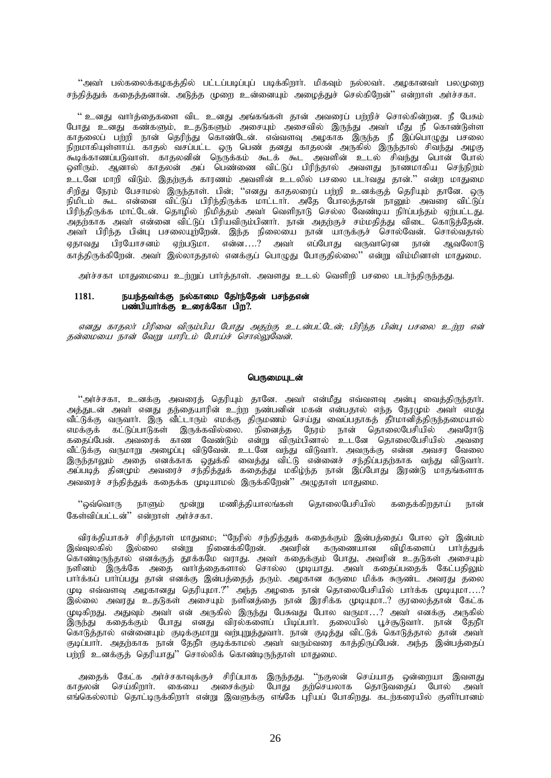''அவா் பல்கலைக்கழகத்தில் பட்டப்படிப்புப் படிக்கிறாா். மிகவும் நல்லவா். அழகானவா் பலமுறை சந்தித்துக் கதைத்தனான். அடுத்த முறை உன்னையும் அழைத்துச் செல்கிறேன்'' என்றாள் அர்ச்சகா.

'' உனது வார்த்தைகளை விட உனது அங்கங்கள் தான் அவரைப் பற்றிச் சொல்கின்றன. நீ பேசும் போது உனது கண்களும், உதடுகளும் அசையும் அசைவில் இருந்து அவா் மீது நீ கொண்டுள்ள காதலைப் பற்றி நான் தெரிந்து கொண்டேன். எவ்வளவு அழகாக இருந்த நீ இப்பொழுது பசலை நிறமாகியுள்ளாய். காதல் வசப்பட்ட ஒரு பெண் தனது காதலன் அருகில் இருந்தால் சிவந்து அமகு .<br>கூடிக்காணப்படுவாள். காதலனின் நெருக்கம் கூடக் கூட அவளின் உடல் சிவந்து பொன் போல்<br>ஒளிரும். ஆனால் காதலன் அப் பெண்ணை விட்டுப் பிரிந்தால் அவளது நாணமாகிய செந்நிறம் உடனே மாறி விடும். இதற்குக் காரணம் அவளின் உடலில் பசலை படர்வது தான்.'' என்ற மாதுமை சிறிது நேரம் பேசாமல் இருந்தாள். பின், ''எனது காதலரைப் பற்றி உனக்குத் தெரியும் தானே. ஒரு ுந்து தேர்ம் கேள்மன இருந்தாள். பண், எனது காதண்டை பத்த பொலத்தான் நானும் அவரை விட்டுப்<br>நிமிடம் கூட என்னை விட்டுப் பிரிந்திருக்க மாட்டாா். அதே போலத்தான் நானும் அவரை விட்டுப்<br>பிரிந்திருக்க மாட்டேன். தொழில் நிமித்தம் அவா் வெளி .<br>அதற்காக அவர் என்னை விட்டுப் பிரியவிரும்பினார். நான் அதற்குச் சம்மதித்து விடை கொடுத்தேன். ஏதாவது பிரயோசனம் ஏற்படுமா. என்ன....? அவர் எப்போகு வருவாரென நான் அவ**ே**லாடு காத்திருக்கிறேன். அவர் இல்லாததால் எனக்குப் பொழுது போகுதில்லை'' என்று விம்மினாள் மாதுமை.

அர்ச்சகா மாதுமையை உற்றுப் பார்த்தாள். அவளது உடல் வெளிறி பசலை படர்ந்திருந்தது.

#### நயந்தவா்க்கு நல்காமை தோ்ந்தேன் பசந்தஎன் 1181. பண்பியார்க்கு உரைக்கோ பிற?.

எனது காதலர் பிரிவை விரும்பிய போது அதற்கு உடன்பட்டேன்; பிரிந்த பின்பு பசலை உற்ற என் தன்மையை நான் வேறு யாரிடம் போய்ச் சொல்லுவேன்.

#### பெருமையுடன்

''அர்ச்சகா, உனக்கு அவரைத் தெரியும் தானே. அவர் என்மீது எவ்வளவு அன்பு வைத்திருந்தார். அத்துடன் அவர் எனது தந்தையாரின் உற்ற நண்பனின் மகன் என்பதால் எந்த நேரமும் அவர் எமது ு.<br>வீட்டுக்கு வருவார். இரு வீட்டாரும் எமக்கு திருமணம் செய்து வைப்பதாகத் தீாமானித்திருந்தமையால் வீட்டுக்கு வருமாறு அழைப்பு விடுவேன். உடனே வந்து விடுவார். அவருக்கு என்ன அவசர வேலை ுடனும் படுமாது எனக்காக ஒதுக்கி வைத்து விட்டு என்னைச் சந்திப்பதற்காக வந்து விடுவார்.<br>இருந்தாலும் அதை எனக்காக ஒதுக்கி வைத்து விட்டு என்னைச் சந்திப்பதற்காக வந்து விடுவார்.<br>அப்படித் தினமும் அவரைச் சந்தித்துக் கதைத்து மகிழ்ந்த .<br>அவரைச் சந்தித்துக் கதைக்க முடியாமல் இருக்கிறேன்'' அமுதாள் மாதுமை.

தொலைபேசியில் ''ஒவ்வொரு மூன்று மணித்தியாலங்கள் ககைக்கிறதாய் நாளும் நான் கேள்விப்பட்டன்" என்றாள் அர்ச்சகா.

விரக்தியாகச் சிரித்தாள் மாதுமை; ''நேரில் சந்தித்துக் கதைக்கும் இன்பத்தைப் போல ஒா் இன்பம் இவ்வுலகில் இல்லை என்று நினைக்கிறேன். அவரின் கருணையான விழிகளைப் பார்த்துக் கொண்டிருந்தால் எனக்குத் தூக்கமே வராது. அவா் கதைக்கும் போது, அவரின் உதடுகள் அசையும் நளினம் இருக்கே அதை வார்த்தைகளால் சொல்ல முடியாது. அவர் கதைப்பதைக் கேட்பதிலும் பார்க்கப் பார்ப்பது தான் எனக்கு இன்பத்தைத் தரும். அழகான கருமை மிக்க சுருண்ட அவரது தலை .<br>இல்லை அவரது உதடுகள் அசையும் நளினத்த அழகை நான் தொலைபேசியில் பார்க்க முடியுமா....?<br>இல்லை அவரது உதடுகள் அசையும் நளினத்தை நான் இரசிக்க முடியுமா..? குரலைத்தான் கேட்க .<br>முடிகிறது. அதுவும் அவா் என் அருகில் இருந்து பேசுவது போல வருமா...? அவா் எனக்கு அருகில் கொடுத்தால் என்னையும் குடிக்குமாறு வற்புறுத்துவார். நான் குடித்து விட்டுக் கொடுத்தால் தான் அவர் குடிப்பார். அதற்காக நான் தேநீர் குடிக்காமல் அவர் வரும்வரை காத்திருப்பேன். அந்த இன்பத்தைப் பற்றி உனக்குத் தெரியாது'' சொல்லிக் கொண்டிருந்தாள் மாதுமை.

அதைக் கேட்க அர்ச்சகாவுக்குச் சிரிப்பாக இருந்தது. ''நகுலன் செய்யாத ஒன்றையா இவளது காதலன் செய்கிறாா். கையை அசைக்கும் போது தற்செயலாக தொடுவதைப் போல் அவா்<br>எங்கெல்லாம் தொட்டிருக்கிறாா் என்று இவளுக்கு எங்கே புரியப் போகிறது. கடற்கரையில் குளிா்பானம்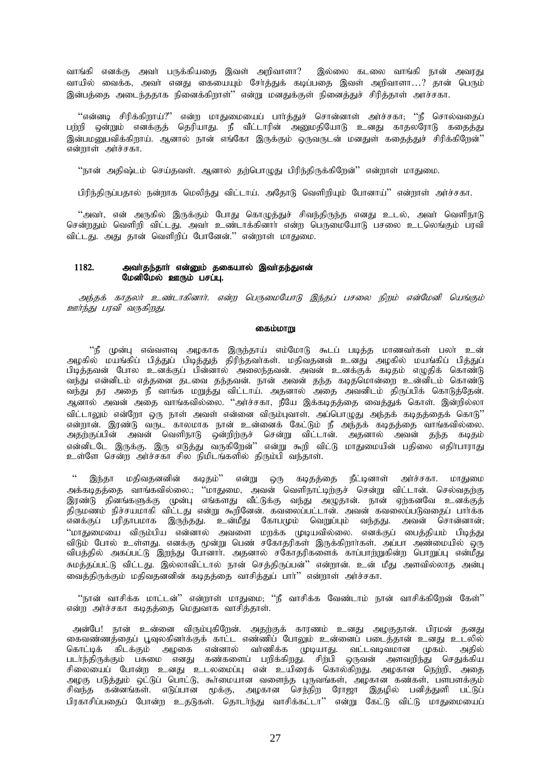வாங்கி எனக்கு அவா் பருக்கியதை இவள் அறிவாளா? இல்லை கடலை வாங்கி நான் அவரது வாயில் வைக்க, அவா் எனது கையையும் சோ்த்துக் கடிப்பதை இவள் அறிவாளா...? தான் பெரும் இன்பத்தை அடைந்ததாக நினைக்கிறாள்'' என்று மனதுக்குள் நினைத்துச் சிரித்தாள் அாச்சகா.

"என்னடி சிரிக்கிறாய்?" என்ற மாதுமையைப் பார்த்துச் சொன்னாள் அர்ச்சகா; ''நீ சொல்வதைப் பற்றி ஒன்றும் எனக்குத் தெரியாது. நீ வீட்டாரின் அனுமதியோடு உனது காதலரோடு கதைத்து இன்புமபைவிக்கிறாய், அனால் நான் எங்கோ இருக்கும் ஹுவருடன் மனதுள் ககைத்துச் சிரிக்கிறேன்''  $\overline{\text{w}}$ ளன் $\overline{\text{w}}$  and  $\overline{\text{w}}$ .

''நான் அதிஷ்டம் செய்தவள். ஆனால் தற்பொழுது பிரிந்திருக்கிறேன்'' என்றாள் மாதுமை.

பிரிந்திருப்பதால் நன்றாக மெலிந்து விட்டாய். அதோடு வெளிறியம் போனாய்'' என்றாள் அர்ச்சகா.

 $\lq\lq$ அவா், என் அருகில் இருக்கும் போது கொழுத்துச் சிவந்திருந்த எனது உடல், அவா் வெளிநாடு சென்றதும் வெளிறி விட்டது. அவா் உண்டாக்கினாா் என்ற பெருமையோடு பசலை உடலெங்கும் பரவி விட்டது. அது தான் வெளிறிப் போனேன்.'' என்றாள் மாதுமை.

# 1182. அவர்தந்தார் என்னும் தகையால் இவர்தந்துஎன்  $\Omega$ மனிமேல் ஊரும் பசப்பு.

அந்தக் காதலர் உண்டாகினார். என்ற பெருமையோடு இந்தப் பசலை நிறம் என்மேனி யெங்கும் ஊர்ந்து பரவி வருகிறது.

# கைம்மாறு

 $\lq\cdot\mathfrak{g}$  முன்பு எவ்வளவு அழகாக இருந்தாய் எம்மோடு கூடப் படித்த மாணவா்கள் பலா் உன் அழகில் மயங்கிப் பித்துப் பிடித்துத் திரிந்தவாகள். மதிவதனன் உனது அழகில் மயங்கிப் பித்துப் ு.<br>பிடித்தவன் போல உனக்குப் பின்னால் அலைந்தவன். அவன் உனக்குக் கடிதம் எமுதிக் கொண்டு வந்து என்னிடம் எத்தனை தடவை தந்தவன். நான் அவன் தந்த கடிதமொன்றை உன்னிடம் கொண்டு வந்து தர அதை நீ வாங்க மறுத்து விட்டாய். அதனால் அதை அவனிடம் திருப்பிக் கொடுத்தேன். அனால் அவன் அதை வாங்கவில்லை. ''அர்ச்சகா, நீயே இக்கடிதத்தை வைத்துக் கொள். இன்றில்லா விட்டாலும் என்றோ ஒரு நாள் அவள் என்னை விரும்புவாள். அப்பொழுது அந்தக் கடிதத்தைக் கொடு'' என்றான். இரண்டு வருட காலமாக நான் உன்னைக் கேட்டும் நீ அந்தக் கடிதத்தை வாங்கவில்லை. அதற்குப்பின் அவன் வெளிநாடு ஒன்றிற்குச் சென்று விட்டான். அதனால் அவன் தந்த கடிதம் என்னிடடே இருக்கு. இரு எடுத்து வருகிறேன்'' என்று கூறி விட்டு மாதுமையின் பதிலை எதிர்பாராது உள்ளே சென்ற அர்ச்சகா சில நிமிடங்களில் திரும்பி வந்தாள்.

இந்தா மதிவதனனின் கடிதம்'' என்று ஒரு கடிதத்தை நீட்டினாள் அர்ச்சகா. மாதுமை அக்கடிதத்தை வாங்கவில்லை.; ''மாதுமை, அவன் வெளிநாட்டிற்குச் சென்று விட்டான். செல்வதற்கு .<br>இரண்டு தினங்களுக்கு முன்பு எங்களது வீட்டுக்கு வந்து அழுதான். நான் ஏற்கனவே உனக்குத்  $\widehat{\vec{B}}$ ருமணம் நிச்சயமாகி விட்டது என்று கூறினேன். கவலைப்பட்டான். அவன் கவலைப்படுவதைப் பார்க்க எனக்குப் பரிதாபமாக இருந்தது. உன்மீது கோபமும் வெறுப்பும் வந்தது. அவன் சொன்னான்; "மாதுமையை விரும்பிய என்னால் அவளை மறக்க முடியவில்லை. எனக்குப் பைத்தியம் பிடித்து விடும் போல் உள்ளது. எனக்கு மூன்று பெண் சகோதரிகள் இருக்கிறார்கள். அப்பா அண்மையில் ஒரு விபத்தில் அகப்பட்டு இறந்து போனாா். அதனால் சகோதரிகளைக் காப்பாற்றுகின்ற பொறுப்பு என்மீது .<br>சுமத்தப்பட்டு விட்டது. இல்லாவிட்டால் நான் செத்திருப்பன்'' என்றான். உன் மீது அளவில்லாத அன்பு வைத்திருக்கும் மதிவதனனின் கடிதத்தை வாசித்துப் பார்'' என்றாள் அர்ச்சகா.

 $\lq\lq$ நான் வாசிக்க மாட்டன் $\lq\rq$  என்றாள் மாதுமை;  $\lq\lq$ நீ வாசிக்க வேண்டாம் நான் வாசிக்கிறேன் கேள் $\lq\rq$ என்ற அர்ச்சகா கடிதத்தை மெதுவாக வாசித்தாள்.

அன்பே! நான் உன்னை விரும்புகிறேன். அதற்குக் காரணம் உனது அழகுதான். பிரமன் தனது கைவண்ணத்தைப் பூவுலகினர்க்குக் காட்ட எண்ணிப் போலும் உன்னைப் படைத்தான் உனது உடலில் கொட்டிக் கிடக்கும் அழகை என்னால் வா்ணிக்க முடியாது. வட்டவடிவமான முகம். அதில் படர்ந்திருக்கும் பசுமை எனது கண்களைப் பறிக்கிறது. சிற்பி ஒருவன் அளவறிந்து செதுக்கிய சிலையைப் போன்ற உனது உடலமைப்பு என் உயிரைக் கொல்கிறது. அழகான நெற்றி, அதை அமகு படுத்தும் ஒட்டுப் பொட்டு, கூர்மையான வளைந்த புருவங்கள், அழகான கண்கள், பளபளக்கும் சிவந்த கன்னங்கள். எடுப்பான மூக்கு, அழகான செந்நிற ரோஜா இதழில் பனித்துளி பட்டுப் பிரகாசிப்பதைப் போன்ற உதடுகள். தொடர்ந்து வாசிக்கட்டா'' என்று கேட்டு விட்டு மாதுமையைப்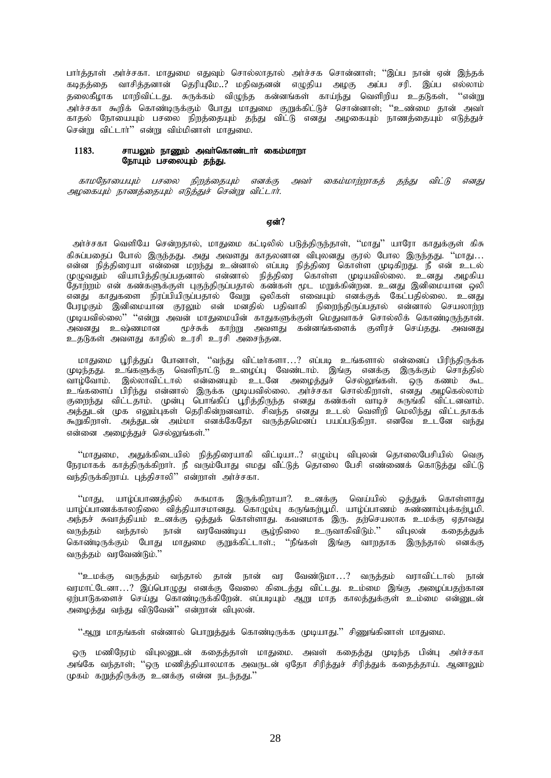பார்த்தாள் அர்ச்சகா. மாதுமை எதுவும் சொல்லாதால் அர்ச்சக சொன்னாள்; ''இப்ப நான் ஏன் இந்தக் கடிதத்தை வாசித்தனான் தெரியுமே..? மதிவதனன் எழுதிய அழகு அப்ப சரி. இப்ப எல்லாம் தலைகீழாக மாரிவிட்டது. சுருக்கம் விழுந்த கன்னங்கள் காய்ந்து வெளிறிய உதடுகள், ''என்று .<br>அர்ச்சகா கூறிக் கொண்டிருக்கும் போது மாதுமை குறுக்கிட்டுச் சொன்னாள். ''உண்மை தான் அவர் காதல் நோயையும் பசலை நிறத்தையும் தந்து விட்டு எனது அமகையும் நாணத்தையும் எடுத்துச் சென்று விட்டார்<sup>?</sup> என்று விம்மினாள் மாகுமை.

# $1183.$  சாயலம் நாணம் அவர்கொண்டார் கைம்மாறா நோயும் பசலையும் கந்து.

காமநோயையும் பசலை நிறத்தையும் எனக்கு அவர் கைம்மாற்றாகத் தந்து விட்டு எனது அமகையும் நாணத்தையும் எடுத்துச் சென்று விட்டார்.

# என்?

அர்ச்சகா வெளியே சென்றதால், மாதுமை கட்டிலில் படுத்திருந்தாள், ''மாது'' யாரோ காதுக்குள் கிசு கிசுப்பதைப் போல் இருந்தது. அது அவளது காதலனான விபுலனது குரல் போல இருந்தது. ''மாது... என்ன நித்திரையா என்னை மறந்து உன்னால் எப்படி நித்திரை கொள்ள முடிகிறது. நீ என் உடல் முழுவதும் வியாபித்திருப்பதனால் என்னால் நித்திரை கொள்ள முடியவில்லை. உனது அழகிய தோற்றம் என் கண்களுக்குள் புகுந்திருப்பதால் கண்கள் மூட மறுக்கின்றன. உனது இனிமையான ஒலி எனது காதுகளை நிரப்பியிருப்பதால் வேறு ஒலிகள் எவையும் எனக்குக் கேட்பதில்லை. உனது பேரழகும் இனிமையான குரலும் என் மனதில் பதிவாகி நிறைந்திருப்பதால் என்னால் செயலாற்ற முடியவில்லை'' ''என்று அவன் மாதுமையின் காதுகளுக்குள் மெதுவாகச் சொல்லிக் கொண்டிருந்தான்.<br>அவனது உஷ்ணமான மூச்சுக் காற்று அவளது கன்னங்களைக் குளிரச் செய்தது. அவனது மூச்சுக் காற்று அவளது கன்னங்களைக் குளிரச் செய்தது. அவனது உதடுகள் அவளது காதில் உரசி உரசி அசைந்தன.

மாதுமை புரித்துப் போனாள், ''வந்து விட்டீர்களா…? எப்படி உங்களால் என்னைப் பிரிந்திருக்க rமுடிந்தது. உங்களுக்கு வெளிநாட்டு உமைப்பு வேண்டாம். இங்கு எனக்கு இருக்கும் சொத்தில் ்வாழ்வோம். இல்லாவிட்டால் என்னையும் உடனே அழைத்துச் செல்லுங்கள். ஒரு கணம் கூட உங்களைப் பிரிந்து என்னால் இருக்க முடியவில்லை. அர்ச்சகா சொல்கிறாள், எனது அழகெல்லாம் ்<br>குறைந்து விட்டதாம். முன்பு பொங்கிப் பூரித்திருந்த எனது கண்கள் வாடிச் சுருங்கி விட்டனவாம். ு;<br>அத்துடன் முக எலும்புகள் தெரிகின்றனவாம். சிவந்த எனது உடல் வெளிறி மெலிந்து விட்டதாகக் கூறுகிறாள். அத்துடன் அம்மா எனக்கேதோ வருத்தமெனப் பயப்படுகிறா. எனவே உடனே வந்து என்னை அமைத்துச் செல்லுங்கள்."

 $\lq$ மாதுமை, அதுக்கிடையில் நித்திரையாகி விட்டியா..? எழும்பு விபுலன் தொலைபேசியில் வெகு நேரமாகக் காத்திருக்கிறாா். நீ வரும்போது எமது வீட்டுத் தொலை பேசி எண்ணைக் கொடுத்து விட்டு வந்திருக்கிறாய். புத்திசாலி'' என்றாள் அர்ச்சகா.

"மாது, யாழ்ப்பாணத்தில் சுகமாக இருக்கிறாயா?. உனக்கு வெய்யில் ஒத்துக் கொள்ளாது யாழ்ப்பாணக்காலநிலை வித்தியாசமானது. கொழும்பு கருங்கற்பூமி. யாழ்ப்பாணம் சுண்ணாம்புக்கற்பூமி. அந்தச் சுவாத்தியம் உனக்கு ஒத்துக் கொள்ளாது. கவனமாக இரு. தற்செயலாக உமக்கு ஏதாவது வருத்தம் வந்தால் நான் வரவேண்டிய சூழ்நிலை உருவாகிவிடும்.'' விபுலன் கதைத்துக் கொண்டிருக்கும் போது மாதுமை குறுக்கிட்டாள்.; ''நீங்கள் இங்கு வாறதாக இருந்தால் எனக்கு வருத்தம் வரவேண்டும்."

"உமக்கு வருத்தம் வந்தால் தான் நான் வர வேண்டுமா…? வருத்தம் வராவிட்டால் நான் வரமாட்டேனா…? இப்பொழுது எனக்கு வேலை கிடைத்து விட்டது. உம்மை இங்கு அழைப்பதற்கான ஏற்பாடுகளைச் செய்து கொண்டிருக்கிறேன். எப்படியும் ஆறு மாத காலத்துக்குள் உம்மை என்னுடன் அழைத்து வந்து விடுவேன்'' என்றான் விபுலன்.

 $``$ ஆறு மாதங்கள் என்னால் பொறுத்துக் கொண்டிருக்க முடியாது.'' சிணுங்கினாள் மாதுமை.

ஒரு மணிநேரம் விபுலனுடன் கதைத்தாள் மாதுமை. அவள் கதைத்து முடிந்த பின்பு அர்ச்சகா அங்கே வந்தாள்; ''ஒரு மணித்தியாலமாக அவருடன் ஏதோ சிரித்துச் சிரித்துக் கதைத்தாய். ஆனாலும் முகம் கறுத்திருக்கு உனக்கு என்ன நடந்தது."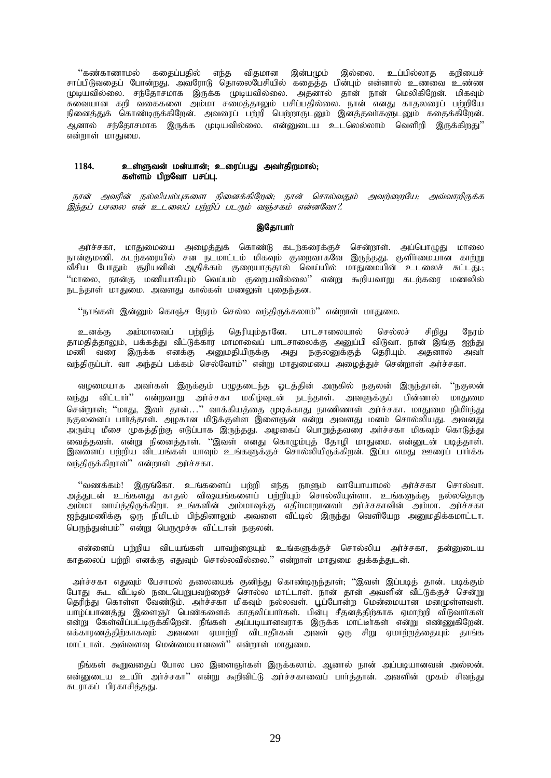்'கண்காணாமல் கதைப்பதில் எந்த விதமான இன்பமும் இல்லை. உப்பில்லாத கறியைச்<br>சாப்பிடுவதைப் போன்றது. அவரோடு தொலைபேசியில் கதைத்த பின்பும் என்னால் உணவை உண்ண நினைத்துக் கொண்டிருக்கிறேன். அவரைப் பற்றி பெற்றாருடனும் இனத்தவாகளுடனும் கதைக்கிறேன். .<br>ஆனால் சந்தோசமாக இருக்க முடியவில்லை. என்னுடைய உடலெல்லாம் வெளிறி இருக்கிறது'' என்றாள் மாதுமை.

#### 1184. உள்ளுவன் மன்யான்; உரைப்பது அவாதிறமால்; கள்ளம் பிறவோ பசப்பு.

நான் அவரின் நல்லியல்புகளை நினைக்கிறேன்; நான் சொல்வதும் அவற்றையே; அவ்வாறிருக்க இந்தப் பசலை என் உடலைப் பற்றிப் படரும் வஞ்சகம் என்னவோ?.

# இதோபாா்

அர்ச்சகா, மாதுமையை அழைத்துக் கொண்டு கடற்கரைக்குச் சென்றாள். அப்பொமுகு மாலை நான்குமணி. கடற்கரையில் சன நடமாட்டம் மிகவும் குறைவாகவே இருந்தது. குளிர்மையான காற்று .<br>வீசிய போதும் சூரியனின் ஆதிக்கம் குறையாததால் வெய்யில் மாதுமையின் உடலைச் சுட்டது.; ''மாலை, நான்கு மணியாகியும் வெப்பம் குறையவில்லை'' என்று கூறியவாறு கடற்கரை மணலில் நடந்தாள் மாதுமை. அவளது கால்கள் மணலுள் புகைந்தன.

''நாங்கள் இன்னும் கொஞ்ச நேரம் செல்ல வந்திருக்கலாம்'' என்றாள் மாதுமை.

தெரியும்தானே. பாடசாலையால் உனக்கு அம்மாவைப் பற்றிக் செல்லச் சிறிது நேரம் காமகிக்காலும். பக்கக்கு வீட்டுக்கார மாமாவைப் பாடசாலைக்கு அனுப்பி விடுவா. நான் இங்கு ஐந்து .<br>மணி வரை இருக்க எனக்கு அனுமதியிருக்கு அது நகுலனுக்குக் தெரியும். அதனால் அவர் வந்திருப்பா். வா அந்தப் பக்கம் செல்வோம்'' என்று மாதுமையை அழைத்துச் சென்றாள் அா்ச்சகா.

வழமையாக அவர்கள் இருக்கும் பழுதடைந்த ஓடத்தின் அருகில் நகுலன் இருந்தான். ''நகுலன் வந்து விட்டார்'' என்றவாறு அர்ச்சகா மகிழ்வுடன் நடந்தாள். அவளுக்குப் பின்னால் மாதுமை ்.<br>சென்றாள்; ''மாது, இவா் தான்...'' வாக்கியத்தை முடிக்காது நாணிணாள் அா்ச்சகா. மாதுமை நிமிா்ந்து<br>நகுலனைப் பாா்த்தாள். அழகான மிடுக்குள்ள இளைஞன் என்று அவளது மனம் சொல்லியது. அவனது .<br>அரும்பு மீசை முகத்திற்கு எடுப்பாக இருந்தது. அழகைப் பொறுத்தவரை அர்ச்சகா மிகவும் கொடுத்து வைத்தவள். என்று நினைத்தாள். ''இவள் எனது கொழும்புத் தோழி மாதுமை. என்னுடன் படித்தாள். இவளைப் பற்றிய விடயங்கள் யாவும் உங்களுக்குச் சொல்லியிருக்கிறன். இப்ப எமது ஊரைப் பார்க்க வந்திருக்கிறாள்'' என்றாள் அர்ச்சகா.

''வணக்கம்! இருங்கோ. உங்களைப் பற்றி எந்த நாளும் வாயோயாமல் அர்ச்சகா சொல்வா. அத்துடன் உங்களது காதல் விஷயங்களைப் பற்றியும் சொல்லியுள்ளா. உங்களுக்கு நல்லதொரு அம்மா வாய்த்திருக்கிறா. உங்களின் அம்மாவுக்கு எதிர்மாறானவர் அர்ச்சகாவின் அம்மா. அர்ச்சகா ஐந்துமணிக்கு ஒரு நிமிடம் பிந்தினாலும் அவளை வீட்டில் இருந்து வெளியேற அனுமதிக்கமாட்டா. பெருந்துன்பம்'' என்று பெருமூச்சு விட்டான் நகுலன்.

என்னைப் பற்றிய விடயங்கள் யாவற்றையும் உங்களுக்குச் சொல்லிய அர்ச்சகா, தன்னுடைய காதலைப் பற்றி எனக்கு எதுவும் சொல்லவில்லை.'' என்றாள் மாதுமை துக்கத்துடன்.

அர்ச்சகா எதுவும் பேசாமல் தலையைக் குனிந்து கொண்டிருந்தாள்; ''இவள் இப்படித் தான். படிக்கும் போது கூட வீட்டில் நடைபெறுபவற்றைச் சொல்ல மாட்டாள். நான் தான் அவளின் வீட்டுக்குச் சென்று ுக்கு கூட கட்டில் தடைக்குத்தைத்த கோலம் காட்டாள். தான் தான் கொள்ள கட்டுக்குச் கொஞ்சு<br>தெரிந்து கொள்ள வேண்டும். அர்ச்சகா மிகவும் நல்லவள். பூப்போன்ற மென்மையான மனமுள்ளவள்.<br>யாழ்ப்பாணத்து இளைஞர் பெண்களைக் காதலிப்பார்கள். பின்பு என்று கேள்விப்பட்டிருக்கிறேன். நீங்கள் அப்படியானவராக இருக்க மாட்டீர்கள் என்று எண்ணுகிறேன். எக்காரணத்திற்காகவும் அவளை ஏமாற்றி விடாதீர்கள் அவள் ஒரு சிறு ஏமாற்றத்தையும் தாங்க மாட்டாள். அவ்வளவு மென்மையானவள்'' என்றாள் மாதுமை.

நீங்கள் கூறுவதைப் போல பல இளைஞர்கள் இருக்கலாம். ஆனால் நான் அப்படியானவன் அல்லன். என்னுடைய உயிர் அர்ச்சகா'' என்று கூறிவிட்டு அர்ச்சகாவைப் பார்த்தான். அவளின் முகம் சிவந்து சுடராகப் பிரகாசித்தது.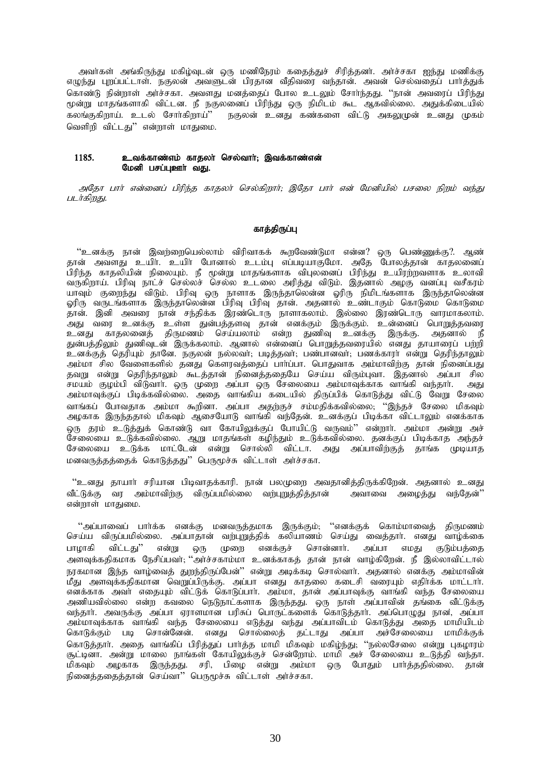அவர்கள் அங்கிருந்து மகிழ்வுடன் ஒரு மணிநேரம் கதைத்துச் சிரித்தனர். அர்ச்சகா ஐந்து மணிக்கு எழுந்து புறப்பட்டாள். நகுலன் அவளுடன் பிரதான வீதிவரை வந்தான். அவன் செல்வதைப் பார்த்துக் கொண்டு நின்றாள் அர்ச்சகா. அவளது மனத்தைப் போல உடலும் சோர்ந்தது. ''நான் அவரைப் பிரிந்து மூன்று மாதங்களாகி விட்டன. நீ நகுலனைப் பிரிந்து ஒரு நிமிடம் கூட ஆகவில்லை. அதுக்கிடையில் கலங்குகிறாய். உடல் சோா்கிறாய்'' நகுலன் உனது கண்களை விட்டு அகலுமுன் உனது முகம் வெளிறி விட்டது'' என்றாள் மாதுமை.

# $1185.$  உவக்காண்எம் காதலா் செல்வாா்; இவக்காண்என் மேனி பசப்பஊர் வகு.

அதோ பார் என்னைப் பிரிந்த காதலர் செல்கிறார்; இதோ பார் என் மேனியில் பசலை நிறம் வந்து படர்கிறது.

# காத்திருப்பு

"உனக்கு நான் இவற்றையெல்லாம் விரிவாகக் கூறவேண்டுமா என்ன? ஒரு பெண்ணுக்கு?. ஆண் தான் அவளது உயிர். உயிர் போனால் உடம்பு எப்படியாகுமோ. அதே போலத்தான் காதலனைப் பிரிந்த காதலியின் நிலையும். நீ மூன்று மாதங்களாக விபுலனைப் பிரிந்து உயிரற்றவளாக உலாவி வருகிறாய். பிரிவு நாட்ச் செல்லச் செல்ல உடலை அரித்து விடும். இதனால் அழகு வனப்பு வசீகரம் யாவும் குறைந்து விடும். பிரிவு ஒரு நாளாக இருந்தாலென்ன ஓரிரு நிமிடங்களாக இருந்தாலென்ன ஓரிரு வருடங்களாக இருந்தாலென்ன பிரிவு பிரிவு தான். அதனால் உண்டாகும் கொடுமை கொடுமை ்தான். இனி அவரை நான் சந்திக்க இரண்டொரு நாளாகலாம். இல்லை இரண்டொரு வாரமாகலாம். .<br>அது வரை உனக்கு உள்ள துன்பத்தளவு தான் எனக்கும் இருக்கும். உன்னைப் பொறுத்தவரை உனது காதலனைத் திருமணம் செய்யலாம் என்ற துணிவு உனக்கு இருக்கு. அதனால் நீ துன்பத்திலும் துணிவுடன் இருக்கலாம். ஆனால் என்னைப் பொறுத்தவரையில் எனது தாயாரைப் பற்றி உனக்குத் தெரியும் தானே. நகுலன் நல்லவா்; படித்தவா்; பண்பானவா்; பணக்காரா் என்று தெரிந்தாலும் அம்மா சில வேளைகளில் தனது கௌரவத்தைப் பாா்ப்பா. பொதுவாக அம்மாவிற்கு தான் நினைப்பது தவறு என்று தெரிந்தாலும் கூடத்தான் நினைத்ததையே செய்ய விரும்புவா. இதனால் அப்பா சில சமயம் குழம்பி விடுவாா். ஒரு முறை அப்பா ஒரு சேலையை அம்மாவுக்காக வாங்கி வந்தாா். அது அம்மாவுக்குப் பிடிக்கவில்லை. அதை வாங்கிய கடையில் திருப்பிக் கொடுத்து விட்டு வேறு சேலை வாங்கப் போவதாக அம்மா கூறினா. அப்பா அதற்குச் சம்மதிக்கவில்லை; ''இந்தச் சேலை மிகவும் அழகாக இருந்ததால் மிகவும் ஆசையோடு வாங்கி வந்தேன். உனக்குப் பிடிக்கா விட்டாலும் எனக்காக லரு தரம் உடுத்துக் கொண்டு வா கோயிலுக்குப் போயிட்டு வருவம்'' என்றார். அம்மா அன்று அச் சேலையை உடுக்கவில்லை. ஆறு மாதங்கள் கழிந்தும் உடுக்கவில்லை. தனக்குப் பிடிக்காத அந்தச் சேலையை உடுக்க மாட்டேன் என்று சொல்லி விட்டா. அது அப்பாவிற்குத் தாங்க முடியாத மனவருத்தத்தைக் கொடுத்தது" பெருமூச்சு விட்டாள் அர்ச்சகா.

"உனது தாயார் சரியான பிடிவாதக்காரி. நான் பலமுறை அவதானிக்கிருக்கிறேன். அதனால் உனது வீட்டுக்கு வர அம்மாவிற்கு விருப்பமில்லை வற்புறுத்தித்தான் அவாவை அழைத்து வந்தேன்'' என்றாள் மாதுமை.

"அப்பாவைப் பார்க்க எனக்கு மனவருத்தமாக இருக்கும்; ''எனக்குக் கொம்மாவைத் திருமணம் செய்ய விருப்பமில்லை. அப்பாதான் வற்புறுத்திக் கலியாணம் செய்து வைத்தார். எனது வாழ்க்கை பாழாகி விட்டது'' என்று ஒரு முறை எனக்குச் சொன்னாா். அப்பா எமது குடும்பத்தை அளவுக்கதிகமாக நேசிப்பவர்; ''அர்ச்சகாம்மா உனக்காகத் தான் நான் வாழ்கிறேன். நீ இல்லாவிட்டால் நரகமான இந்த வாழ்வைத் துறந்திருப்பேன்'' என்று அடிக்கடி சொல்வாா். அதனால் எனக்கு அம்மாவின் .<br>மீது அளவுக்கதிகமான வெறுப்பிருக்கு. அப்பா எனது காதலை கடைசி வரையும் எதிர்க்க மாட்டார். எனக்காக அவர் எதையும் விட்டுக் கொடுப்பார். அம்மா, தான் அப்பாவுக்கு வாங்கி வந்த சேலையை அணியவில்லை என்ற கவலை நெடுநாட்களாக இருந்தது. ஒரு நாள் அப்பாவின் தங்கை வீட்டுக்கு வந்தார். அவருக்கு அப்பா ஏராளமான பரிசுப் பொருட்களைக் கொடுத்தார். அப்பொழுது நான, அப்பா அம்மாவுக்காக வாங்கி வந்த சேலையை எடுத்து வந்து அப்பாவிடம் கொடுத்து அதை மாமியிடம் கொடுக்கும் படி சொன்னேன். எனது சொல்லைத் தட்டாது அப்பா அச்சேலையை மாமிக்குக் கொடுத்தாா். அதை வாங்கிப் பிரித்துப் பாா்த்த மாமி மிகவும் மகிழ்ந்து; ''நல்லசேலை என்று புகழாரம் சூட்டினா. அன்று மாலை நாங்கள் கோயிலுக்குச் சென்றோம். மாமி அச் சேலையை உடுத்தி வந்தா. மிகவும் அழகாக இருந்தது. சரி, பிழை என்று அம்மா ஒரு போதும் பாா்த்ததில்லை. தான் நினைத்ததைத்தான் செய்வா" பெருமூச்சு விட்டாள் அர்ச்சகா.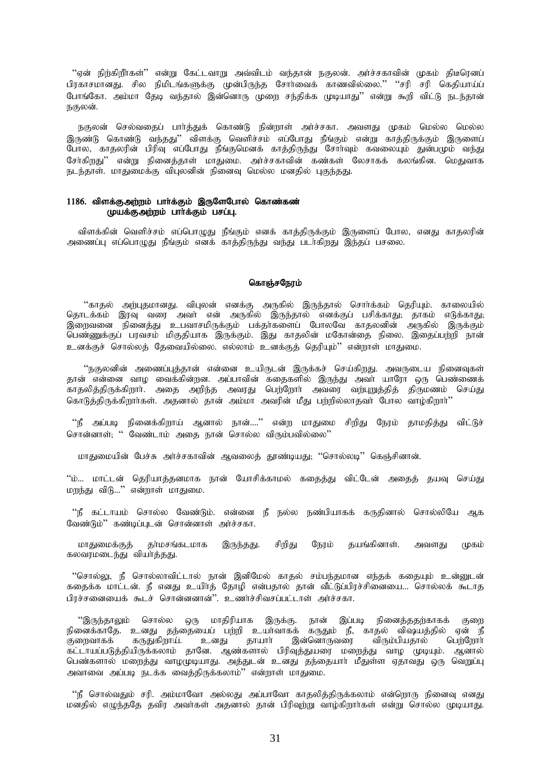''ஏன் நிற்கிறீாகள்'' என்று கேட்டவாறு அவ்விடம் வந்தான் நகுலன். அா்ச்சகாவின் முகம் திடீரெனப் பிரகாசமானது. சில நிமிடங்களுக்கு முன்பிருந்த சோர்வைக் காணவில்லை.'' ''சரி சரி கெதியாய்ப் போங்கோ, அம்மா கேடி வந்தால் இன்னொரு முறை சந்திக்க முடியாது'' என்று கூறி விட்டு நடந்தான் நகுலன்.

நகுலன் செல்வதைப் பார்த்துக் கொண்டு நின்றாள் அர்ச்சகா. அவளது முகம் மெல்ல மெல்ல இருண்டு கொண்டு வந்தது'' விளக்கு வெளிச்சம் எப்போது நீங்கும் என்று காத்திருக்கும் இருளைப் போல, காதலரின் பிரிவு எப்போது நீங்குமெனக் காத்திருந்து சோர்வும் கவலையும் துன்பமும் வந்து .<br>சேர்கிறது'' என்று நினைத்தாள் மாதுமை. அர்ச்சகாவின் கண்கள் லேசாகக் கலங்கின. மெதுவாக நடந்தாள். மாதுமைக்கு விபலனின் நினைவு மெல்ல மனதில் பகுந்தது.

# 1186. விளக்குஅற்றம் பார்க்கும் இருளேபோல் கொண்கண் முயக்குஅற்றம் பார்க்கும் பசப்பு.

விளக்கின் வெளிச்சம் எப்பொழுது நீங்கும் எனக் காத்திருக்கும் இருளைப் போல, எனது காதலரின் அணைப்பு எப்பொழுது நீங்கும் எனக் காத்திருந்து வந்து படாகிறது இந்தப் பசலை.

### கொஞ்சநேரம்

''காதல் அற்புதமானது. விபுலன் எனக்கு அருகில் இருந்தால் சொர்க்கம் தெரியும். காலையில் பெண்ணுக்குப் பரவசம் மிகுதியாக இருக்கும். இது காதலின் மகோன்தை நிலை. இதைப்பற்றி நான் உனக்குச் சொல்லத் தேவையில்லை. எல்லாம் உனக்குத் தெரியும்'' என்றாள் மாதுமை.

.<br>''நகுலனின் அணைப்புத்தான் என்னை உயிருடன் இருக்கச் செய்கிறது. அவருடைய நினைவுகள் ் தான் என்னை வாழ வைக்கின்றன. அப்பாவின் கதைகளில் இருந்து அவர் யாரோ ஒரு பெண்ணைக்<br>காதலித்திருக்கிறார். அதை அறிந்த அவரது பெற்றோர் அவரை வற்புறுத்தித் திருமணம் செய்து கொடுத்திருக்கிறார்கள். அதனால் தான் அம்மா அவரின் மீது பர்றில்லாதவர் போல வாம்கிறார்''

''நீ அப்படி நினைக்கிறாய் ஆனால் நான்....'' என்ற மாதுமை சிறிது நேரம் தாமதித்து விட்டுச் சொன்னாள்; '' வேண்டாம் அதை நான் சொல்ல விரும்பவில்லை''

மாதுமையின் பேச்சு அர்ச்சகாவின் ஆவலைத் தூண்டியது. ''சொல்லடி'' கெஞ்சினான்.

''ம்… மாட்டன் தெரியாத்தனமாக நான் யோசிக்காமல் கதைத்து விட்டேன் அதைத் தயவு செய்து மறந்து விடு..." என்றாள் மாதுமை.

''நீ கட்டாயம் சொல்ல வேண்டும். என்னை நீ நல்ல நண்பியாகக் கருதினால் சொல்லியே ஆக வேண்டும்" கண்டிப்படன் சொன்னாள் அர்ச்சகா.

மாதுமைக்குத் தர்மசங்கடமாக இருந்தது. சிறிது நேரம் தயங்கினாள். அவளது (மகம் கலவரமடைந்து வியா்த்தது.

''சொல்லு, நீ சொல்லாவிட்டால் நான் இனிமேல் காகல் சம்பந்கமான எந்கக் ககையும் உன்னுடன் கதைக்க மாட்டன். நீ எனது உயிர்த் தோழி என்பதால் தான் வீட்டுப்பிரச்சினையை... சொல்லக் கூடாத பிரச்சனையைக் கூடச் சொன்னனான்''. உணர்ச்சிவசப்பட்டாள் அர்ச்சகா.

''இருந்தாலும் சொல்ல ஒரு மாதிரியாக இருக்கு. நான் இப்படி நினைத்ததற்காகக் குறை நினைக்காதே. உனது தந்தையைப் பற்றி உயா்வாகக் கருதும் நீ, காதல் விஷயத்தில் ஏன் நீ தாயாா் குறைவாகக் கருதுகிறாய். உனது இன்னொருவரை விரும்பியதால் பெற்றோர் கட்டாயப்படுத்தியிருக்கலாம் தானே. ஆண்களால் பிரிவுத்துயரை மறைத்து வாழ முடியும். ஆனால் பெண்களால் மறைத்து வாழமுடியாது. அத்துடன் உனது தந்தையார் மீதுள்ள ஏதாவது ஒரு வெறுப்பு அவாவை அப்படி நடக்க வைத்திருக்கலாம்'' என்றாள் மாதுமை.

''நீ சொல்வதும் சரி. அம்மாவோ அல்லது அப்பாவோ காதலித்திருக்கலாம் என்றொரு நினைவு எனது மனதில் எழுந்ததே தவிர அவர்கள் அதனால் தான் பிரிவுற்று வாழ்கிறார்கள் என்று சொல்ல முடியாது.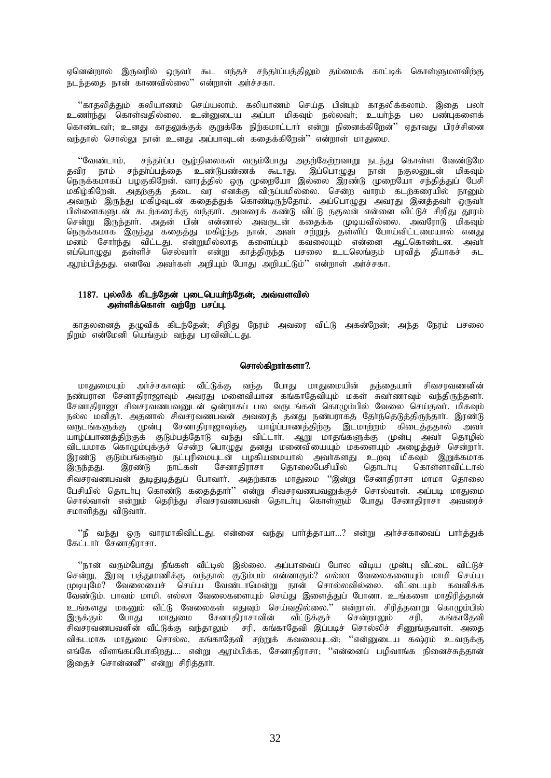ஏனென்றால் இருவரில் ஒருவா் கூட எந்தச் சந்தா்ப்பத்திலும் தம்மைக் காட்டிக் கொள்ளுமளவிற்கு நடந்ததை நான் காணவில்லை" என்றாள் அர்ச்சகா.

''காதலித்தும் கலியாணம் செய்யலாம். கலியாணம் செய்த பின்பும் காதலிக்கலாம். இதை பலா் உணர்ந்து கொள்வதில்லை. உன்னுடைய அப்பா மிகவும் நல்லவர், உயர்ந்த பல பண்புகளைக் கொண்டவர்; உனது காதலுக்குக் குறுக்கே நிற்கமாட்டார் என்று நினைக்கிறேன்'' ஏதாவது பிரச்சினை வந்தால் சொல்லடஙான் உனகு அப்பாவு ன் ககைக்கிறேன்'' என்றாள் மாகுமை.

சந்தர்ப்ப சூழ்நிலைகள் வரும்போது அதற்கேற்றவாறு நடந்து கொள்ள வேண்டுமே ''வேண்டாம். க் கைப்பட்டது. அதிப்பட்ட குழந்தையை கிருக்கப்பது அதற்கைற்றவாறு நடந்து கொள்ள வேண்டுமையை தவிர நாம் சந்தர்ப்பத்தை உண்டுபண்ணக் கூடாது. இப்பொழுது நான் நகுலனுடன் மிகவும்<br>நெருக்கமாகப் பழகுகிறேன். வாரத்தில் ஒரு முறையோ இல்லை இரண்டு .<br>அவரும் இருந்து மகிழ்வுடன் கதைத்துக் கொண்டிருந்தோம். அப்பொழுது அவரது இனத்தவா ஒருவா பிள்ளைகளுடன் கடற்கரைக்கு வந்தார். அவரைக் கண்டு விட்டு நகுலன் என்னை விட்டுச் சிறிது தூரம் சென்று இருந்தார். அதன் பின் என்னால் அவருடன் கதைக்க முடியவில்லை. அவரோடு மிகவும் நெருக்கமாக இருந்து கதைத்து மகிழ்ந்த நான், அவா் சற்றுத் தள்ளிப் போய்விட்டமையால் எனது மனம் சோர்ந்து விட்டது. என்றுமில்லாத களைப்பும் கவலையும் என்னை ஆட்கொண்டன. அவர் எப்பொழுது தள்ளிச் செல்வாா் என்று காத்திருந்த பசலை உடலெங்கும் பரவித் தீயாகச் சுட ஆரம்பித்தது. எனவே அவர்கள் அறியும் போது அறியட்டும்'' என்றாள் அர்ச்சகா.

# 1187. புல்லிக் கிடந்தேன் புடைபெயர்ந்தேன்; அவ்வளவில் அள்ளிக்கொள் வற்றே பசப்பு.

காதலனைத் தழுவிக் கிடந்தேன்; சிறிது நேரம் அவரை விட்டு அகன்றேன்; அந்த நேரம் பசலை நிறம் என்மேனி யெங்கும் வந்து பரவிவிட்டது.

### சொல்கிறார்களா?.

மாதுமையும் அர்ச்சகாவும் வீட்டுக்கு வந்த போது மாதுமையின் தந்தையார் சிவசரவணனின் நண்பரான சேனாதிராஜாவும் அவரது மனைவியான கங்காதேவியும் மகள் சுவாணாவும் வந்திருந்தனா். .<br>சேனாதிராஜா சிவசரவணப்வனுடன் ஒன்றாகப் பல வருடங்கள் கொழும்பில் வேலை செய்தவா். மிகவும் நல்ல மனிதா. அதனால் சிவசரவணபவன் அவரைத் தனது நண்பராகத் தோந்தெடுத்திருந்தாா். இரண்டு வருடங்களுக்கு முன்பு சேனாதிராஜாவுக்கு யாழ்ப்பாணத்திற்கு இடமாற்றம் கிடைத்ததால் அவா யாழ்ப்பாணத்திற்குக் குடும்பத்தோடு வந்து விட்டாா். ஆறு மாதங்களுக்கு முன்பு அவா் தொழில் விடயமாக கொழும்புக்குச் சென்ற பொழுது தனது மனைவியையும் மகளையும் அழைத்துச் சென்றாா். இரண்டு குடும்பங்களும் நட்புரிமையுடன் பழகியமையால் அவர்களது உறவு மிகவும் இறுக்கமாக நாட்கள் இருந்தது. இரண்டு சேனாதிராசா தொலைபேசியில் கொடர்பு கொள்ளாவிட்டால் சிவசரவணபவன் துடிதுடித்துப் போவார். அதற்காக மாதுமை ''இன்று சேனாதிராசா மாமா தொலை பேசியில் தொடா்பு கொண்டு கதைத்தாா்'' என்று சிவசரவணபவனுக்குச் சொல்வாள். அப்படி மாதுமை சொல்வாள் என்றும் தெரிந்து சிவசரவணபவன் தொடர்பு கொள்ளும் போது சேனாதிராசா அவரைச் சமாளித்து விடுவாா்.

''நீ வந்து ஒரு வாரமாகிவிட்டது. என்னை வந்து பார்த்தாயா…? என்று அர்ச்சகாவைப் பார்த்துக் கேட் ஈர் சேனாகிராசா.

''நான் வரும்போது நீங்கள் வீட்டில் இல்லை. அப்பாவைப் போல விடிய முன்பு வீட்டை விட்டுச்<br>சென்று, இரவு பத்துமணிக்கு வந்தால் குடும்பம் என்னாகும்? எல்லா வேலைகளையும் மாமி செய்ய<br>முடியுமே? வேலையைச் செய்ய வேண்டாமென்று நான் சொல்லவில்ல ு<br>வேண்டும். பாவம் மாமி. எல்லா வேலைகளையும் செய்து இளைத்துப் போனா. உங்களை மாதிரித்தான் .<br>உங்களது மகனும் வீட்டு வேலைகள் எதுவும் செய்வதில்லை.'' என்றாள். சிரித்தவாறு கொழும்பில்<br>இருக்கும் போது மாதுமை சேனாதிராசாவின் வீட்டுக்குச் சென்றாலும் சரி, கங்காதேவி ்சரி, சிவசரவணபவனின் வீட்டுக்கு வந்தாலும் சரி, கங்காதேவி இப்படிச் சொல்லிச் சிணுங்குவாள். அதை விகடமாக மாதுமை சொல்ல, கங்காதேவி சற்றுக் கவலையுடன்; ''என்னுடைய கஷ்ரம் உவருக்கு எங்கே விளங்கப்போகிறது…. என்று ஆரம்பிக்க, சேனாதிராசா; ''என்னைப் பமிவாங்க நினைச்சுக்கான் இதைச் சொன்னனீ" என்று சிரித்தார்.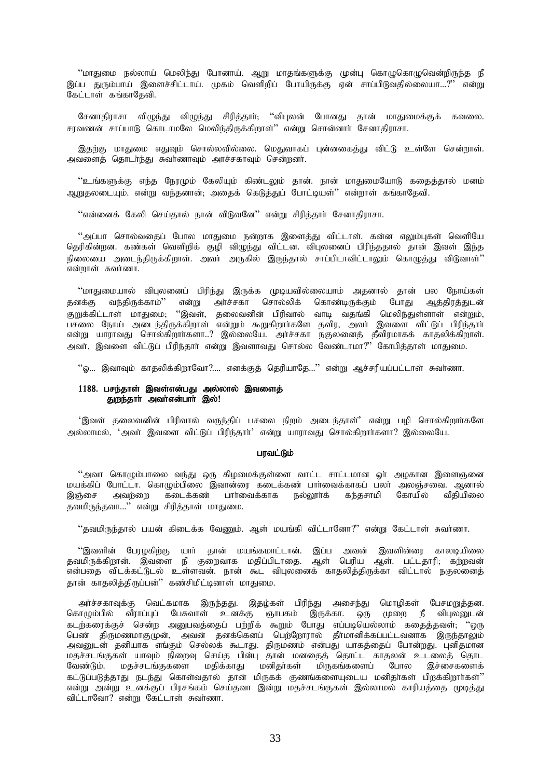''மாதுமை நல்லாய் மெலிந்து போனாய். ஆறு மாதங்களுக்கு முன்பு கொழுகொழுவென்றிருந்த நீ இப்ப துரும்பாய் இளைச்சிட்டாய். முகம் வெளிறிப் போயிருக்கு ஏன் சாப்பிடுவதில்லையா…?" என்று கேட்டாள் கங்காதேவி.

சேனாதிராசா விழுந்து விழுந்து சிரித்தார்; ''விபுலன் போனது தான் மாதுமைக்குக் கவலை. சரவணன் சாப்பாடு கொடாமலே மெலிந்திருக்கிறாள்'' என்று சொன்னார் சேனாதிராசா.

இதற்கு மாதுமை எதுவும் சொல்லவில்லை. மெதுவாகப் பன்னகைக்து விட்டு உள்ளே சென்றாள். அவளைத் தொடர்ந்து சுவர்ணாவும் அரச்சகாவும் சென்றனர்.

''உங்களுக்கு எந்த நேரமும் கேலியும் கிண்டலும் தான். நான் மாதுமையோடு கதைத்தால் மனம் அறுகலடையும். என்று வந்கனான்: அதைக் கெடுக்குப் போட்டியுள்'' என்றாள் கங்காகேவி.

''என்னைக் கேலி செய்தால் நான் விடுவனே'' என்று சிரித்தார் சேனாதிராசா.

''அப்பா சொல்வதைப் போல மாதுமை நன்றாக இளைத்து விட்டாள். கன்ன எலும்புகள் வெளியே தெரிகின்றன. கண்கள் வெளிறிக் குழி விழுந்து விட்டன. விபுலனைப் பிரிந்ததால் தான் இவள் இந்த .<br>நிலையை அடைந்திருக்கிறாள். அவர் அருகில் இருந்தால் சாப்பிடாவிட்டாலும் கொழுத்து விடுவாள்'' .<br>என்றாள் சுவர்ணா.

''மாதுமையால் விபுலனைப் பிரிந்து இருக்க முடியவில்லையாம் அதனால் தான் பல நோய்கள் வந்திருக்காம்'' அர்ச்சகா சொல்லிக் கொண்டிருக்கும் ஆத்திரத்துடன் என்று போது தனக்கு குறுக்கிட்டாள் மாதுமை; ''இவள், தலைவனின் பிரிவால் வாடி வதங்கி மெலிந்துள்ளாள் என்றும், பசலை நோய் அடைந்திருக்கிறாள் என்றும் கூறுகிறார்களே தவிர, அவர் இவளை விட்டுப் பிரிந்தார் என்று யாராவது சொல்கிறார்களா..? இல்லையே. அர்ச்சகா நகுலனைத் தீவிரமாகக் காதலிக்கிறாள். அவர், இவளை விட்டுப் பிரிந்தார் என்று இவளாவது சொல்ல வேண்டாமா?" கோபித்தாள் மாதுமை.

''ஓ… இவாவும் காதலிக்கிறாவோ?…. எனக்குத் தெரியாதே…'' என்று ஆச்சரியப்பட்டாள் சுவா்ணா.

# 1188. பசந்தாள் இவள்என்பது அல்லால் இவளைத் துறந்தார் அவர்என்பார் இல்!

'இவள் தலைவனின் பிரிவால் வருந்திப் பசலை நிறம் அடைந்தாள்' என்று பழி சொல்கிறார்களே அல்லாமல், 'அவா் இவளை விட்டுப் பிரிந்தாா்' என்று யாராவது சொல்கிறாா்களா? இல்லையே.

# பரவட்டும்

''அவா கொழும்பாலை வந்து ஒரு கிழமைக்குள்ளை வாட்ட சாட்டமான ஓா் அழகான இளைஞனை மயக்கிப் போட்டா. கொமும்பிலை இவான்ரை கடைக்கண் பார்வைக்காகப் பலா் அலஞ்சவை. ஆனால் இஞ்சை அவர்ளை கடைக்கண் பார்வைக்காக நல்லூர்க் கந்தசாமி கோயில் வீகியிலை தவமிருந்தவா...'' என்று சிரித்தாள் மாதுமை.

''தவமிருந்தால் பயன் கிடைக்க வேணும். ஆள் மயங்கி விட்டானோ?'' என்று கேட்டாள் சுவாணா.

''இவளின் பேரழகிற்கு யார் தான் மயங்கமாட்டான். இப்ப அவன் இவளின்ரை காலடியிலை தவமிருக்கிறான். இவளை நீ குறைவாக மதிப்பிடாதை. ஆள் பெரிய ஆள். பட்டதாரி, கற்றவன் .<br>என்பதை விடக்கட்டுடல் உள்ளவன். நான் கூட விபுலனைக் காதலித்திருக்கா விட்டால் நகுலனைத் தான் காதலித்திருப்பன்'' கண்சிமிட்டினாள் மாதுமை.

அர்ச்சகாவுக்கு வெட்கமாக இருந்தது. இதழ்கள் பிரிந்து அசைந்து மொழிகள் பேசமறுத்தன. கொழும்பில் வீராப்புப் பேசுவாள் ்உனக்கு ஞாபகம் இருக்கா. ஒரு முறை நீ விபுலனுடன் கடற்கரைக்குச் சென்ற அனுபவத்தைப் பற்றிக் கூறும் போது எப்படியெல்லாம் கதைத்தவள்; ''ஒரு பெண் திருமணமாகுமுன், அவன் தனக்கெனப் பெற்றோரால் தீாமானிக்கப்பட்டவனாக இருந்தாலும் .<br>அவனுடன் தனியாக எங்கும் செல்லக் கூடாது. திருமணம் என்பது யாகத்தைப் போன்றது. புனிதமான மதச்சடங்குகள் யாவும் நிறைவு செய்த பின்பு தான் மனதைத் தொட்ட காதலன் உடலைத் தொட மதச்சடங்குகளை மதிக்காது மனிகா்கள் மிருகங்களைப் போல வேண்டும். இச்சைகளைக் கட்டுப்படுத்தாது நடந்து கொள்வதால் தான் மிருகக் குணங்களையுடைய மனிதர்கள் பிறக்கிறார்கள்'' என்று அன்று உனக்குப் பிரசங்கம் செய்தவா இன்று மதச்சடங்குகள் இல்லாமல் காரியத்தை முடித்து விட்டாவோ? என்று கேட்டாள் சுவர்ணா.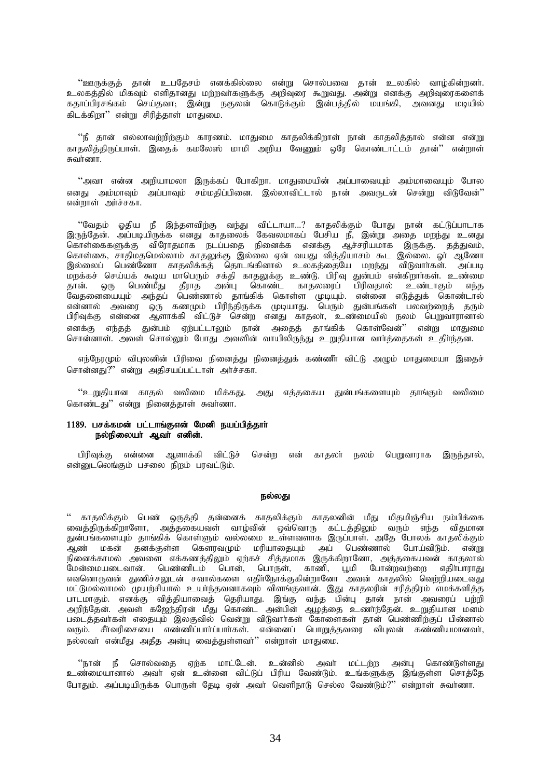''ஊருக்குத் தான் உபதேசம் எனக்கில்லை என்று சொல்பவை தான் உலகில் வாழ்கின்றனர். உலகத்தில் மிகவும் எளிதானது மற்றவாகளுக்கு அறிவுரை கூறுவது. அன்று எனக்கு அறிவுரைகளைக் கதாப்பிரசங்கம் செய்தவா, இன்று நகுலன் கொடுக்கும் இன்பத்தில் மயங்கி, அவனது மடியில் கிடக்கிறா" என்று சிரித்தாள் மாதுமை.

''நீ தான் எல்லாவற்றிற்கும் காரணம். மாதுமை காதலிக்கிறாள் நான் காதலித்தால் என்ன என்று காகலிக்கிருப்பாள். இகைக் கமலேஸ் மாமி அறிய வேணும் ஒரே கொண்டாட்டம் கான்'' என்றாள் சுவாணா

"அவா என்ன அறியாமலா இருக்கப் போகிறா. மாதுமையின் அப்பாவையும் அம்மாவையும் போல எனது அம்மாவம் அப்பாவம் சம்மகிப்பினை. இல்லாவிட்டால் நான் அவரு ன் சென்று விடுவேன்'' என்றாள் அர்ச்சகா.

''வேதம் ஓதிய நீ இந்தளவிற்கு வந்து விட்டாயா…? காதலிக்கும் போது நான் கட்டுப்பாடாக இருந்தேன். அப்படியிருக்க எனது காதலைக் கேவலமாகப் பேசிய நீ, இன்று அதை மறந்து உனது கொள்கைகளுக்கு விரோதமாக நடப்பதை நினைக்க எனக்கு ஆச்சரியமாக இருக்கு. தத்துவம், கொள்கை, சாதிமதமெல்லாம் காதலுக்கு இல்லை ஏன் வயது வித்தியாசம் கூட இல்லை. ஓா ஆணோ இல்லைப் பெண்ணோ காதலிக்கத் தொடங்கினால் உலகத்தையே மறந்து விடுவாாகள். அப்படி மறக்கச் செய்யக் கூடிய மாபெரும் சக்தி காதலுக்கு உண்டு. பிரிவு துன்பம் என்கிறாாகள். உண்மை புதிக்கை அடிப்பின் பாளிரும் சுதி காற்துக்கு உண்டு. பரிவு துண்டம் என்கறாக்கா. உண்மை<br>தான். ஒரு பெண்மீது தீராத அன்பு கொண்ட காதலரைப் பிரிவதால் உண்டாகும் எந்த<br>வேதனையையும் அந்தப் பெண்ணால் தாங்கிக் கொள்ள முடியும். என்னை எடுத்துக எனக்கு எந்தத் துன்பம் ஏற்பட்டாலும் நான் அதைத் தாங்கிக் கொள்வேன்'' என்று மாதுமை சொன்னாள். அவள் சொல்லும் போது அவளின் வாயிலிருந்து உறுதியான வார்த்தைகள் உதிர்ந்தன.

எந்நேரமும் விபுலனின் பிரிவை நினைத்து நினைத்துக் கண்ணீா் விட்டு அழும் மாதுமையா இதைச் சொன்னது?" என்று அதிசயப்பட்டாள் அர்ச்சகா.

''உறுதியான காதல் வலிமை மிக்கது. அது எத்தகைய துன்பங்களையும் தாங்கும் வலிமை கொண்டது" என்று நினைத்தாள் சுவர்ணா.

# 1189. பசக்கமன் பட்டாங்குஎன் மேனி நயப்பித்தார் நல்நிலையா் ஆவா் எனின்.

பிரிவுக்கு என்னை ஆளாக்கி விட்டுச் சென்ற என் காதலா் நலம் பெறுவாராக இருந்தால், என்னுடலெங்கும் பசலை நிறம் பரவட்டும்.

### நல்லது

'' காதலிக்கும் பெண் ஒருத்தி தன்னைக் காதலிக்கும் காதலனின் மீது மிதமிஞ்சிய நம்பிக்கை வைத்திருக்கிறாளோ, அத்தகையவள் வாழ்வின் ஒவ்வொரு கட்டத்திலும் வரும் எந்த விதமான துன்பங்களையும் தாங்கிக் கொள்ளும் வல்லமை உள்ளவளாக இருப்பாள். அதே போலக் காதலிக்கும் ு<br>ஆண் மகன் தனக்குள்ள கௌரவமும் மரியாதையும் அப் பெண்ணால் போய்விடும். என்று நினைக்காமல் அவளை எக்கணத்திலும் ஏற்கச் சித்தமாக இருக்கிறானோ, அத்தகையவன் காதலால் மேன்மையடைவான். பெண்ணிடம் பொன், பொருள், காணி, பூமி போன்றவற்றை எதிா்பாராது எவனொருவன் துணிச்சலுடன் சவால்களை எகிர்நோக்குகின்றானோ அவன் காகலில் வெற்றியடைவது மட்டுமல்லாமல் முயற்சியால் உயா்ந்தவனாகவும் விளங்குவான். இது காதலரின் சரிக்கிரம் எமக்களிக்க பாடமாகும். எனக்கு வித்தியாவைத் தெரியாது. இங்கு வந்த பின்பு தான் நான் அவரைப் பற்றி<br>அறிந்தேன். அவள் கஜேந்திரன் மீது கொண்ட அன்பின் ஆழத்தை உணர்ந்தேன். உறுதியான மனம் படைத்தவர்கள் எதையும் இலகுவில் வென்று விடுவார்கள் கோளைகள் தான் பெண்ணிற்குப் பின்னால் வரும். சீர்வரிசையை எண்ணிப்பார்ப்பார்கள். என்னைப் பொறுத்தவரை விபுலன் கண்ணியமானவர், நல்லவர் என்மீது அதீத அன்பு வைத்துள்ளவர்'' என்றாள் மாதுமை.

''நான் நீ சொல்வதை ஏற்க மாட்டேன். உன்னில் அவர் மட்டற்ற அன்பு கொண்டுள்ளது உண்மையானால் அவா் ஏன் உன்னை விட்டுப் பிரிய வேண்டும். உங்களுக்கு இங்குள்ள சொத்தே போதும். அப்படியிருக்க பொருள் தேடி ஏன் அவர் வெளிநாடு செல்ல வேண்டும்?'' என்றாள் சுவர்ணா.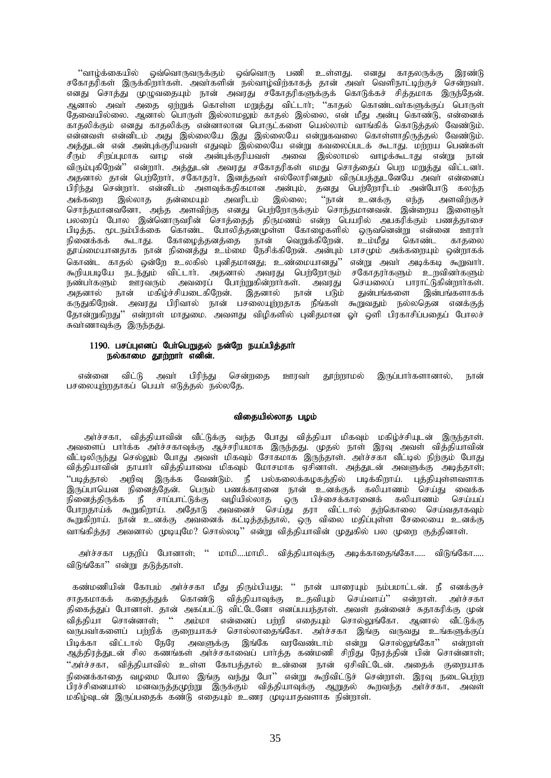்'வாழ்க்கையில் ஒவ்வொருவருக்கும் ஒவ்வொரு பணி உள்ளது. எனது காதலருக்கு இரண்டு<br>சகோதரிகள் இருக்கிறார்கள். அவர்களின் நல்வாழ்விற்காகத் தான் அவர் வெளிநாட்டிற்குச் சென்றவர். எனது சொத்து முழுவதையும் நான் அவரது சகோதரிகளுக்குக் கொடுக்கச் சித்தமாக இருந்தேன். ஆனால் அவர் அதை ஏற்றுக் கொள்ள மறுத்து விட்டார்; ''காதல் கொண்டவர்களுக்குப் பொருள் தேவையில்லை. ஆனால் பொருள் இல்லாமலும் காதல் இல்லை, என் மீது அன்பு கொண்டு, என்னைக் காதலிக்கும் எனது காதலிக்கு என்னாலான பொருட்களை யெல்லாம் வாங்கிக் கொடுத்தல் வேண்டும். .<br>என்னவள் என்னிடம் அது இல்லையே இது இல்லையே என்றுகவலை கொள்ளாதிருத்தல் வேண்டும். அத்துடன் என் அன்புக்குரியவள் எதுவும் இல்லையே என்று கவலைப்படக் கூடாது. மற்றய பெண்கள் சீரும் சிறப்புமாக வாழ என் அன்புக்குரியவள் அவை இல்லாமல் வாழக்கூடாது என்று நான் விரும்புகிறேன்'' என்றார். அத்துடன் அவரது சகோதரிகள் எமது சொத்தைப் பெற மறுத்து விட்டனர். அதனால் தான் பெற்றோர், சகோதரர், இனத்தவர் எல்லோரினதும் விருப்பத்துடனேயே அவர் என்னைப் பிரிந்து சென்றார். என்னிடம் அளவுக்கதிகமான அன்பும், தனது பெற்றோரிடம் அன்போடு கலந்த ் படம் படம் படம் படம் குல்லை.<br>அக்கறை இல்லாத தன்மையும் அவரிடம் இல்லை, ''நான் உனக்கு எந்த அளவிற்குச்<br>சொந்தமானவனோ, அந்த அளவிற்கு எனது பெற்றோருக்கும் சொந்தமானவன். இன்றைய இளைஞா் பலரைப் போல இன்னொருவரின் சொக்கைக் கிருமணம் என்ற பெயரில் அபகரிக்கும் பணக்காசை பிடித்த, முடநம்பிக்கை கொண்ட போலித்தனமுள்ள கோழைகளில் ஒருவனென்று என்னை ஊரார் நினைக்கக் கூடாது. கோழைத்தனத்தை நான் வெறுக்கிறேன். உம்மீது கொண்ட காகலை .<br>தூய்மையானதாக நான் நினைத்து உம்மை நேசிக்கிறேன். அன்பும் பாசமும் அக்கறையும் ஒன்றாகக் .<br>கொண்ட காதல் ஒன்றே உலகில் புனிதமானது, உண்மையானது'' என்று அவா் அடிக்கடி கூறுவாா்.<br>கூறியபடியே நடந்தும் விட்டாா். அதனால் அவரது பெற்றோரும் சகோதரா்களும் உறவினா்களும் நண்பாகளும் ஊரவரும் அவரைப் போற்றுகின்றார்கள். அவரது செயலைப் பாராட்டுகின்றார்கள். .<br>அகனால் நான் மகிம்ச்சியடைகிறேன். இதனால் நான் படும் துன்பங்களை இன்பங்களாகக் கருதுகிறேன். அவரது பிரிவால் நான் பசலையுற்றதாக நீங்கள் கூறுவதும் நல்லதென எனக்குத் தோன்றுகிறது'' என்றாள் மாதுமை. அவளது விழிகளில் புனிதமான ஓா் ஒளி பிரகாசிப்பதைப் போலச் .<br>சுவாணாவுக்கு இருந்தது.

# 1190. பசப்புஎனப் பேர்பெறுதல் நன்றே நயப்பித்தார் நல்காமை தூற்றாா் எனின்.

என்னை விட்டு அவா் பிரிந்து சென்றதை ஊரவா் தூற்றாமல் இருப்பார்களானால், நான் பசலையுற்றதாகப் பெயர் எடுத்தல் நல்லதே.

# விதையில்லாத பழம்

அர்ச்சகா, வித்தியாவின் வீட்டுக்கு வந்த போது வித்தியா மிகவும் மகிழ்ச்சியுடன் இருந்தாள். அவளைப் பார்க்க அர்ச்சகாவுக்கு ஆச்சரியமாக இருந்தது. முதல் நாள் இரவு அவள் வித்தியாவின் வீட்டிலிருந்து செல்லும் போது அவள் மிகவும் சோகமாக இருந்தாள். அாச்சகா வீட்டில் நிற்கும் போது வித்தியாவின் தாயாா் வித்தியாவை மிகவும் மோசமாக ஏசினாள். அத்துடன் அவளுக்கு அடித்தாள், ''படித்தால் அறிவு இருக்க வேண்டும். நீ பல்கலைக்கழகத்தில் படிக்கிறாய். புத்தியுள்ளவளாக இருப்பாயென நினைத்தேன். பெரும் பணக்காரனை நான் உனக்குக் கலியாணம் செய்து வைக்க .<br>நினைத்திருக்க நீ சாப்பாட்டுக்கு வழியில்லாத ஒரு பிச்சைக்காரனைக் கலியாணம் செய்யப்<br>போறதாய்க் கூறுகிறாய். அதோடு அவனைச் செய்து தரா விட்டால் தற்கொலை செய்வதாகவும் கூறுகிறாய். நான் உனக்கு அவனைக் கட்டித்தந்தால், ஒரு விலை மதிப்புள்ள சேலையை உனக்கு வாங்கித்தா அவனால் முடியுமே? சொல்லடி" என்று வித்தியாவின் முதுகில் பல முறை குத்தினாள்.

அர்ச்சகா பகறிப் போனாள்: '' மாமி....மாமி.. விக்கியாவக்கு அடிக்காகைங்கோ..... விடுங்கோ..... விடுங்கோ" என்று தடுத்தாள்.

கண்மணியின் கோபம் அர்ச்சகா மீது திரும்பியது; '' நான் யாரையும் நம்பமாட்டன். நீ எனக்குச் சாதகமாகக் கதைத்துக் கொண்டு வித்தியாவுக்கு உதவியும் செய்வாய்'' என்றாள். அர்ச்சகா<br>திகைத்துப் போனாள். தான் அகப்பட்டு விட்டேனோ எனப்பயந்தாள். அவள் தன்னைச் சுதாகரிக்கு முன் .<br>விக்கியா சொன்னாள், '' அம்மா என்னைப் பற்றி எதையும் சொல்லுங்கோ. ஆனால் வீட்டுக்கு பிடிக்கா விட்டால் நேரே அவளுக்கு இங்கே வரவேண்டாம் என்று சொல்லுங்கோ'' என்றாள் .<br>ஆத்திரத்துடன் சில கணங்கள் அர்ச்சகாவைப் பார்த்த கண்மணி சிறிது நேரத்தின் பின் சொன்னாள்; ''அர்ச்சகா, வித்தியாவில் உள்ள கோபத்தால் உன்னை நான் ஏசிவிட்டேன். அதைக் குறையாக நினைக்காதை வழமை போல இங்கு வந்து போ'' என்று கூறிவிட்டுச் சென்றாள். இரவு நடைபெற்ற .<br>பிரச்சினையால் மனவருத்தமுற்று இருக்கும் வித்தியாவுக்கு ஆறுதல் கூறவந்த அர்ச்சகா, அவள் மகிழ்வுடன் இருப்பதைக் கண்டு எதையும் உணர முடியாதவளாக நின்றாள்.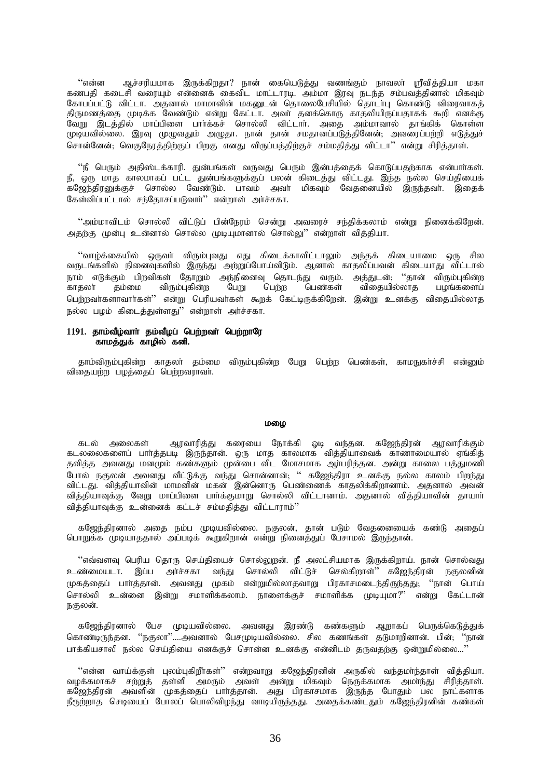"vd;d Mr;rupakhf ,Uf;fpwjh? ehd; ifnaLj;J tzq;Fk; ehtyh; =tpj;jpah kfh ்.<br>கணபதி கடைசி வரையும் என்னைக் கைவிட மாட்டாரடி. அம்மா இரவு நடந்த சம்பவத்தினால் மிகவும் கோபப்பட்டு விட்டா. அதனால் மாமாவின் மகனுடன் தொலைபேசியில் தொடா்பு கொண்டு விரைவாகத் திருமணத்தை முடிக்க வேண்டும் என்று கேட்டா. அவர் தனக்கொரு காதலியிருப்பதாகக் கூறி எனக்கு வேறு இடத்தில் மாப்பிளை பார்க்கச் சொல்லி விட்டார். அதை அம்மாவால் தாங்கிக் கொள்ள முடியவில்லை. இரவு முழுவதும் அழுதா. நான் தான் சமதானப்படுத்தினேன், அவரைப்பற்றி எடுத்துச் சொன்னேன்; வெகுநேரத்திற்குப் பிறகு எனது விருப்பத்திற்குச் சம்மதித்து விட்டா'' என்று சிரித்தாள்.

"நீ பெரும் அதிஸ்டக்காரி. துன்பங்கள் வருவது பெரும் இன்பத்தைக் கொடுப்பதற்காக என்பார்கள். .<br>நீ, ஒரு மாத காலமாகப் பட்ட துன்பங்களுக்குப் பலன் கிடைத்து விட்டது. இந்த நல்ல செய்தியைக் .<br>கஜேந்திரனுக்குச் சொல்ல வேண்டும். பாவம் அவா மிகவும் வேதனையில் இருந்தவா். இதைக் கேள்விப்பட்டால் சந்கோசப்படுவார்<sup>?</sup> என்றாள் அர்ச்சகா.

 $``$ அம்மாவிடம் சொல்லி விட்டுப் பின்நேரம் சென்று அவரைச் சந்திக்கலாம் என்று நினைக்கிறேன். அதற்கு முன்பு உன்னால் சொல்ல முடியுமானால் சொல்லு'' என்றாள் வித்தியா.

''வாழ்க்கையில் ஒருவா் விரும்புவது எது கிடைக்காவிட்டாலும் அந்தக் கிடையாமை ஒரு சில வருடங்களில் நினைவுகளில் இருந்து அற்றுப்போய்விடும். ஆனால் காதலிப்பவன் கிடையாது விட்டால் நாம் எடுக்கும் பிறவிகள் தோறும் அந்நினைவு தொடந்து வரும். அத்துடன், ''தான் விரும்புகின்ற<br>காதலா் தம்மை விரும்புகின்ற பேறு பெற்ற பெண்கள் விதையில்லாத பழங்களைப் விதையில்லாத பெற்றவர்களாவார்கள்'' என்று பெரியவர்கள் கூறக் கேட்டிருக்கிறேன். இன்று உனக்கு விகையில்லாக நல்ல பழம் கிடைத்துள்ளது'' என்றாள் அர்ச்சகா.

# $1191.$  தாம்வீழ்வார் தம்வீழப் பெற்றவர் பெற்றாரே \_<br>காமக்குக் காமில் கனி.

தாம்விரும்புகின்ற காதலா் தம்மை விரும்புகின்ற பேறு பெற்ற பெண்கள், காமநுகா்ச்சி என்னும் விதையற்ற பழத்தைப் பெற்றவராவா்.

#### மமை

கடல் அலைகள் ஆரவாரித்து கரையை நோக்கி ஓடி வந்தன. கஜேந்திரன் ஆரவாரிக்கும் கடலலைகளைப் பார்த்தபடி இருந்தான். ஒரு மாத காலமாக வித்தியாவைக் காணாமையால் ஏங்கித் தவித்த அவனது மனமும் கண்களும் முன்பை விட மோசமாக ஆர்பரித்தன. அன்று காலை பத்துமணி .<br>போல் நகுலன் அவனது வீட்டுக்கு வந்து சொன்னான்; '' கஜேந்திரா உனக்கு நல்ல காலம் பிாந்கட விட்டது. வித்தியாவின் மாமனின் மகன் இன்னொரு பெண்ணைக் காதலிக்கிறானாம். அதனால் அவன் வித்தியாவுக்கு வேறு மாப்பிளை பார்க்குமாறு சொல்லி விட்டானாம். அதனால் வித்தியாவின் தாயார் வித்தியாவுக்கு உன்னைக் கட்டச் சம்மதித்து விட்டாராம்''

கஜேந்திரனால் அதை நம்ப முடியவில்லை. நகுலன், தான் படும் வேதனையைக் கண்டு அதைப் பொறுக்க முடியாததால் அப்படிக் கூறுகிறான் என்று நினைத்துப் பேசாமல் இருந்தான்.

"எவ்வளவு பெரிய தொரு செய்தியைச் சொல்லுறன். நீ அலட்சியமாக இருக்கிறாய். நான் சொல்வது உண்மையடா. இப்ப அர்ச்சகா வந்து சொல்லி விட்டுச் செல்கிறாள்'' கஜேந்திரன் நகுலனின் (மகக்கைப் பார்க்கான். அவனது முகம் என்றுமில்லாகவாறு பிரகாசமடைந்திருந்தது; ''நான் பொய் சொல்லி உன்னை இன்று சமாளிக்கலாம். நாளைக்குச் சமாளிக்க முடியுமா?" என்று கேட்டான் நகுலன்.

கஜேந்திரனால் பேச முடியவில்லை. அவனது இரண்டு கண்களும் ஆறாகப் பெருக்கெடுத்துக் கொண்டிருந்தன. ''நகுலா''....அவனால் பேசமுடியவில்லை. சில கணங்கள் தடுமாறினான். பின்; ''நான் பாக்கியசாலி நல்ல செய்தியை எனக்குச் சொன்ன உனக்கு என்னிடம் தருவகற்கு ஒன்றுமில்லை...

"என்ன வாய்க்குள் புலம்புகிறீர்கள்" என்றவாறு கஜேந்திரனின் அருகில் வந்தமர்ந்தாள் வித்தியா. வழக்கமாகச் சற்றுத் தள்ளி அமரும் அவள் அன்று மிகவும் நெருக்கமாக அமா்ந்து சிரித்தாள். கஜேந்திரன் அவளின் முகத்தைப் பார்த்தான். அது பிரகாசமாக இருந்த போதும் பல நாட்களாக நீருற்றாத செடியைப் போலப் பொலிவிழந்து வாடியிருந்தது. அதைக்கண்டதும் கஜேந்திரனின் கண்கள்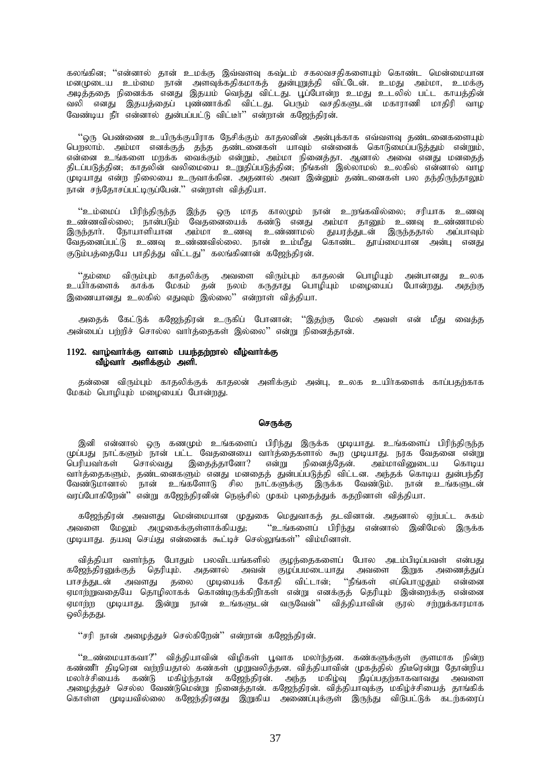கலங்கின; ''என்னால் தான் உமக்கு இவ்வளவு கஷ்டம் சகலவசதிகளையும் கொண்ட மென்மையான kdKila ck;ik ehd; msTf;fjpfkhfj; Jd;GWj;jp tpl;Nld;. ckJ mk;kh> ckf;F அடித்ததை நினைக்க எனது இதயம் வெந்து விட்டது. பூப்போன்ற உமது உடலில் பட்ட காயத்தின் வலி எனது இதயத்தைப் புண்ணாக்கி விட்டது. பெரும் வசதிகளுடன் மகாராணி மாதிரி வாழ வேண்டிய நீா் என்னால் துன்பப்பட்டு விட்டீா்'' என்றான் கஜேந்திரன்.

''ஒரு பெண்ணை உயிருக்குயிராக நேசிக்கும் காதலனின் அன்புக்காக எவ்வளவு தண்டனைகளையும் பொலாம். அம்மா எனக்குக் கந்த கண்டனைகள் யாவம் என்னைக் கொடுமைப்படுக்கும் என்றும். என்னை உங்களை மறக்க வைக்கும் என்றும், அம்மா நினைத்தா. ஆனால் அவை எனது மனதைத் திடப்படுத்தின; காதலின் வலிமையை உறுதிப்படுத்தின; நீங்கள் இல்லாமல் உலகில் என்னால் வாழ .<br>முடியாது என்ற நிலையை உருவாக்கின. அதனால் அவா இன்னும் தண்டனைகள் பல தந்திருந்தாலும் .<br>நான் சந்தோசப்பட்டிருப்பேன்." என்றாள் விக்கியா.

"உம்மைப் பிரிந்திருந்த இந்த ஒரு மாத காலமும் நான் உறங்கவில்லை; சரியாக உணவு உண்ணவில்லை; நான்படும் வேதனையைக் கண்டு எனது அம்மா தானும் உணவு உண்ணாமல் இருந்தாா். நோயாளியான அம்மா உணவு உண்ணாமல் துயரத்துடன் இருந்ததால் அப்பாவும் வேதனைப்பட்டு உணவு உண்ணவில்லை. நான் உம்மீது கொண்ட தூய்மையான அன்பு எனது குடும்பத்தையே பாதித்து விட்டது'' கலங்கினான் கஜேந்திரன்.

''தம்மை விரும்பும் காதலிக்கு அவளை விரும்பும் காதலன் பொழியும் அன்பானது உலக<br>யிர்களைக் காக்க மேகம் தன் நலம் கருதாது பொழியும் மழையைப் போன்றது. அதற்கு <u>உ</u>யிா்களைக் காக்க மேகம் தன் நலம் கருதாது பொழியும் மழையைப் போன்றது. இணையானது உலகில் எதுவும் இல்லை'' என்றாள் விக்கியா.

அதைக் கேட்டுக் கஜேந்திரன் உருகிப் போனான்; ''இதற்கு மேல் அவள் என் மீது வைத்த அன்பைப் பற்றிச் சொல்ல வார்க்கைகள் இல்லை'' என்று நினைக்கான்.

# $1192.$  வாழ்வார்க்கு வானம் பயந்தற்றால் வீழ்வார்க்கு வீழ்வாா் அளிக்கும் அளி. $\overline{\phantom{a}}$

தன்னை விரும்பும் காதலிக்குக் காதலன் அளிக்கும் அன்பு, உலக உயிர்களைக் காப்பதற்காக மேகம் பொழியும் மழையைப் போன்றது.

### செருக்கு

இனி என்னால் ஒரு கணமும் உங்களைப் பிரிந்து இருக்க முடியாது. உங்களைப் பிரிந்திருந்த ருப்பது நாட்களும் நான் பட்ட வேதனையை வார்த்தைகளால் கூற முடியாது. நரக வேதனை என்று பெரியவா்கள் சொல்வது இதைத்தானோ? என்று நினைத்தேன். அம்மாவினுடைய கொடிய வார்த்தைகளும், தண்டனைகளும் எனது மனதைத் துன்பப்படுத்தி விட்டன. அந்தக் கொடிய துன்பந்தீர வேண்டுமானால் நான் உங்களோடு சில நாட்களுக்கு இருக்க வேண்டும். நான் உங்களுடன் வரப்போகிறேன்'' என்று கஜேந்திரனின் நெஞ்சில் முகம் புதைத்துக் கதறினாள் வித்தியா.

கஜேந்திரன் அவளது மென்மையான முதுகை மெதுவாகத் தடவினான். அதனால் ஏற்பட்ட சுகம் அவளை மேலும் அழுகைக்குள்ளாக்கியது; ''உங்களைப் பிரிந்து என்னால் இனிமேல் இருக்க முடியாது. தயவு செய்து என்னைக் கூட்டிச் செல்லுங்கள்'' விம்மினாள்.

வித்தியா வளர்ந்த போதும் பலவிடயங்களில் குழந்தைகளைப் போல அடம்பிடிப்பவள் என்பது ்கஜேந்திரனுக்குத் தெரியும். அதனால் அவன் குழப்பமடையாது அவளை இறுக அணைத்துப் பாசத்துடன் அவளது தலை முடியைக் கோதி விட்டான்; ''நீங்கள் எப்பொழுதும் என்னை ஏமாற்றுவதையே தொழிலாகக் கொண்டிருக்கிறீாகள் என்று எனக்குத் தெரியும் இன்றைக்கு என்னை ஏமாற்ற முடியாது. இன்று நான் உங்களுடன் வருவேன்'' வித்தியாவின் குரல் சற்றுக்காரமாக லிக்கது.

"சரி நான் அழைத்துச் செல்கிறேன்" என்றான் கஜேந்திரன்.

 $\lq\lq$ ்உண்மையாகவா $\lq\lq\lq\lq$ ் வித்தியாவின் விழிகள் பூவாக மலா்ந்தன. கண்களுக்குள் குளமாக நின்ற ்கண்ணீர் திடிரென வற்றியதால் கண்கள் முறுவலித்தன. வித்தியாவின் முகத்தில் திடீரென்று தோன்றிய மலாச்சியைக் கண்டு மகிழ்ந்தான் கஜேந்திரன். அந்த மகிழ்வு நீடிப்பதற்காகவாவது அவளை அழைத்துச் செல்ல வேண்டுமென்று நினைத்தான். கஜேந்திரன். வித்தியாவுக்கு மகிழ்ச்சியைத் தாங்கிக் கொள்ள முடியவில்லை கஜேந்திரனது இறுகிய அணைப்புக்குள் இருந்து விடுபட்டுக் கடற்கரைப்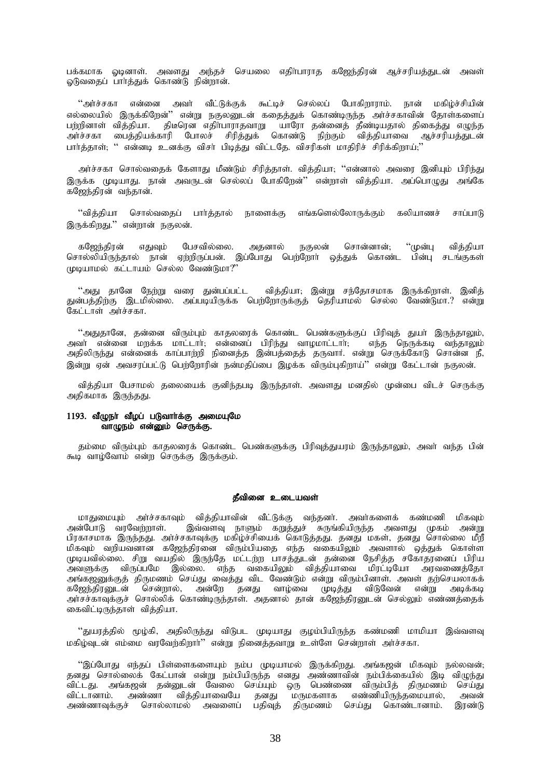பக்கமாக ஓடினாள். அவளது அந்தச் செயலை எதிர்பாராத கஜேந்திரன் ஆச்சரியத்துடன் அவள் ஓடுவதைப் பார்த்துக் கொண்டு நின்றான்.

''அர்ச்சகா என்னை அவர் வீட்டுக்குக் கூட்டிச் செல்லப் போகிறாராம். நான் மகிழ்ச்சியின் எல்லையில் இருக்கிறேன்'' என்று நகுலனுடன் கதைத்துக் கொண்டிருந்த அர்ச்சகாவின் தோள்களைப் பற்றினாள் வித்தியா. திடீரென எதிா்பாராதவாறு யாரோ தன்னைத் தீண்டியதால் திகைத்து எழுந்த …..<br>அர்ச்சகா பைத்தியக்காரி போலச் சிரித்துக் கொண்டு நிற்கும் வித்தியாவை ஆச்சரியத்துடன் பார்த்தாள்; '' என்னடி உனக்கு விசா் பிடித்து விட்டதே. விசரிகள் மாதிரிச் சிரிக்கிறாய்;''

அர்ச்சகா சொல்வதைக் கேளாது மீண்டும் சிரித்தாள். வித்தியா; ''என்னால் அவரை இனியும் பிரிந்து இருக்க முடியாது, நான் அவருடன் செல்லப் போகிறேன்'' என்றாள் விக்கியா, அப்பொமுது அங்கே கஜேந்திரன் வந்தான்.

.<br>''வித்தியா சொல்வதைப் பார்த்தால் நாளைக்கு எங்களெல்லோருக்கும் கலியாணச் சாப்பாடு இருக்கிறது.'' என்றான் நகுலன்.

கஜேந்திரன் எதுவும் பேசவில்லை. அதனால் நகுலன் சொன்னான்; ''முன்பு வித்தியா சொல்லியிருந்தால் நான் ஏற்றிருப்பன். இப்போது பெற்றோர் ஒத்துக் கொண்ட பின்பு சடங்குகள்  $(\text{Lip}_\text{L\text{L}}\text{tr}_\text{L\text{L}}\text{tr}_\text{L\text{L}}\text{tr}_\text{L\text{L}}\text{tr}_\text{L\text{L}}\text{tr}_\text{L\text{L}}\text{tr}_\text{L\text{L}}\text{tr}_\text{L\text{L}}\text{tr}_\text{L\text{L}}\text{tr}_\text{L\text{L}}\text{tr}_\text{L\text{L}}\text{tr}_\text{L\text{L}}\text{tr}_\text{L\text{L}}\text{tr}_\text{L\text{L}}\text{tr}_\text{L\text{L}}\text{tr}_\text{$ 

"அது தானே நேற்று வரை துன்பப்பட்ட வித்தியா; இன்று சந்தோசமாக இருக்கிறாள். இனித் துன்பத்திற்கு இடமில்லை. அப்படியிருக்க பெற்றோருக்குத் தெரியாமல் செல்ல வேண்டுமா.? என்று கேட்டாள் அர்ச்சகா.

''அதுதானே, தன்னை விரும்பும் காதலரைக் கொண்ட பெண்களுக்குப் பிரிவுத் துயா் இருந்தாலும்,<br>வா் என்னை மறக்க மாட்டாா்; என்னைப் பிரிந்து வாழமாட்டாா்; எந்த நெருக்கடி வந்தாலும் அவா் என்னை மறக்க மாட்டாா்; என்னைப் பிரிந்து வாழமாட்டாா்;  $\overline{\phantom{a}}$ அதிலிருந்து என்னைக் காப்பாற்றி நினைத்த இன்பத்தைத் தருவார். என்று செருக்கோடு சொன்ன நீ, இன்று ஏன் அவசரப்பட்டு பெற்றோரின் நன்மதிப்பை இமக்க விரும்புகிறாய்'' என்று கேட்டான் நகுலன்.

வித்தியா பேசாமல் தலையைக் குனிந்தபடி இருந்தாள். அவளது மனதில் முன்பை விடச் செருக்கு அதிகமாக இருந்தது.

## $1193.$  வீழுநா் வீழப் படுவாா்க்கு அமையுமே வாழுநம் என்னும் செருக்கு.

தம்மை விரும்பும் காதலரைக் கொண்ட பெண்களுக்கு பிரிவுத்துயரம் இருந்தாலும், அவா் வந்த பின் கூடி வாழ்வோம் என்ற செருக்கு இருக்கும்.

#### தீவினை உடையவள்

மாதுமையும் அர்ச்சகாவும் வித்தியாவின் வீட்டுக்கு வந்தனர். அவர்களைக் கண்மணி மிகவும் அன்போடு வரவேற்றாள். இவ்வளவு நாளும் கறுத்துச் சுருங்கியிருந்த அவளது முகம் அன்று பிரகாசமாக இருந்தது. அர்ச்சகாவுக்கு மகிழ்ச்சியைக் கொடுத்தது. தனது மகள், தனது சொல்லை மீறீ மிகவும் வறியவனான கஜேந்திரனை விரும்பியதை எந்த வகையிலும் அவளால் ஒத்துக் கொள்ள முடியவில்லை. சிறு வயதில் இருந்தே மட்டற்ற பாசத்துடன் தன்னை நேசித்த சகோதரனைப் பிரிய அவளுக்கு விருப்பமே இல்லை. எந்த வகையிலும் வித்தியாவை மிரட்டியோ அரவணைத்தோ அங்கஜனுக்குத் திருமணம் செய்து வைத்து விட வேண்டும் என்று விரும்பினாள். அவள் தற்செயலாகக்<br>கஜேந்திரபைடன் சென்றால், அன்றே தனது வாம்வை முடித்து விடுவேன் என்று அடிக்கடி கஜேந்திரனுடன் சென்றால், அன்றே தனது வாழ்வை முடித்து விடுவேன் என்று அடிக்கடி அர்சச்காவுக்குச் சொல்லிக் கொண்டிருந்தாள். அதனால் தான் கஜேந்திரனுடன் செல்லும் எண்ணத்தைக் கைவிட்டிருந்தாள் வித்தியா.

"துயரத்தில் மூழ்கி, அதிலிருந்து விடுபட முடியாது குழம்பியிருந்த கண்மணி மாமியா இவ்வளவு மகிழ்வுடன் எம்மை வரவேற்கிறார்'' என்று நினைத்தவாறு உள்ளே சென்றாள் அர்ச்சகா.

"இப்போது எந்தப் பிள்ளைகளையும் நம்ப முடியாமல் இருக்கிறது. அங்கஜன் மிகவும் நல்லவன்; தனது சொல்லைக் கேட்பான் என்று நம்பியிருந்த எனது அண்ணாவின் நம்பிக்கையில் இடி விழுந்து விட்டது. அங்கஜன் தன்னுடன் வேலை செய்யும் ஒரு பெண்ணை விரும்பித் திருமணம் செய்து விட்டானாம். அண்ணா வித்தியாவையே தனது மருமகளாக எண்ணியிருந்தமையால், அவன் அண்ணாவுக்குச் சொல்லாமல் அவளைப் பதிவுத் திருமணம் செய்து கொண்டானாம். இரண்டு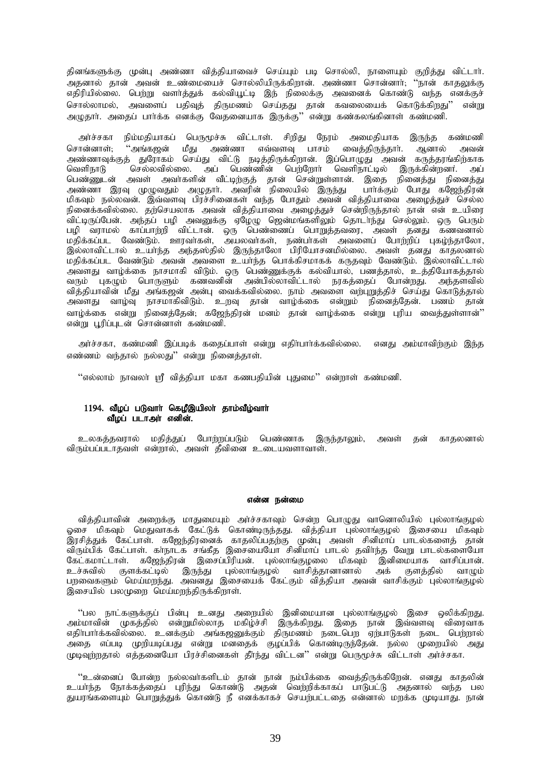தினங்களுக்கு முன்பு அண்ணா வித்தியாவைச் செய்யும் படி சொல்லி, நாளையும் குறித்து விட்டார். அதனால் தான் அவன் உண்மையைச் சொல்லியிருக்கிறான். அண்ணா சொன்னார்; ''நான் காதலுக்கு எதிரியில்லை. பெற்று வளர்த்துக் கல்வியூட்டி இந் நிலைக்கு அவனைக் கொண்டு வந்த எனக்குச் சொல்லாமல், அவளைப் பதிவுத் திருமணம் செய்தது தான் கவலையைக் கொடுக்கிறது'' என்று அழுதார். அதைப் பார்க்க எனக்கு வேதனையாக இருக்கு'' என்று கண்கலங்கினாள் கண்மணி.

அர்ச்சகா நிம்மதியாகப் பெருமூச்சு விட்டாள். சிறிது நேரம் அமைதியாக இருந்த கண்மணி சொன்னாள்: ''அங்கஜன் மீது அண்ணா எவ்வளவு பாசம் வைத்திருந்தார். ஆனால் அவன் அண்ணாவுக்குத் துரோகம் செய்து விட்டு நடித்திருக்கிறான். இப்பொழுது அவன் கருத்தரங்கிற்காக<br>வெளிநாடு செல்லவில்லை. அப் பெண்ணின் பெர்ளோர் வெளிநாட்டில் இருக்கின்றனர். அப் செல்லவில்லை. அப் பெண்ணின் பெற்றோர் வெளிநாட்டில் இருக்கின்றனர். அப் பெண்ணுடன் அவள் அவர்களின் வீட்டிற்குத் தான் சென்றுள்ளான். இதை நினைத்து நினைத்து அண்ணா இரவு முழுவதும் அழுதாா். அவரின் நிலையில் இருந்து பாா்க்கும் போது கஜேந்திரன் மிகவும் நல்லவன். இவ்வளவு பிரச்சினைகள் வந்த போதும் அவன் வித்தியாவை அழைத்துச் செல்ல நினைக்கவில்லை. தற்செயலாக அவன் விக்கியாவை அமைக்குச் சென்றிருந்தால் நான் என் உயிரை .<br>விட்டிருப்பேன். அந்தப் பமி அவனுக்கு ஏழேமு ஜென்மங்களிலும் தொடாந்து செல்லும். ஒரு பெரும் பழி வராமல் காப்பாற்றி விட்டான். ஒரு பெண்ணைப் பொறுத்தவரை, அவள் தனது கணவனால் மதிக்கப்பட வேண்டும். ஊரவா்கள், அயலவா்கள், நண்பா்கள் அவளைப் போற்றிப் புகழ்ந்தாலோ, .<br>இல்லாவிட்டால் உயர்ந்த அந்தஸ்தில் இருந்தாலோ பிரியோசனமில்லை. அவள் தனது காதலனால் .<br>மதிக்கப்பட வேண்டும் அவன் அவளை உயர்ந்த பொக்கிசமாகக் கருதவும் வேண்டும். இல்லாவிட்டால் அவளது வாழ்க்கை நாசமாகி விடும். ஒரு பெண்ணுக்குக் கல்வியால், பணத்தால், உத்தியோகத்தால் வரும் புகழும் பொருளும் கணவனின் அன்பில்லாவிட்டால் நரகத்தைப் போன்றது. அந்தளவில் வித்தியாவின் மீது அங்கஜன் அன்பு வைக்கவில்லை. நாம் அவளை வற்புறுத்திச் செய்து கொடுத்தால் அவளது வாழ்வு நாசமாகிவிடும். உறவு தான் வாழ்க்கை என்றும் நினைத்தேன். பணம் தான் வாழ்க்கை என்று நினைத்தேன்; கஜேந்திரன் மனம் தான் வாழ்க்கை என்று புரிய வைத்துள்ளான்'' என்று பூரிப்புடன் சொன்னாள் கண்மணி.

அர்ச்சகா, கண்மணி இப்படிக் கதைப்பாள் என்று எதிர்பார்க்கவில்லை. எனது அம்மாவிற்கும் இந்த எண்ணம் வந்தால் நல்லது $"$  என்று நினைத்தாள்.

"எல்லாம் நாவலா் ஸ்ரீ வித்தியா மகா கணபதியின் புதுமை" என்றாள் கண்மணி.

### $1194$ . வீழப் படுவாா் கெழீஇயிலா் தாம்வீழ்வாா் வீழப் படாஅா் எனின்.

உலகத்தவரால் மதித்துப் போற்றப்படும் பெண்ணாக இருந்தாலும், அவள் தன் காதலனால் விரும்பப்படாதவள் என்றால், அவள் தீவினை உடையவளாவாள்.

#### என்ன நன்மை

வித்தியாவின் அறைக்கு மாதுமையும் அர்ச்சகாவும் சென்ற பொழுது வானொலியில் புல்லாங்குழல் ஓசை மிகவும் மெதுவாகக் கேட்டுக் கொண்டிருந்தது. வித்தியா புல்லாங்குழல் இசையை மிகவும் .<br>இரசித்துக் கேட்பாள். கஜேந்திரனைக் காதலிப்பதற்கு முன்பு அவள் சினிமாப் பாடல்களைத் தான் விரும்பிக் கேட்பாள். காநாடக சங்கீத இசையையோ சினிமாப் பாடல் தவிாந்த வேறு பாடல்களையோ கேட்கமாட்டாள். கஜேந்திரன் இசைப்பிரியன். புல்லாங்குழலை மிகவும் இனிமையாக வாசிப்பான். உச்சுவில் குளக்கட்டில் இருந்து புல்லாங்குழல் வாசித்தானானால் அக் குளத்தில் வாழும் பறவைகளும் மெய்மறந்து. அவனது இசையைக் கேட்கும் வித்தியா அவன் வாசிக்கும் புல்லாங்குழல் இசையில் பலமுறை மெய்மறந்திருக்கிறாள்.

"பல நாட்களுக்குப் பின்பு உனது அறையில் இனிமையான புல்லாங்குழல் இசை ஒலிக்கிறது. அம்மாவின் முகத்தில் என்றுமில்லாத மகிழ்ச்சி இருக்கிறது. இதை நான் இவ்வளவு விரைவாக எதிா்பாா்க்கவில்லை. உனக்கும் அங்கஜனுக்கும் திருமணம் நடைபெற ஏற்பாடுகள் நடை பெற்றால் .<br>அதை எப்படி முறியடிப்பது என்று மனதைக் குழப்பிக் கொண்டிருந்தேன். நல்ல முறையில் அது முடிவுர்றதால் எத்தனையோ பிரச்சினைகள் தீர்ந்து விட்டன" என்று பெருமூச்சு விட்டாள் அர்ச்சகா.

"உன்னைப் போன்ற நல்லவர்களிடம் தான் நான் நம்பிக்கை வைத்திருக்கிறேன். எனது காதலின் உயா்ந்த நோக்கக்கைப் பரிந்து கொண்டு அதன் வெற்றிக்காகப் பாடுபட்டு அதனால் வந்த பல துயரங்களையும் பொறுத்துக் கொண்டு நீ எனக்காகச் செயற்பட்டதை என்னால் மறக்க முடியாது. நான்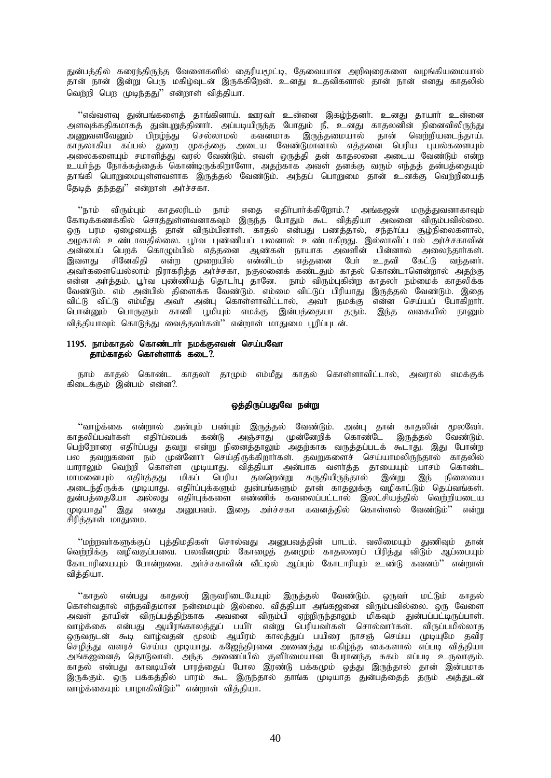துன்பத்தில் கரைந்திருந்த வேளைகளில் தைரியமூட்டி, தேவையான அறிவுரைகளை வழங்கியமையால் தான் நான் இன்று பெரு மகிழ்வுடன் இருக்கிறேன். உனது உதவிகளால் தான் நான் எனது காதலில் வெற்றி பெற முடிந்தது'' என்றாள் வித்தியா.

"எவ்வளவு துன்பங்களைத் தாங்கினாய். ஊரவா் உன்னை இகழ்ந்தனா். உனது தாயாா் உன்னை அளவுக்கதிகமாகத் துன்புறுத்தினாா். அப்படியிருந்த போதும் நீ, உனது காதலனின் நினைவிலிருந்து அணுவளவேனும் பிறழ்ந்து செல்லாமல் கவனமாக இருந்தமையால் தான் வெற்றியடைந்தாய். காதலாகிய கப்பல் துறை முகத்தை அடைய வேண்டுமானால் எத்தனை பெரிய புயல்களையும் அலைகளையும் சமாளித்து வரல் வேண்டும். எவள் ஒருத்தி தன் காதலனை அடைய வேண்டும் என்ற உயா்ந்த நோக்கத்தைக் கொண்டிருக்கிறாளோ, அதற்காக அவள் தனக்கு வரும் எந்தத் தன்பத்தையும் தாங்கி பொறுமையுள்ளவளாக இருத்தல் வேண்டும். அந்தப் பொறுமை தான் உனக்கு வெள்ளியைக் தேடித் தந்தது" என்றாள் அர்ச்சகா.

 $\lq\lq$ நாம் விரும்பும் காதலரிடம் நாம் எதை எதிர்பார்க்கிறோம். $?$  அங்கஜன் மருத்துவனாகாவும் கோடிக்கணக்கில் சொக்குள்ளவனாகவம் இருந்த போதும் கூட விக்கியா அவனை விரும்பவில்லை. ஒரு பரம ஏழையைத் தான் விரும்பினாள். காதல் என்பது பணத்தால், சந்தாப்ப சூழ்நிலைகளால், ِ - அழகால் உண்டாவதில்லை. பூர்வ புண்ணியப் பலனால் உண்டாகிறது. இல்லாவிட்டால் அர்ச்சகாவின் அன்பைப் பெறக் கொழும்பில் எத்தனை ஆண்கள் நாயாக அவளின் பின்னால் அலைந்தார்கள். இவளது சினேகிதி என்ற முறையில் என்னிடம் எத்தனை பேர் உதவி கேட்டு வந்தனர். அவர்களையெல்லாம் நிராகரித்த அர்ச்சகா, நகுலனைக் கண்டதும் காதல் கொண்டாளென்றால் அதற்கு என்ன அர்த்தம். பூர்வ புண்ணியத் தொடாபு தானே. நாம் விரும்புகின்ற காதலா நம்மைக் காதலிக்க வேண்டும். எம் அன்பில் திளைக்க வேண்டும். எம்மை விட்டுப் பிரியாது இருத்தல் வேண்டும். இதை விட்டு விட்டு எம்மீது அவர் அன்பு கொள்ளாவிட்டால், அவர் நமக்கு என்ன செய்யப் போகிறார். பொன்னும் பொருளும் காணி பூமியும் எமக்கு இன்பத்தையா தரும். இந்த வகையில் நானும் வித்தியாவும் கொடுத்து வைத்தவா்கள்'' என்றாள் மாதுமை பூரிப்புடன்.

# 1195. நாம்காதல் கொண்டார் நமக்குஎவன் செய்பவோ தாம்காதல் கொள்ளாக் கடை $\tilde{?}$ .

நாம் காதல் கொண்ட காதலா் தாமும் எம்மீது காதல் கொள்ளாவிட்டால், அவரால் எமக்குக் கிடைக்கும் இன்பம் என்ன $?$ .

## ஒத்திருப்பதுவே நன்று

"வாழ்க்கை என்றால் அன்பும் பண்பும் இருத்தல் வேண்டும். அன்பு தான் காதலின் மூலவேர். காதலிப்பவர்கள் எதிர்ப்பைக் கண்டு அஞ்சாது முன்னேறிக் கொண்டே இருத்தல் வேண்டும். பெற்றோரை எதிர்ப்பது தவறு என்று நினைத்தாலும் அதற்காக வருத்தப்படக் கூடாது. இது போன்ற பல தவறுகளை நம் முன்னோா் செய்திருக்கிறாா்கள். தவறுகளைச் செய்யாமலிருந்தால் காதலில் யாராலும் வெற்றி கொள்ள முடியாது. வித்தியா அன்பாக வளாத்த தாயையும் பாசம் கொண்ட மாமனையும் எதிா்த்தது மிகப் பெரிய தவறென்று கருதியிருந்தால் இன்று இந் நிலையை அடைந்திருக்க முடியாது. எதிா்ப்புக்களும் துன்பங்களும் தான் காதலுக்கு வழிகாட்டும் தெய்வங்கள். துன்பத்தையோ அல்லது எதிா்புக்களை எண்ணிக் கவலைப்பட்டால் இலட்சியத்தில் வெற்றியடைய முடியாது'' இது எனது அனுபவம். இதை அர்ச்சகா கவனத்தில் கொள்ளல் வேண்டும்'' என்று சிரித்தாள் மாதுமை.

"மற்றவர்களுக்குப் புத்திமதிகள் சொல்வது அனுபவத்தின் பாடம். வலிமையும் துணிவும் தான் வெற்றிக்கு வழிவகுப்பவை. பலவீனமும் கோழைத் தனமும் காதலரைப் பிரித்து விடும் ஆப்பையும் கோடாரியையும் போன்றவை. அர்ச்சகாவின் வீட்டில் ஆப்பும் கோடாரியும் உண்டு கவனம்'' என்றாள் வித்தியா.

"காதல் என்பது காதலர் இருவரிடையேயும் இருத்தல் வேண்டும். ஒருவர் மட்டும் காதல் கொள்வதால் எந்தவிதமான நன்மையும் இல்லை. வித்தியா அங்கஜனை விரும்பவில்லை. ஒரு வேளை அவள் தாயின் விருப்பத்திற்காக அவனை விரும்பி ஏற்றிருந்தாலும் மிகவும் துன்பப்பட்டிருப்பாள். வாழ்க்கை என்பது ஆயிரங்காலத்துப் பயிா் என்று பெரியவா்கள் சொல்வாா்கள். விருப்பமில்லாத ஒருவருடன் கூடி வாழ்வதன் மூலம் ஆயிரம் காலத்துப் பயிரை நாசஞ் செய்ய முடியுமே தவிர செழித்து வளரச் செய்ய முடியாது. கஜேந்திரனை அணைத்து மகிழ்ந்த கைகளால் எப்படி வித்தியா அங்கஜனைத் தொடுவாள். அந்த அணைப்பில் குளிர்மையான பேரானந்த சுகம் எப்படி உருவாகும். ் எதல் என்பது காவடியின் பாரத்தைப் போல இரண்டு பக்கமும் ஒத்து இருந்தால் தான் இன்பமாக இருக்கும். ஒரு பக்கத்தில் பாரம் கூட இருந்தால் தாங்க முடியாத துன்பத்தைத் தரும் அத்துடன் வாழ்க்கையும் பாழாகிவிடும்'' என்றாள் வித்தியா.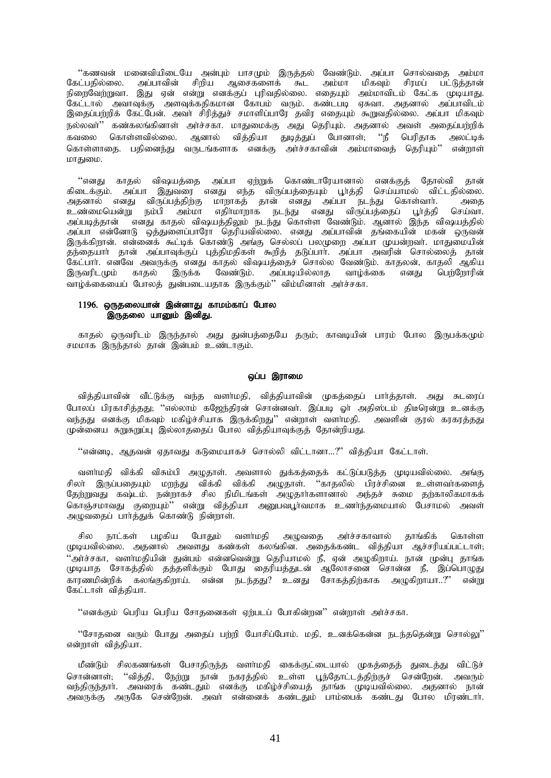"கணவன் மனைவியிடையே அன்பும் பாசமும் இருத்தல் வேண்டும். அப்பா சொல்வதை அம்மா .<br>கேட்பதில்லை. அப்பாவின் சிறிய ஆசைகளைக் கூட அம்மா மிகவும் சிரமப் பட்டுத்தான்<br>நிறைவேற்றுவா. இது ஏன் என்று எனக்குப் புரிவதில்லை. எதையும் அம்மாவிடம் கேட்க முடியாது. .<br>கேட்டால் அவாவுக்கு அளவுக்கதிகமான கோபம் வரும். கண்டபடி ஏசுவா. அதனால் அப்பாவிடம்<br>இதைப்பற்றிக் கேட்பேன். அவா் சிரித்துச் சமாளிப்பாரே தவிர எதையும் கூறுவதில்லை. அப்பா மிகவும் நல்லவா்'' கண்கலங்கினாள் அா்ச்சகா. மாதுமைக்கு அது தெரியும். அதனால் அவள் அதைப்பற்றிக் .<br>கவலை கொள்ளவில்லை. ஆனால் வித்தியா துடித்துப் போனாள், ''நீ பெரிதாக அலட்டிக் கொள்ளாகை. பகிணைந்து வருடங்களாக எனக்கு அர்ச்சகாவின் அம்மாவைக் கெரியம்'' என்றாள் மாதுமை.

்'எனது காதல் விஷயத்தை அப்பா ஏற்றுக் கொண்டாரேயானால் எனக்குத் தோல்வி தான்<br>கிடைக்கும். அப்பா இதுவரை எனது எந்த விருப்பத்தையும் பூர்த்தி செய்யாமல் விட்டதில்லை. ் அகை செய்வா. அப்படித்தான் எனது காதல் விஷயத்திலும் நடந்து கொள்ள வேண்டும். ஆனால் இந்த விஷயத்தில் .<br>அப்பா என்னோடு ஒத்துளைப்பாரோ தெரியவில்லை. எனது அப்பாவின் தங்கையின் மகன் ஒருவன் .<br>கேட்பார். எனவே அவருக்கு எனது காதல் விஷயத்தைச் சொல்ல வேண்டும். காதலன், காதலி அகிய காதல் இருக்க வேண்டும். அப்படியில்லாத வாழ்க்கை இருவரிடமும் எனகு பெர்ளோரின் வாழ்க்கையைப் போலத் துன்படையதாக இருக்கும்'' விம்மினாள் அர்ச்சகா.

# 1196. ஒருதலையான் இன்னாது காமம்காப் போல இருதலை யானும் இனிது.

காதல் ஒருவரிடம் இருந்தால் அது துன்பத்தையே தரும், காவடியின் பாரம் போல இருபக்கமும் சமமாக இருந்தால் தான் இன்பம் உண்டாகும்.

### ஒப்ப இராமை

வித்தியாவின் வீட்டுக்கு வந்த வளர்மதி, வித்தியாவின் முகத்தைப் பார்த்தாள். அது சுடரைப் போலப் பிரகாசித்தது; ''எல்லாம் கஜேந்திரன் சொன்னவர். இப்படி ஓர் அதிஸ்டம் திடீரென்று உனக்கு வந்தது எனக்கு மிகவும் மகிழ்ச்சியாக இருக்கிறது'' என்றாள் வளாமதி. அவளின் குரல் கரகரத்தது முன்னைய சுறுசுறுப்பு இல்லாததைப் போல வித்தியாவுக்குத் தோன்றியது.

''என்னடி, ஆகவன் ஏகாவது கடுமையாகச் சொல்லி விட்டானா…?'' விக்கியா கேட்டாள்.

வளா்மதி விக்கி விசும்பி அழுதாள். அவளால் துக்கத்தைக் கட்டுப்படுத்த முடியவில்லை. அங்கு ்.<br>சிலா இருப்பதையும் மறந்து விக்கி விக்கி அழுதாள். ''காதலில் பிரச்சினை உள்ளவா்களைத்<br>தேற்றுவது கஷ்டம். நன்றாகச் சில நிமிடங்கள் அழுதாா்களானால் அந்தச் சுமை தற்காலிகமாகக் கொஞ்சமாவது குறையும்'' என்று வித்தியா அறுபவபுர்வமாக உணர்ந்தமையால் பேசாமல் அவள் அழுவதைப் பார்த்துக் கொண்டு நின்றாள்.

வளா்மகி சில நாட்கள் பமகிய போதும் அழுவதை அர்ச்சகாவால் தாங்கிக் கொள்ள முடியவில்லை. அதனால் அவளது கண்கள் கலங்கின. அதைக்கண்ட வித்தியா ஆச்சரியப்பட்டாள், ''அர்ச்சகா, வளர்மதியின் துன்பம் என்னவென்று தெரியாமல் நீ, ஏன் அழுகிறாய். நான் முன்பு தாங்க முடியாத சோகத்தில் தத்தளிக்கும் போது தைரியத்துடன் ஆலோசனை சொன்ன நீ, இப்பொழுது காரணமின்றிக் கலங்குகிறாய். என்ன நடந்தது? உனது சோகத்திற்காக அழுகிறாயா..?'' என்று கேட்டாள் விக்கியா.

''எனக்கும் பெரிய பெரிய சோதனைகள் ஏற்படப் போகின்றன'' என்றாள் அர்ச்சகா.

''சோதனை வரும் போது அதைப் பற்றி போசிப்போம். மதி, உனக்கென்ன நடந்ததென்று சொல்லு'' என்றாள் வித்தியா.

மீண்டும் சிலகணங்கள் பேசாதிருந்த வளா்மதி கைக்குட்டையால் முகத்தைத் துடைத்து விட்டுச் சொன்னாள்; ''வித்தி, நேற்று நான் நகரத்தில் உள்ள பூந்தோட்டத்திற்குச் சென்றேன். அவரும் வந்திருந்தாா். அவரைக் கண்டதும் எனக்கு மகிழ்ச்சியைத் தாங்க முடியவில்லை. அதனால் நான்<br>அவருக்கு அருகே சென்றேன். அவா் என்னைக் கண்டதும் பாம்பைக் கண்டது போல மிரண்டாா்.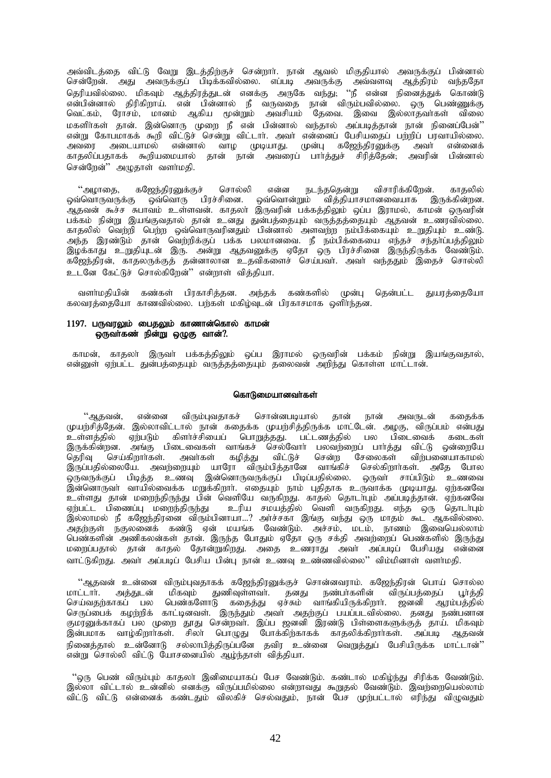அவ்விடத்தை விட்டு வேறு இடத்திற்குச் சென்றார். நான் ஆவல் மிகுதியால் அவருக்குப் பின்னால் சென்றேன். அது அவருக்குப் பிடிக்கவில்லை. எப்படி அவருக்கு அவ்வளவு ஆத்திரம் வந்ததோ தெரியவில்லை. மிகவும் ஆத்திரத்துடன் எனக்கு அருகே வந்து; ''நீ என்ன நினைத்துக் கொண்டு என்பின்னால் திரிகிறாய். என் பின்னால் நீ வருவதை நான் விரும்பவில்லை. ஒரு பெண்ணுக்கு வெட்கம், ரோசம், மானம் ஆகிய மூன்றும் அவசியம் தேவை. இவை இல்லாதவா்கள் விலை மகளிர்கள் தான். இன்னொரு முறை நீ என் பின்னால் வந்தால் அப்படித்தான் நான் நினைப்பேன்'' என்று கோபமாகக் கூறி விட்டுச் சென்று விட்டார். அவர் என்னைப் பேசியதைப் பற்றிப் பரவாயில்லை.<br>அவரை அடையாமல் என்னால் வாம முடியாகு, முன்ப கஜேந்கிரனுக்க அவர் என்னைக் அவரை அடையாமல் என்னால் வாழ முடியாது. முன்பு கஜேந்திரனுக்கு அவர் என்னைக்<br>காதலிப்பதாகக் கூறியமையால் தான் நான் அவரைப் பார்த்துச் சிரித்தேன். அவரின் பின்னால் காதலிப்பதாகக் கூறியமையால் தான் நான் அவரைப் பார்த்துச் சிரித்தேன், சென்றேன்" அமுதாள் வளர்மதி.

"அழாதை, கஜேந்திரனுக்குச் சொல்லி என்ன நடந்ததென்று விசாரிக்கிறேன். காதலில் ஒவ்வொருவருக்கு ஒவ்வொரு பிரச்சினை. ஒவ்வொன்றும் வித்தியாசமானவையாக இருக்கின்றன. ஆதவன் கூச்ச சுபாவம் உள்ளவன். காதலா் இருவரின் பக்கத்திலும் ஒப்ப இராமல், காமன் ஒருவரின் பக்கம் நின்று இயங்குவதால் தான் உன்து துன்பத்தையும் வருத்தத்தையும் ஆதவன் உணரவில்லை. காதலில் வெற்றி பெற்ற ஒவ்வொருவரினதும் பின்னால் அளவற்ற நம்பிக்கையும் உறுதியும் உண்டு. அந்த இரண்டும் தான் வெற்றிக்குப் பக்க பலமானவை. நீ நம்பிக்கையை எந்தச் சந்தா்ப்பத்திலும் ,of;fhJ cWjpAld; ,U. md;W MjtDf;F VNjh xU gpur;rpid ,Ue;jpUf;f Ntz;Lk;. கஜேந்திரன், காதலருக்குத் தன்னாலான உதவிகளைச் செய்பவா். அவா் வந்ததும் இதைச் சொல்லி உடனே கேட்டுச் சொல்கிறேன்'' என்றாள் விக்கியா.

வளர்மதியின் கண்கள் பிரகாசிக்கன. அந்தக் கண்களில் முன்பு கென்பட்ட துயரக்தையோ கலவரத்தையோ காணவில்லை. பற்கள் மகிழ்வுடன் பிரகாசமாக ஒளிாந்தன.

# 1197. பருவரலும் பைதலும் காணான்கொல் காமன் ஒருவாகண் நின்று ஒழுகு வான்?.

காமன், காதலா இருவா் பக்கத்திலும் ஒப்ப இராமல் ஒருவரின் பக்கம் நின்று இயங்குவதால், என்னுள் ஏற்பட்ட துன்பத்தையும் வருத்தத்தையும் தலைவன் அறிந்து கொள்ள மாட்டான்.

# கொடுமையானவா்கள்

"ஆதவன், என்னை விரும்புவதாகச் சொன்னபடியால் தான் நான் அவருடன் கதைக்க முயற்சித்தேன். இல்லாவிட்டால் நான் கதைக்க முயற்சித்திருக்க மாட்டேன். அழகு, விருப்பம் என்பது உள்ளத்தில் ஏற்படும் கிளர்ச்சியைப் பொறுத்தது. பட்டணத்தில் பல பிடைவைக் கடைகள் இருக்கின்றன. அங்கு பிடைவைகள் வாங்கச் செல்வோர் பலவற்றைப் பார்த்து விட்டு ஒன்றையே தெரிவு செய்கிறாாகள். அவாகள் கழித்து விட்டுச் சென்ற சேலைகள் விற்பனையாகாமல் இருப்பதில்லையே. அவற்றையும் யாரோ விரும்பித்தானே வாங்கிச் செல்கிறாா்கள். அதே போல ஒருவருக்குப் பிடித்த உணவு இன்னொருவருக்குப் பிடிப்பதில்லை. ஒருவா் சாப்பிடும் உணவை இன்னொருவர் வாயில்வைக்க மறுக்கிறார். எதையும் நாம் புதிதாக உருவாக்க முடியாது. ஏற்கனவே உள்ளது தான் மறைந்திருந்து பின் வெளியே வருகிறது. காதல் தொடா்பும் அப்படித்தான். ஏற்கனவே ஏற்பட்ட பிணைப்பு மறைந்திருந்து உரிய சமயத்தில் வெளி வருகிறது. எந்த ஒரு தொடா்பும் இல்லாமல் நீ கஜேந்திரனை விரும்பினாயா…? அர்ச்சகா இங்கு வந்து ஒரு மாதம் கூட ஆகவில்லை. அதற்குள் நகுலனைக் கண்டு ஏன் மயங்க வேண்டும். அச்சம், மடம், நாணம் இவையெல்லாம் பெண்களின் அணிகலன்கள் தான். இருந்த போதும் ஏதோ ஒரு சக்தி அவற்றைப் பெண்களில் இருந்து மறைப்பதால் தான் காதல் தோன்றுகிறது. அதை உணராது அவா் அப்படிப் பேசியது என்னை வாட்டுகிறது. அவர் அப்படிப் பேசிய பின்பு நான் உணவு உண்ணவில்லை'' விம்மினாள் வளர்மதி.

ூடுதவன் உன்னை விரும்புவதாகக் கஜேந்திரனுக்குச் சொன்னவராம். கஜேந்திரன் பொய் சொல்ல<br>மாட்டார். அத்துடன் மிகவும் துணிவுள்ளவர். தனது நண்பர்களின் விருப்பத்தைப் பூர்த்தி கனது நண்பாகளின் விருப்பத்தைப் செய்வதற்காகப் பல பெண்களோடு கதைத்து ஏச்சும் வாங்கியிருக்கிறார். ஜனனி ஆரம்பத்தில் செருப்பைக் கழற்றிக் காட்டினவள். இருந்தும் அவா் அதற்குப் பயப்படவில்லை. தனது நண்பனான குமரனுக்காகப் பல் முறை தூது சென்றவா். இப்ப ஜனனி இரண்டு பிள்ளைகளுக்குத் தாய். மிகவும்<br>இன்பமாக வாம்கிறாா்கள். சிலா பொமுது போக்கிற்காகக் காதலிக்கிறாா்கள். அப்படி ஆதவன் இன்பமாக வாழ்கிறார்கள். சிலா் பொழுது போக்கிற்காகக் காதலிக்கிறார்கள். நினைத்தால் உன்னோடு சல்லாபித்திருப்பனே தவிர உன்னை வெறுத்துப் பேசியிருக்க மாட்டான்'' .<br>'என்று சொல்லி விட்டு யோசனையில்' ஆழ்ந்தாள் வித்தியா.

"ஒரு பெண் விரும்பும் காதலா் இனிமையாகப் பேச வேண்டும். கண்டால் மகிழ்ந்து சிரிக்க வேண்டும். இல்லா விட்டால் உன்னில் எனக்கு விருப்பமில்லை என்றாவது கூறுதல் வேண்டும். இவற்றையெல்லாம் விட்டு விட்டு என்னைக் கண்டதும் விலகிச் செல்வதும், நான் பேச முற்பட்டால் எரிந்து விழுவதும்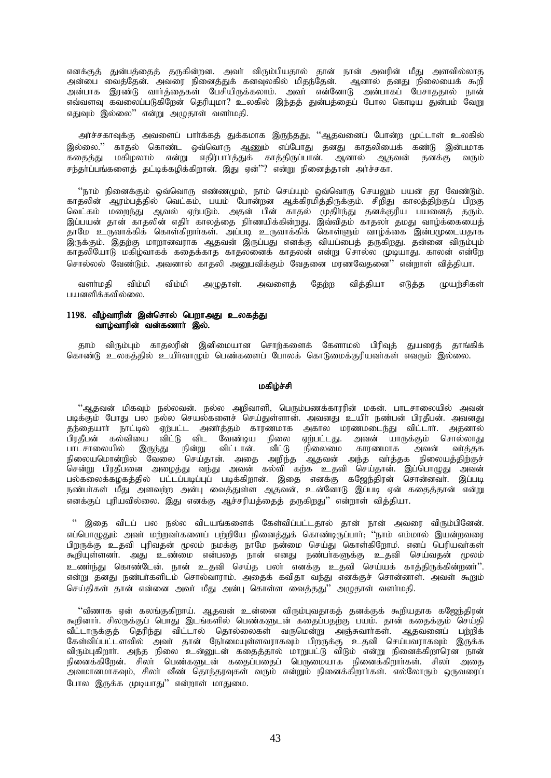எனக்குத் துன்பத்தைத் தருகின்றன. அவா் விரும்பியதால் தான் நான் அவரின் மீது அளவில்லாத அன்பை வைத்தேன். அவரை நினைத்துக் கனவுலகில் மிதந்தேன். ஆனால் தனது நிலையைக் கூறி md;ghf ,uz;L thh;j ;ijfs; NgrpapUf;fyhk;. mth; vd;NdhL md;ghfg; Ngrhjjhy; ehd; எவ்வளவு கவலைப்படுகிறேன் தெரியுமா? உலகில் இந்தத் துன்பத்தைப் போல கொடிய துன்பம் வேறு எதுவும் இல்லை'' என்று அமுதாள் வளர்மதி.

அர்ச்சகாவுக்கு அவளைப் பார்க்கத் துக்கமாக இருந்தது; ''ஆதவனைப் போன்ற முட்டாள் உலகில் இல்லை.'' காதல் கொண்ட ஒவ்வொரு ஆணும் எப்போது தனது காதலியைக் கண்டு இன்பமாக<br>கதைத்து மகிழலாம் என்று எதிர்பார்த்துக் காத்திருப்பான். ஆனால் ஆதவன் தனக்கு வரும் கதைத்து மகிழலாம் என்று எதிர்பார்த்துக் காத்திருப்பான். அனால் ஆதவன் தனக்கு சந்தர்ப்பங்களைத் தட்டிக்கழிக்கிறான். இது ஏன்''? என்று நினைத்தாள் அர்ச்சகா.

''நாம் நினைக்கும் ஒவ்வொரு எண்ணமும், நாம் செய்யும் ஒவ்வொரு செயலும் பயன் தர வேண்டும். காதலின் ஆரம்பத்தில் வெட்கம், பயம் போன்றன ஆக்கிரமித்திருக்கும். சிறிது காலத்திற்குப் பிறகு ு.<br>வெட்கம் மறைந்து ஆவல் ஏற்படும். அதன் பின் காதல் முதிர்ந்து தனக்குரிய பயனைத் தரும். இப்பயன் தான் காதலின் எதிர் காலத்தை நிர்ணயிக்கின்றது. இவ்விதம் காதலா தமது வாழ்க்கையைத் .<br>தாமே உருவாக்கிக் கொள்கிறாாகள். அப்படி உருவாக்கிக் கொள்ளும் வாழ்க்கை இன்பமுடையதாக .<br>இருக்கும். இதற்கு மாறானவராக ஆதவன் இருப்பது எனக்கு வியப்பைத் தருகிறது. தன்னை விரும்பும் காதலியோடு மகிழ்வாகக் கதைக்காத காதலனைக் காதலன் என்று சொல்ல முடியாது. காலன் என்றே சொல்லல் வேண்டும். அவனால் காகலி அனுபவிக்கும் வேகனை மரணவேகனை" என்றாள் விக்கியா.

வளா்மதி விம்மி விம்மி அழுதாள். அவளைத் தேற்ற வித்தியா எடுத்த முயற்சிகள் பயனளிக்கவில்லை.

# 1198. வீழ்வாரின் இன்சொல் பெறாஅது உலகத்து வாழ்வாரின் வன்கணாா் இல்.

தாம் விரும்பும் காதலரின் இனிமையான சொற்களைக் கேளாமல் பிரிவுத் துயரைத் தாங்கிக் கொண்டு உலகத்தில் உயிர்வாமும் பெண்களைப் போலக் கொடுமைக்குரியவர்கள் எவரும் இல்லை.

#### மகிம்ச்சி

"ஆதவன் மிகவும் நல்லவன். நல்ல அறிவாளி, பெரும்பணக்காரரின் மகன். பாடசாலையில் அவன் படிக்கும் போது பல நல்ல செயல்களைச் செய்துள்ளான். அவனது உயிர் நண்பன் பிரதீபன். அவனது தந்தையாா் நாட்டில் ஏற்பட்ட அனா்த்தம் காரணமாக அகால மரணமடைந்து விட்டாா். அதனால்<br>பிரதீபன் கல்வியை விட்டு விட வேண்டிய நிலை எற்பட்டது. அவன் யாருக்கும் சொல்லாது யை விட்டு விட வேண்டிய நிலை ஏற்பட்டது. அவன் யாருக்கும் சொல்லாது<br>- இருந்து நின்று விட்டான். வீட்டு நிலைமை காரணமாக அவன் வர்த்தக பாடசாலையில் இருந்து நின்று விட்டான். வீட்டு நிலைமை காரணமாக அவன் வா்த்தக நிலையமொன்றில் வேலை செய்தான். அதை அறிந்த ஆதவன் அந்த வா்த்தக நிலையத்திற்குச் சென்று பிரதீபனை அழைத்து வந்து அவன் கல்வி கற்க உதவி செய்தான். இப்பொழுது அவன் பல்கலைக்கழகத்தில் பட்டப்படிப்புப் படிக்கிறான். இதை எனக்கு கஜேந்திரன் சொன்னவர். இப்படி நண்பா்கள் மீது அளவற்ற அன்பு வைத்துள்ள ஆதவன், உன்னோடு இப்படி ஏன் கதைத்தான் என்று எனக்குப் புரியவில்லை. இது எனக்கு ஆச்சரியத்தைத் தருகிறது'' என்றாள் வித்தியா.

" இதை விடப் பல நல்ல விடயங்களைக் கேள்விப்பட்டதால் தான் நான் அவரை விரும்பினேன். ளப்பொழுதும் அவர் மற்றவர்களைப் பற்றியே நினைக்குக் கொண்டிருப்பார். ''நாம் எம்மால் இயன்றவரை பிறருக்கு உதவி புரிவதன் மூலம் நமக்கு நாமே நன்மை செய்து கொள்கிறோம். எனப் பெரியவா்கள் கூறியுள்ளனர். அது உண்மை என்பதை நான் எனது நண்பர்களுக்கு உதவி செய்வதன் மூலம் உணர்ந்து கொண்டேன். நான் உதவி செய்த பலர் எனக்கு உதவி செய்யக் காத்திருக்கின்றனர்''. என்று தனது நண்பாகளிடம் சொல்வாராம். அதைக் கவிதா வந்து எனக்குச் சொன்னாள். அவள் கூறும் செய்திகள் தான் என்னை அவர் மீது அன்பு கொள்ள வைத்தது'' அமுதாள் வளர்மதி.

"வீணாக ஏன் கலங்குகிறாய். ஆதவன் உன்னை விரும்புவதாகத் தனக்குக் கூறியதாக கஜேந்திரன் கூறினாா். சிலருக்குப் பொது இடங்களில் பெண்களுடன் கதைப்பதற்கு பயம். தான் கதைக்கும் செய்தி வீட்டாருக்குத் தெரிந்து விட்டால் தொல்லைகள் வருமென்று அஞ்சுவார்கள். ஆதவனைப் பற்றிக் கேள்விப்பட்டளவில் அவா் தான் நோ்மையுள்ளவராகவும் பிறருக்கு உதவி செய்பவராகவும் இருக்க விரும்புகிறார். அந்த நிலை உன்னுடன் கதைத்தால் மாறுபட்டு விடும் என்று நினைக்கிறாரென நான் .<br>நினைக்கிறேன். சிலா பெண்களுடன் கதைப்பதைப் பெருமையாக நினைக்கிறாாகள். சிலா அதை .<br>அவமானமாகவும், சிலா வீண் தொந்தரவுகள் வரும் என்றும் நினைக்கிறாாகள். எல்லோரும் ஒருவரைப் போல இருக்க முடியாது" என்றாள் மாதுமை.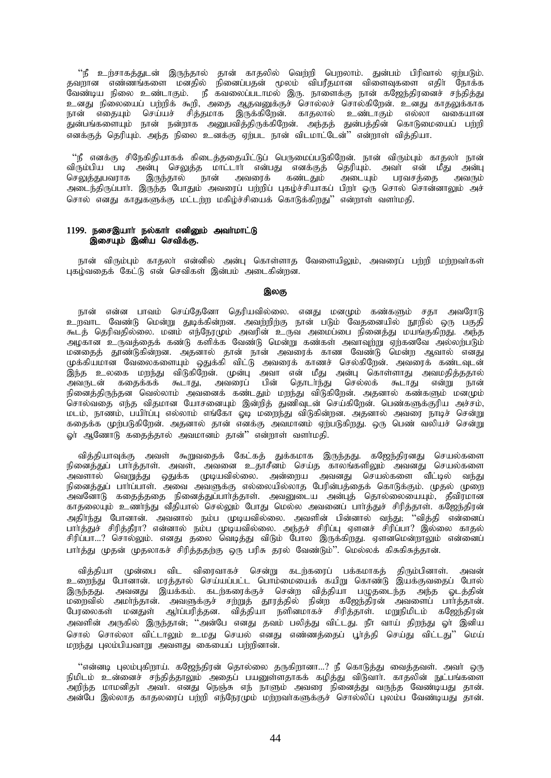"நீ உற்சாகத்துடன் இருந்தால் தான் காதலில் வெற்றி பெறலாம். துன்பம் பிரிவால் ஏற்படும். தவறான எண்ணங்களை மனதில் நினைப்பதன் மூலம் விபரீதமான விளைவுகளை எதிா் நோக்க வேண்டிய நிலை உண்டாகும். நீ கவலைப்படாமல் இரு. நாளைக்கு நான் கஜேந்திரனைச் சந்தித்து உனது நிலையைப் பற்றிக் கூறி, அதை ஆதவனுக்குச் சொல்லச் சொல்கிறேன். உனது காதலுக்காக நான் எதையும் செய்யச் சித்தமாக இருக்கிறேன். காதலால் உண்டாகும் எல்லா வகையான துன்பங்களையும் நான் நன்றாக அனுபவித்திருக்கிறேன். அந்தத் துன்பத்தின் கொடுமையைப் பற்றி எனக்குத் தெரியும். அந்த நிலை உனக்கு ஏற்பட நான் விடமாட்டேன்'' என்றாள் வித்தியா.

"நீ எனக்கு சிநேகிதியாகக் கிடைத்ததையிட்டுப் பெருமைப்படுகிறேன். நான் விரும்பும் காதலா் நான் விரும்பிய படி அன்பு செலுத்த மாட்டாா் என்பது எனக்குத் தெரியும். அவா் என் மீது அன்பு<br>செலுத்துபவராக இருந்தால் நான் அவரைக் கண்டதும் அடையும் பரவசத்தை அவரும் ்.<br>அடையும் பரவசக்கை அடைந்திருப்பாா். இருந்த போதும் அவரைப் பற்றிப் புகழ்ச்சியாகப் பிறா் ஒரு சொல் சொன்னாலும் அச் சொல் எனது காதுகளுக்கு மட்டர்மு மகிம்ச்சியைக் கொடுக்கிறது'' என்றாள் வளர்மதி.

### 1199. நசைஇயார் நல்கார் எனினும் அவர்மாட்டு இசையும் இனிய செவிக்கு.

நான் விரும்பும் காதலா் என்னில் அன்பு கொள்ளாத வேளையிலும், அவரைப் பற்றி மற்றவா்கள் புகழ்வகைக் கேட்டு என் செவிகள் இன்பம் அடைகின்றன.

#### இலகு

நான் என்ன பாவம் செய்தேனோ தெரியவில்லை. எனது மனமும் கண்களும் சதா அவரோடு உறவாட வேண்டு மென்று துடிக்கின்றன. அவற்றிற்கு நான் படும் வேதனையில் நூறில் ஒரு பகுதி கூடத் தெரிவதில்லை. மனம் எந்நேரமும் அவரின் உருவ அமைப்பை நினைத்து மயங்குகிறது. அந்த அழகான உருவத்தைக் கண்டு களிக்க வேண்டு மென்று கண்கள் அவாவுற்று ஏற்கனவே அல்லற்படும் ு.<br>மனதைத் தூண்டுகின்றன. அதனால் தான் நான் அவரைக் காண வேண்டு மென்ற ஆவால் எனது கணத்த தூண்டுகளதன. அதனாட் தான் பிருப்பட்டது.<br>முக்கியமான வேலைகளையும் ஒதுக்கி விட்டு அவரைக் காணச் செல்கிறேன். அவரைக் கண்டவுடன் இந்த உலகை மறந்து விடுகிறேன். முன்பு அவா என் மீது அன்பு கொள்ளாது அவமதித்ததால் அவருடன் கதைக்கக் கூடாது, அவரைப் பின் தொடர்ந்து செல்லக் கூடாது என்று நான் நினைத்திருந்தன<sup>்</sup> வெல்லாம் அவனைக் கண்டதும் மறந்து விடுகிறேன். அதனால் கண்களும் மன $\overline{\mathfrak{u}}$ ம் .<br>சொல்வதை எந்த விதமான யோசனையும் இன்றித் துணிவுடன் செய்கிறேன். பெண்களுக்குரிய அச்சம், மடம், நாணம், பயிாப்பு எல்லாம் எங்கோ ஓடி மறைந்து விடுகின்றன. அதனால் அவரை நாடிச் சென்று கதைக்க முற்படுகிறேன். அதனால் தான் எனக்கு அவமானம் ஏற்படுகிறது. ஒரு பெண் வலியச் சென்று ஓர் ஆணோடு கதைத்தால் அவமானம் தான்'' என்றாள் வளர்மதி.

வித்தியாவுக்கு அவள் கூறுவதைக் கேட்கத் துக்கமாக இருந்தது. கஜேந்திரனது செயல்களை நினைத்துப் பார்த்தாள். அவள், அவனை உதாசீனம் செய்த காலங்களிலும் அவனது செயல்களை அவளால் வெறுத்து ஒதுக்க முடியவில்லை. அன்றைய அவனது செயல்களை வீட்டில் வந்து நினைத்துப் பாா்ப்பாள். அவை அவளுக்கு எல்லையில்லாத பேரின்பத்தைக் கொடுக்கும். முதல் முறை அவனோடு கதைத்ததை நினைத்துப்பார்த்தாள். அவனுடைய அன்புத் தொல்லையையும், தீவிரமான காதலையும் உணர்ந்து வீதியால் செல்லும் போது மெல்ல அவனைப் பார்த்துச் சிரித்தாள். கஜேந்திரன் அதிா்ந்து போனான். அவனால் நம்ப முடியவில்லை. அவளின் பின்னால் வந்து; ''வித்தி என்னைப் பார்த்துச் சிரித்தீரா? என்னால் நம்ப முடியவில்லை. அந்தச் சிரிப்பு ஏளனச் சிரிப்பா? இல்லை காதல் சிரிப்பா...? சொல்லும். எனது தலை வெடித்து விடும் போல இருக்கிறது. ஏளனமென்றாலும் என்னைப் பார்த்து முதன் முதலாகச் சிரித்ததற்கு ஒரு பரிசு தரல் வேண்டும்''. மெல்லக் கிசுகிசுத்தான்.

வித்தியா முன்பை விட விரைவாகச் சென்று கடற்கரைப் பக்கமாகத் திரும்பினாள். அவன் உறைந்து போனான். மரத்தால் செய்யப்பட்ட பொம்மையைக் கயிறு கொண்டு இயக்குவதைப் போல் இருந்தது. அவனது இயக்கம். கடற்கரைக்குச் சென்ற வித்தியா பழுதடைந்த அந்த ஓடத்தின் மறைவில் அமா்ந்தான். அவளுக்குச் சற்றுத் தூரத்தில் நின்ற கஜேந்திரன் அவளைப் பாா்த்தான். பேரலைகள் மனதுள் ஆர்ப்பரித்தன. வித்தியா நளினமாகச் சிரித்தாள். மறுநிமிடம் கஜேந்திரன் அவளின் அருகில் இருந்தான்; ''அன்பே எனது தவம் பலித்து விட்டது. நீா் வாய் திறந்து ஓா் இனிய சொல் சொல்லா விட்டாலும் உமது செயல் எனது எண்ணத்தைப் பூர்த்தி செய்து விட்டது'' மெய் மறந்து புலம்பியவாறு அவளது கையைப் பற்றினான்.

"என்னடி புலம்புகிறாய். கஜேந்திரன் தொல்லை தருகிறானா…? நீ கொடுத்து வைத்தவள். அவா் ஒரு நிமிடம் உன்னைச் சந்தித்தாலும் அதைப் பயனுள்ளதாகக் கழித்து விடுவாா். காதலின் நுட்பங்களை அறிந்த மாமனிதா் அவா். எனது நெஞ்சு எந் நாளும் அவரை நினைத்து வருந்த வேண்டியது தான். அன்பே இல்லாத காதலரைப் பர்றி எந்நேரமும் மற்றவாகளுக்குச் சொல்லிப் புலம்ப வேண்டியது தான்.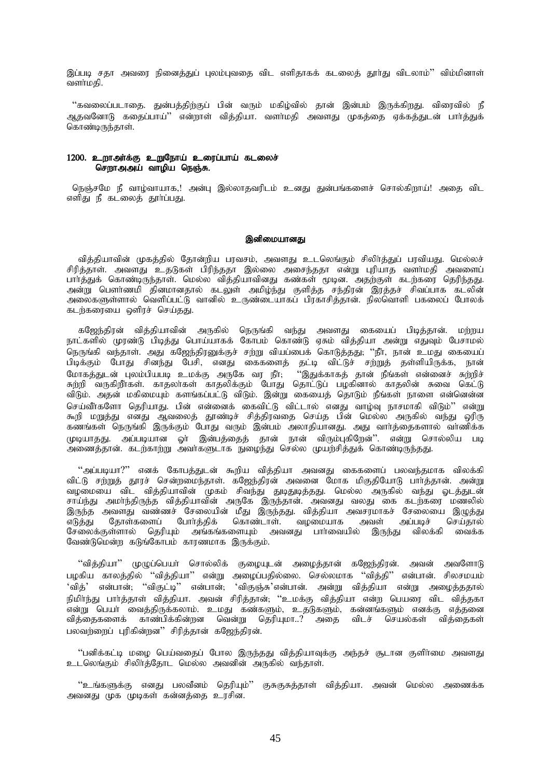இப்படி சதா அவரை நினைத்துப் புலம்புவதை விட எளிதாகக் கடலைத் தூா்து விடலாம்'' விம்மினாள் வளர்மகி.

"கவலைப்படாதை. துன்பத்திற்குப் பின் வரும் மகிழ்வில் தான் இன்பம் இருக்கிறது. விரைவில் நீ அதவனோடு கதைப்பாய்'' என்றாள் வித்தியா. வளர்மதி அவளது முகத்தை ஏக்கத்துடன் பார்த்துக் கொண்டிருந்தாள்.

# 1200. உறாஅர்க்கு உறுநோய் உரைப்பாய் கடலைச் சொரு அடிப் வாமிய நெஞ்சு.

நெஞ்சமே நீ வாழ்வாயாக,! அன்பு இல்லாதவரிடம் உனது துன்பங்களைச் சொல்கிறாய்! அதை விட எளிது நீ கடலைக் தூர்ப்பது.

### இனிமையானது

வித்தியாவின் முகத்தில் தோன்றிய பரவசம், அவளது உடலெங்கும் சிலிர்த்துப் பரவியது. மெல்லச் ் சிரிக்காள். அவளது உதடுகள் பிரிந்ததா இல்லை அசைந்ததா என்று புரியாத வளர்மதி அவளைப் பார்த்துக் கொண்டிருந்தாள். மெல்ல வித்தியாவினது கண்கள் முடின. அதற்குள் கடற்கரை தெரிந்தது. அன்று பௌர்ணமி கினமானதால் கடலுள் அமிம்ந்து குளித்த சந்திரன் இரத்தச் சிவப்பாக கடலின் அலைகளுள்ளால் வெளிப்பட்டு வானில் உருண்டையாகப் பிரகாசிக்கான். நிலவொளி பகலைப் போலக் கடற்கரையை ஒளிரச் செய்தது.

கஜேந்திரன் வித்தியாவின் அருகில் நெருங்கி வந்து அவளது கையைப் பிடித்தான். மற்றய நாட்களில் முரண்டு பிடித்து பொய்யாகக் கோபம் கொண்டு ஏசும் வித்தியா அன்று எதுவும் பேசாமல் நெருங்கி வந்தாள். அது கஜேந்திரனுக்குச் சற்று வியப்பைக் கொடுத்தது; ''நீா், நான் உமது கையைப் பிடிக்கும் போது சினந்து பேசி, எனது கைகளைத் தட்டி விட்டுச் சற்றுத் தள்ளியிருக்க, நான் மோகத்துடன் புலம்பியபடி உமக்கு அருகே வர நீர்; ''இதுக்காகத் தான் நீங்கள் என்னைச் சுற்றிச் சுற்றி வருகிறீர்கள். காதலர்கள் காதலிக்கும் போது தொட்டுப் பழகினால் காதலின் சுவை கெட்டு விடும். அதன் மகிமையும் களங்கப்பட்டு விடும். இன்று கையைத் தொடும் நீங்கள் நாளை என்னென்ன செய்வீா்களோ தெரியாது. பின் என்னைக் கைவிட்டு விட்டால் எனது வாழ்வு நாசமாகி விடும்'' என்று கூறி மறுத்து எனது ஆவலைத் தூண்டிச் சித்திரவதை செய்த பின் மெல்ல அருகில் வந்து ஒரிரு ்கணங்கள் நெருங்கி இருக்கும் போது வரும் இன்பம் அலாதியானது. அது வார்த்தைகளால் வாணிக்க முடியாதது. அப்படியான ஓர் இன்பத்தைத் தான் நான் விரும்புகிறேன்''. என்று சொல்லிய படி .<br>அணைத்தான். கடற்காற்று அவாகளுடாக நுழைந்து செல்ல முயற்சித்துக் கொண்டிருந்தது.

"அப்படியா?" எனக் கோபத்துடன் கூறிய வித்தியா அவனது கைகளைப் பலவந்தமாக விலக்கி .<br>விட்டு சற்றுத் தூரச் சென்றமைந்தாள். கஜேந்திரன் அவனை மோக மிகுதியோடு பார்த்தான். அன்று வழமையை விட வித்தியாவின் முகம் சிவந்து துடிதுடித்தது. மெல்ல அருகில் வந்து ஓடத்துடன் சாய்ந்து அமாந்திருந்த வித்தியாவின் அருகே இருந்தான். அவனது வலது கை கடந்கரை மணலில் ,<br>இருந்த அவளது வண்ணச் சேலையின் மீது இருந்தது. வித்தியா அவசரமாகச் சேலையை இழுத்து<br>எடுத்து தோள்களைப் போர்த்திக் கொண்டாள். வழமையாக அவள் அப்படிச் செய்தால் ் கொண்டாள். வழமையாக அவள் அப்படிச் செய்தால்<br>களையும் அவனது பாா்வையில் இருந்து விலக்கி வைக்க சேலைக்குள்ளால் தெரியும் அங்கங்களையும் அவனது பார்வையில் இருந்து ு ……<br>வேண்டுமென்ற கடுங்கோபம் காரணமாக இருக்கும்.

 $\degree$ வித்தியா $\degree$  முழுப்பெயா் சொல்லிக் குழையுடன் அழைத்தான் கஜேந்திரன். அவன் அவளோடு பழகிய காலத்தில் "வித்தியா" என்று அழைப்பதில்லை. செல்லமாக "வித்தி" என்பான். சிலசமயம் 'வித்' என்பான்; ''விகுட்டி'' என்பான்; 'விகுஞ்சு'என்பான். அன்று வித்தியா என்று அழைத்ததால் நிமிர்ந்து பார்த்தாள் வித்தியா. அவன் சிரித்தான்; ''உமக்கு வித்தியா என்ற பெயரை விட வித்தகா .<br>என்று பெயா வைத்திருக்கலாம். உமது கண்களும், உதடுகளும், கன்னங்களும் எனக்கு எத்தனை ்வித்தைகளைக் காண்பிக்கின்றன வென்று தெரியுமா..? அதை விடச் செயல்கள் வித்தைகள் பலவற்றைப் புரிகின்றன'' சிரித்தான் கஜேந்திரன்.

 $\lq\lq$ பனிக்கட்டி மழை பெய்வதைப் போல இருந்தது வித்தியாவுக்கு அந்தச் சூடான குளிர்மை அவளது உடலெங்கும் சிலிர்த்தோட மெல்ல அவனின் அருகில் வந்தாள்.

"உங்களுக்கு எனது பலவீனம் தெரியும்" குசுகுசுத்தாள் வித்தியா. அவன் மெல்ல அணைக்க அவனது முக முடிகள் கன்னத்தை உரசின.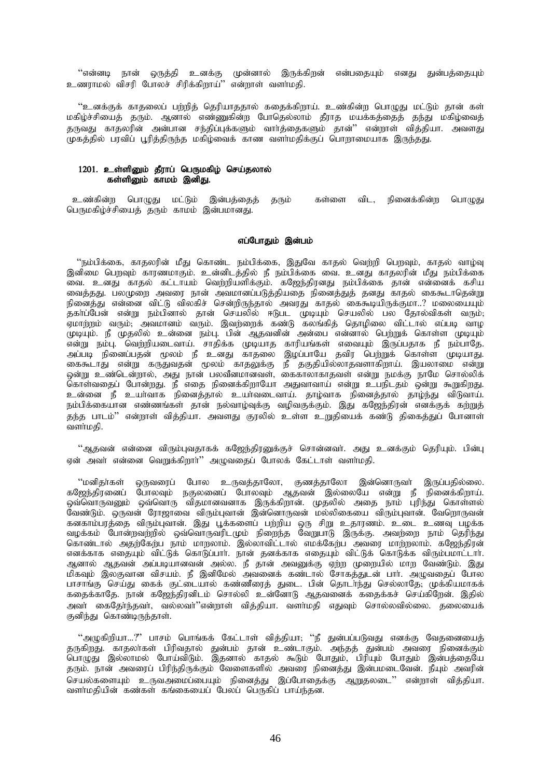''என்னடி நான் ஒருத்தி உனக்கு முன்னால் இருக்கிறன் என்பதையும் எனது துன்பத்தையும் உணராமல் விசரி போலச் சிரிக்கிறாய்'' என்றாள் வளர்மதி.

''உனக்குக் காதலைப் பற்றித் தெரியாததால் கதைக்கிறாய். உண்கின்ற பொமுது மட்டும் தான் கள் மகிழ்ச்சியைத் தரும். ஆனால் எண்ணுகின்ற போதெல்லாம் தீராத மயக்கத்தைத் தந்து மகிழ்வைத் .<br>தருவது காதலரின் அன்பான சந்திப்புக்களும் வார்த்தைகளும் தான்'' என்றாள் வித்தியா. அவளது முகத்தில் பரவிப் பூரித்திருந்த மகிழ்வைக் காண வளாமதிக்குப் பொறாமையாக இருந்தது.

# 1201. உள்ளினும் தீராப் பெருமகிழ் செய்தலால் கள்ளிமை காமம் இனிகு.

உண்கின்ற பொழுது மட்டும் இன்பத்தைத் தரும் கள்ளை விட, நினைக்கின்ற பொமுது பெருமகிழ்ச்சியைக் கரும் காமம் இன்பமானது.

### எப்போகும் இன்பம்

''நம்பிக்கை, காதலரின் மீது கொண்ட நம்பிக்கை, இதுவே காதல் வெற்றி பெறவும், காதல் வாழ்வு இனிமை பெறவும் காரணமாகும். உன்னிடத்தில் நீ நம்பிக்கை வை. உனது காதலரின் மீது நம்பிக்கை .<br>வை. உனது காதல் கட்டாயம் வெற்றியளிக்கும். கஜேந்திரனது நம்பிக்கை தான் என்னைக் கசிய வைத்தது. பலமுறை அவரை நான் அவமானப்படுத்தியதை நினைத்துத் தனது காதல் கைகூடாதென்று நினைத்து என்னை விட்டு விலகிச் சென்றிருந்தால் அவரது காதல் கைகூடியிருக்குமா..? மலையையும் .<br>தகா்ப்பேன் என்று நம்பினால் தான் செயலில் ஈடுபட முடியும் செயலில் பல தோல்விகள் வரும்;<br>ஏமாற்றம் வரும்; அவமானம் வரும். இவற்றைக் கண்டு கலங்கித் தொழிலை விட்டால் எப்படி வாழ முடியும். நீ முதலில் உன்னை நம்பு. பின் ஆதவனின் அன்பை என்னால் பெற்றுக் கொள்ள முடியும் என்று நம்பு. வெற்றியடைவாய். சாதிக்க முடியாத காரியங்கள் எவையும் இருப்பதாக நீ நம்பாதே. அப்படி நினைப்பதன் மூலம் நீ உனது காதலை இழப்பாயே தவிர பெற்றுக் கொள்ள முடியாது. ு கூடாது என்று கருதுவதன் மூலம் காதலுக்கு நீ தகுதியில்லாதவளாகிறாய். இயலாமை என்று<br>ஒன்று உண்டென்றால், அது நான் பலவீனமானவள், கைகாலாகாதவள் என்று நமக்கு நாமே சொல்லிக் கொள்வதைப் போன்றது. நீ எதை நினைக்கிறாயோ அதுவாவாய் என்று உபநிடதம் ஒன்று கூறுகிறது. உன்னை நீ உயர்வாக நினைத்தால் உயர்வடைவாய். தாழ்வாக நினைத்தால் தாழ்ந்து விடுவாய். நம்பிக்கையான எண்ணங்கள் தான் நல்வாழ்வுக்கு வழிவகுக்கும். இது கஜேந்திரன் எனக்குக் கற்றுத் கந்த பாடம்'' என்றாள் விக்கியா. அவளது குரலில் உள்ள உறுகியைக் கண்டு கிகைக்குப் போனாள் வளா்மகி.

''ஆதவன் என்னை விரும்புவதாகக் கஜேந்திரனுக்குச் சொன்னவா். அது உனக்கும் தெரியும். பின்பு ஏன் அவர் என்னை வெறுக்கிறார்'' அழுவதைப் போலக் கேட்டாள் வளர்மதி.

''மனிதா்கள் ஒருவரைப் போல உருவத்தாலோ, குணத்தாலோ இன்னொருவா் இருப்பதில்லை.<br>கஜேந்திரனைப் போலவும் நகுலனைப் போலவும் ஆதவன் இல்லையே என்று நீ நினைக்கிறாய். க்குத்திரணை - கோண்டி - நகுணைப் - கோண்டி - சூதுகள் - துணைக்கு - என்து - நினைக்குநாள்.<br>ஒவ்வொருவனும் ஒவ்வொரு விதமானவனாக இருக்கிறான். முதலில் அதை நாம் புரிந்து கொள்ளல்<br>வேண்டும். ஒருவன் ரோஜாவை விரும்புவான் இன்னொருவன் மல்லிகையை கனகாம்பரத்தை விரும்புவான். இது பூக்களைப் பற்றிய ஒரு சிறு உதாரணம். உடை உணவு பழக்க க்கைப்படத்ததை கூரும்புகான். இது ஆக்கண்டு புதநடை ஒரு எது உதாரணம். உடை உண்டி புழக்கம்<br>வழக்கம் போன்றவற்றில் ஒவ்வொருவரிடமும் நிறைந்த வேறுபாடு இருக்கு. அவற்றை நாம் தெரிந்து<br>கொண்டால் அதற்கேற்ப நாம் மாறலாம். இல்லாவிட்டால் எமக்கே எனக்காக எதையும் விட்டுக் கொடுப்பார். நான் தனக்காக எதையும் விட்டுக் கொடுக்க விரும்பமாட்டார். ஆனால் ஆதவன் அப்படியானவன் அல்ல. நீ தான் அவனுக்கு ஏற்ற முறையில் மாற வேண்டும். இது மிகவும் இலகுவான விசயம். நீ இனிமேல் அவனைக் கண்டால் சோகத்துடன் பாா். அழுவதைப் போல பாசாங்கு செய்து கைக் குட்டையால் கண்ணீரைத் துடை. பின் தொடாந்து செல்லாதே, முக்கியமாகக் கதைக்காதே. நான் கஜேந்திரனிடம் சொல்லி உன்னோடு ஆதவனைக் கதைக்கச் செய்கிறேன். இதில் அவர் கைதேர்ந்தவர், வல்லவர்''என்றாள் வித்தியா. வளர்மதி எதுவும் சொல்லவில்லை. தலையைக் குனிந்து கொண்டிருந்தாள்.

''அழுகிறியா…?'' பாசம் பொங்கக் கேட்டாள் வித்தியா; ''நீ துன்பப்படுவது எனக்கு வேதனையைத் தரும். நான் அவரைப் பிரிந்திருக்கும் வேளைகளில் அவரை நினைத்து இன்பமடைவேன். நீயும் அவரின் செயல்களையும் உருவஅமைப்பையும் நினைத்து இப்போதைக்கு ஆறுதலடை'' என்றாள் வித்தியா. வளாமதியின் கண்கள் கங்கையைப் பேலப் பெருகிப் பாய்ந்தன.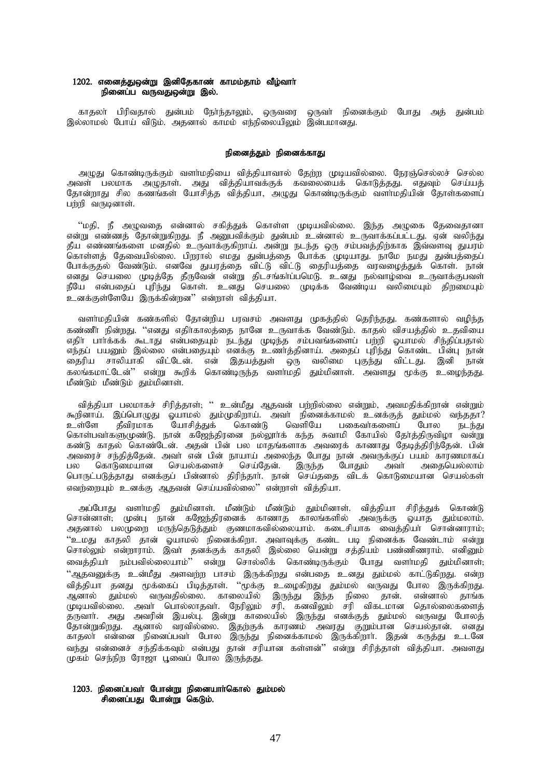# 1202. எனைத்துஒன்று இனிதேகாண் காமம்தாம் வீழ்வாா் நினைப்ப வருவதுஒன்று இல்.

காதலா் பிரிவதால் துன்பம் நோ்ந்தாலும், ஒருவரை ஒருவா் நினைக்கும் போது அத் துன்பம் இல்லாமல் போய் விடும். அதனால் காமம் எந்நிலையிலும் இன்பமானது.

### நினைத்தும் நினைக்காது

அழுது கொண்டிருக்கும் வளா்மதியை வித்தியாவால் தேற்ற முடியவில்லை. நேரஞ்செல்லச் செல்ல அவள் பலமாக அழுதாள். அது வித்தியாவக்குக் கவலையைக் கொடுத்தது. எதுவும் செய்யத் தோன்றாது சில கணங்கள் யோசித்த வித்தியா, அழுது கொண்டிருக்கும் வளாமதியின் தோள்களைப்  $L$ ற்றி வருடினாள்.

 $\lq\lq$ மதி, நீ அழுவதை என்னால் சகித்துக் கொள்ள முடியவில்லை. இந்த அழுகை தேவைதானா என்று எண்ணத் தோன்றுகிறது. நீ அனுபவிக்கும் துன்பம் உன்னால் உருவாக்கப்பட்டது. ஏன் வலிந்து தீய எண்ணங்களை மனதில் உருவாக்குகிறாய். அன்று நடந்த ஒரு சம்பவத்திற்காக இவ்வளவு துயரம் கொள்ளத் தேவையில்லை. பிறரால் எமது துன்பத்தை போக்க முடியாது. நாமே நமது துன்பத்தைப் போக்குதல் வேண்டும். எனவே துயரத்தை விட்டு விட்டு தைரியத்தை வரவழைத்துக் கொள். நான் எனது செயலை முடித்தே தீருவேன் என்று திடசங்காப்பமெடு. உனது நல்வாழ்வை உருவாக்குபவள் நீயே என்பதைப் புரிந்து கொள். உனது செயலை முடிக்க வேண்டிய வலிமையும் திறமையும் உனக்குள்ளேயே இருக்கின்றன" என்றாள் வித்தியா.

வளா்மதியின் கண்களில் தோன்றிய பரவசம் அவளது முகத்தில் தெரிந்தது. கண்களால் வழிந்த கண்ணீர் நின்றது. ''எனது எதிர்காலக்கை நானே உருவாக்க வேண்டும். காகல் விசபுக்கில் உகவியை எதிா பார்க்கக் கூடாது என்பதையும் நடந்து முடிந்த சம்பவங்களைப் பற்றி ஓயாமல் சிந்திப்பதால் ளந்தப் பயனும் இல்லை என்பதையும் எனக்கு உணர்த்தினாய். அதைப் புரிந்து கொண்ட பின்பு நான் தைரிய சாலியாகி விட்டேன். என் இதயத்துள் ஒரு வலிமை புகுந்து விட்டது. இனி நான் .<br>சுலங்கமாட்டேன்'' என்று கூறிக் கொண்டிருந்த வளர்மதி தும்மினாள். அவளது மூக்கு உமைந்தது.  $\mathfrak l$ ண்டும் மீண்டும் தும்மினாள்.

வித்தியா பலமாகச் சிரித்தாள்; '' உன்மீது ஆதவன் பற்றில்லை என்றும், அவமதிக்கிறான் என்றும் கூறினாய். இப்பொழுது ஓயாமல் தும்முகிறாய். அவா் நினைக்காமல் உனக்குத் தும்மல் வந்ததா? உள்ளே தீவிரமாக யோசித்துக் கொண்டு வெளியே பகைவா்களைப் போல நடந்து கொள்பவா்களுமுண்டு. நான் கஜேந்திரனை நல்லூா்க் கந்த சுவாமி கோயில் தோ்த்திருவிழா வன்று ்கண்டு காதல் கொண்டேன். அதன் பின் பல மாதங்களாக அவரைக் காணாது தேடித்திரிந்தேன். பின் அவரைச் சந்தித்தேன். அவா் என் பின் நாயாய் அலைந்த போது நான் அவருக்குப் பயம் காரணமாகப்<br>பல கொடுமையான செயல்களைச் செய்தேன். இருந்த போதும் அவா் அதையெல்லாம் செயல்களைச் செய்தேன். இருந்த போதும் அவா் அதையெல்லாம் பொருட்படுத்தாது எனக்குப் பின்னால் திரிந்தார். நான் செய்ததை விடக் கொடுமையான செயல்கள் எவர்ளையும் உனக்கு ஆதவன் செய்யவில்லை'' என்றாள் வித்தியா.

அப்போது வளா்மதி தும்மினாள். மீண்டும் மீண்டும் தும்மினாள். வித்தியா சிரித்துக் கொண்டு சொன்னாள்; முன்பு நான் கஜேந்திரனைக் காணாத காலங்களில் அவருக்கு ஓயாத தும்மலாம். அதனால் பலமுறை மருந்தெடுத்தும் குணமாகவில்லையாம். கடைசியாக வைத்தியா சொன்னாராம், "உமது காதலி தான் ஓயாமல் நினைக்கிறா. அவாவுக்கு கண்ட படி நினைக்க வேண்டாம் என்று சொல்லும் என்றாராம். இவா தனக்குக் காதலி இல்லை யென்று சத்தியம் பண்ணிணராம். எனினும் வைத்தியா் நம்பவில்லையாம்'' என்று சொல்லிக் கொண்டிருக்கும் போது வளா்மதி தும்மினாள்<del>,</del> "ஆதவனுக்கு உன்மீது அளவற்ற பாசம் இருக்கிறது என்பதை உனது தும்மல் காட்டுகிறது. என்ற வித்தியா தனது மூக்கைப் பிடித்தாள். ''மூக்கு உழைகிறது தும்மல் வருவது போல இருக்கிறது. ஆனால் தும்மல் வருவதில்லை. காலையில் இருந்து இந்த நிலை தான். என்னால் தாங்க முடியவில்லை. அவா் பொல்லாதவா். நேரிலும் சரி, கனவிலும் சரி விகடமான தொல்லைகளைத் தருவார். அது அவரின் இயல்பு. இன்று காலையில் இருந்து எனக்குத் தும்மல் வருவது போலத் தோன்றுகிறது. ஆனால் வரவில்லை. இதற்குக் காரணம் அவரது குறும்பான செயல்தான். எனது காதலா என்னை நினைப்பவா் போல இருந்து நினைக்காமல் இருக்கிறாா். இதன் கருத்து உடனே ்.<br>துர்து என்னைச் சந்திக்கவும் என்பது தான் சரியான கள்ளன்'' என்று சிரித்தாள் வித்தியா. அவளது முகம் செந்நிற ரோஜா பூவைப் போல இருந்தது.

# 1203. நினைப்பவா் போன்று நினையாா்கொல் தும்மல் சினைப்பது போன்று கெடும்.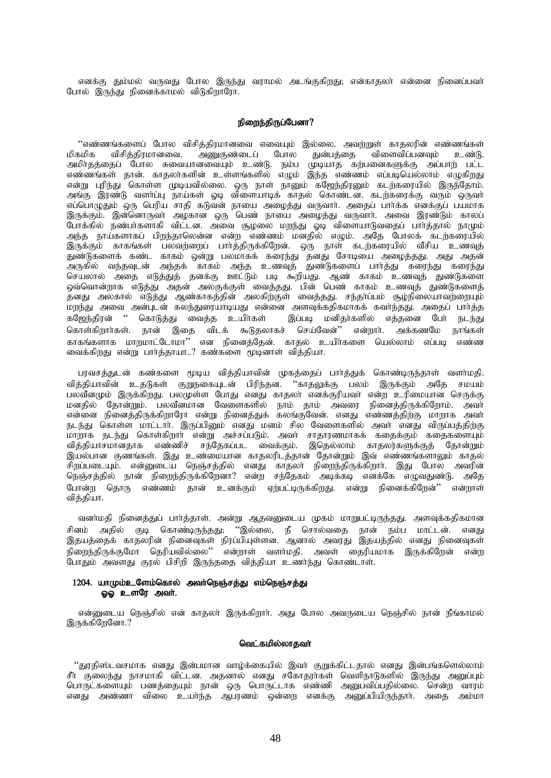எனக்கு தும்மல் வருவது போல இருந்து வராமல் அடங்குகிறது; என்காதலா என்னை நினைப்பவா் போல் இருந்து நினைக்காமல் விடுகிறாரோ.

### நிறைந்திருப்பேனா?

''எண்ணங்களைப் போல விசித்திரமானவை எவையும் இல்லை. அவற்றுள் காதலரின் எண்ணங்கள் மிகமிக விசித்திரமானவை. அணுகுண்டைப் போல துன்பத்தை விளைவிப்பனவும் உண்டு.<br>அமிர்தத்தைப் போல சுவையானவையும் உண்டு. நம்ப முடியாத கற்பனைகளுக்கு அப்பாற் பட்ட எண்ணங்கள் தான். காதலாகளின் உள்ளங்களில் எழும் இந்த எண்ணம் எப்படியெல்லாம் எழுகிறது என்று புரிந்து கொள்ள முடியவில்லை. ஒரு நாள் நானும் கஜேந்திரனும் கடற்கரையில் இருந்தோம். அங்கு இரண்டு வளாப்பு நாய்கள் ஓடி விளையாடிக் காதல் கொண்டன. கடற்கரைக்கு வரும் ஒருவா எப்பொழுதும் ஒரு பெரிய சாதி கடுவன் நாயை அழைத்து வருவார். அதைப் பார்க்க எனக்குப் பயமாக இருக்கும். இன்னொருவா அழகான ஒரு பெண் நாயை அழைத்து வருவாா். அவை இரண்டும் காலப் போக்கில் நண்பாகளாகி விட்டன. அவை சூழலை மறந்து ஓடி விளையாடுவதைப் பாா்த்தால் நாமும் அந்த நாய்களாகப் பிறந்தாலென்ன என்ற எண்ணம் மனதில் எழும். அதே போலக் கடற்கரையில் இருக்கும் காகங்கள் பலவற்றைப் பார்த்திருக்கிறேன். ஒரு நாள் கடற்கரையில் வீசிய உணவுத் .<br>அருகில் வந்தவுடன் அந்தக் காகம் அந்த உணவுத் துண்டுகளைப் பார்த்து கரைந்து கரைந்து செயலால் அதை எடுத்துத் தனக்கு ஊட்டும் படி கூறியது. ஆண் காகம் உணவுத் துண்டுகளை ஒவ்வொன்றாக எடுத்து அதன் அலகுக்குள் வைத்தது. பின் பெண் காகம் உணவுத் துண்டுகளைத் தனது அலகால் எடுத்து ஆண்காகத்தின் அலகிற்குள் வைத்தது. சந்தா்ப்பம் சூழ்நிலையாவற்றையும் மறந்து அவை அன்படன் கலந்துரையாடியது என்னை அளவுக்கதிகமாகக் கவாந்தது. அதைப் பார்த்த .<br>கஜேந்திரன் '' கொடுத்து வைத்த உயிர்கள் இப்படி மனிதர்களில் எத்தனை பேர் நடந்து கொள்கிறார்கள். நான் இதை விடக் கூடுதலாகச் செய்வேன்'' என்றார். அக்கணமே நாங்கள் .<br>காகங்களாக மாறமாட்டோமா'' என நினைத்தேன். காதல் உயிர்களை யெல்லாம் எப்படி எண்ண<br>வைக்கிறது என்று பார்த்தாயா..? கண்களை மூடினாள் வித்தியா.

பரவசத்துடன் கண்களை மூடிய வித்தியாவின் முகத்தைப் பார்த்துக் கொண்டிருந்தாள் வளா்மதி. வித்தியாவின் உதடுகள் குறுநகையுடன் பிரிந்தன. ''காதலுக்கு பலம் இருக்கும் அதே சமயம் பலவீனமும் இருக்கிறது. பலமுள்ள போது எனது காதலா எனக்குரியவா என்ற உரிமையான செருக்கு பணைஞ்சு இருக்கந்து. பல்முன்ன கொது எனது கூறன. எனக்குருங்கு, எனது பரண்களான எனருக்கு<br>மனதில் தோன்றும். பலவீனமான வேளைகளில் நாம் தாம் அவரை நினைத்திருக்கிறோம். அவர்<br>என்னை நினைத்திருக்கிறாரோ என்று நினைத்துக் கலங்குவேன். எனது எண்ண நடந்து கொள்ள மாட்டார். இருப்பினும் எனது மனம் சில வேளைகளில் அவர் எனது விருப்பத்திற்கு . அட்சப்பான் குண்டிகள் இது — கைக்கப்பட்ட கூறத்தொடை தொன்கும் இடை கண்ணிக்கள் தேட்டோல் அவரின்<br>சிறப்படையும். என்னுடைய நெஞ்சத்தில் எனது காதலா நிறைந்திருக்கிறாா். இது போல அவரின்<br>நெஞ்சத்தில் நான் நிறைந்திருக்கிறேனா? என்ற சந்தேகம போன்ற தொரு எண்ணம் தான் உனக்கும் ஏற்பட்டிருக்கிறது. என்று நினைக்கிறேன்'' என்றாள் வித்தியா.

வனா்மதி நினைத்துப் பாா்த்தாள். அன்று ஆதவனுடைய முகம் மாறுபட்டிருந்தது. அளவுக்கதிகமான சினம் அதில் குடி கொண்டிருந்தது; ''இல்லை, நீ சொல்வதை நான் நம்ப மாட்டன். எனது இதயத்தைக் காதலரின் நினைவுகள் நிரப்பியுள்ளன. ஆனால் அவரது இதயத்தில் எனது நினைவுகள் நிறைந்திருக்குமோ தெரியவில்லை'' என்றாள் வளர்மதி. அவள் தைரியமாக இருக்கிறேன் என்ற போதும் அவளது குரல் பிசிறி இருந்ததை வித்தியா உணர்ந்து கொண்டாள்.

# 1204. யாமும்உளேம்கொல் அவர்நெஞ்சத்து எம்நெஞ்சத்து ஓஓ உளரே அவர்.

என்னுடைய நெஞ்சில் என் காதலா் இருக்கிறாா். அது போல அவருடைய நெஞ்சில் நான் நீங்காமல் இருக்கிறேனோ.?

### வெட்கமில்லாகவா்

''துரதிஸ்டவசமாக எனது இன்பமான வாழ்க்கையில் இவா் குறுக்கிட்டதால் எனது இன்பங்களெல்லாம் சீா குலைந்து நாசமாகி விட்டன. அதனால் எனது சகோதராகள் வெளிநாடுகளில் இருந்து அனுப்பும் பொருட்களையும் பணத்தையும் நான் ஒரு பொருட்டாக எண்ணி அனுபவிப்பதில்லை. சென்ற வாரம் எனது அண்ணா விலை உயாந்த ஆபரணம் ஒன்றை எனக்கு அனுப்பியிருந்தாா். அதை அம்மா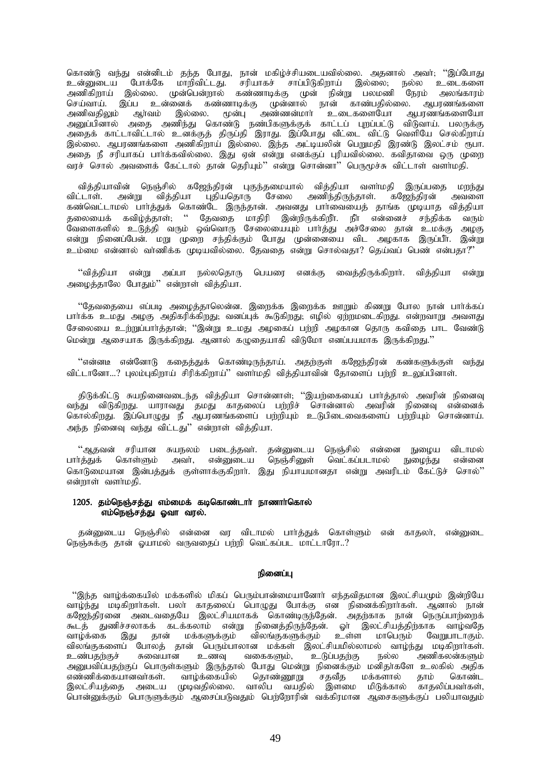கொண்டு வந்து என்னிடம் தந்த போது, நான் மகிழ்ச்சியடையவில்லை. அதனால் அவர்; ''இப்போது உன்னுடைய போக்கே மாறிவிட்டது. சரியாகச் சாப்பிடுகிறாய் இல்லை; நல்ல உடைகளை அணிகிறாய் இல்லை. முன்பென்றால் கண்ணாடிக்கு முன் நின்று பலமணி நேரம் அலங்காரம் செய்வாய். இப்ப உன்னைக் கண்ணாடிக்கு முன்னால் நான் காண்பதில்லை. ஆபரணங்களை அணிவதிலும் ஆர்வம் இல்லை. முன்பு அண்ணன்மார் உடைகளையோ ஆபரணங்களையோ அனுப்பினால் அதை அணிந்து கொண்டு நண்பிகளுக்குக் காட்டப் புறப்பட்டு விடுவாய். பலருக்கு அதைக் காட்டாவிட்டால் உனக்குத் திருப்தி இராது. இப்போது வீட்டை விட்டு வெளியே செல்கிறாய் இல்லை. ஆபரணங்களை அணிகிறாய் இல்லை. இந்த அட்டியலின் பெறுமதி இரண்டு இலட்சம் ரூபா. அதை நீ சரியாகப் பார்க்கவில்லை. இது ஏன் என்று எனக்குப் புரியவில்லை. கவிதாவை ஒரு முறை வரச் சொல் அவளைக் கேட்டால் தான் தெரியும்'' என்று சொன்னா'' பெருமூச்சு விட்டாள் வளர்மதி.

வித்தியாவின் நெஞ்சில் கஜேந்திரன் புகுந்தமையால் வித்தியா வளர்மதி இருப்பதை மறந்து விட்டாள். அன்று வித்தியா புதியதொரு சேலை அணிந்திருந்தாள். கஜேந்திரன் அவளை கண்வெட்டாமல் பார்த்துக் கொண்டே இருந்தான். அவனது பார்வையைத் தாங்க முடியாத வித்தியா தலையைக் கவிழ்த்தாள்; '' தேவதை மாதிரி இன்றிருக்கிறீா். நீா் என்னைச் சந்திக்க வரும் வேளைகளில் உடுத்தி வரும் ஒவ்வொரு சேலையையும் பார்த்து அச்சேலை தான் உமக்கு அழகு என்று நினைப்பேன். மறு முறை சந்திக்கும் போது முன்னையை விட அழகாக இருப்பீா். இன்று உம்மை என்னால் வாணிக்க முடியவில்லை. கேவகை என்று சொல்வதா? தெய்வப் பெண் என்பதா?"

"வித்தியா என்று அப்பா நல்லதொரு பெயரை எனக்கு வைத்திருக்கிறார். வித்தியா என்று அழைத்தாலே போதும்'' என்றாள் வித்தியா.

"தேவதையை எப்படி அழைத்தாலென்ன. இறைக்க இறைக்க ஊறும் கிணறு போல நான் பார்க்கப் பார்க்க உமது அழகு அதிகரிக்கிறது; வனப்புக் கூடுகிறது; எழில் ஏற்றமடைகிறது. என்றவாறு அவளது சேலையை உற்றுப்பார்த்தான்; ''இன்று உமது அழகைப் பற்றி அழகான தொரு கவிதை பாட வேண்டு மென்று அசையாக இருக்கிறது. அனால் கமுகையாகி விடுமோ எனப்பயமாக இருக்கிறது."

"என்னடீ என்னோடு கதைத்துக் கொண்டிருந்தாய். அதற்குள் கஜேந்திரன் கண்களுக்குள் வந்து விட்டானோ...? புலம்புகிறாய் சிரிக்கிறாய்'' வளர்மதி வித்தியாவின் தோளைப் பற்றி உலுப்பினாள்.

திடுக்கிட்டு சுயநினைவடைந்த வித்தியா சொன்னாள்; ''இயற்கையைப் பார்த்தால் அவரின் நினைவு வந்து விடுகிறது. யாராவது தமது காதலைப் பற்றிச் சொன்னால் அவரின் நினைவு என்னைக் கொல்கிறது. இப்பொழுது நீ ஆபரணங்களைப் பற்றியும் உடுபிடைவைகளைப் பற்றியும் சொன்னாய். அந்த நினைவு வந்து விட்டது'' என்றாள் வித்தியா.

் ஆதவன் சரியான சுயநலம் படைத்தவர். தன்னுடைய நெஞ்சில் என்னை நுழைய விடாமல்<br>பார்த்துக் கொள்ளும் அவர், என்னுடைய நெஞ்சினுள் வெட்கப்படாமல் நுழைந்து என்னை என்னுடைய நெஞ்சினுள் கொடுமையான இன்பத்துக் குள்ளாக்குகிறார். இது நியாயமானதா என்று அவரிடம் கேட்டுச் சொல்'' என்றாள் வளர்மகி.

# $1205$ . தம்நெஞ்சத்து எம்மைக் கடிகொண்டார் நாணார்கொல் எம்நெஞ்சத்து ஓவா வரல்.

தன்னுடைய நெஞ்சில் என்னை வர விடாமல் பார்த்துக் கொள்ளும் என் காதலர், என்னுடை நெஞ்சுக்கு தான் ஒயாமல் வருவதைப் பற்றி வெட்கப்பட மாட்டாரோ..?

## நினைப்ப

"இந்த வாழ்க்கையில் மக்களில் மிகப் பெரும்பான்மையானோா் எந்தவிதமான இலட்சியமும் இன்றியே வாழ்ந்து மடிகிறாா்கள். பலா் காதலைப் பொழுது போக்கு என நினைக்கிறாா்கள். ஆனால் நான் கஜேந்திரனை அடைவதையே இலட்சியமாகக் கொண்டிருந்தேன். அதற்காக நான் நெருப்பாற்றைக் கூடத் துணிச்சலாகக் கடக்கலாம் என்று நினைத்திருந்தேன். ஓா் இலட்சியத்திற்காக வாழ்வதே<br>வாழ்க்கை இது தான் மக்களுக்கும் விலங்குகளுக்கும் உள்ள மாபெரும் வேறுபாடாகும். விலங்குகளுக்கும் உள்ள மாபெரும் விலங்குகளைப் போலத் தான் பெரும்பாலான மக்கள் இலட்சியமில்லாமல் வாழ்ந்து மடிகிறார்கள்.<br>உண்பதற்குச் சுவையான உணவு வகைகளும், உடுப்பதற்கு நல்ல அணிகலன்களும் அணிகலன்களும் அனுபவிப்பதற்குப் பொருள்களும் இருந்தால் போது மென்று நினைக்கும் மனிதா்களே உலகில் அதிக<br>எண்ணிக்கையானவா்கள். வாழ்க்கையில் தொண்ணூறு சதவீத மக்களால் தாம் கொண்ட எண்ணிக்கையானவா்கள். வாழ்க்கையில் தொண்ணூறு சதவீத மக்களால் தாம் கொண்ட இலட்சியத்தை அடைய முடிவதில்லை. வாலிப வயதில் இளமை மிடுக்கால் காதலிப்பவா்கள், பொன்னுக்கும் பொருளுக்கும் ஆசைப்படுவதும் பெற்றோரின் வக்கிரமான ஆசைகளுக்குப் பலியாவதும்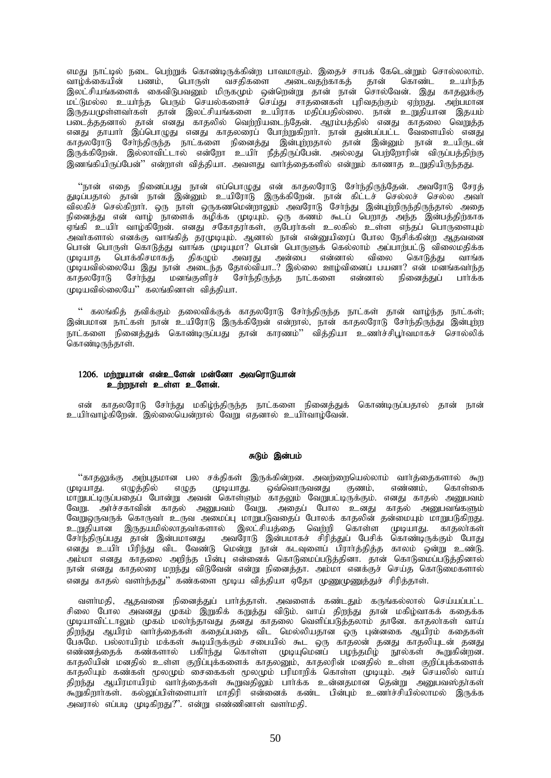எமது நாட்டில் நடை பெற்றுக் கொண்டிருக்கின்ற பாவமாகும். இதைச் சாபக் கேடென்றும் சொல்லலாம்.<br>வாம்க்கையின் பணம். பொருள் வசகிகளை அடைவகற்காகக் கான் கொண்ட உயர்ந்த வாழ்க்கையின் பணம், பொருள் வசதிகளை அடைவதற்காகத் தான் இலட்சியங்களைக் கைவிடுபவனும் மிருகமும் ஒன்றென்று தான் நான் சொல்வேன். இது காதலுக்கு மட்டுமல்ல உயா்ந்த பெரும் செயல்களைச் செய்து சாதனைகள் புரிவதற்கும் ஏற்றது. அற்பமான இருதயமுள்ளவாகள் தான் இலட்சியங்களை உயிராக மதிப்பதில்லை. நான் உறுதியான இதயம் படைத்ததனால் தான் எனது காதலில் வெற்றியடைந்தேன். ஆரம்பத்தில் எனது காதலை வெறுத்த எனது தாயார் இப்பொழுது எனது காதலரைப் போற்றுகிறார். நான் துன்பப்பட்ட வேளையில் எனது காதலரோடு சோ்ந்திருந்த நாட்களை நினைத்து இன்புற்றதால் தான் இன்னும் நான் உயிருடன் இருக்கிறேன். இல்லாவிட்டால் என்றோ உயிா நீத்திருப்பேன். அல்லது பெற்றோரின் விருப்பத்திற்கு இணங்கியிருப்பேன்'' என்றாள் வித்தியா. அவளது வார்த்தைகளில் என்றும் காணாத உறுதியிருந்தது.

"நான் எதை நினைப்பது நான் எப்பொழுது என் காதலரோடு சேர்ந்திருந்தேன். அவரோடு சேரத் துடிப்பதால் தான் நான் இன்னும் உயிரோடு இருக்கிறேன். நான் கிட்டச் செல்லச் செல்ல அவா ்விலகிச் செல்கிறாா். ஒரு நாள் ஒருகணமென்றாலும் அவரோடு சோந்து இன்புற்றிருந்திருந்தால் அதை நினைத்து என் வாழ் நாளைக் கழிக்க முடியும். ஒரு கணம் கூடப் பெறாத அந்த இன்பத்திற்காக .<br>'ஏங்கி உயிா வாழ்கிறேன். எனது சகோதராகள், குபேராகள் உலகில் உள்ள எந்தப் பொருளையும் அவாகளால் எனக்கு வாங்கித் தரமுடியும். ஆனால் நான் என்னுயிரைப் போல நேசிக்கின்ற ஆதவனை பொன் பொருள் கொடுத்து வாங்க முடியுமா? பொன் பொருளுக் கெல்லாம் அப்பாற்பட்டு விலைமகிக்க முடியாத பொக்கிசமாகத் திகழும் அவரது அன்பை என்னால் விலை கொடுத்து வாங்க , முடியவில்லையே இது நான் அடைந்த தோல்வியா..? இல்லை ஊழ்வினைப் பயனா? என் மனங்கவாந்த<br>காகலாோடு சோ்ந்து மனங்குளிாச் சோ்ந்திருந்த நாட்களை என்னால் நினைக்குப் பாா்க்க ்.<br>காதலரோடு சோந்து மனங்குளிரச் சோந்திருந்த நாட்களை என்னால்  $\mu$ ம்பு வில்லைபே $\mu$ ் கலங்கினாள் விக்கியா.

" கலங்கித் தவிக்கும் தலைவிக்குக் காதலரோடு சேர்ந்திருந்த நாட்கள் தான் வாழ்ந்த நாட்கள்; இன்பமான நாட்கள் நான் உயிரோடு இருக்கிறேன் என்றால், நான் காதலரோடு சோந்திருந்து இன்புற்ற நாட்களை நினைத்துக் கொண்டிருப்பது தான் காரணம்'' வித்தியா உணர்ச்சிபூர்வமாகச் சொல்லிக் கொண்டிருந்தாள்.

# $1206$ . மற்றுயான் என்உளேன் மன்னோ அவரொடுயான் உற்றநாள் உள்ள உளேன்.

என் காதலரோடு சோ்ந்து மகிம்ந்திருந்த நாட்களை நினைத்துக் கொண்டிருப்பதால் தான் நான் உயிர்வாழ்கிறேன். இல்லையென்றால் வேறு எதனால் உயிர்வாழ்வேன்.

## சுடும் இன்பம்

''காதலுக்கு அற்புதமான பல சக்திகள் இருக்கின்றன. அவற்றையெல்லாம் வார்த்தைகளால் கூற<br>டியாது. எமுக்கில் எமுக முடியாது. வெ்வொருவனது குணம், எண்ணம், கொள்கை முடியாது. எழுத்தில் எழுத முடியாது. ஒவ்வொருவனது குணம், எண்ணம், கொள்கை மாறுபட்டிருப்பதைப் போன்று அவன் கொள்ளும் காதலும் வேறுபட்டிருக்கும். எனது காதல் அனுபவம் வேறு. அர்ச்சகாவின் காதல் அனுபவம் வேறு. அதைப் போல உனது காதல் அனுபவங்களும் வேறுஒருவருக் கொருவா் உருவ அமைப்பு மாறுபடுவதைப் போலக் காதலின் தன்மையும் மாறுபடுகிறது. cWjpahd ,Ujakpy;yhjth;fshy; ,yl;rpaj;ij ntw;wp nfhs;s KbahJ. fhjyh;fs; சேர்ந்திருப்பது தான் இன்பமானது அவரோடு இன்பமாகச் சிரித்துப் பேசிக் கொண்டிருக்கும் போது எனது உயிா் பிரிந்து விட வேண்டு மென்று நான் கடவுளைப் பிராா்த்தித்த காலம் ஒன்று உண்டு. அம்மா எனது காதலை அறிந்த பின்பு என்னைக் கொடுமைப்படுத்தினா. தான் கொடுமைப்படுத்தினால் நான் எனது காதலரை மறந்து விடுவேன் என்று நினைத்தா. அம்மா எனக்குச் செய்த கொடுமைகளால் எனது காதல் வளர்ந்தது'' கண்களை மூடிய வித்தியா ஏதோ முணுமுணுத்துச் சிரித்தாள்.

வளா்மதி, ஆதவனை நினைத்துப் பாா்த்தாள். அவளைக் கண்டதும் கருங்கல்லால் செய்யப்பட்ட சிலை போல அவனது முகம் இறுகிக் கறுத்து விடும். வாய் திறந்து தான் மகிழ்வாகக் கதைக்க முடியாவிட்டாலும் முகம் மலாந்தாவது தனது காதலை வெளிப்படுத்தலாம் தானே. காதலாகள் வாய் திறந்து ஆயிரம் வார்த்தைகள் கதைப்பதை விட மெல்லியதான ஒரு புன்னகை ஆயிரம் கதைகள் .<br>பேசுமே. பல்லாயிரம் மக்கள் கூடியிருக்கும் சபையில் கூட ஒரு காதலன் தனது காதலியுடன் தனது எண்ணத்தைக் கண்களால் பகிாந்து கொள்ள முடியுமென்ப் பழந்தமிழ் நூல்கள் கூறுகின்றன. காதலியின் மனதில் உள்ள குறிப்புக்களைக் காதலனும், காதலரின் மனதில் உள்ள குறிப்புக்களைக் காதலியும் கண்கள் மூலமும் சைகைகள் மூலமும் பரிமாறிக் கொள்ள முடியும். அச் செயலில் வாய் திறந்து ஆயிரமாயிரம் வாா்த்தைகள் கூறுவதிலும் பாா்க்க உன்னதமான தென்று அனுபவஸ்தா்கள் கூறுகிறாாகள். கல்லுப்பிள்ளையாா் மாதிரி என்னைக் கண்ட பின்பும் உணா்ச்சியில்லாமல் இருக்க அவரால் எப்படி முடிகிறது?". என்று எண்ணினாள் வளர்மதி.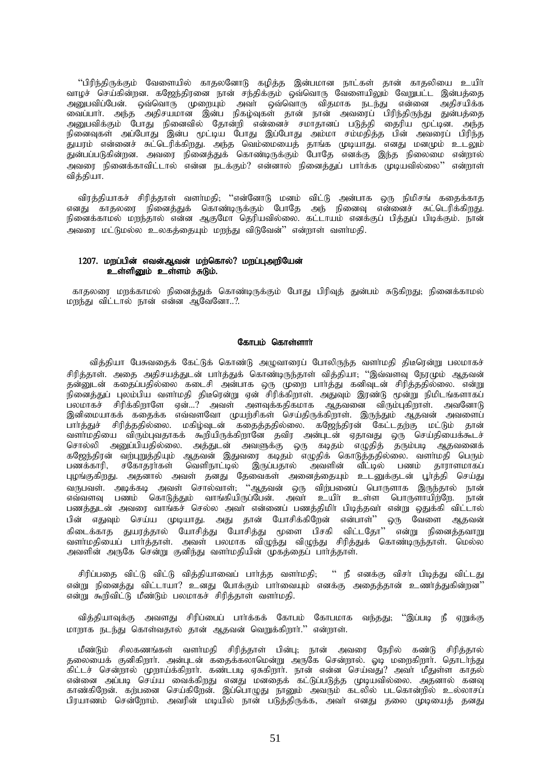''பிரிந்திருக்கும் வேளையில் காதலனோடு கழித்த இன்பமான நாட்கள் தான் காதலியை உயிா் வாழச் செய்கின்றன. கஜேந்திரனை நான் சந்திக்கும் ஒவ்வொரு வேளையிலும் வேறுபட்ட இன்பத்தை அனுபவிப்பேன். ஒவ்வொரு முறையும் அவர் ஒவ்வொரு விதமாக நடந்து என்னை அதிசயிக்க வைப்பாா். அந்த அதிசயமான இன்ப நிகழ்வுகள் தான் நான் அவரைப் பிரிந்திருந்து துன்பத்தை அனுபவிக்கும் போது நினைவில் தோன்றி என்னைச் சமாதானப் படுத்தி தைரிய மூட்டின. அந்த நினைவுகள் அப்போது இன்ப மூட்டிய போது இப்போது அம்மா சம்மதித்த பின் அவரைப் பிரிந்த துயரம் என்னைச் சுட்டெரிக்கிறது. அந்த வெம்மையைத் தாங்க முடியாது. எனது மனமும் உடலும் துன்பப்படுகின்றன. அவரை நினைத்துக் கொண்டிருக்கும் போதே எனக்கு இந்த நிலைமை என்றால் அவரை நினைக்காவிட்டால் என்ன நடக்கும்? என்னால் நினைத்துப் பார்க்க முடியவில்லை'' என்றாள் வித்தியா.

விரத்தியாகச் சிரித்தாள் வளர்மதி; ''என்னோடு மனம் விட்டு அன்பாக ஒரு நிமிசங் கதைக்காத எனது காதலரை நினைத்துக் கொண்டிருக்கும் போதே அந் நினைவு என்னைச் சுட்டெரிக்கிறது. .<br>நினைக்காமல் மறந்தால் என்ன ஆகுமோ தெரியவில்லை. கட்டாயம் எனக்குப் பித்துப் பிடிக்கும். நான் அவரை மட்டுமல்ல உலகத்தையும் மறந்து விடுவேன்'' என்றாள் வளா்மதி.

# $1207$ . மறப்பின் எவன்ஆவன் மற்கொல்? மறப்புஅறியேன்  $e$  of  $\sinh \omega$  and  $\sinh \omega$ .

காதலரை மறக்காமல் நினைத்துக் கொண்டிருக்கும் போது பிரிவுத் துன்பம் சுடுகிறது; நினைக்காமல் மருந்து விட்டால் நான் என்ன ஆவேனோ..?.

## கோபம் கொள்ளார்

வித்தியா பேசுவதைக் கேட்டுக் கொண்டு அழுவாரைப் போலிருந்த வளர்மதி திடீரென்று பலமாகச் .<br>சிரித்தாள். அதை அதிசயத்துடன் பார்த்துக் கொண்டிருந்தாள் வித்தியா; ''இவ்வளவு நேரமும் ஆதவன் ்தன்னுடன் கதைப்பதில்லை கடைசி அன்பாக ஒரு முறை பார்த்து கனிவுடன் சிரித்ததில்லை. என்று நினைத்துப் புலம்பிய வளர்மதி திடீரென்று ஏன் சிரிக்கிறாள். அதுவும் இரண்டு மூன்று நிமிடங்களாகப் பலமாகச் சிரிக்கிறாளே ஏன்...? அவள் அளவுக்கதிகமாக ஆதவனை விரும்புகிறாள். அவனோடு இனிமையாகக் கதைக்க எவ்வளவோ முயற்சிகள் செய்திருக்கிறாள். இருந்தும் ஆதவன் அவளைப் பார்த்துச் சிரித்ததில்லை. மகிழ்வுடன் கதைத்ததில்லை. கஜேந்திரன் கேட்டதற்கு மட்டும் தான் வளா்மதியை விரும்புவதாகக் கூறியிருக்கிறானே தவிர அன்புடன் ஏதாவது ஒரு செய்தியைக்கூடச் சொல்லி அனுப்பியதில்லை. அத்துடன் அவளுக்கு ஒரு கடிதம் எழுதித் தரும்படி ஆதவனைக் கஜேந்திரன் வற்புறுத்தியும் ஆதவன் இதுவரை கடிதம் எழுதிக் கொடுத்ததில்லை. வளாமதி பெரும் பணக்காரி, சகோதராகள் வெளிநாட்டில் இருப்பதால் அவளின் வீட்டில் பணம் தாராளமாகப் புழங்குகிறது. அதனால் அவள் தனது தேவைகள் அனைத்தையும் உடனுக்குடன் பூர்த்தி செய்து வருபவள். அடிக்கடி அவள் சொல்வாள்; ''ஆதவன் ஒரு விற்பனைப் பொருளாக இருந்தால் நான் எவ்வளவு பணம் கொடுத்தும் வாங்கியிருப்பேன். அவா் உயிா் உள்ள பொருளாயிற்றே. நான் பணத்துடன் அவரை வாங்கச் செல்ல அவா் என்னைப் பணத்திமிா் பிடித்தவா் என்று ஒதுக்கி விட்டால் பின் எதுவும் செய்ய முடியாது. அது தான் யோசிக்கிறேன் என்பாள்'' ஒரு வேளை ஆதவன் ்கிடைக்காத துயரத்தால் யோசித்து யோசித்து மூளை பிசகி விட்டதோ" என்று நினைத்தவாறு வளாமதியைப் பார்த்தாள். அவள் பலமாக விமுந்து விமுந்து சிரித்துக் கொண்டிருந்தாள். மெல்ல அவளின் அருகே சென்று குனிந்து வளர்மதியின் முகத்தைப் பார்த்தாள்.

சிரிப்பதை விட்டு விட்டு வித்தியாவைப் பார்த்த வளர்மதி; " நீ எனக்கு விசர் பிடித்து விட்டது என்று நினைத்து விட்டாயா? உனது போக்கும் பார்வையும் எனக்கு அதைத்தான் உணர்த்துகின்றன" என்று கூறிவிட்டு மீண்டும் பலமாகச் சிரித்தாள் வளா்மதி.

வித்தியாவுக்கு அவளது சிரிப்பைப் பார்க்கக் கோபம் கோபமாக வந்தது; ''இப்படி நீ ஏறுக்கு மாறாக நடந்து கொள்வதால் தான் ஆதவன் வெறுக்கிறார்." என்றாள்.

மீண்டும் சிலகணங்கள் வளா்மதி சிரித்தாள் பின்பு; நான் அவரை நேரில் கண்டு சிரித்தால் தலையைக் குனிகிறார். அன்புடன் கதைக்கலாமென்று அருகே சென்றால். ஓடி மறைகிறார். தொடர்ந்து கிட்டச் சென்றால் முறாய்க்கிறார். கண்டபடி ஏசுகிறார். நான் என்ன செய்வது? அவர் மீதுள்ள காதல் என்னை அப்படி செய்ய வைக்கிறது எனது மனதைக் கட்டுப்படுத்த முடியவில்லை. அதனால் கனவு காண்கிறேன். கற்பனை செய்கிறேன். இப்பொழுது நானும் அவரும் கடலில் படகொன்றில் உல்லாசப் பிரயாணம் சென்றோம். அவரின் மடியில் நான் படுத்திருக்க, அவா் எனது தலை முடியைத் தனது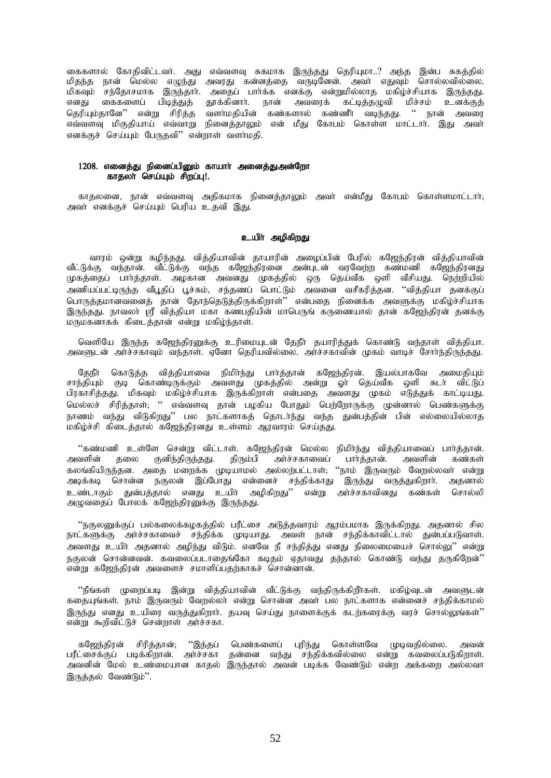கைகளால் கோதிவிட்டவர். அது எவ்வளவு சுகமாக இருந்தது தெரியுமா..? அந்த இன்ப சுகத்தில் .<br>மிதந்த நான் மெல்ல எழுந்து அவரது கன்னத்தை வருடினேன். அவர் எதுவும் சொல்லவில்லை. ்பிகவும் சந்தோசமாக இருந்தாா். அதைப் பாா்க்க எனக்கு என்றுமில்லாத மகிழ்ச்சியாக இருந்தது.<br>எனது கைகளைப் பிடித்துத் தூக்கினாா். நான் அவரைக் கட்டித்தமுவி மிச்சம் உனக்குத் கைகளைப் பிடித்துத் தூக்கினார். நான் அவரைக் கட்டித்தழுவி மிச்சம் உனக்குத் தெரியும்தானே'' என்று சிரித்த வளர்மதியின் கண்களால் கண்ணீர் வடிந்தது. '' நான் அவரை எவ்வளவு மிகுதியாய் எவ்வாறு நினைத்தாலும் என் மீது கோபம் கொள்ள மாட்டாா். இது அவா் எனக்குச் செய்யும் பேருதவி" என்றாள் வளர்மதி.

## 1208. எனைத்து நினைப்பினும் காயார் அனைத்துஅன்றோ காதலா் செய்யும் சிறப்பு!.

காதலனை, நான் எவ்வளவு அதிகமாக நினைத்தாலும் அவா் என்மீது கோபம் கொள்ளமாட்டாா்; அவா் எனக்குச் செய்யும் பெரிய உதவி இது.

# உயிா் அழிகிறது

வாரம் ஒன்று கழிந்தது. வித்தியாவின் தாயாரின் அழைப்பின் பேரில் கஜேந்திரன் வித்தியாவின் வீட்டுக்கு வந்தான். வீட்டுக்கு வந்த கஜேந்திரனை அன்புடன் வரவேற்ற கண்மணி கஜேந்திரனது முகத்தைப் பார்த்தாள். அழகான அவனது முகத்தில் ஒரு தெய்வீக ஒளி வீசியது. நெற்றியில் ு<br>அணியப்பட்டிருந்த வீபூதிப் பூச்சும், சந்தணப் பொட்டும் அவனை வசீகரித்தன. ''வித்தியா தனக்குப் ொருத்தமானவனைத் தான் தோந்தெடுத்திருக்கிறாள்<sup>?</sup>' என்பதை நினைக்க அவளுக்கு மகிழ்ச்சியாக இருந்தது. நாவலா ஸ்ரீ வித்தியா மகா கணபதியின் மாபெருங் கருணையால் தான் கஜேந்திரன் தனக்கு மருமகனாகக் கிடைத்தான் என்று மகிழ்ந்தாள்.

வெளியே இருந்த கஜேந்திரனுக்கு உரிமையுடன் தேநீர் தயாரித்துக் கொண்டு வந்தாள் வித்தியா. அவளுடன் அர்ச்சகாவும் வந்தாள். ஏனோ தெரியவில்லை. அர்ச்சகாவின் முகம் வாடிச் சோர்ந்திருந்தது.

தேநீர் கொடுத்த வித்தியாவை நிமிர்ந்து பார்த்தான் கஜேந்திரன். இயல்பாகவே அமைதியும் சாந்தியும் குடி கொண்டிருக்கும் அவளது முகத்தில் அன்று ஓா தெய்வீக ஒளி சுடா விட்டுப் பிரகாசித்தது. மிகவும் மகிழ்ச்சியாக இருக்கிறாள் என்பதை அவளது முகம் எடுத்துக் காட்டியது. மெல்லச் சிரித்தாள்; '' எவ்வளவு தான் பழகிய போதும் பெற்றோருக்கு முன்னால் பெண்களுக்கு நாணம் வந்து விடுகிறது'' பல நாட்களாகத் தொடர்ந்து வந்த துன்பத்தின் பின் எல்லையில்லாத மகிழ்ச்சி கிடைத்தால் கஜேந்திரனது உள்ளம் ஆரவாரம் செய்தது.

''கண்மணி உள்ளே சென்று விட்டாள். கஜேந்திரன் மெல்ல நிமிர்ந்து வித்தியாவைப் பார்த்தான்.<br>அவளின் தலை குனிந்திருந்தது. திரும்பி அர்ச்சகாவைப் பார்த்தான். அவளின் கண்கள் அர்ச்சகாவைப் கலங்கியிருந்தன. அதை மறைக்க முடியாமல் அல்லற்பட்டாள்; ''நாம் இருவரும் வேறல்லவா் என்று அடிக்கடி சொன்ன நகுலன் இப்போது என்னைச் சந்திக்காது இருந்து வருத்துகிறார். அதனால் உண்டாகும் துன்பத்தால் எனது உயிர் அமிகிறது'' என்று அர்ச்சகாவினது கண்கள் சொல்லி அழுவதைப் போலக் கஜேந்திரனுக்கு இருந்தது.

''நகுலனுக்குப் பல்கலைக்கழகத்தில் பரீட்சை அடுத்தவாரம் ஆரம்பமாக இருக்கிறது. அதனால் சில நாட்களுக்கு அாச்சகாவைச் சந்திக்க முடியாது. அவள் நான் சந்திக்காவிட்டால் துன்பப்படுவாள். அவளது உயிா் அதனால் அழிந்து விடும். எனவே நீ சந்தித்து எனது நிலைமையைச் சொல்லு'' என்று நகுலன் சொன்னவன். கவலைப்படாதைங்கோ கடிதம் ஏதாவது தந்தால் கொண்டு வந்து தருகிறேன்<sup>?</sup>' என்று கஜேந்திரன் அவளைச் சமாளிப்பதற்காகச் சொன்னான்.

''நீங்கள் முறைப்படி இன்று வித்தியாவின் வீட்டுக்கு வந்திருக்கிறீாகள். மகிழ்வுடன் அவளுடன் கதையுங்கள். நாம் இருவரும் வேறல்லா என்று சொன்ன அவா் பல நாட்களாக என்னைச் சந்திக்காமல் இருந்து எனது உயிரை வருத்துகிறார். தயவு செய்து நாளைக்குக் கடற்கரைக்கு வரச் சொல்லுங்கள்<sup>?</sup>' என்று கூறிவிட்டுச் சென்றாள் அர்ச்சகா.

கஜேந்திரன் சிரித்தான்; ''இந்தப் பெண்களைப் புரிந்து கொள்ளவே முடிவதில்லை. அவன் பரீட்சைக்குப் படிக்கிறான். அர்ச்சகா தன்னை வந்து சந்திக்கவில்லை என்று கவலைப்படுகிறாள். அவனின் மேல் உண்மையான காதல் இருந்தால் அவன் படிக்க வேண்டும் என்ற அக்கறை அல்லவா இருத்தல் வேண்டும்".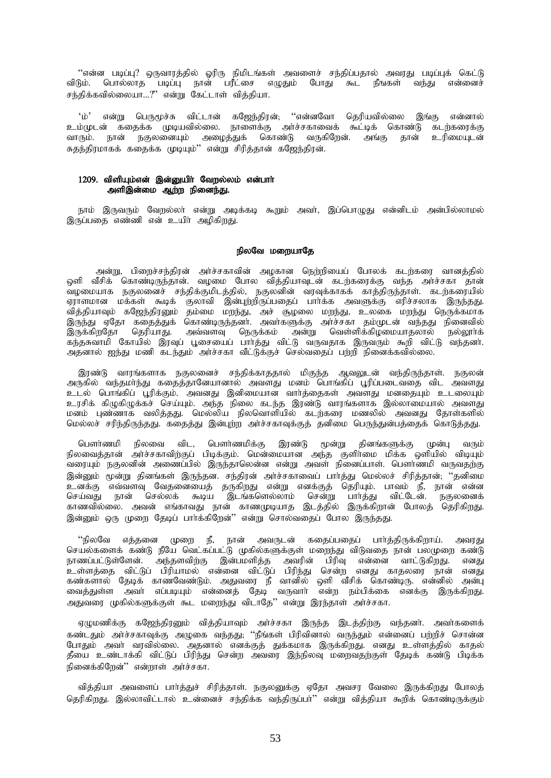''என்ன படிப்பு? ஒருவாரத்தில் ஓரிரு நிமிடங்கள் அவளைச் சந்திப்பதால் அவரது படிப்புக் கெட்டு .<br>பொல்லாத படிப்பு நான் பரீட்சை எழுதும் போது கூட நீஙகள் விடும். வந்து என்னைச் சந்திக்கவில்லையா...?" என்று கேட்டாள் வித்தியா.

என்று பெருமூச்சு விட்டான் கஜேந்திரன்; ''என்னவோ தெரியவில்லை இங்கு என்னால்  $\omega^{\prime}$ உம்முடன் கதைக்க முடியவில்லை. நாளைக்கு அர்ச்சகாவைக் கூட்டிக் கொண்டு கடற்கரைக்கு .<br>நகுலணையும் அழைத்துக் கொண்டு வருகிறேன். அங்கு தான் உரிமையுடன் வாரும். நான் சுதந்திரமாகக் கதைக்க முடியும்'' என்று சிரித்தான் கஜேந்திரன்.

# 1209. விளியம்என் இன்றையிர் வேரல்லம் என்பார் அளிஇன்மை ஆர்ற நினைந்து.

நாம் இருவரும் வேறல்லா் என்று அடிக்கடி கூறும் அவா். இப்பொமுது என்னிடம் அன்பில்லாமல் இருப்பதை எண்ணி என் உயிர் அழிகிறது.

# நிலவே மறையாகே

அன்று, பிறைச்சந்திரன் அர்ச்சகாவின் அழகான நெற்றியைப் போலக் கடற்கரை வானத்தில் ெளி .<br>வீசிக் கொண்டிருந்தான். வழமை போல வித்தியாவுடன் கடற்கரைக்கு வந்த அர்ச்சகா தான் .<br>வழமையாக நகுலனைச் சந்திக்குமிடத்தில், நகுலனின் வரவுக்காகக் காத்திருந்தாள். கடற்கரையில் .<br>இருந்து ஏதோ கதைத்துக் கொண்டிருந்தனா. அவாகளுக்கு அாச்சகா தம்முடன் வந்தது நினைவில் அதனால் ஐந்து மணி கடந்தும் அர்ச்சகா வீட்டுக்குச் செல்வதைப் பற்றி நினைக்கவில்லை.

இரண்டு வாரங்களாக நகுலனைச் சந்திக்காததால் மிகுந்த ஆவலுடன் வந்திருந்தாள். நகுலன் .<br>அருகில் வந்தமாந்து கதைத்தானேயானால் அவளது மனம் பொங்கிப் பூரிப்படைவதை விட அவளது உடல் பொங்கிப் பூரிக்கும். அவனது இனிமையான வார்த்தைகள் அவளது மனதையும் உடலையும் உரசிக் கிழுகிழுக்கச் செய்யும். அந்த நிலை கடந்த இரண்டு வாரங்களாக இல்லாமையால் அவளது மனம் புண்ணாக வலித்தது. மெல்லிய நிலவொளியில் கடற்கரை மணலில் அவனது தோள்களில் மெல்லச் சரிந்திருந்தது. கதைத்து இன்புற்ற அர்ச்சகாவுக்குத் தனிமை பெருந்துன்பத்தைக் கொடுத்தது.

பௌா்ணமி நிலவை விட, பௌர்ணமிக்கு இரண்டு மூன்று தினங்களுக்கு முன்பு வரும் நிலவைத்தான் அர்ச்சகாவிற்குப் பிடிக்கும். மென்மையான அந்த குளிர்மை மிக்க ஒளியில் விடியும் வரையும் நகுலனின் அணைப்பில் இருந்தாலென்ன என்று அவள் நினைப்பாள். பௌாணமி வருவதற்கு இன்னும் மூன்று தினங்கள் இருந்தன. சந்திரன் அர்ச்சகாவைப் பார்த்து மெல்லச் சிரித்தான்; ''தனிமை உனக்கு எவ்வளவு வேதனையைத் தருகிறது என்று எனக்குத் தெரியும். பாவம் நீ, நான் என்ன செய்வது நான் செல்லக் கூடிய இடங்களெல்லாம் சென்று பார்த்து விட்டேன். நகுலனைக் காணவில்லை. அவன் எங்காவது நான் காணமுடியாத இடத்தில் இருக்கிறான் போலத் தெரிகிறது. இன்னும் ஒரு முறை தேடிப் பார்க்கிறேன்'' என்று சொல்வதைப் போல இருந்தது.

''நிலவே எத்தனை முறை நீ, நான் அவருடன் கதைப்பதைப் பார்த்திருக்கிறாய். அவரது செயல்களைக் கண்டு நீயே வெட்கப்பட்டு முகில்களுக்குள் மறைந்து விடுவதை நான் பலமுறை கண்டு நாணப்பட்டுள்ளேன். அந்தளவிற்கு இன்பமளித்த அவரின் பிரிவு என்னை வாட்டுகிறது. எனது<br>உள்ளத்தை விட்டுப் பிரியாமல் என்னை விட்டுப் பிரிந்து சென்ற எனது காதலரை நான் எனது அதுவரை முகில்களுக்குள் கூட மறைந்து விடாதே'' என்று இரந்தாள் அர்ச்சகா.

ஏழுமணிக்கு கஜேந்திரனும் வித்தியாவும் அர்ச்சகா இருந்த இடத்திற்கு வந்தனர். அவர்களைக் கண்டதும் அர்ச்சகாவுக்கு அழுகை வந்தது; ''நீங்கள் பிரிவினால் வருந்தும் என்னைப் பற்றிச் சொன்ன போதும் அவர் வரவில்லை. அதனால் எனக்குத் துக்கமாக இருக்கிறது. எனது உள்ளத்தில் காதல் தீயை உண்டாக்கி விட்டுப் பிரிந்து சென்ற அவரை இந்நிலவு மறைவதற்குள் தேடிக் கண்டு பிடிக்க நினைக்கிறேன்'' என்றாள் அர்ச்சகா.

வித்தியா அவளைப் பார்த்துச் சிரித்தாள். நகுலனுக்கு ஏதோ அவசர வேலை இருக்கிறது போலத் தெரிகிறது. இல்லாவிட்டால் உன்னைச் சந்திக்க வந்திருப்பா்'' என்று வித்தியா கூறிக் கொண்டிருக்கும்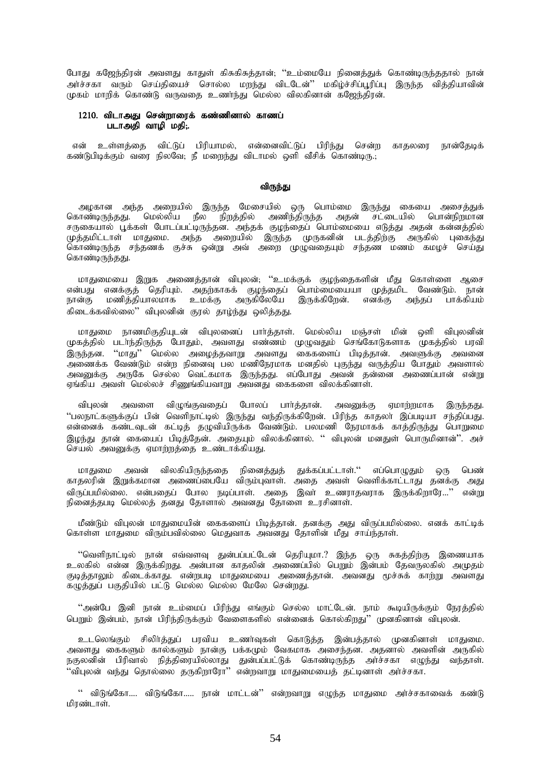போது கஜேந்திரன் அவளது காதுள் கிசுகிசுத்தான்; ''உம்மையே நினைத்துக் கொண்டிருந்ததால் நான் அர்ச்சகா வரும் செய்தியைச் சொல்ல மறந்து விடடேன்'' மகிழ்ச்சிப்பூரிப்பு இருந்த வித்தியாவின் முகம் மாறிக் கொண்டு வருவதை உணர்ந்து மெல்ல விலகினான் கஜேந்திரன்.

# $1210.$  விடாஅது சென்றாரைக் கண்ணினால் காணப் படாஅதி வாழி மதி;.

என் உள்ளத்தை விட்டுப் பிரியாமல், என்னைவிட்டுப் பிரிந்து சென்ற காதலரை நான்தேடிக் கண்டுபிடிக்கும் வரை நிலவே; நீ மறைந்து விடாமல் ஒளி வீசிக் கொண்டிரு.;

### விருந்து

அழகான அந்த அறையில் இருந்த மேசையில் ஒரு பொம்மை இருந்து கையை அசைத்துக் கொண்டிருந்தது. மெல்லிய நீல நிறத்தில் அணிந்திருந்த அதன் சட்டையில் பொன்நிறமான சருகையால் பூக்கள் போடப்பட்டிருந்தன. அந்தக் குழந்தைப் பொம்மையை எடுத்து அதன் கன்னத்தில் முத்தமிட்டாள் மாதுமை. அந்த அறையில் இருந்த முருகனின் படத்திற்கு அருகில் புகைந்து ொண்டிருந்த சந்தணக் குச்சு ஒன்று அவ் அறை முழுவதையும் சந்தண மணம் கமழச் செய்து கொண்டிருந்தது.

மாதுமையை இறுக அணைத்தான் விபுலன்; ''உமக்குக் குழந்தைகளின் மீது கொள்ளை ஆசை என்பது எனக்குத் தெரியும். அதற்காகக் குழந்தைப் பொம்மையையா முத்தமிட வேண்டும். நான் .<br>நான்கு மணித்தியாலமாக உமக்கு அருகிலேயே இருக்கிறேன். எனக்கு அந்தப் பாக்கியம் கிடைக்கவில்லை'' விபுலனின் குரல் தாழ்ந்து ஒலித்தது.

மாதுமை நாணமிகுதியுடன் விபுலனைப் பார்த்தாள். மெல்லிய மஞ்சள் மின் ஒளி விபுலனின் முகத்தில் படா்ந்திருந்த போதும். அவளது எண்ணம் முமுவதும் செங்கோடுகளாக முகத்தில் பாவி இருந்தன. ''மாது'' மெல்ல அழைத்தவாறு அவளது கைகளைப் பிடித்தான். அவளுக்கு அவனை அணைக்க வேண்டும் என்ற நினைவு பல மணிநேரமாக மனதில் புகுந்து வருத்திய போதும் அவளால் அவனுக்கு அருகே செல்ல வெட்கமாக இருந்தது. எப்போது அவன் தன்னை அணைப்பான் என்று எங்கிய அவள் மெல்லச் சிணுங்கியவாறு அவனது கைகளை விலக்கினாள்.

விபுலன் அவளை விமுங்குவகைப் போலப் பார்க்கான். அவனுக்கு ஏமாற்றமாக இருந்கது. "பலநாட்களுக்குப் பின் வெளிநாட்டில் இருந்து வந்திருக்கிறேன். பிரிந்த காதலா் இப்படியா சந்திப்பது. என்னைக் கண்டவுடன் கட்டித் தழுவியிருக்க வேண்டும். பலமணி நேரமாகக் காத்திருந்து பொறுமை இமந்து தான் கையைப் பிடித்தேன். அதையும் விலக்கினால். '' விபுலன் மனதுள் பொருமினான்''. அச் செயல் அவனுக்கு ஏமாற்றத்தை உண்டாக்கியது.

மாதுமை அவன் விலகியிருந்ததை நினைத்துத் துக்கப்பட்டாள்.'' எப்பொழுதும் ஒரு பெண் ் காதலரின் இறுக்கமான அணைப்பையே விரும்புவாள். அதை அவள் வெளிக்காட்டாது தனக்கு அது .<br>விருப்பமில்லை. என்பதைப் போல நடிப்பாள். அதை இவர் உணராதவராக இருக்கிறாரே...'' என்று நினைத்தபடி மெல்லத் தனது தோளால் அவனது தோளை உரசினாள்.

மீண்டும் விபுலன் மாதுமையின் கைகளைப் பிடித்தான். தனக்கு அது விருப்பமில்லை. எனக் காட்டிக் கொள்ள மாதுமை விரும்பவில்லை மெதுவாக அவனது தோளின் மீது சாய்ந்தாள்.

''வெளிநாட்டில் நான் எவ்வளவு துன்பப்பட்டேன் தெரியுமா.? இந்த ஒரு சுகத்திற்கு இணையாக cyfpy; vd;d ,Uf;fpwJ. md;ghd fhjypd; mizg;gpy; ngWk ; ,d;gk; NjtUyfpy; mKjk; குடித்தாலும் கிடைக்காது. என்றபடி மாதுமையை அணைத்தான். அவனது மூச்சுக் காற்று அவளது  $\sigma$ ;  $\widetilde{G}$  ,  $\widetilde{G}$  and  $\widetilde{G}$  and  $\widetilde{G}$  and  $\widetilde{G}$  and  $\widetilde{G}$  and  $\widetilde{G}$  and  $\widetilde{G}$  and  $\widetilde{G}$  and  $\widetilde{G}$  and  $\widetilde{G}$  and  $\widetilde{G}$  and  $\widetilde{G}$  and  $\widetilde{G}$  and  $\widetilde{G}$  and  $\widetilde{$ 

"அன்பே இனி நான் உம்மைப் பிரிந்து எங்கும் செல்ல மாட்டேன். நாம் கூடியிருக்கும் நேரத்தில் பெறும் இன்பம், நான் பிரிந்திருக்கும் வேளைகளில் என்னைக் கொல்கிரது'' முனகினான் விபுலன்.

உடலெங்கும் சிலிர்த்துப் பரவிய உணர்வுகள் கொடுத்த இன்பத்தால் முனகினாள் மாதுமை. அவளது கைகளும் கால்களும் நான்கு பக்கமும் வேகமாக அசைந்தன. அதனால் அவளின் அருகில் நகுலனின் பிரிவால் நித்திரையில்லாது துன்பப்பட்டுக் கொண்டிருந்த அர்ச்சகா எழுந்து வந்தாள். ''விபுலன் வந்து தொல்லை தருகிறாரோ'' என்றவாறு மாதுமையைத் தட்டினாள் அர்ச்சகா.

" விடுங்கோ…. விடுங்கோ….. நான் மாட்டன்" என்றவாறு எழுந்த மாதுமை அர்ச்சகாவைக் கண்டு மிாண்டாள்.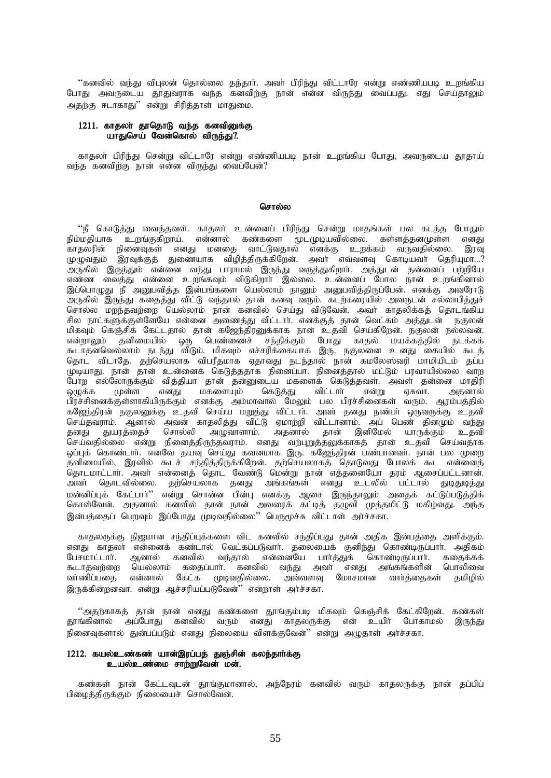''கனவில் வந்து விபுலன் தொல்லை தந்தார். அவர் பிரிந்து விட்டாரே என்று எண்ணியபடி உறங்கிய போது அவருடைய தூதுவராக வந்த கனவிற்கு நான் என்ன விருந்து வைப்பது. எது செய்தாலும் அதற்கு ஈடாகாது'' என்று சிரித்தாள் மாதுமை.

### 1211. காதலா் தூதொடு வந்த கனவினுக்கு யாதுசெய் வேன்கொல் விருந்து?.

காதலா் பிரிந்து சென்று விட்டாரே என்று எண்ணியபடி நான் உறங்கிய போது, அவருடைய தூதாய் வந்த கனவிற்கு நான் என்ன விருந்து வைப்பேன்?

### சொல்ல

''நீ கொடுக்கு」 வைக்கவள். காகலா உன்னைப் பிரிந்து சென்று மாகங்கள் பல கடந்த போகும் ் நில்வாருத்து வைத்துவள். வாதனா உலகைப் பராந்து என்று மாதங்கள் பல கடந்த வோதும்<br>நிம்மதியாக உறங்குகிறாய். என்னால் கண்களை மூடமுடியவில்லை. கள்ளத்தனமுள்ள எனது<br>காதலரின் நினைவுகள் எனது மனதை வாட்டுவதால் எனக்கு உறக்கம் வருவதில்லை. ்பிருக்கு இருந்தும் என்னை கந்து பிராம்கள் இருந்து கிருத்துகிறார். அத்துடன் தன்னைப் பெற்றுவே<br>எண்ண வைத்து என்னை உறங்கவும் விடுகிறார் இல்லை. உன்னைப் போல நான் உறங்கினால்<br>இப்பொழுது நீ அனுபவித்த இன்பங்களை யெல்லாம் நானும் அனுபவி ு அருகில் இருந்து கதைத்து விட்டு வந்தால் தான் கனவு வரும். கடர்கரையில் அவருடன் சல்லாபித்துச் ு.<br>சொல்ல மறந்தவற்றை யெல்லாம் நான் கனவில் செய்து விடுவேன். அவர் காதலிக்கத் தொடங்கிய .<br>சில நாட்களுக்குள்ளேயே என்னை அணைத்து விட்டார். எனக்குத் தான் வெட்கம் அத்துடன் நகுலன் மிகவும் கெஞ்சிக் கேட்டதால் தான் கஜேந்திரனுக்காக நான் உதவி செய்கிறேன். நகுலன் நல்லவன். என்றாலும் தனிமையில் ஒரு பெண்ணைச் சந்திக்கும் போது காதல் மயக்கத்தில் நடக்கக் கூடாதனவெல்லாம் நடந்து விடும். மிகவும் எச்சரிக்கையாக இரு. நகுலனை உனது கையில் கூடத் தொட விடாதே. தற்செயலாக விபரீதமாக ஏதாவது நடந்தால் நான் கமலேஸ்வரி மாமியிடம் கப்ப முடியாது. நான் தான் உன்னைக் கெடுத்ததாக நினைப்பா. நினைத்தால் மட்டும் பரவாயில்லை வாற போற எல்லோருக்கும் வித்தியா தான் தன்னுடைய மகளைக் கெடுத்தவள். அவள் தன்னை மாதிரி ஒழுக்க முள்ள எனது மகளையும் கெடுக்கு விட்டார் என்று ஏசுவா. அகனால் பிரச்சினைக்குள்ளாகியிருக்கும் எனக்கு அம்மாவால் மேலும் பல பிரச்சினைகள் வரும். ஆரம்பத்தில் கஜேந்திரன் நகுலனுக்கு உதவி செய்ய மறுத்து விட்டார். அவர் தனது நண்பர் ஒருவருக்கு உதவி செய்தவராம். ஆனால் அவன் காதலித்து விட்டு ஏமாற்றி விட்டானாம். அப் பெண் தினமும் வந்து தனது துயரத்தைச் சொல்லி அழுவாளாம். அதனால் தான் இனிமேல் யாருக்கும் உதவி .<br>செய்வதில்லை என்று நினைத்திருந்தவராம். எனது வற்புறுத்தலுக்காகத் தான் உதவி செய்வதாக<br>ஒப்புக் கொண்டாா். எனவே தயவு செய்து கவனமாக இரு. கஜேந்திரன் பண்பானவா். நான் பல முறை தனிமையில், இரவில் கூடச் சந்தித்திருக்கிறேன். தற்செயலாகத் தொடுவது போலக் கூட என்னைத் .<br>தொடமாட்டார். அவர் என்னைத் தொட வேண்டு மென்று நான் எத்தனையோ தரம் ஆசைப்பட்டனான். தொடவில்லை. தற்செயலாக தனது அங்கங்கள் எனது உடலில் பட்டால் துடிதுடித்து அவர் .<br>மன்னிப்புக் கேட்பார்'' என்று சொன்ன பின்பு எனக்கு ஆசை இருந்தாலும் அதைக் கட்டுப்படுத்திக் கொள்வேன். அதனால் கனவில் தான் நான் அவரைக் கட்டித் தழுவி முத்தமிட்டு மகிழ்வது. அந்த இன்பத்தைப் பெறவும் இப்போது முடிவதில்லை" பெருமூச்சு விட்டாள் அர்ச்சகா.

காதலருக்கு நிஜமான சந்திப்புக்களை விட கனவில் சந்திப்பது தான் அதிக இன்பத்தை அளிக்கும். எனது காதலா என்னைக் கண்டால் வெட்கப்படுவாா். தலையைக் குனிந்து கொண்டிருப்பாா். அதிகம் பேசமாட்டார். ஆனால் கனவில் வந்தால் என்னையே பார்த்துக் கொண்டிருப்பார். ககைக்கக் கூடாதவற்றை யெல்லாம் கதைப்பார். கனவில் வந்து அவர் எனது அங்கங்களின் பொலிவை கமிமில் வாணிப்பதை என்னால் கேட்க முடிவதில்லை. இருக்கின்றனவா. என்று ஆச்சரியப்படுவேன்'' என்றாள் அர்ச்சகா.

''அதற்காகத் தான் நான் எனது கண்களை தூங்கும்படி மிகவும் கெஞ்சிக் கேட்கிறேன். கண்கள் தூங்கினால் அப்போது கனவில் வரும் எனது காதலருக்கு என் உயிர் போகாமல் இருந்து நினைவுகளால் துன்பப்படும் எனது நிலையை விளக்குவேன்'' என்று அமுதாள் அர்ச்சகா.

# 1212. கயல்உண்கண் யான்இரப்பத் துஞ்சின் கலந்தார்க்கு உயல்உண்மை சார்றுவேன் மன்.

கண்கள் நான் கேட்டவுடன் தூங்குமானால், அந்நேரம் கனவில் வரும் காதலருக்கு நான் தப்பிப் பிமைத்திருக்கும் நிலையைச் சொல்வேன்.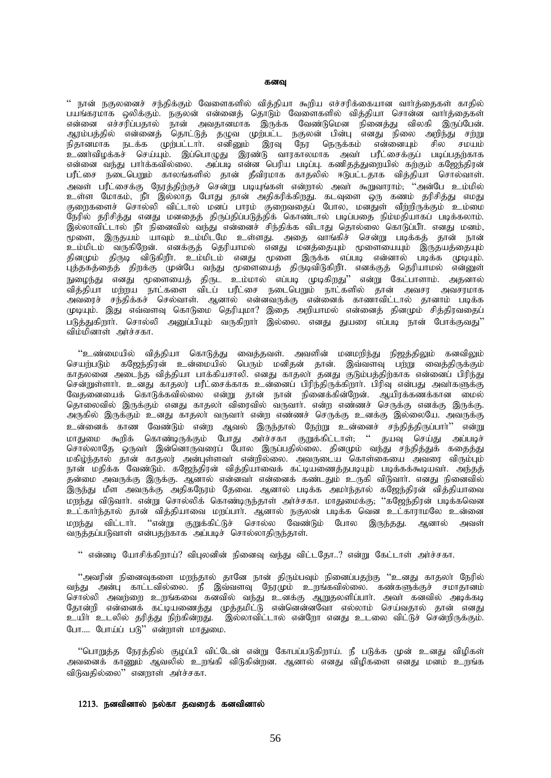#### கனவு

" நான் நகுலனைச் சந்திக்கும் வேளைகளில் வித்தியா கூறிய எச்சரிக்கையான வார்த்தைகள் காதில் பயங்கரமாக ஒலிக்கும். நகுலன் என்னைத் தொடும் வேளைகளில் வித்தியா சொன்ன வார்த்தைகள் என்னை எச்சரிப்பதால் நான் அவதானமாக இருக்க வேண்டுமென நினைத்து விலகி இருப்பேன். ஆரம்பத்தில் என்னைத் தொட்டுத் தழுவ முற்பட்ட நகுலன் பின்பு எனது நிலை அறிந்து சற்று நிதானமாக நடக்க முற்பட்டார். எனினும் இரவு நேர நெருக்கம் என்னையும் சில சமயம் உணர்விழக்கச் செய்யும். இப்பொழுது இரண்டு வாரகாலமாக அவர் பரீட்சைக்குப் படிப்பதற்காக என்னை வந்து பார்க்கவில்லை. அப்படி என்ன பெரிய படிப்பு. கணிதத்துறையில் கற்கும் கஜேந்திரன் பரீட்சை நடைபெறும் காலங்களில் தான் தீவிரமாக காதலில் ஈடுபட்டதாக வித்தியா சொல்வாள். அவள் பரீட்சைக்கு நேரத்திற்குச் சென்று படியுங்கள் என்றால் அவர் கூறுவாராம்; ''அன்பே உம்மில் உள்ள மோகம், நீா இல்லாத போது தான் அதிகரிக்கிறது. கடவுளை ஒரு கணம் தரிசித்து எமது குறைகளைச் சொல்லி விட்டால் மனப் பாரம் குறைவதைப் போல், மனதுள் வீற்றிருக்கும் உம்மை நேரில் தரிசித்து எனது மனதைத் திருப்திப்படுத்திக் கொண்டால் படிப்பதை நிம்மதியாகப் படிக்கலாம். .<br>இல்லாவிட்டால் நீா நினைவில் வந்து என்னைச் சிந்திக்க விடாது தொல்லை கொடுப்பீா. எனது மனம், முளை, இருதயம் யாவும் உம்மிடமே உள்ளது. அதை வாங்கிச் சென்று படிக்கத் தான் நான் .<br>உம்மிடம் வருகிறேன். எனக்குத் தெரியாமல் எனது மனத்தையும் மூளையையும் இருதயத்தையும் தினமும் திருடி விடுகிறீா. உம்மிடம் எனது மூளை இருக்க எப்படி என்னால் படிக்க முடியும். .<br>புத்தகத்தைத் திறக்கு முன்பே வந்து மூளையைத் திருடிவிடுகிறீா. எனக்குத் தெரியாமல் என்னுள் .<br>நுழைந்து எனது மூளையைத் திருட உம்மால் எப்படி முடிகிறது'' என்று கேட்பாளாம். அதனால் ்.<br>தித்தியா மற்றய நாட்களை விடப் பரீட்சை நடைபெறும் நாட்களில் தான் அவசர அவசரமாக ு.<br>அவரைச் சந்திக்கச் செல்வாள். ஆனால் என்னவருக்கு என்னைக் காணாவிட்டால் தானாம் படிக்க முடியும். இது எவ்வளவு கொடுமை தெரியுமா? இதை அறியாமல் என்னைத் தினமும் சித்திரவதைப் படுத்துகிறார். சொல்லி அமைப்பியம் வருகிறார் இல்லை. எனது துயரை எப்படி நான் போக்குவது'' விம்மினாள் அர்ச்சகா.

"உண்மையில் வித்தியா கொடுத்து வைத்தவள். அவளின் மனமறிந்து நிஜத்திலும் கனவிலும் செயற்படும் கஜேந்திரன் உன்மையில் பெரும் மனிதன் தான். இவ்வளவு பற்று வைத்திருக்கும் காதலனை அடைந்த வித்தியா பாக்கியசாலி. எனது காதலா தனது குடும்பத்திற்காக என்னைப் பிரிந்து சென்றுள்ளார். உனது காதலர் பரீட்சைக்காக உன்னைப் பிரிந்திருக்கிறார். பிரிவு என்பது அவர்களுக்கு வேதனையைக் கொடுக்கவில்லை என்று தான் நான் நினைக்கின்றேன். ஆயிரக்கணக்கான மைல் தொலைவில் இருக்கும் எனது காதலா் விரைவில் வருவாா். என்ற எண்ணச் செருக்கு எனக்கு இருக்கு. அருகில் இருக்கும் உனது காதலா் வருவாா் என்ற எண்ணச் செருக்கு உனக்கு இல்லையே. அவருக்கு <u>உ</u>ன்னைக் காண வேண்டும் என்ற ஆவல் இருந்தால் நேற்று உன்னைச் சந்தித்திருப்பார்'' என்று .<br>மாதுமை கூறிக் கொண்டிருக்கும் போது அர்ச்சகா குறுக்கிட்டாள்; '' தயவு செய்து அப்படிச் சொல்லாதே ஒருவா இன்னொருவரைப் போல இருப்பதில்லை. தினமும் வந்து சந்தித்துக் கதைத்து மகிழ்ந்தால் தான் காதலர் அன்புள்ளவா் என்றில்லை. அவருடைய கொள்கையை அவரை விரும்பும் நான் மதிக்க வேண்டும். கஜேந்திரன் வித்தியாவைக் கட்டியணைத்தபடியும் படிக்கக்கூடியவர். அந்தத் .<br>தன்மை அவருக்கு இருக்கு. ஆனால் என்னவா் என்னைக் கண்டதும் உருகி விடுவாா். எனது நினைவில் .<br>இருந்து மீள அவருக்கு அதிக்நேரம் தேவை. ஆனால் படிக்க அமா்ந்தால் கஜேந்திரன் வித்தியாவை மறந்து விடுவார். என்று சொல்லிக் கொண்டிருந்தாள் அர்ச்சகா. மாதுமைக்கு; ''கஜேந்திரன் படிக்கவென உட்கார்ந்தால் தான் வித்தியாவை மறப்பார். ஆனால் நகுலன் படிக்க வென உட்காராமலே உன்னை .<br>மறந்து விட்டார். ''என்று குறுக்கிட்டுச் சொல்ல வேண்டும் போல இருந்தது. ஆனால் அவள் ்ப்;த்தப்படுவாள் என்பதற்காக அப்படிச் சொல்லாதிருந்தாள்.

 $\lq\lq$  என்னடி யோசிக்கிறாய்? விபுலனின் நினைவு வந்து விட்டதோ..? என்று கேட்டாள் அர்ச்சகா.

"அவரின் நினைவுகளை மறந்தால் தானே நான் திரும்பவும் நினைப்பதற்கு ''உனது காதலா் நேரில் வந்து அன்பு காட்டவில்லை. நீ இவ்வளவு நேரமும் உறங்கவில்லை. கண்களுக்குச் சமாதானம் சொல்லி அவற்றை உறங்கவை கனவில் வந்து உனக்கு ஆறுதலளிப்பாா். அவா் கனவில் அடிக்கடி தோன்றி என்னைக் கட்டியணைத்து முத்தமிட்டு என்னென்னவோ எல்லாம் செய்வதால் தான் எனது உயிர் உடலில் தரித்து நிற்கின்றது. இல்லாவிட்டால் என்றோ எனது உடலை விட்டுச் சென்றிருக்கும். போ.... போய்ப் படு" என்றாள் மாதுமை.

"பொறுத்த நேரத்தில் குழப்பி விட்டேன் என்று கோபப்படுகிறாய். நீ படுக்க முன் உனது விழிகள் அவனைக் காணும் ஆவலில் உறங்கி விடுகின்றன. ஆனால் எனது விழிகளை எனது மனம் உறங்க விடுவதில்லை'' எனறாள் அர்ச்சகா.

## $1213.$  நனவினால் நல்கா தவரைக் கனவினால்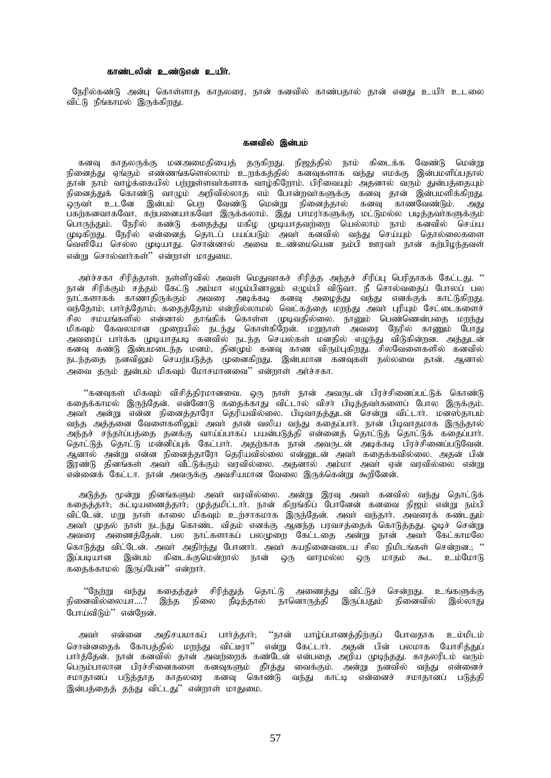# காண்டலின் உண்டுஎன் உயிர்.

நேரில்கண்டு அன்பு கொள்ளாத காதலரை, நான் கனவில் காண்பதால் தான் எனது உயிா் உடலை விட்டு நீங்காமல் இருக்கிரது.

#### கனவில் இன்பம்

கனவு காதலருக்கு மனஅமைதியைத் தருகிறது. நிஜத்தில் நாம் கிடைக்க வேண்டு மென்று<br>நினைத்து ஏங்கும் எண்ணங்களெல்லாம் உறக்கத்தில் கனவுகளாக வந்து எமக்கு இன்பமளிப்பதால் .<br>தான் நாம் வாழ்க்கையில் பற்றுள்ளவாகளாக வாழ்கிறோம். பிரிவையும் அதனால் வரும் துன்பத்தையும் .<br>நினைத்துக் கொண்டு வாழும் அறிவில்லாத எம் போன்றவாகளுக்கு கனவு தான் இன்பமளிக்கிறது. .<br>ஒருவா் உடனே இன்பம் பெற வேண்டு மென்று நினைத்தால் கனவு காணவேண்டும். அது பகற்களவாகவோ, கற்பனையாகவோ இருக்கலாம். இது பாமராகளுக்கு மட்டுமல்ல படித்தவாகளுக்கும் பொருந்தும். நேரில் கண்டு கதைத்து மகிழ முடியாதவற்றை யெல்லாம் நாம் கனவில் செய்ய முடிகிறது. நேரில் என்னைத் தொடப் பயப்படும் அவர் கனவில் வந்து செய்யும் தொல்லைகளை வெளியே செல்ல முடியாது. சொன்னால் அவை உண்மையென நம்பி ஊரவா நான் கற்பிழந்தவள் என்று சொல்வார்கள்" என்றாள் மாதுமை.

அர்ச்சகா சிரித்தாள். நள்ளிரவில் அவள் மெதுவாகச் சிரித்த அந்தச் சிரிப்பு பெரிதாகக் கேட்டது. '' நான் சிரிக்கும் சத்தம் கேட்டு அம்மா எழும்பினாலும் எழும்பி விடுவா. நீ சொல்வகைப் போலப் பல .<br>நாட்களாகக் காணாதிருக்கும் அவரை அடிக்கடி கனவு அழைத்து வந்து எனக்குக் காட்டுகிறது.<br>வந்தோம்; பாா்த்தோம்; கதைத்தோம் என்றில்லாமல் வெட்கத்தை மறந்து அவா் புரியும் சேட்டைகளைச் சில சமயங்களில் என்னால் தாங்கிக் கொள்ள முடிவதில்லை. நானும் பெண்ணென்பதை மறந்து மிகவும் கேவலமான முறையில் நடந்து கொள்கிறேன். மறுநாள் அவரை நேரில் காணும் போது அவரைப் பார்க்க முடியாதபடி கனவில் நடந்த செயல்கள் மனதில் எழுந்து விடுகின்றன. அத்துடன் கனவு கண்டு இன்பமடைந்த மனம், தினமும் கனவு காண விரும்புகிறது. சிலவேளைகளில் கனவில் நடந்ததை நனவிலும் செயற்படுத்த முனைகிறது. இன்பமான கனவுகள் நல்லவை தான். ஆனால் அவை கரும் குன்பம் மிகவம் மோசமானவை'' என்றாள் அர்ச்சகா.

''கனவுகள் மிகவும் விசித்திரமானவை. ஒரு நாள் நான் அவருடன் பிரச்சினைப்பட்டுக் கொண்டு கதைக்காமல் இருந்தேன். என்னோடு கதைக்காது விட்டால் விசா பிடித்தவாகளைப் போல இருக்கும். அவா் அன்று என்ன நினைத்தாரோ தெரியவில்லை. பிடிவாதத்துடன் சென்று விட்டாா். மன்ஸ்தாபம் வந்த அத்தனை வேளைகளிலும் அவா் தான் வலிய வந்து கதைப்பாா். நான் பிடிவாதமாக இருந்தால் அந்தச் சந்தாப்பத்தை தனக்கு வாய்ப்பாகப் பயன்படுத்தி என்னைத் தொட்டுத் தொட்டுக் கதைப்பாா். தொட்டுத் தொட்டு மன்னிப்புக் கேட்பார். அதற்காக நான் அவருடன் அடிக்கடி பிரச்சினைப்படுவேன். ஆனால் அன்று என்ன நினைத்தாரோ தெரியவில்லை என்னுடன் அவர் கதைக்கவில்லை. அதன் பின் இரண்டு கினங்கள் அவர் வீட்டுக்கும் வரவில்லை. அகனால் அம்மா அவர் ஏன் வரவில்லை என்று என்னைக் கேட்டா. நான் அவருக்கு அவசியமான வேலை இருக்கென்று கூறினேன்.

அடுத்த மூன்று தினங்களும் அவா் வரவில்லை. அன்று இரவு அவா் கனவில் வந்து தொட்டுக் கதைத்தார்; கட்டியணைத்தார்; முத்தமிட்டார். நான் கிறங்கிப் போனேன் கனவை நிஜம் என்று நம்பி விட்டேன். மறு நாள் காலை மிகவும் உற்சாகமாக இருந்தேன். அவா் வந்தாா். அவரைக் கண்டதும் அவா் முதல் நாள் நடந்து கொண்ட விதம் எனக்கு ஆனந்த பரவசத்தைக் கொடுத்தது. ஓடிச் சென்று அவரை அணைத்தேன். பல நாட்களாகப் பலமுறை கேட்டதை அன்று நான் அவா் கேட்காமலே கொடுத்து விட்டேன். அவர் அதிர்ந்து போனார். அவர் சுயநினைவடைய சில நிமிடங்கள் சென்றன.; '' இப்படியான இன்பம் கிடைக்குமென்றால் நான் ஒரு வாரமல்ல ஒரு மாதம் கூட உம்மோடு கதைக்காமல் இருப்பேன்" என்றார்.

ீநேற்று வந்து கதைத்துச் சிரித்துத் தொட்டு அணைத்து விட்டுச் சென்றது. உங்களுக்கு<br>நினைவில்லையா....? இந்த நிலை நீடித்தால் நானொருத்தி இருப்பதும் நினைவில் இல்லாது போய்விடும்'' என்றேன்.

"நான் யாழ்ப்பாணத்திற்குப் போவதாக உம்மிடம் அவர் என்னை அதிசயமாகப் பார்த்தார்; சொன்னதைக் கோபத்தில் மறந்து விட்டீரா'' என்று கேட்டார். அதன் பின் பலமாக யோசித்துப் பார்த்தேன். நான் கனவில் தான் அவற்றைக் கண்டேன் என்பதை அறிய முடிந்தது. காதலரிடம் வரும் பெரும்பாலான பிரச்சினைகளை கனவுகளும் தீர்த்து வைக்கும். அன்று நனவில் வந்து என்னைச் சமாதானப் படுத்தாத காதலரை கனவு கொண்டு வந்து காட்டி என்னைச் சமாதானப் படுத்தி இன்பத்தைத் தந்து விட்டது" என்றாள் மாதுமை.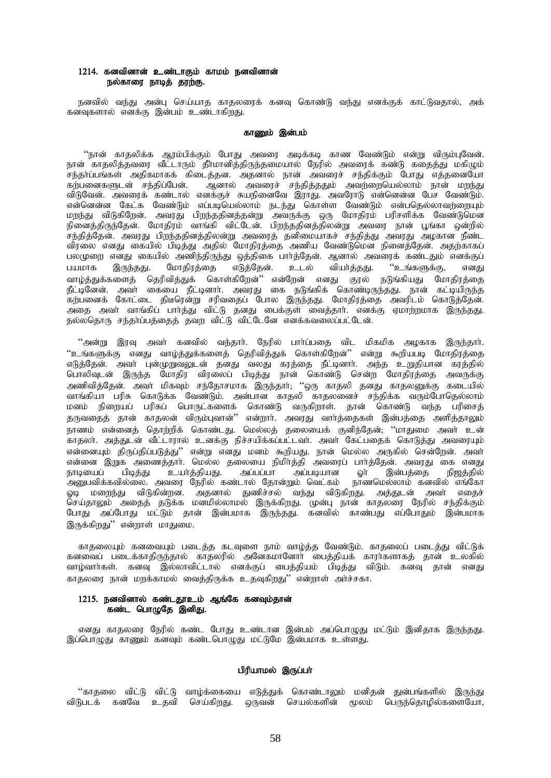# $1214.$  கனவினான் உண்டாகும் காமம் நனவினான் நல்காரை நாடித் தரற்கு.

நனவில் வந்து அன்ப செய்யாக காகலரைக் கனவ கொண்டு வந்து எனக்குக் காட்டுவதால், அக் .<br>கனவுகளால் எனக்கு இன்பம் உண்டாகிறது.

#### காணம் இன்பம்

''நான் காதலிக்க ஆரம்பிக்கும் போது அவரை அடிக்கடி காண வேண்டும் என்று விரும்புவேன். .<br>நான் காதலித்தவரை வீட்டாரும் தீாமானித்திருந்தமையால் நேரில் அவரைக் கண்டு கதைத்து மகிழும் சந்தாப்பங்கள் அதிகமாகக் கிடைத்தன. அதனால் நான் அவரைச் சந்திக்கும் போது எத்தனையோ கற்பனைகளுடன் சந்திப்பேன். ஆனால் அவரைச் சந்தித்ததும் அவற்றையெல்லாம் நான் மறந்து விடுவேன். அவரைக் கண்டால் எனக்குச் சுயநினைவே இராது. அவரோடு என்னென்ன பேச வேண்டும். என்னென்ன கேட்க வேண்டும் எப்படியெல்லாம் நடந்து கொள்ள வேண்டும் என்பதெல்லாவற்றையும் மறந்து விடுகிறேன். அவரது பிறந்ததினத்தன்று அவருக்கு ஒரு மோதிரம் பரிசளிக்க வேண்டுமென நினைத்திருந்தேன். மோதிரம் வாங்கி விட்டேன். பிறந்ததினத்திலன்று அவரை நான் பூங்கா ஒன்றில் .<br>சந்தித்தேன். அவரது பிறந்ததினத்திலன்று அவரைத் தனிமையாகச் சந்தித்து அவரது அழகான நீண்ட விரலை எனது கையில் பிடித்து அதில் மோதிரத்தை அணிய வேண்டுமென நினைத்தேன். அதற்காகப் பலமுறை எனது கையில் அணிந்திருந்து ஒத்திகை பார்த்தேன். ஆனால் அவரைக் கண்டதும் எனக்குப்<br>பயமாக இருந்தது. மோதிரத்தை எடுத்தேன். உடல் வியாத்தது. ''உங்களுக்கு, எனது பயமாக இருந்தது. மோதிரத்தை எடுத்தேன். உடல் வியா்த்தது. ''உங்களுக்கு, எனது வாழ்த்துக்களைத் தெரிவித்துக் கொள்கிறேன்'' என்றேன் எனது குரல் நடுங்கியது மோதிரத்தை நீட்டினேன். அவா் கையை நீட்டினாா். அவரது கை நடுங்கிக் கொண்டிருந்தது. நான் கட்டியிருந்த ்கற்பனைக் கோட்டை திடீரென்று சரிவதைப் போல இருந்தது. மோதிரத்தை அவரிடம் கொடுத்தேன். .<br>அதை அவா் வாங்கிப் பாா்த்து விட்டு தனது பைக்குள் வைத்தாா். எனக்கு ஏமாற்றமாக இருந்தது. நல்லதொரு சந்கர்ப்பக்கைக் கவா விட்டு விட்டேனே எனக்கவலைப்பட்டேன்.

"அன்று இரவு அவர் கனவில் வந்தார். நேரில் பார்ப்பதை விட மிகமிக அழகாக இருந்தார். "உங்களுக்கு எனது வாழ்த்துக்களைத் தெரிவித்துக் கொள்கிறேன்'' என்று கூறியபடி மோதிரத்தை எடுத்தேன். அவா புன்முறுவலுடன் தனது வலது கரத்தை நீட்டினாா். அந்த உறுதியான கரத்தில் பொலிவுடன் இருந்த மோதிர விரலைப் பிடித்து நான் கொண்டு சென்ற மோதிரத்தை அவருக்கு அணிவித்தேன். அவர் மிகவும் சந்தோசமாக இருந்தார்; ''ஒரு காதலி தனது காதலனுக்கு கடையில் ்.<br>வாங்கியா பரிசு கொடுக்க வேண்டும். அன்பான காதலி காதலனைச் சந்திக்க வரும்போதெல்லாம் மனம் நிறையப் பரிசுப் பொருட்களைக் கொண்டு வருகிறாள். தான் கொண்டு வந்த பரிசைத் தருவதைத் தான் காதலன் விரும்புவான்'' என்றார். அவரது வார்த்தைகள் இன்பத்தை அளித்தாலும் நாணம் என்னைத் தொற்றிக் கொண்டது. மெல்லத் தலையைக் குனிந்தேன்; ''மாதுமை அவா் உன் காதலா். அத்துடன் வீட்டாரால் உனக்கு நிச்சயிக்கப்பட்டவா். அவா் கேட்பதைக் கொடுத்து அவரையும் என்னையும் திருப்திப்படுத்து'' என்று எனது மனம் கூறியது. நான் மெல்ல அருகில் சென்றேன். அவா் என்னை இறுக அணைத்தார். மெல்ல தலையை நிமிர்த்தி அவரைப் பார்த்தேன். அவரது கை எனது நாடியைப் பிடித்து உயா்த்தியது. அப்பப்பா அப்படியான ஓா் இன்பத்தை நிஜத்தில் அனுபவிக்கவில்லை. அவரை நேரில் கண்டால் தோன்றும் வெட்கம் நாணமெல்லாம் கனவில் எங்கோ ஓடி மறைந்து விடுகின்றன. அதனால் துணிச்சல் வந்து விடுகிறது. அத்துடன் அவா் எதைச் செய்தாலும் அதைத் தடுக்க மனமில்லாமல் இருக்கிறது. முன்பு நான் காதலரை நேரில் சந்திக்கும் போது அப்போது மட்டும் தான் இன்பமாக இருந்தது. கனவில் காண்பது எப்போதும் இன்பமாக இருக்கிறது'' என்றாள் மாதுமை.

காதலையும் கனவையும் படைத்த கடவுளை நாம் வாழ்த்த வேண்டும். காதலைப் படைத்து விட்டுக் ்கனவைப் படைக்காதிருந்தால் காதலரில் அனேகமானோர் பைத்தியக் காராகளாகத் தான் உலகில் வாழ்வாா்கள். கனவு இல்லாவிட்டால் எனக்குப் பைத்தியம் பிடித்து விடும். கனவு தான் எனது காதலரை நான் மறக்காமல் வைத்திருக்க உதவுகிறது'' என்றாள் அர்ச்சகா.

# 1215. நனவினால் கண்டதூஉம் ஆங்கே கனவும்தான் கண்ட பொழுதே இனிது.

எனது காதலரை நேரில் கண்ட போது உண்டான இன்பம் அப்பொழுது மட்டும் இனிதாக இருந்தது. இப்பொழுது காணும் கனவும் கண்டபொழுது மட்டுமே இன்பமாக உள்ளது.

### பிரியாமல் இருப்பா்

"காதலை விட்டு விட்டு வாழ்க்கையை எடுத்துக் கொண்டாலும் மனிதன் துன்பங்களில் இருந்து விடுபடக் கனவே உதவி செய்கிறது. ஒருவன் செயல்களின் மூலம் பெருந்தொழில்களையோ,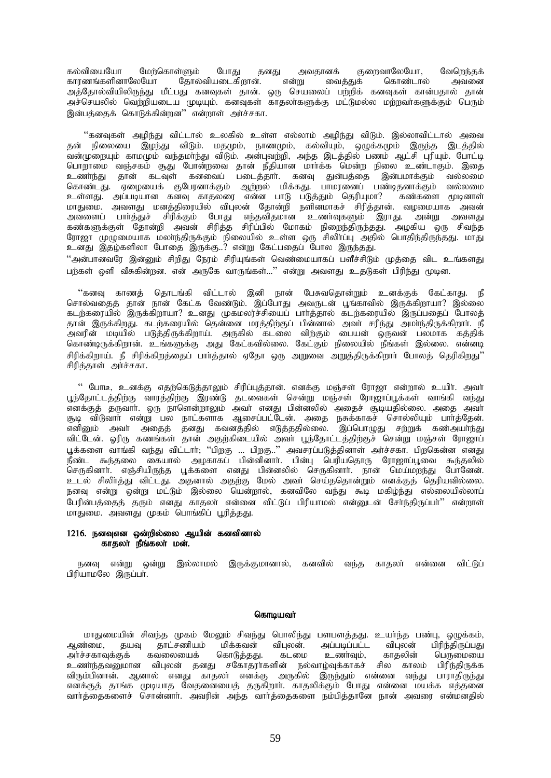கல்வியையோ மேற்கொள்ளும் போது தனது அவதானக் குறைவாலேயோ, வேறெந்தக்<br>காரணங்களினாலேயோ தோல்வியடைகிறான். என்று வைத்துக் கொண்டால் அவனை காாணங்களினாலேயோ தோல்வியடைகிறான். அத்தோல்வியிலிருந்து மீட்பது கனவுகள் தான். ஒரு செயலைப் பற்றிக் கனவுகள் கான்பதால் தான் அச்செயலில் வெற்றியடைய முடியும். கனவுகள் காதலாகளுக்கு மட்டுமல்ல மற்றவாகளுக்கும் பெரும் .<br>இன்பத்தைக் கொடுக்கின்றன<sup>?</sup> என்றாள் அர்ச்சகா.

"கனவுகள் அழிந்து விட்டால் உலகில் உள்ள எல்லாம் அழிந்து விடும். இல்லாவிட்டால் அவை தன் நிலையை இழந்து விடும். மதமும், நாணமும், கல்வியும், ஒழுக்கமும் இருந்த இடத்தில் வன்முறையும் காமமும் வந்தமாந்து விடும். அன்புவற்றி, அந்த இடத்தில் பணம் ஆட்சி புரியும். போட்டி <u>ொ</u>றாமை வஞ்சகம் சூது போன்றவை தான் நீதியான மார்க்க மென்ற நிலை உண்டாகும். இகை உணர்ந்து தான் கடவுள் கனவைப் படைத்தார். கனவு துன்பத்தை இன்பமாக்கும் வல்லமை கொண்டது. ஏழையைக் குபேரனாக்கும் ஆற்றல் மிக்கது. பாமரனைப் பண்டிதனாக்கும் வல்லமை உள்ளது. அப்படியான கனவு காதலரை என்ன பாடு படுத்தும் தெரியுமா? கண்களை மூடினாள் மாதுமை. அவளது மனத்திரையில் விபுலன் தோன்றி நளினமாகச் சிரித்தான். வழமையாக அவன் அவளைப் பாா்த்துச் சிரிக்கும் போது எந்தவிதமான உணா்வுகளும் இராது. அன்று அவளது கண்களுக்குள் தோன்றி அவன் சிரித்த சிரிப்பில் மோகம் நிறைந்திருந்தது. அழகிய ஒரு சிவந்த ரோஜா முழுமையாக மலாந்திருக்கும் நிலையில் உள்ள ஒரு சிலிாப்பு அதில் பொதிந்திருந்தது. மாது உனது இதழ்களிலா போதை இருக்கு..? என்று கேட்பதைப் போல இருந்தது. ...<br>"அன்பானவரே இன்னும் சிறிது நேரம் சிரியுங்கள் வெண்மையாகப் பளீச்சிடும் முத்தை விட உங்களது பற்கள் ஒளி வீசுகின்றன. என் அருகே வாருங்கள்...'' என்று அவளது உதடுகள் பிரிந்து மூடின.

"கனவு காணத் தொடங்கி விட்டால் இனி நான் பேசுவதொன்றும் உனக்குக் கேட்காது. நீ சொல்வதைத் தான் நான் கேட்க வேண்டும். இப்போது அவருடன் பூங்காவில் இருக்கிறாயா? இல்லை கடற்கரையில் இருக்கிறாயா? உனது முகமலர்ச்சியைப் பார்த்தால் கடற்கரையில் இருப்பதைப் போலத் தான் இருக்கிறது. கடற்கரையில் தென்னை மரத்திற்குப் பின்னால் அவர் சரிந்து அமாந்திருக்கிறார். நீ அவரின் மடியில் படுத்திருக்கிறாய். அருகில் கடலை விற்கும் பையன் ஒருவன் பலமாக கத்திக் கொண்டிருக்கிறான். உங்களுக்கு அது கேட்கவில்லை. கேட்கும் நிலையில் நீங்கள் இல்லை. என்னடி சிரிக்கிறாய். நீ சிரிக்கிறத்தைப் பார்த்தால் ஏதோ ஒரு அறுதை அறுத்திருக்கிறார் போலத் தெரிகிறது'' சிரித்தாள் அர்ச்சகா.

" போடீ, உனக்கு எதற்கெடுத்தாலும் சிரிப்புத்தான். எனக்கு மஞ்சள் ரோஜா என்றால் உயிர். அவர் பூந்தோட்டத்திற்கு வாரத்திற்கு இரண்டு தடவைகள் சென்று மஞ்சள் ரோஜாப்பூக்கள் வாங்கி வந்து எனக்குத் தருவாா். ஒரு நாளென்றாலும் அவா் எனது பின்னலில் அதைச் சூடியதில்லை. அதை அவா் சூடி விடுவாா் என்று பல நாட்களாக ஆசைப்பட்டேன். அதை நசுக்காகச் சொல்லியும் பாா்த்தேன். எனினும் அவர் அதைத் தனது கவனத்தில் எடுத்ததில்லை. இப்பொழுது சற்றுக் கண்அயர்ந்து விட்டேன். ஓரிரு கணங்கள் தான் அதற்கிடையில் அவர் பூந்தோட்டத்திற்குச் சென்று மஞ்சள் ரோஜாப் பூக்களை வாங்கி வந்து விட்டாா்; ''பிறகு ... பிறகு..'' அவசரப்படுத்தினாள் அா்ச்சகா. பிறகென்ன எனது நீண்ட கூந்தலை கையால் அழகாகப் பின்னினாா். பின்பு பெரியதொரு ரோஜாப்பூவை கூந்தலில் செருகினார். எஞ்சியிருந்த பூக்களை எனது பின்னலில் செருகினார். நான் மெய்மறந்து போனேன். உடல் சிலிர்த்து விட்டது. அதனால் அதற்கு மேல் அவர் செய்ததொன்றும் எனக்குத் தெரியவில்லை. நனவு என்று ஒன்று மட்டும் இல்லை பென்றால், கனவிலே வந்து கூடி மகிழ்ந்து எல்லையில்லாப் பேரின்பத்தைத் தரும் எனது காதலா் என்னை விட்டுப் பிரியாமல் என்னுடன் சோ்ந்திருப்பா்'' என்றாள் மாதுமை, அவளது முகம் பொங்கிப் பூரித்தது.

## $1216.$  நனவுஎன ஒன்றில்லை ஆயின் கனவினால்  $f$ காதலா நீங்கலா மன்.

நனவு என்று ஒன்று இல்லாமல் இருக்குமானால், கனவில் வந்த காதலா் என்னை விட்டுப் பிரியாமலே இருப்பா.

### கொடியவா்

மாதுமையின் சிவந்த முகம் மேலும் சிவந்து பொலிந்து பளபளத்தது. உயா்ந்த பண்பு, ஒழுக்கம், ஆண்மை, தயவு தாட்சணியம் மிக்கவன் விபுலன். அப்படிப்பட்ட விபுலன் பிரிந்திருப்பது<br>அர்ச்சகாவுக்குக் கவலையைக் கொடுத்தது. கடமை உணர்வும், காதலின் பெருமையை அர்ச்சகாவுக்குக் கவலையைக் கொடுத்தது. கடமை உணர்வும், காதலின் பெருமையை உணர்ந்தவனுமான விபுலன் தனது சகோதரர்களின் நல்வாழ்வுக்காகச் சில காலம் பிரிந்திருக்க விரும்பினான். ஆனால் எனது காதலா எனக்கு அருகில் இருந்தும் என்னை வந்து பாராதிருந்து எனக்குத் தாங்க முடியாத வேதனையைத் தருகிறாா். காதலிக்கும் போது என்னை மயக்க எத்தனை வார்த்தைகளைச் சொன்னார். அவரின் அந்த வார்த்தைகளை நம்பித்தானே நான் அவரை என்மனதில்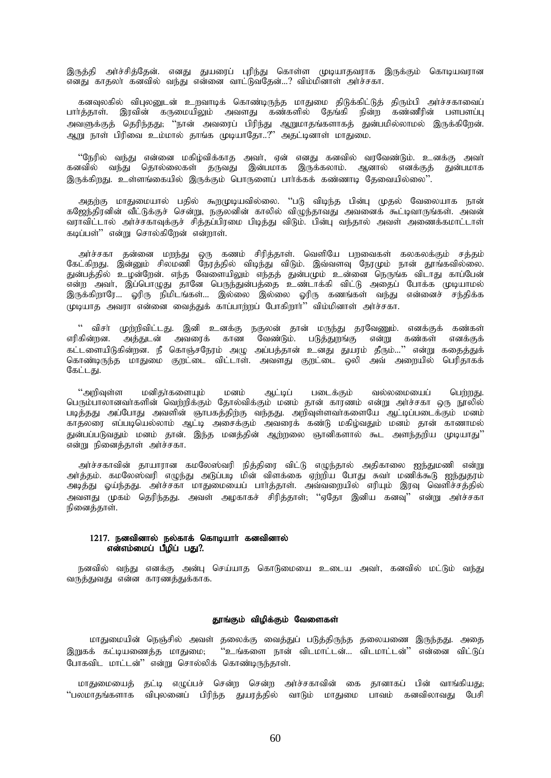இருத்தி அர்ச்சித்தேன். எனது துயரைப் புரிந்து கொள்ள முடியாதவராக இருக்கும் கொடியவரான எனது காதலா கனவில் வந்து என்னை வாட்டுவதேன்...? விம்மினாள் அர்ச்சகா.

கனவுலகில் விபுலனுடன் உறவாடிக் கொண்டிருந்த மாதுமை திடுக்கிட்டுத் திரும்பி அர்ச்சகாவைப் பார்த்தாள். இரவின் கருமையிலும் அவளது கண்களில் தேங்கி நின்ற கண்ணீரின் பளபளப்பு அவளுக்குத் தெரிந்தது; ''நான் அவரைப் பிரிந்து ஆறுமாதங்களாகத் துன்பமில்லாமல் இருக்கிறேன். ஆறு நாள் பிரிவை உம்மால் தாங்க முடியாதோ..?" அதட்டினாள் மாதுமை.

"நேரில் வந்து என்னை மகிழ்விக்காத அவர், ஏன் எனது கனவில் வரவேண்டும். உனக்கு அவர் ்கனவில் வந்து தொல்லைகள் தருவது இன்பமாக இருக்கலாம். ஆனால் எனக்குத் துன்பமாக இருக்கிறது, உள்ளங்கையில் இருக்கும் பொருளைப் பார்க்கக் கண்ணாடு கேவையில்லை''.

அதற்கு மாதுமையால் பதில் கூறமுடியவில்லை. ''படு விடிந்த பின்பு முதல் வேலையாக நான் கஜேந்திரனின் வீட்டுக்குச் சென்று, நகுலனின் காலில் விழுந்தாவது அவனைக் கூட்டிவாருங்கள். அவன் ்வராவிட்டால் அர்ச்சகாவுக்குச் சித்தப்பிரமை பிடித்து விடும். பின்பு வந்தால் அவள் அணைக்கமாட்டாள் கடிப்பள்'' என்று சொல்கிரேன் என்றாள்.

அர்ச்சகா தன்னை மறந்து ஒரு கணம் சிரித்தாள். வெளியே பறவைகள் கலகலக்கும் சத்தம் கேட்கிறது. இன்னும் சிலமணி நேரத்தில் விடிந்து விடும். இவ்வளவு நேரமும் நான் தூங்கவில்லை. துன்பத்தில் உழன்றேன். எந்த வேளையிலும் எந்தத் துன்பமும் உன்னை நெருங்க விடாது காப்பேன் என்ற அவர், இப்பொழுது தானே பெருந்துன்பத்தை உண்டாக்கி விட்டு அதைப் போக்க முடியாமல் இருக்கிறாரே… ஓரிரு நிமிடங்கள்… இல்லை இல்லை ஓரிரு கணங்கள் வந்து என்னைச் சந்திக்க ,<br>புடியாத அவரா என்னை வைத்துக் காப்பாற்றப் போகிறார்'' விம்மினாள் அர்ச்சகா.

" விசா் முற்றிவிட்டது. இனி உனக்கு நகுலன் தான் மருந்து தரவேணும். எனக்குக் கண்கள் எரிகின்றன. அத்துடன் அவரைக் காண வேண்டும். படுத்துறங்கு என்று கண்கள் எனக்குக் கட்டளையிடுகின்றன. நீ கொஞ்சநேரம் அழு அப்பத்தான் உனது துயரம் தீரும்...'' என்று கதைத்துக் கொண்டிருந்த மாதுமை குறட்டை விட்டாள். அவளது குறட்டை ஒலி அவ் அறையில் பெரிதாகக் கேட்டது.

 $``$ அறிவுள்ள மனிதர்களையும் மனம் ஆட்டிப் படைக்கும் வல்லமையைப் பெற்றது. பொம்பாலானவர்களின் வெற்றிக்கும் தோல்விக்கும் மனம் தான் காரணம் என்று அர்ச்சகா ஒரு நூலில் படித்தது அப்போது அவளின் ஞாபகத்திற்கு வந்தது. அறிவுள்ளவாகளையே ஆட்டிப்படைக்கும் மனம் காதலரை எப்படியெல்லாம் ஆட்டி அசைக்கும் அவரைக் கண்டு மகிழ்வதும் மனம் தான் காணாமல் துன்பப்படுவதும் மனம் தான். இந்த மனத்தின் ஆற்றலை ஞானிகளால் கூட அளந்தறிய முடியாது''  $\overline{\text{a}}$ ண்று நினைத்தாள் அர்ச்சகா.

அர்ச்சகாவின் தாயாரான கமலேஸ்வரி நித்திரை விட்டு எழுந்தால் அதிகாலை ஐந்துமணி என்று அர்த்தம். கமலேஸ்வரி எழுந்து அடுப்படி மின் விளக்கை ஏற்றிய போது சுவா மணிக்கூடு ஐந்துதரம் அடித்து ஓய்ந்தது. அர்ச்சகா மாதுமையைப் பார்த்தாள். அவ்வறையில் எரியும் இரவு வெளிச்சத்தில் அவளது முகம் தெரிந்தது. அவள் அழகாகச் சிரித்தாள்; ''ஏதோ இனிய கனவு'' என்று அர்ச்சகா நினைத்தாள்.

### 1217. நனவினால் நல்காக் கொடியார் கனவினால் என்எம்மைப் பீழிப் பது $?$ .

நனவில் வந்து எனக்கு அன்பு செய்யாத கொடுமையை உடைய அவர், கனவில் மட்டும் வந்து வருத்துவது என்ன காரணத்துக்காக.

#### தூங்கும் விழிக்கும் வேளைகள்

மாதுமையின் நெஞ்சில் அவள் தலைக்கு வைத்துப் படுத்திருந்த தலையணை இருந்தது. அதை இறுகக் கட்டியணைத்த மாதுமை; ''உங்களை நான் விடமாட்டன்... விடமாட்டன்'' என்னை விட்டுப் போகவிட மாட்டன்'' என்று சொல்லிக் கொண்டிருந்தாள்.

மாதுமையைத் தட்டி எழுப்பச் சென்ற சென்ற அர்ச்சகாவின் கை தானாகப் பின் வாங்கியது; "பலமாதங்களாக விபுலனைப் பிரிந்த துயரத்தில் வாடும் மாதுமை பாவம் கனவிலாவது பேசி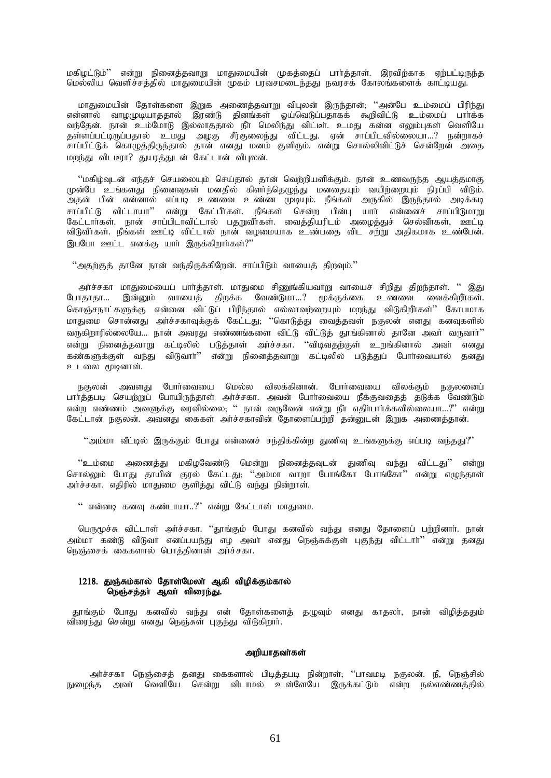மகிழட்டும்'' என்று நினைத்தவாறு மாதுமையின் முகத்தைப் பார்த்தாள். இரவிற்காக ஏற்பட்டிருந்த மெல்லிய வெளிச்சத்தில் மாதுமையின் முகம் பரவசமடைந்தது நவரசக் கோலங்களைக் காட்டியது.

மாதுமையின் தோள்களை இறுக அணைத்தவாறு விபுலன் இருந்தான்; ''அன்பே உம்மைப் பிரிந்து என்னால் வாழமுடியாததால் இரண்டு தினங்கள் ஓய்வெடுப்பதாகக் கூறிவிட்டு உம்மைப் பார்க்க வந்தேன். நான் உம்மோடு இல்லாததால் நீா மெலிந்து விட்டீா். உமது கன்ன எலும்புகள் வெளியே தள்ளப்பட்டிருப்பதால் உமது அழகு சீர்குலைந்து விட்டது. ஏன் சாப்பிடவில்லையா...? நன்றாகச் சாப்பிட்டுக் கொழுத்திருந்தால் தான் எனது மனம் குளிரும். என்று சொல்லிவிட்டுச் சென்றேன் அதை மறந்து விடடீரா? துயரத்துடன் கேட்டான் விபுலன்.

 $\lq\lq$ மகிழ்வுடன் எந்தச் செயலையும் செய்தால் தான் வெற்றியளிக்கும். நான் உணவருந்த ஆயத்தமாகு , முன்பே உங்களது நினைவுகள் மனதில் கிளாந்தெழுந்து மனதையும் வயிற்றையும் நிரப்பி விடும். ு<br>அதன் பின் என்னால் எப்படி உணவை உண்ண முடியும். நீங்கள் அருகில் இருந்தால் அடிக்கடி சாப்பிட்டு விட்டாயா'' என்று கேட்பீர்கள். நீங்கள் சென்ற பின்பு யார் என்னைச் சாப்பிடுமாறு கேட்டார்கள். நான் சாப்பிடாவிட்டால் பதறுவீாகள். வைத்தியரிடம் அழைத்துச் செல்வீாகள், ஊட்டி ் விடுவீர்கள். நீங்கள் ஊட்டி விட்டால் நான் வழமையாக உண்பதை விட சற்று அதிகமாக உண்பேன். இப்போ ஊட்ட எனக்கு யார் இருக்கிறார்கள் $?$ "

 $"$ அதற்குத் தானே நான் வந்திருக்கிறேன். சாப்பிடும் வாயைத் திறவும். $"$ 

அர்ச்சகா மாதுமையைப் பார்த்தாள். மாதுமை சிணுங்கியவாறு வாயைச் சிறிது திறந்தாள். " இது போதாதா... இன்னும் வாயைத் திறக்க வேண்டுமா...? மூக்குக்கை உணவை வைக்கிறீர்கள். கொஞ்சநாட்களுக்கு என்னை விட்டுப் பிரிந்தால் எல்லாவற்றையும் மறந்து விடுகிறீர்கள்'' கோபமாக மாதுமை சொன்னது அர்ச்சகாவுக்குக் கேட்டது; ''கொடுத்து வைத்தவள் நகுலன் எனது கனவுகளில் வருகிறாரில்லையே... நான் அவரது எண்ணங்களை விட்டு விட்டுத் தூங்கினால் தானே அவா் வருவாா் $"$ என்று நினைத்தவாறு கட்டிலில் படுத்தாள் அர்ச்சகா. ''விடிவதற்குள் உறுங்கினால் அவர் எனது கண்களுக்குள் வந்து விடுவார்'' என்று நினைத்தவாறு கட்டிலில் படுத்துப் போர்வையால் தனது உடலை மூடினாள்.

நகுலன் அவளது போர்வையை மெல்ல விலக்கினான். போர்வையை விலக்கும் நகுலனைப் பார்த்தபடி செயற்றுப் போயிருந்தாள் அர்ச்சகா. அவன் போர்வையை நீக்குவதைத் தடுக்க வேண்டும் என்ற எண்ணம் அவளுக்கு வரவில்லை; '' நான் வருவேன் என்று நீர் எதிர்பார்க்கவில்லையா...?'' என்று கேட்டான் நகுலன். அவனது கைகள் அர்ச்சகாவின் தோளைப்பற்றி தன்னுடன் இறுக அணைத்தான்.

 $\cdot$ "அம்மா வீட்டில் இருக்கும் போது என்னைச் சந்திக்கின்ற துணிவு உங்களுக்கு எப்படி வந்தது?"

''உம்மை அணைத்து மகிழவேண்டு மென்று நினைத்தவுடன் துணிவு வந்து விட்டது'' என்று சொல்லும் போது தாயின் குரல் கேட்டது; ''அம்மா வாறா போங்கோ போங்கோ'' என்று எழுந்தாள் அர்ச்சகா. எதிரில் மாதுமை குளித்து விட்டு வந்து நின்றாள்.

 $"$  என்னடி கனவு கண்டாயா.. $"$  என்று கேட்டாள் மாதுமை.

பெருமூச்சு விட்டாள் அர்ச்சகா. ''தூங்கும் போது கனவில் வந்து எனது தோளைப் பற்றினார். நான் அம்மா கண்டு விடுவா எனப்பயந்து எழ அவா் எனது நெஞ்சுக்குள் புகுந்து விட்டாா்'' என்று தனது நெஞ்சைக் கைகளால் பொத்தினாள் அரச்சகா.

# 1218. துஞ்சும்கால் தோள்மேலா் ஆகி விழிக்கும்கால் நெஞ்சத்தா ஆவா் விரைந்து.

தூங்கும் போது கனவில் வந்து என் தோள்களைத் தழுவும் எனது காதலா், நான் விழித்ததும் விரைந்து சென்று எனது நெஞ்சுள் புகுந்து விடுகிறாா்.

# அறியாதவா்கள்

அர்ச்சகா நெஞ்சைத் தனது கைகளால் பிடித்தபடி நின்றாள்; ''பாவமடி நகுலன். நீ, நெஞ்சில் நுழைந்த அவர் வெளியே சென்று விடாமல் உள்ளேயே இருக்கட்டும் என்ற நல்எண்ணத்தில்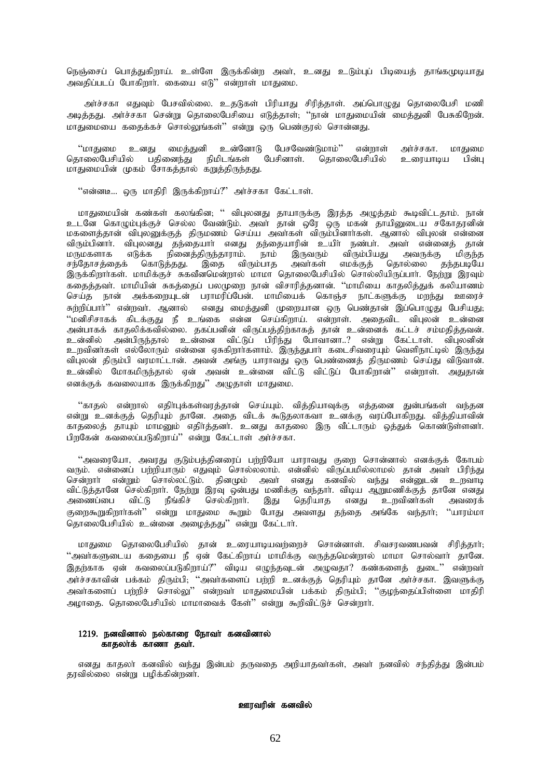நெஞ்சைப் பொத்துகிறாய். உள்ளே இருக்கின்ற அவர், உனது உடும்புப் பிடியைத் தாங்கமுடியாது அவதிப்படப் போகிறார். கையை எடு'' என்றாள் மாதுமை.

அர்ச்சகா எதுவும் பேசவில்லை. உதடுகள் பிரியாது சிரித்தாள். அப்பொழுது தொலைபேசி மணி அடித்தது. அர்ச்சகா சென்று தொலைபேசியை எடுத்தாள், ''நான் மாதுமையின் மைத்துனி பேசுகிறேன். மாதுமையை கதைக்கச் சொல்லுங்கள்'' என்று ஒரு பெண்குரல் சொன்னது.

உனகு உன்னோடு பேசவேண்டுமாம்'' ''மாகுணம மைக்குனி என்றாள் அர்ச்சகா. மாகுமை பேசினாள். கொலைபேசியில் உரையாமய பின்ப கொலைபேசியில் பகிணைந்து நிமிடங்கள் மாதுமையின் முகம் சோகத்தால் கறுத்திருந்தது.

"என்னடி... ஒரு மாதிரி இருக்கிறாய்?" அர்ச்சகா கேட்டாள்.

மாதுமையின் கண்கள் கலங்கின; '' விபுலனது தாயாருக்கு இரத்த அழுத்தம் கூடிவிட்டதாம். நான் உடனே கொழும்புக்குச் செல்ல வேண்டும். அவா் தான் ஒரே ஒரு மகன் தாயினுடைய சகோதரனின் மகளைத்தான் விபுலனுக்குத் திருமணம் செய்ய அவாகள் விரும்பினாாகள். ஆனால் விபுலன் என்னை இருவரும் விரும்பியது மருமகளாக அவருக்கு மிகுந்த அவர்கள் எமக்குத் தொல்லை தந்தபடியே சந்தோசத்தைக் கொடுத்தது. இதை விரும்பாத அவர்கள் எமக்குத் தொல்லை தந்தபடியே<br>இருக்கிறார்கள். மாமிக்குச் சுகவீனமென்றால் மாமா தொலைபேசியில் சொல்லியிருப்பார். நேற்று இரவும் சந்தோசக்கைக் கதைத்தவா். மாமியின் சுகத்தைப் பலமுறை நான் விசாரித்தனான். ''மாமியை காதலித்துக் கலியாணம் செய்த நான் அக்கறையுடன் பராமரிப்பேன். மாமியைக் கொஞ்ச நாட்களுக்கு மறந்து ஊரைச் சுற்றிப்பார்'' என்றவர். ஆனால் எனது மைத்துனி முறையான ஒரு பெண்தான் இப்பொழுது பேசியது; ''மனிசிசாகக் கிடக்குது நீ உங்கை என்ன செய்கிறாய். என்றாள். அதைவிட விபுலன் உன்னை அன்பாகக் காதலிக்கவில்லை. ககப்பனின் விருப்பக்கிர்காகக் கான் உன்னைக் கட்டச் சம்மதிக்கவன். உன்னில் அன்பிருந்தால் உன்னை விட்டுப் பிரிந்து போவானா..? என்று கேட்டாள். விபலனின் உறவினர்கள் எல்லோரும் என்னை ஏசுகிறார்களாம். இருந்துபார் கடைசிவரையும் வெளிநாட்டில் இருந்து விபலன் திரும்பி வரமாட்டான். அவன் அங்கு யாராவது ஒரு பெண்ணைத் திருமணம் செய்து விடுவான். உன்னில் மோகமிருந்தால் ஏன் அவன் உன்னை விட்டு விட்டுப் போகிறான்'' என்றாள். அதுதான் எனக்குக் கவலையாக இருக்கிறது'' அழுதாள் மாதுமை.

''காதல் என்றால் எதிர்புக்கள்வரத்தான் செய்யும். வித்தியாவுக்கு எத்தனை துன்பங்கள் வந்தன என்று உனக்குத் தெரியும் தானே. அதை விடக் கூடுதலாகவா உனக்கு வரப்போகிறது. வித்தியாவின் காதலைத் தாயும் மாமனும் எதிர்த்தனர். உனது காதலை இரு வீட்டாரும் ஒத்துக் கொண்டுள்ளனர். பிறகேன் கவலைப்படுகிறாய்" என்று கேட்டாள் அர்ச்சகா.

''அவரையோ, அவரது குடும்பத்தினரைப் பற்றியோ யாராவது குறை சொன்னால் எனக்குக் கோபம் வரும். என்னைப் பற்றியாரும் எதுவும் சொல்லலாம். என்னில் விருப்பமில்லாமல் தான் அவா் பிரிந்து சென்றாா் என்றும் சொல்லட்டும். தினமும் அவா் எனது கனவில் வந்து என்னுடன் உறவாடி விட்டுத்தானே செல்கிறார். நேற்று இரவு ஒன்பது மணிக்கு வந்தார். விடிய ஆறுமணிக்குத் தானே எனது அணைப்பை விட்டு நீங்கிச் செல்கிறாா். இது தெரியாத எனது உறவினர்கள் அவரைக் குறைகூறுகிறார்கள்'' என்று மாதுமை கூறும் போது அவளது தந்தை அங்கே வந்தார்; ''யாரம்மா .<br>கொலைபேசியில் உன்னை அழைத்தது'' என்று கேட்டார்.

மாதுமை தொலைபேசியில் தான் உரையாடியவற்றைச் சொன்னாள். சிவசரவணபவன் சிரித்தார்; ''அவர்களுடைய கதையை நீ ஏன் கேட்கிறாய் மாமிக்கு வருத்தமென்றால் மாமா சொல்வார் தானே. இதற்காக ஏன் கவலைப்படுகிறாய்?'' விடிய எழுந்தவுடன் அழுவதா? கண்களைத் துடை'' என்றவர் .<br>அர்ச்சகாவின் பக்கம் திரும்பி, ''அவர்களைப் பற்றி உனக்குத் தெரியும் தானே அர்ச்சகா. இவளுக்கு<br>அவர்களைப் பற்றிச் சொல்லு'' என்றவர் மாதுமையின் பக்கம் திரும்பி, ''குழந்தைப்பிள்ளை மாதிரி அழாதை. தொலைபேசியில் மாமாவைக் கேள்'' என்று கூறிவிட்டுச் சென்றார்.

# 1219. நனவினால் நல்காரை நோவா் கனவினால் காதலாக் காணா தவா்.

எனது காதலா் கனவில் வந்து இன்பம் தருவதை அறியாதவா்கள், அவா் நனவில் சந்தித்து இன்பம் தரவில்லை என்று பழிக்கின்றனர்.

# ஊரவரின் கனவில்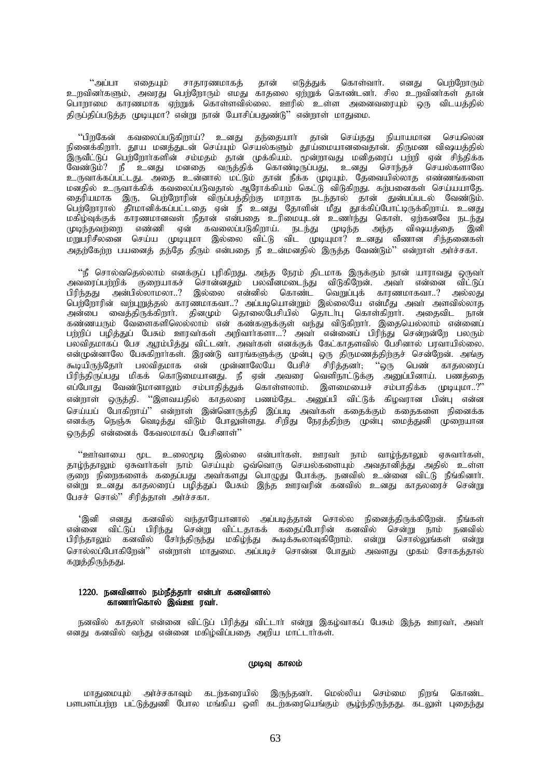"அப்பா எதையும் சாகாரணமாகக் தான் எடுத்துக் கொள்வார். எனது பெர்ரோரும் உறவினர்களும், அவரது பெற்றோரும் எமது காதலை ஏற்றுக் கொண்டனர். சில உறவினர்கள் தான் பொறாமை காரணமாக ஏற்றுக் கொள்ளவில்லை. ஊரில் உள்ள அனைவரையும் ஒரு விடயத்தில் திருப்திப்படுத்த முடியுமா? என்று நான் யோசிப்பதுண்டு'' என்றாள் மாதுமை.

''பிறகேன் கவலைப்படுகிறாய்?' உனது தந்தையார் தான் செய்தது நியாயமான செயலென நினைக்கிறார். தூய மனத்துடன் செய்யும் செயல்களும் தூயலையானவைதான். திருமண விஷயத்தில் .<br>இருவீட்டுப் பெற்றோர்களின் சம்மதம் தான் முக்கியம். மூன்றாவது மனிதரைப் பற்றி ஏன் சிந்திக்க லேண்டும்? நீ உனது மனதை வருத்திக் கொண்டிருப்பது, உனது சொந்தச் செயல்களாலே உருவாக்கப்பட்டது. அதை உன்னால் மட்டும் தான் நீக்க முடியும். தேவையில்லாத எண்ணங்களை மனதில் உருவாக்கிக் கவலைப்படுவதால் ஆரோக்கியம் கெட்டு விடுகிறது. கற்பனைகள் செய்யயாதே. தைரியமாக இரு, பெற்றோரின் விருப்பத்திற்கு மாறாக நடந்தால் தான் துன்பப்படல் வேண்டும். பெற்றோரால் தீாமானிக்கப்பட்டதை ஏன் நீ உனது தோளின் மீது தூக்கிப்போட்டிருக்கிறாய். உனது மகிழ்வுக்குக் காரணமானவள் நீதான் என்பதை உரிமையுடன் உணர்ந்து கொள். ஏற்கனவே நடந்து முடிந்தவற்றை எண்ணி ஏன் கவலைப்படுகிறாய். நடந்து முடிந்த அந்த விஷயத்தை இனி .<br>மறுபரிசீலனை செய்ய முடியுமா இல்லை விட்டு விட முடியுமா? உனது வீணான சிந்தனைகள் அதற்கேற்ற பயனைத் தந்தே தீரும் என்பதை நீ உன்மனதில் இருத்த வேண்டும்'' என்றாள் அர்ச்சகா.

''நீ சொல்வதெல்லாம் எனக்குப் புரிகிறது. அந்த நேரம் திடமாக இருக்கும் நான் யாராவது ஒருவா் அவரைப்பர்றிக் குறையாகச் சொன்னதும் பலவீனமடைந்து விடுகிறேன். அவர் என்னை விட்டுப் பிரிந்தது அன்பில்லாமலா..? இல்லை என்னில் கொண்ட வெறுப்பக் காரணமாகவா..? அல்லது பெர்ரோரின் வர்புறுத்தல் காரணமாகவா..? அப்படியொன்றும் இல்லையே என்மீது அவர் அளவில்லாத அன்பை வைத்திருக்கிறார். தினமும் தொலைபேசியில் தொடர்பு கொள்கிறார். அதைவிட நான் ு.<br>கண்ணயரும் வேளைகளிலெல்லாம் என் கண்களுக்குள் வந்து விடுகிறார். இதையெல்லாம் என்னைப் பற்றிப் பழித்துப் பேசும் ஊரவா்கள் அறிவாா்களா...? அவா் என்னைப் பிரிந்து சென்றன்றே பலரும் பலவிதமாகப் பேச ஆரம்பித்து விட்டனர். அவர்கள் எனக்குக் கேட்காதளவில் பேசினால் பரவாயில்லை. என்முன்னாலே பேசுகிறார்கள். இரண்டு வாரங்களுக்கு முன்பு ஒரு திருமணத்திற்குச் சென்றேன். அங்கு ் துடியிருந்தோர் பலவிதமாக என் முன்னாலேயே பேசிச் சிரித்தனர், ''ஒரு பெண் காதலரைப்<br>பிரிந்திருப்பது மிகக் கொடுமையானது. நீ ஏன் அவரை வெளிநாட்டுக்கு அனுப்பினாய். பணத்தை எப்போது வேண்டுமானாலும் சம்பாதித்துக் கொள்ளலாம். இளமையைச் சம்பாதிக்க முடியுமா..?" .<br>என்றாள் ஒருத்தி. ''இளவயதில் காதலரை பணம்தேட அனுப்பி விட்டுக் கிழவரான பின்பு என்ன செய்யப் போகிறாய்'' என்றாள் இன்னொருத்தி இப்படி அவர்கள் கதைக்கும் கதைகளை நினைக்க எனக்கு நெஞ்சு வெடித்து விடும் போலுள்ளது. சிறிது நேரத்திற்கு முன்பு மைத்துனி முறையான ஒருத்தி என்னைக் கேவலமாகப் பேசினாள்''

''ஊர்வாயை மூட உலைமூடி இல்லை என்பார்கள். ஊரவர் நாம் வாழ்ந்தாலும் ஏசுவார்கள், தாழ்ந்தாலும் ஏசுவாா்கள் நாம் செய்யும் ஒவ்வொரு செயல்களையும் அவதானித்து அதில் உள்ள குறை நிறைகளைக் கதைப்பது அவர்களது பொழுது போக்கு. நனவில் உன்னை விட்டு நீங்கினார். என்று உனது காதலரைப் பழித்துப் பேசும் இந்த ஊரவரின் கனவில் உனது காதலரைச் சென்று பேசச் சொல்'' சிரித்தாள் அர்ச்சகா.

்இனி எனது கனவில் வந்தாரேயானால் அப்படித்தான் சொல்ல நினைத்திருக்கிறேன். நீங்கள்<br>என்னை விட்டுப் பிரிந்து சென்று விட்டதாகக் கதைப்போரின் கனவில் சென்று நாம் நனவில்<br>பிரிந்தாலும் கனவில் சோ்ந்திருந்து மகிழ்ந்து கூடிக்கூலாவுகிறோம். சொல்லப்போகிறேன்'' என்றாள் மாதுமை. அப்படிச் சொன்ன போதும் அவளது முகம் சோகத்தால் கறுத்திருந்தது.

## 1220. நனவினால் நம்நீத்தார் என்பர் கனவினால் காணாாகொல் இவ்ஊாவா.

நனவில் காதலா் என்னை விட்டுப் பிரித்து விட்டாா் என்று இகழ்வாகப் பேசும் இந்த ஊரவா், அவா் என்து கனவில் வந்து என்னை மகிழ்விப்பதை அரிய மாட்டார்கள்.

#### முடிவு காலம்

மாதுமையும் அர்ச்சகாவும் கடற்கரையில் இருந்தனர். மெல்லிய செம்மை நிறங் கொண்ட பளபளப்பற்ற பட்டுத்துணி போல மங்கிய ஒளி கடற்கரையெங்கும் சூழ்ந்திருந்தது. கடலுள் புதைந்து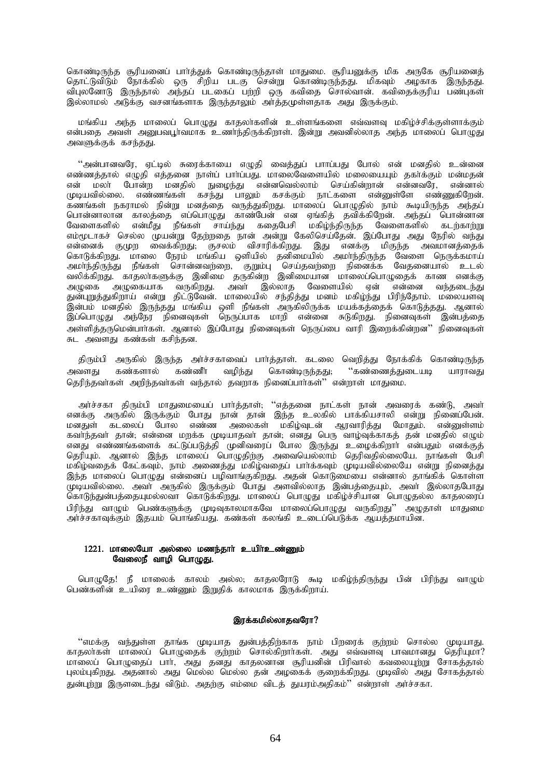கொண்டிருந்த சூரியனைப் பார்த்துக் கொண்டிருந்தாள் மாதுமை. சூரியனுக்கு மிக அருகே சூரியனைத் தொட்டுவிடும் நோக்கில் ஒரு சிறிய படகு சென்று கொண்டிருந்தது. மிகவும் அழகாக இருந்தது. விபுலனோடு இருந்தால் அந்தப் படகைப் பற்றி ஒரு கவிதை சொல்வான். கவிதைக்குரிய பண்புகள் இல்லாமல் அடுக்கு வசனங்களாக இருந்தாலும் அர்த்தமுள்ளதாக அது இருக்கும்.

மங்கிய அந்த மாலைப் பொழுது காதலா்களின் உள்ளங்களை எவ்வளவு மகிழ்ச்சிக்குள்ளாக்கும் என்பகை அவள் அபைவபர்வமாக உணர்ந்திருக்கிறாள். இன்று அவனில்லாக அந்த மாலைப் பொமுது அவளுக்குக் கசந்தது.

"அன்பானவரே, ஏட்டில் சுரைக்காயை எழுதி வைத்துப் பாாப்பது போல் என் மனதில் உன்னை எண்ணத்தால் எழுதி எத்தனை நாள்ப் பாா்ப்பது. மாலைவேளையில் மலையையும் தகா்க்கும் மன்மதன் என் மலா் போன்ற மனதில் நுழைந்து என்னவெல்லாம் செய்கின்றான் என்னவரே, என்னால் முடியவில்லை. எண்ணங்கள் கசந்து பாலும் கசக்கும் நாட்களை என்னுள்ளே எண்ணுகிறேன். ு.<br>கணங்கள் நகராமல் நின்று மனத்தை வருத்துகிறது. மாலைப் பொழுதில் நாம் கூடியிருந்த அந்தப் பொன்னாலான காலத்தை எப்பொழுது காண்பேன் என ஏங்கித் தவிக்கிறேன். அந்தப் பொன்னான வேளைகளில் என்மீது நீங்கள் சாய்ந்து கதைபேசி மகிழ்ந்திருந்த வேளைகளில் கடற்காற்று எம்மூடாகச் செல்ல முயன்று தேற்றதை நான் அன்று கேலிசெய்தேன். இப்போது அது நேரில் வந்து என்னைக் குமுற வைக்கிறது; குசலம் விசாரிக்கிறது. இது எனக்கு மிகுந்த அவமானத்தைக் கொடுக்கிறது. மாலை நேரம் மங்கிய ஒளியில் தனிமையில் அமா்ந்திருந்த வேளை நெருக்கமாய் அமா்ந்திருந்து நீங்கள் சொன்னவற்றை, குறும்பு செய்தவற்றை நினைக்க வேதனையால் உடல் வலிக்கிறது. காதலாகளுக்கு இனிமை தருகின்ற இனிமையான மாலைப்பொழுதைக் காண எனக்கு அழுகை அழுகையாக வருகிறது. அவா் இல்லாத வேளையில் ஏன் என்னை வந்தடைந்து துன்புறுத்துகிறாய் என்று திட்டுவேன். மாலையில் சந்தித்து மனம் மகிழ்ந்து பிரிந்தோம். மலையளவு இன்பம் மனதில் இருந்தது மங்கிய ஒளி நீங்கள் அருகிலிருக்க மயக்கத்தைக் கொடுத்தது. ஆனால் இப்பொழுது அந்நேர நினைவுகள் நெருப்பாக மாறி என்னை சுடுகிறது. நினைவுகள் இன்பத்தை அள்ளித்தருமென்பார்கள். ஆனால் இப்போது நினைவுகள் நெருப்பை வாரி இறைக்கின்றன'' நினைவுகள் சுட அவளது கண்கள் கசிந்தன.

திரும்பி அருகில் இருந்த அர்ச்சகாவைப் பார்த்தாள். கடலை வெறித்து நோக்கிக் கொண்டிருந்த அவளது கண்களால் கண்ணீா வழிந்து கொண்டிருந்தது; ''கண்ணைத்துடையடி யாராவது தெரிந்தவர்கள் அறிந்தவர்கள் வந்தால் தவறாக நினைப்பார்கள்'' என்றாள் மாதுமை.

அர்ச்சகா திரும்பி மாதுமையைப் பார்த்தாள்; ''எத்தனை நாட்கள் நான் அவரைக் கண்டு, அவர் எனக்கு அருகில் இருக்கும் போது நான் தான் இந்த உலகில் பாக்கியசாலி என்று நினைப்பேன். மனதுள் கடலைப் போல எண்ண அலைகள் மகிழ்வுடன் ஆரவாரித்து மோதும். என்னுள்ளம் கவாந்தவா தான்; என்னை மறக்க முடியாதவா் தான்; எனது பெரு வாழ்வுக்காகத் தன் மனதில் எழும் எனது எண்ணங்களைக் கட்டுப்படுத்தி முனிவரைப் போல இருந்து உழைக்கிறார் என்பதும் எனக்குத் தெரியும். ஆனால் இந்த மாலைப் பொழுதிற்கு அவையெல்லாம் தெரிவதில்லையே. நாங்கள் பேசி மகிழ்வதைக் கேட்கவும், நாம் அணைத்து மகிழ்வதைப் பார்க்கவும் முடியவில்லையே என்று நினைத்து இந்த மாலைப் பொழுது என்னைப் பழிவாங்குகிறது. அதன் கொடுமையை என்னால் தாங்கிக் கொள்ள —.<br>முடியவில்லை. அவா் அருகில் இருக்கும் போது அளவில்லாத இன்பத்தையும், அவா் இல்லாதபோது கொடுந்துன்பத்தையுமல்லவா கொடுக்கிறது. மாலைப் பொழுது மகிழ்ச்சியான பொழுதல்ல காதலரைப் ்பிரிந்து வாழும் பெண்களுக்கு முடிவுகாலமாகவே மாலைப்பொழுது வருகிறது'' அழுதாள் மாதுமை அர்ச்சகாவக்கும் இதயம் பொங்கியது. கண்கள் கலங்கி உடைப்பெடுக்க ஆயத்தமாயின.

# $1221.$  மாலையோ அல்லை மணந்தார் உயிர்உண்ணும் வேலைநீ வாழி பொழுது.

பொழுதே! நீ மாலைக் காலம் அல்ல; காதலரோடு கூடி மகிழ்ந்திருந்து பின் பிரிந்து வாழும் பெண்களின் உயிரை உண்ணும் இறுதிக் காலமாக இருக்கிறாய்.

## இரக்கமில்லாதவரோ?

"எமக்கு வந்துள்ள தாங்க முடியாத துன்பத்திற்காக நாம் பிறரைக் குற்றம் சொல்ல முடியாது. காதலாகள் மாலைப் பொழுதைக் குற்றம் சொல்கிறாாகள். அது எவ்வளவு பாவமானது தெரியுமா? மாலைப் பொழுதைப் பார், அது தனது காதலனான் சூரியனின் பிரிவால் கவலையுற்று சோகத்தால் புலம்புகிறது. அதனால் அது மெல்ல மெல்ல தன் அழகைக் குறைக்கிறது. முடிவில் அது சோகத்தால் துன்புற்று இருளடைந்து விடும். அதற்கு எம்மை விடத் துயரம்அதிகம்'' என்றாள் அர்ச்சகா.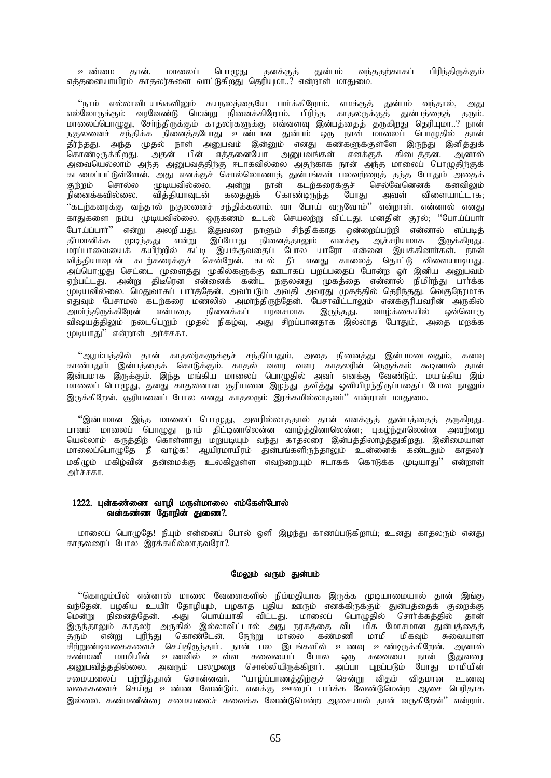உண்மை தான். மாலைப் பொழுது தனக்குத் துன்பம் வந்ததற்காகப் பிரிந்திருக்கும் எத்தனையாயிரம் காதலர்களை வாட்டுகிறது தெரியுமா..? என்றாள் மாதுமை.

"நாம் எல்லாவிடயங்களிலும் சுயநலத்தையே பார்க்கிறோம். எமக்குத் துன்பம் வந்தால், அது எல்லோருக்கும் வரவேண்டு மென்று நினைக்கிறோம். பிரிந்த காதலருக்குத் துன்பத்தைத் தரும். மாலைப்பொழுது, சேர்ந்திருக்கும் காதலர்களுக்கு எவ்வளவு இன்பத்தைத் தருகிறது தெரியுமா..? நான் நகுலனைச் சந்திக்க நினைத்தபோது உண்டான துன்பம் ஒரு நாள் மாலைப் பொழுதில் தான் தீர்ந்தது. அந்த முதல் நாள் அனுபவம் இன்னும் எனது கண்களுக்குள்ளே இருந்து இனித்துக் கொண்டிருக்கிறது. அதன் பின் எத்தனையோ அனுபவங்கள் எனக்குக் கிடைத்தன. ஆனால் அவையெல்லாம் அந்த அனுபவத்திற்கு ஈடாகவில்லை அதற்காக நான் அந்த மாலைப் பொழுதிற்குக் ்கடமைப்பட்டுள்ளேன். அது எனக்குச் சொல்லொணாத் துன்பங்கள் பலவற்றைத் தந்த போதும் அதைக்<br>குற்றம் சொல்ல முடியவில்லை. அன்று நான் கடற்கரைக்குச் செல்வேனெனக் கனவிலம் குற்றம் சொல்ல முடியவில்லை. அன்று நான் கடற்கரைக்குச் செல்வேனெனக்<br>நினைக்கவில்லை. வித்தியாவுடன் கதைதுக் கொண்டிருந்த போது அவள் விஎ கதைதுக் கொண்டிருந்த போது அவள் விளையாட்டாக<del>,</del> "கடற்கரைக்கு வந்தால் நகுலனைச் சந்திக்கலாம். வா போய் வருவோம்'' என்றாள். என்னால் எனது காதுகளை நம்ப முடியவில்லை. ஒருகணம் உடல் செயலற்று விட்டது. மனதின் குரல், ''போய்ப்பாா்<br>போய்ப்பாா்'' என்று அலறியது. இதுவரை நாளும் சிந்திக்காத ஒன்றைப்பற்றி என்னால் எப்படிக் போய்ப்பார்'' என்று அலறியது. இதுவரை நாளும் சிந்திக்காத ஒன்றைப்பற்றி என்னால் எப்படித்<br>தீர்மானிக்க முடிந்தது என்று இப்போது நினைத்தாலும் எனக்கு ஆச்சரியமாக இருக்கிறது. முடிந்தது என்று இப்போது நினைத்தாலும் எனக்கு ஆச்சரியமாக .<br>மரப்பாவையைக் கயிற்றில் கட்டி இயக்குவதைப் போல யாரோ என்னை இயக்கினார்கள். நான் வித்தியாவுடன் கடற்கரைக்குச் சென்றேன். கடல் நீா எனது காலைத் தொட்டு விளையாடியது. அப்பொழுது செட்டை முளைத்து முகில்களுக்கு ஊடாகப் பறப்பதைப் போன்ற ஓா் இனிய அனுபவம் ஏற்பட்டது. அன்று திடீரென என்னைக் கண்ட நகுலனது முகத்தை என்னால் நிமிர்ந்து பார்க்க முடியவில்லை. மெதுவாகப் பாா்த்தேன். அவா்படும் அவதி அவரது முகத்தில் தெரிந்தது. வெகுநேரமாக ு ,<br>எதுவும் பேசாமல் கடற்கரை மணலில் அமாந்திருந்தேன். பேசாவிட்டாலும் எனக்குரியவரின் அருகில்<br>அமாந்திருக்கிறேன் என்பதை நினைக்கப் பரவசமாக இருந்தது. வாழ்க்கையில் ஒவ்வொரு ் பரவசமாக இரு<u>ந்தது</u>. வாழ்க்கையில் விஷயத்திலும் நடைபெறும் முதல் நிகழ்வு, அது சிறப்பானதாக இல்லாத போதும், அதை மறக்க  $(\text{p}$ டியாது" என்றாள் அர்ச்சகா.

 $\lq\lq$ ஆரம்பத்தில் தான் காதலர்களுக்குச் சந்திப்பதும், அதை நினைத்து இன்பமடைவதும், கனவு காண்பதும் இன்பத்தைக் கொடுக்கும். காதல் வளர வளர காதலரின் நெருக்கம் கூடினால் தான் இன்பமாக இருக்கும். இந்த மங்கிய மாலைப் பொழுதில் அவா் எனக்கு வேண்டும். மயங்கிய இம் மாலைப் பொழுது, தனது காதலனான சூரியனை இழந்து தவித்து ஒளியிழந்திருப்பதைப் போல நானும் இருக்கிறேன். சூரியனைப் போல எனது காதலரும் இரக்கமில்லாதவர்'' என்றாள் மாதுமை.

"இன்பமான இந்த மாலைப் பொழுது, அவரில்லாததால் தான் எனக்குத் துன்பத்தைத் தருகிறது. பாவம் மாலைப் பொழுது நாம் திட்டினாலென்ன வாழ்த்தினாலென்ன, புகழ்ந்தாலென்ன அவற்றை பெல்லாம் கருத்திற் கொள்ளாது மறுபடியும் வந்து காதலரை இன்பத்திலாழ்த்துகிறது. இனிமையான மாலைப்பொழுதே நீ வாழ்க! ஆயிரமாயிரம் தன்பங்களிருந்தாலும் உன்னைக் கண்டதும் காதலர் மகிமும் மகிம்வின் கன்மைக்கு உலகிலுள்ள எவர்ளையம் ஈடாகக் கொடுக்க முடியாகுட்" என்றாள் அர்ச்சகா.

# 1222. புன்கண்ணை வாழி மருள்மாலை எம்கேள்போல் வன்கண்ண தோநின் துணை?.

மாலைப் பொழுதே! நீயும் என்னைப் போல் ஒளி இழந்து காணப்படுகிறாய்; உனது காதலரும் எனது காதலரைப் போல இரக்கமில்லாதவரோ?.

# மேலும் வரும் துன்பம்

"கொழும்பில் என்னால் மாலை வேளைகளில் நிம்மதியாக இருக்க முடியாமையால் தான் இங்கு வந்தேன். பழகிய உயிா தோழியும், பழகாத புதிய ஊரும் எனக்கிருக்கும் துன்பத்தைக் குறைக்கு மென்று நினைத்தேன். அது பொய்யாகி விட்டது. மாலைப் பொழுதில் சொர்க்கத்தில் தான் இருந்தாலும் காதலர் அருகில் இல்லாவிட்டால் அது நரகத்தை விட மிக மோசமான துன்பத்தைத் தரும் என்று புரிந்து கொண்டேன். நேற்று மாலை கண்மணி மாமி மிகவும் சுவையான . சிற்றுண்டிவகைகளைச் செய்திருந்தாா். நான் பல இடங்களில் உணவு உண்டிருக்கிறேன். ஆனால் கண்மணி மாமியின் உணவில் உள்ள சுவையைப் போல ஒரு சுவையை நான் இதுவரை அனுபவித்ததில்லை. அவரும் பலமுறை சொல்லியிருக்கிறாா். அப்பா புறப்படும் போது மாமியின் சமையலைப் பற்றித்தான் சொன்னவா். ''யாழ்ப்பாணத்திற்குச் சென்று விதம் விதமான உணவு வகைகளைச் செய்து உண்ண வேண்டும். எனக்கு ஊரைப் பார்க்க வேண்டுமென்ற ஆசை பெரிதாக இல்லை. கண்மணீன்ரை சமையலைச் சுவைக்க வேண்டுமென்ற ஆசையால் தான் வருகிறேன்'' என்றார்.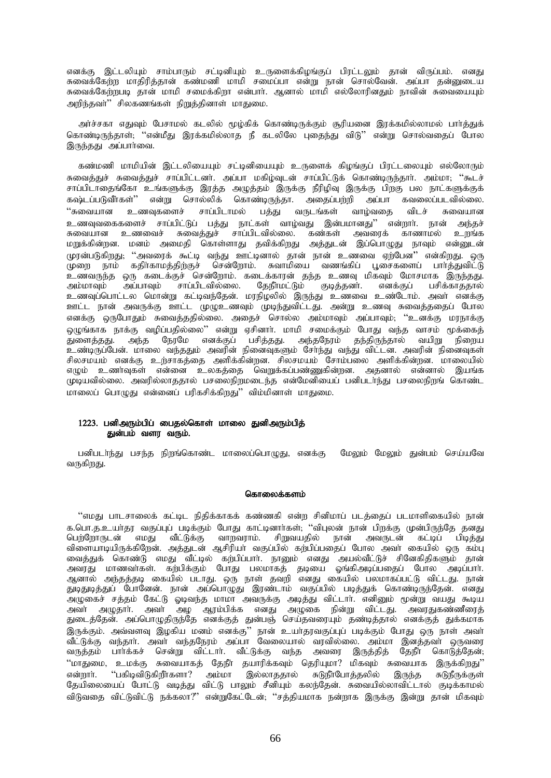எனக்கு இட்டலியும் சாம்பாரும் சட்டினியும் உருளைக்கிழங்குப் பிரட்டலும் தான் விருப்பம். எனது சுவைக்கேற்ற மாதிரித்தான் கண்மணி மாமி சமைப்பா என்று நான் சொல்வேன். அப்பா தன்னுடைய சுவைக்கேற்றபடி தான் மாமி சமைக்கிறா என்பாா். ஆனால் மாமி எல்லோரினதும் நாவின் சுவையையும் அறிந்தவர்'' சிலகணங்கள் நிறுத்தினாள் மாதுமை.

அர்ச்சகா எதுவும் பேசாமல் கடலில் மூழ்கிக் கொண்டிருக்கும் சூரியனை இரக்கமில்லாமல் பார்த்துக் கொண்டிருந்தாள்; ''என்மீது இரக்கமில்லாத நீ கடலிலே புதைந்து விடு'' என்று சொல்வதைப் போல இருந்தது அப்பார்வை.

கண்மணி மாமியின் இட்டலியையும் சட்டினியையும் உருளைக் கிழங்குப் பிரட்டலையும் எல்லோரும் சுவைத்துச் சுவைத்துச் சாப்பிட்டனர். அப்பா மகிழ்வுடன் சாப்பிட்டுக் கொண்டிருந்தார். அம்மா; ''கூடச் சாப்பிடாதைங்கோ உங்களுக்கு இரத்த அழுத்தம் இருக்கு நீரிழிவு இருக்கு பிறகு பல நாட்களுக்குக் கஷ்டப்படுவீாகள்'' என்று சொல்லிக் கொண்டிருந்தா. அதைப்பற்றி அப்பா கவலைப்படவில்லை.  $\lq\cdot$ சுவையான உணவுகளைச் சாப்பிடாமல் பத்து வருடங்கள் வாழ்வதை விடச் சுவையான உணவுவகைகளைச் சாப்பிட்டுப் பத்து நாட்கள் வாழ்வது இன்பமானது'' என்றார். நான் அந்தச் சுவையான உணவைச் சுவைக்குச் சாப்பிடவில்லை. கண்கள் அவரைக் காணாமல் உறங்க மறுக்கின்றன. மனம் அமைதி கொள்ளாது தவிக்கிறது அத்துடன் இப்பொழுது நாவும் என்னுடன் முரன்படுகிறது; ''அவரைக் கூட்டி வந்து ஊட்டினால் தான் நான் உணவை ஏற்பேன'' என்கிறது. ஒரு முறை நாம் கதிாகாமத்திற்குச் சென்றோம். சுவாமியை வணங்கிப் பூசைகளைப் பாாத்துவிட்டு உணவருந்த ஒரு கடைக்குச் சென்றோம். கடைக்காரன் தந்த உணவு மிகவும் மோசமாக இருந்தது.<br>அம்மாவும் அப்பாவும் சாப்பிடவில்லை. தேநீாமட்டும் குடித்தனர். எனக்குப் பசிக்காததால் அம்மாவும் அப்பாவும் சாப்பிடவில்லை. தேநீாமட்டும் குடித்தனர். எனக்குப் பசிக்காததால் உணவுப்பொட்டல மொன்று கட்டிவந்தேன். மரநிழலில் இருந்து உணவை உண்டோம். அவா் எனக்கு ஊட்ட நான் அவருக்கு ஊட்ட முழுஉணவும் முடிந்துவிட்டது. அன்று உணவு சுவைத்ததைப் போல எனக்கு ஒருபோதும் சுவைத்ததில்லை. அதைச் சொல்ல அம்மாவும் அப்பாவும்; ''உனக்கு மரநாக்கு ஒழுங்காக நாக்கு வழிப்பதில்லை'' என்று ஏசினாா். மாமி சமைக்கும் போது வந்த வாசம் மூக்கைத்<br>குளைக்ககு, அந்த நோமே எனக்குப் பசிக்கது, அந்தநோம் கந்திருந்தால் வயிறு நிறைய துளைத்தது. அந்த நேரமே எனக்குப் பசித்தது. அந்தநேரம் தந்திருந்தால் வயிறு உண்டிருப்பேன். மாலை வந்ததும் அவரின் நினைவுகளும் சோந்து வந்து விட்டன. அவரின் நினைவுகள் சிலசமயம் எனக்கு உர்சாகக்கை அளிக்கின்றன. சிலசமயம் சோம்பலை அளிக்கின்றன. மாலையில் எமும் உணர்வுகள் என்னை உலகக்கை வெறுக்கப்பண்ணுகின்றன. அதனால் என்னால் இயங்க (முடியவில்லை. அவரில்லாததால் பசலைநிறமடைந்த என்மேனியைப் பனிபடாந்து பசலைநிறங் கொண்ட மாலைப் பொமுது என்னைப் பரிகசிக்கிறது'' விம்மினாள் மாதுமை.

# $1223$ , பனிஅரும்பிப் பைகல்கொள் மாலை குனிஅரும்பிக் துன்பம் வளர வரும்.

பனிபடா்ந்து பசந்த நிறங்கொண்ட மாலைப்பொழுது, எனக்கு மேலும் மேலும் துன்பம் செய்யவே வருகிறது.

### கொலைக்களம்

"எமது பாடசாலைக் கட்டிட நிதிக்காகக் கண்ணகி என்ற சினிமாப் படத்தைப் படமாளிகையில் நான் க.பொ.த.உயர்தர வகுப்புப் படிக்கும் போது காட்டினார்கள்; ''விபுலன் நான் பிறக்கு முன்பிருந்தே தனது பெற்றோருடன் எமது வீட்டுக்கு வாறவராம். சிறுவயதில் நான் அவருடன் கட்டிப் பிடித்து விளையாடியிருக்கிறேன். அத்துடன் ஆசிரியா வகுப்பில் கற்பிப்பதைப் போல அவா கையில் ஒரு கம்பு வைத்துக் கொண்டு எமது வீட்டில் கற்பிப்பார். நானும் எனது அயல்வீட்டுச் சினேகிதிகளும் தான் அவரது மாணவா்கள். கற்பிக்கும் போது பலமாகத் தடியை ஓங்கிஅடிப்பதைப் போல அடிப்பாா். ஆனால் அந்தத்தடி கையில் படாது. ஒரு நாள் தவறி எனது கையில் பலமாகப்பட்டு விட்டது. நான் துடிதுடித்துப் போனேன். நான் அப்பொழுது இரண்டாம் வகுப்பில் படித்துக் கொண்டிருந்தேன். எனது அழுகைச் சத்தம் கேட்டு ஓடிவந்த மாமா அவருக்கு அடித்து விட்டார். எனினும் மூன்று வயது கூடிய அவா் அழுதாா். அவா் அழ ஆரம்பிக்க எனது அழுகை நின்று விட்டது. அவரதுகண்ணீரைத் ு.<br>துடைத்தேன். அப்பொழுதிருந்தே எனக்குத் துன்பஞ் செய்தவரையும் தண்டித்தால் எனக்குத் துக்கமாக இருக்கும். அவ்வளவு இழகிய மனம் எனக்கு'' நான் உயர்தரவகுப்புப் படிக்கும் போது ஒரு நாள் அவர் வீட்டுக்கு வந்தார். அவர் வந்தநேரம் அப்பா வேலையால் வரவில்லை. அம்மா இனத்தவர் ஒருவரை வருத்தம் பார்க்கச் சென்று விட்டார். வீட்டுக்கு வந்த அவரை இருத்தித் தேநீர் கொடுத்தேன், ''மாதுமை, உமக்கு சுவையாகத் தேநீா தயாரிக்கவும் தெரியுமா? மிகவும் சுவையாக இருக்கிறது''<br>என்றார். ''பகிழவிடுகிறீர்களா? அம்மா இல்லாககால் சுடுநீரபோக்கலில் இருந்த சுடுநீருக்குள் என்றார். ''பகிடிவிடுகிறீர்களா? அம்மா இல்லாததால் சுடுநீர்போத்தலில் இருந்த சுடுநீருக்குள் கேயிலையைப் போட்டு வடித்து விட்டு பாலும் சீனியும் கலந்தேன். சுவையில்லாவிட்டால் குடிக்காமல் விடுவதை விட்டுவிட்டு நக்கலா?'' என்றுகேட்டேன்; ''சத்தியமாக நன்றாக இருக்கு இன்று தான் மிகவும்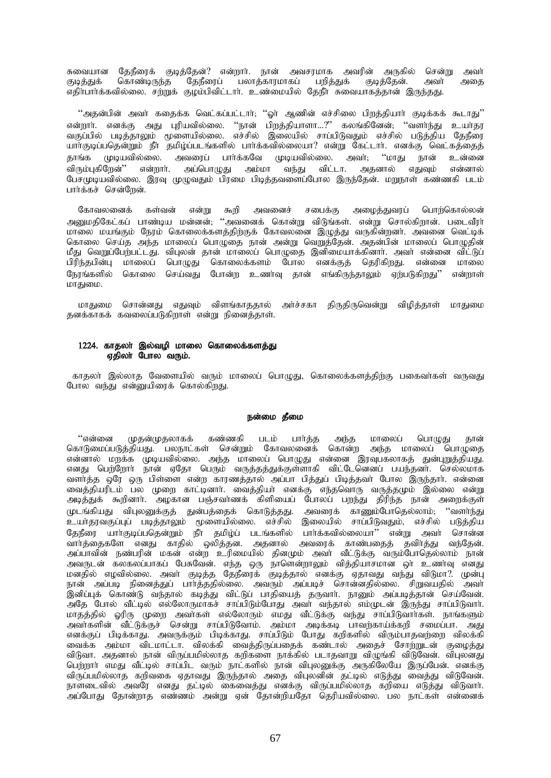சுவையான தேநீரைக் குடித்தேன்? என்றாா். நான் அவசரமாக அவரின் அருகில் சென்று அவா்<br>குடித்துக் கொண்டிருந்த தேநீரைப் பலாத்காரமாகப் பறித்துக் குடித்தேன். அவா் அதை .<br>தேநீரைப் பலாத்காரமாகப் எதிாபார்க்கவில்லை. சற்றுக் குழம்பிவிட்டார். உண்மையில் தேநீர் சுவையாகத்தான் இருந்தது.

''அதன்பின் அவர் கதைக்க வெட்கப்பட்டார்; ''ஓர் ஆணின் எச்சிலை பிறத்தியார் குடிக்கக் கூடாது'' என்றார். எனக்கு அது புரியவில்லை. ''நான் பிறத்தியாளா…?'' கலங்கினேன், ''வளர்ந்து உயர்தர ்வகுப்பில் படித்தாலும் முளையில்லை. எச்சில் இலையில் சாப்பிடுவதும் எச்சில் படுத்திய கேநீரை யார்குடிப்பதென்றும் நீர் தமிழ்ப்படங்களில் பார்க்கவில்லையா? என்று கேட்டார். எனக்கு வெட்கத்தைத் தாங்க முடியவில்லை. அவரைப் பார்க்கவே முடியவில்லை. அவர்; ''மாது நான் உன்னை விரும்புகிறேன்'' என்றார். அப்பொழுது அம்மா வந்து விட்டா. அதனால் எதுவும் என்னால் பேசமுடியவில்லை. இரவு முழுவதும் பிரமை பிடித்தவளைப்போல இருந்தேன். மறுநாள் கண்ணகி படம் பார்க்கச் சென்றேன்.

கோவலனைக் கள்வன் என்று கூறி அவனைச் சபைக்கு அமைக்குவாப் பொற்கொல்லன் அறுமதிகேட்கப் பாண்டிய மன்னன்; ''அவனைக் கொன்று விடுங்கள். என்று சொல்கிறான். படைவீரா் மாலை மயங்கும் நேரம் கொலைக்களத்திற்குக் கோவலனை இழுத்து வருகின்றனர். அவனை வெட்டிக் கொலை செய்த அந்த மாலைப் பொழுதை நான் அன்று வெறுத்தேன். அதன்பின் மாலைப் பொழுதின் மீது வெறுப்பேற்பட்டது. விபுலன் தான் மாலைப் பொழுதை இனிமையாக்கினாா். அவா் என்னை விட்டுப் பிரிந்தபின்பு மாலைப் பொழுது கொலைக்களம் போல எனக்குத் தெரிகிறது. என்னை மாலை நேரங்களில் கொலை செய்வது போன்ற உணர்வு தான் எங்கிருந்தாலும் ஏற்படுகிறது<sup>?</sup>' என்றாள் மாதுமை.

மாதுமை சொன்னது எதுவும் விளங்காததால் அர்ச்சகா திருதிருவென்று விழித்தாள் மாதுமை தனக்காகக் கவலைப்படுகிறாள் என்று நினைத்தாள்.

### 1224. காதலா் இல்வழி மாலை கொலைக்களத்து ஏதிலா போல வரும்.

காதலா் இல்லாத வேளையில் வரும் மாலைப் பொழுது, கொலைக்களத்திற்கு பகைவா்கள் வருவது போல வந்து என்னுயிரைக் கொல்கிறது.

### நன்மை தீமை

"என்னை முதன்முதலாகக் கண்ணகி படம் பார்த்த அந்த மாலைப் பொமுது தான் கொடுமைப்படுத்தியது. பலநாட்கள் சென்றும் கோவலனைக் கொன்ற அந்த மாலைப் பொழுதை என்னால் மறக்க முடியவில்லை. அந்த மாலைப் பொழுது என்னை இரவுபகலாகத் துன்புறுத்தியது. எனது பெற்றோர் நான் ஏதோ பெரும் வருத்தத்துக்குள்ளாகி விட்டேனெனப் பயந்தனர். செல்லமாக வளர்த்த ஒரே ஒரு பிள்ளை என்ற காரணத்தால் அப்பா பித்துப் பிடித்தவர் போல இருந்தார். என்னை வைத்தியரிடம் பல முறை காட்டினாா். வைத்தியா் எனக்கு எந்தவொரு வருத்தமும் இல்லை என்று அடித்துக் கூறினாா். அழகான பஞ்சவா்ணக் கிளியைப் போலப் பறந்து திரிந்த நான் அறைக்குள் முடங்கியது விபுலனுக்குத் துன்பத்தைக் கொடுத்தது. அவரைக் காணும்போதெல்லாம்; ''வளா்ந்து உயாதரவகுப்புப் படித்தாலும் முளையில்லை. எச்சில் இலையில் சாப்பிடுவதும், எச்சில் படுத்திய தேநீரை யாா்குடிப்பதென்றும் நீா தமிழ்ப் படங்களில் பாா்க்கவில்லையா'' என்று அவா் சொன்ன வார்த்தைகளே எனது காதில் ஒலித்தன. அதனால் அவரைக் காண்பதைத் தவிர்த்து வந்தேன். அப்பாவின் நண்பரின் மகன் என்ற உரிமையில் தினமும் அவா் வீட்டுக்கு வரும்போதெல்லாம் நான் அவருடன் கலகலப்பாகப் பேசுவேன். எந்த ஒரு நாளென்றாலும் வித்தியாசமான ஒா உணாவு எனது மனதில் எழவில்லை. அவா் குடித்த தேநீரைக் குடித்தால் எனக்கு ஏதாவது வந்து விடுமா?. முன்பு நான் அப்படி நினைத்துப் பார்த்ததில்லை. அவரும் அப்படிச் சொன்னதில்லை. சிறுவயதில் அவர் .<br>இனிப்புக் கொண்டு வந்தால் கடித்து விட்டுப் பாதியைத் தருவார். நானும் அப்படித்தான் செய்வேன். அதே போல் வீட்டில் எல்லோருமாகச் சாப்பிடும்போது அவா் வந்தால் எம்முடன் இருந்து சாப்பிடுவாா். மாதத்தில் ஓரிரு முறை அவா்கள் எல்லோரும் எமது வீட்டுக்கு வந்து சாப்பிடுவாா்கள். நாங்களும் mth;fspd; tPl;Lf;Fr; nrd;W rhg;gpLNthk;. mk;kh mbf;fb ghtw;fha;f;fwp rikg;gh. mJ எனக்குப் பிடிக்காது. அவருக்கும் பிடிக்காது. சாப்பிடும் போது கறிகளில் விரும்பாதவற்றை விலக்கி ் வைக்க அம்மா விடமாட்டா. விலக்கி வைத்திருப்பதைக் கண்டால் அதைச் சோற்றுடன் குழைத்து விடுவா. அதனால் நான் விருப்பமில்லாத கறிகளை நாக்கில் படாதவாறு விழுங்கி விடுவேன். விபுலனது பெற்றாா எமது வீட்டில் சாப்பிட வரும் நாட்களில் நான் விபுலனுக்கு அருகிலேயே இருப்பேன். எனக்கு விருப்பமில்லாத கறிவகை ஏதாவது இருந்தால் அதை விபுலனின் தட்டில் எடுத்து வைத்து விடுவேன். நாளடைவில் அவரே எனது தட்டில் கைவைத்து எனக்கு விருப்பமில்லாத கறியை எடுத்து விடுவாா். அப்போது தோன்றாத எண்ணம் அன்று ஏன் தோன்றியதோ தெரியவில்லை. பல நாட்கள் என்னைக்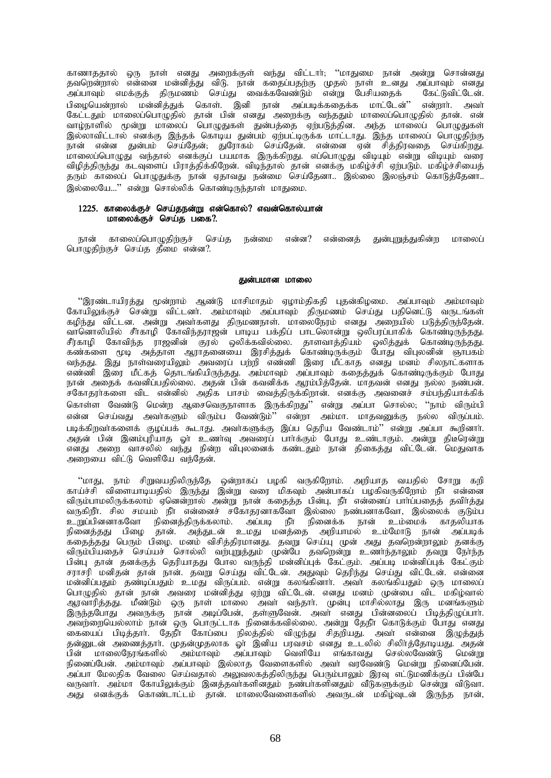காணாததால் ஒரு நாள் எனது அறைக்குள் வந்து விட்டார்; ''மாதுமை நான் அன்று சொன்னது தவறென்றால் என்னை மன்னித்து விடு. நான் கதைப்பதற்கு முதல் நாள் உனது அப்பாவும் எனது .<br>அப்பாவும் எமக்குத் திருமணம் செய்து வைக்கவேண்டும் என்று பேசியதைக் கேட்டுவிட்டேன்.<br>பிழையென்றால் மன்னித்துக் கொள். இனி நான் அப்படிக்கதைக்க மாட்டேன்'' என்றாா். அவா் பிழையென்றால் மன்னித்துக் கொள். இனி நான் அப்படிக்கதைக்க மாட்டேன்'' கேட்டதும் மாலைப்பொழுதில் தான் பின் எனது அறைக்கு வந்ததும் மாலைப்பொழுதில் தான். என் வாழ்நாளில் மூன்று மாலைப் பொழுதுகள் துன்பத்தை ஏற்படுத்தின. அந்த மாலைப் பொழுதுகள் இல்லாவிட்டால் எனக்கு இந்தக் கொடிய துன்பம் ஏற்பட்டிருக்க மாட்டாது. இந்த மாலைப் பொழுதிற்கு நான் என்ன துன்பம் செய்தேன்; துரோகம் செய்தேன். என்னை ஏன் சித்திரவதை செய்கிறது. மாலைப்பொழுது வந்தால் எனக்குப் பயமாக இருக்கிறது. எப்பொழுது விடியும் என்று விடியும் வரை விழித்திருந்து கடவுளைப் பிராத்திக்கிறேன். விடிந்தால் தான் எனக்கு மகிழ்ச்சி ஏற்படும். மகிழ்ச்சியைத் தரும் காலைப் பொழுதுக்கு நான் ஏதாவது நன்மை செய்தேனா.. இல்லை இலஞ்சம் கொடுத்தேனா.. இல்லையே...'' என்று சொல்லிக் கொண்டிருந்தாள் மாதுமை.

# 1225. காலைக்குச் செய்தநன்று என்கொல்? எவன்கொல்யான் மாலைக்குச் செய்க பகை $?$ .

நான் காலைப்பொழுகிற்குச் செய்த நன்மை என்ன? என்னைத் துன்புறுத்துகின்ற மாலைப் பொழுதிற்குச் செய்த தீமை என்ன?.

#### துன்பமான மாலை

 $\lq\lq$ ிண்டாயிரக்து மூன்றாம் ஆண்டு மாசிமாகம் ஏமாம்கிககி புகன்கிமமை. அப்பாவும் அம்மாவும் கோயிலுக்குச் சென்று விட்டனர். அம்மாவும் அப்பாவும் கிருமணம் செய்து பகினெட்டு வருடங்கள் கழிந்து விட்டன. அன்று அவர்களது திருமணநாள். மாலைநேரம் எனது அறையில் படுத்திருந்தேன். வானொலியில் சீர்காழி கோவிந்தராஜன் பாடிய பக்திப் பாடலொன்று ஒலிபரப்பாகிக் கொண்டிருந்தது. சீர்காழி கோவிந்த ராஜனின் குரல் ஒலிக்கவில்லை. தாளவாத்தியம் ஒலித்துக் கொண்டிருந்தது. கண்களை முடி அத்தாள ஆராதனையை இரசித்துக் கொண்டிருக்கும் போது விபுலனின் ஞாபகம் வந்தது. இது நாள்வரையிலும் அவரைப் பற்றி எண்ணி இரை மீட்காத எனது மனம் சிலநாட்களாக …….<br>எண்ணி இரை மீட்கத் தொடங்கியிருந்தது. அம்மாவும் அப்பாவும் கதைத்துக் கொண்டிருக்கும் போது .<br>நான் அதைக் கவனிப்பதில்லை. அதன் பின் கவனிக்க ஆரம்பித்தேன். மாதவன் எனது நல்ல நண்பன். .<br>சகோதராகளை விட என்னில் அதிக பாசம் வைத்திருக்கிறான். எனக்கு அவனைச் சம்பந்தியாக்கிக் கொள்ள வேண்டு மென்ற ஆசைவெகுநாளாக இருக்கிறது'' என்று அப்பா சொல்ல, ''நாம் விரும்பி என்ன செய்வது அவர்களும் விரும்ப வேண்டும்'' என்றா அம்மா. மாதவனுக்கு நல்ல விருப்பம். படிக்கிறவர்களைக் குழப்பக் கூடாது. அவர்களுக்கு இப்ப தெரிய வேண்டாம்'' என்று அப்பா கூறினார். அதன் பின் இனம்புரியாத ஓர் உணர்வு அவரைப் பார்க்கும் போது உண்டாகும். அன்று திடீரென்று எனது அறை வாசலில் வந்து நின்ற விபுலனைக் கண்டதும் நான் திகைத்து விட்டேன். மெதுவாக அறையை விட்டு வெளியே வந்தேன்.

"மாது, நாம் சிறுவயதிலிருந்தே ஒன்றாகப் பழகி வருகிறோம். அறியாத வயதில் சோறு கறி காய்ச்சி விளையாடியதில் இருந்து இன்று வரை மிகவும் அன்பாகப் பழகிவருகிறோம் நீா என்னை விரும்பாமலிருக்கலாம் ஏனென்றால் அன்று நான் கதைத்த பின்பு, நீா என்னைப் பாா்ப்பதைத் தவிா்த்து வருகிறீா. சில சமயம் நீா என்னைச் சகோதரனாகவோ இல்லை நண்பனாகவோ, இல்லைக் குடும்ப<br>உறுப்பினனாகவோ நினைத்திருக்கலாம். அப்படி நீா நினைக்க நான் உம்மைக் காதலியாக உறுப்பினனாகவோ நினைத்திருக்கலாம். அப்படி .<br>நினைத்தது பிமை தான். அத்துடன் உமது மனத்தை அறியாமல் உம்மோடு நான் அப்படிக் கதைத்தது பெரும் பிமை. மனம் விசித்திரமானது. தவறு செய்யு முன் அது தவறென்றாலும் தனக்கு ்விரும்பியதைச் செய்யச் சொல்லி வர்புறுத்தும் முன்பே தவறென்று உணர்ந்தாலும் தவறு நேர்ந்த பின்பு தான் தனக்குத் தெரியாதது போல வருந்தி மன்னிப்புக் கேட்கும். அப்படி மன்னிப்புக் கேட்கும் சராசரி மனிதன் தான் நான். தவறு செய்து விட்டேன். அதுவும் தெரிந்து செய்து விட்டேன். என்னை மன்னிப்பதும் தண்டிப்பதும் உமது விருப்பம். என்று கலங்கினாா். அவா் கலங்கியதும் ஒரு மாலைப் பொழுதில் தான் நான் அவரை மன்னித்து ஏற்று விட்டேன். எனது மனம் முன்பை விட மகிழ்வால் ஆரவாரித்தது. மீண்டும் ஒரு நாள் மாலை அவா் வந்தாா். முன்பு மாசில்லாது இரு மனங்களும் இருந்தபோது அவருக்கு நான் அடிப்பேன், தள்ளுவேன். அவர் எனது பின்னலைப் பிடித்திழுப்பார். அவற்றையெல்லாம் நான் ஒரு பொருட்டாக நினைக்கவில்லை. அன்று தேநீா கொடுக்கும் போது எனது கையைப் பிடித்தாா். தேநீா் கோப்பை நிலத்தில் விழுந்து சிதறியது. அவா் என்னை இழுத்துத் ்தன்னுடன் அணைத்தாா். முதன்முதலாக ஓா் இனிய பரவசம் எனது உடலில் சிலிா்த்தோடியது. அதன் பின் மாலைநேரங்களில் அம்மாவும் அப்பாவும் வெளியே எங்காவது செல்லவேண்டு மென்று நினைப்பேன். அம்மாவும் அப்பாவும் இல்லாத வேளைகளில் அவா் வரவேண்டு மென்று நினைப்பேன். .<br>அப்பா மேலதிக வேலை செய்வதால் அலுவலகத்திலிருந்து பெரும்பாலும் இரவு எட்டுமணிக்குப் பின்பே வருவார். அம்மா கோயிலுக்கும் இனத்தவாகளினதும் நண்பாகளினதும் வீடுகளுக்கும் சென்று விடுவா. அது எனக்குக் கொண்டாட்டம் தான். மாலைவேளைகளில் அவருடன் மகிழ்வடன் இருந்த நான்.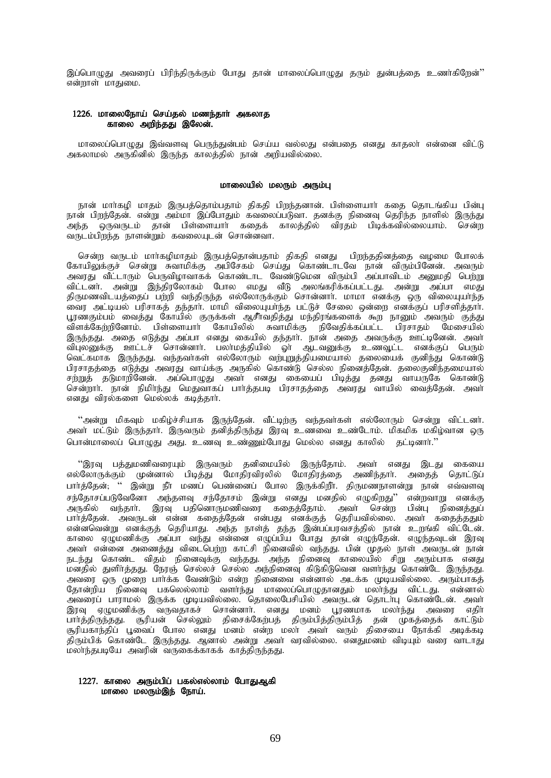இப்பொழுது அவரைப் பிரிந்திருக்கும் போது தான் மாலைப்பொழுது தரும் துன்பத்தை உணர்கிறேன்'' என்றாள் மாதுமை.

### 1226. மாலைநோய் செய்தல் மணந்தார் அகலாத காலை அறிந்தது இலேன்.

மாலைப்பொழுது இவ்வளவு பெருந்துன்பம் செய்ய வல்லது என்பதை எனது காதலா் என்னை விட்டு அகலாமல் அருகினில் இருந்த காலத்தில் நான் அறியவில்லை.

## மாலையில் மலரும் அரும்பு

நான் மார்கழி மாதம் இருபத்தொம்பதாம் திகதி பிறந்தனான். பிள்ளையார் கதை தொடங்கிய பின்பு நான் பிறந்தேன். என்று அம்மா இப்போதும் கவலைப்படுவா. தனக்கு நினைவு தெரிந்த நாளில் இருந்து அந்த ஒருவருடம் தான் பிள்ளையார் கதைக் காலத்தில் விரதம் பிடிக்கவில்லையாம். சென்ற வருடம்பிறந்த நாளன்றும் கவலையுடன் சொன்னவா.

சென்ற வருடம் மார்கழிமாதம் இருபத்தொன்பதாம் திகதி எனது பிறந்ததினத்தை வழமை போலக் கோயிலுக்குச் சென்று சுவாமிக்கு அபிசேகம் செய்து கொண்டாடவே நான் விரும்பினேன். அவரும் அவரது வீட்டாரும் பெருவிழாவாகக் கொண்டாட வேண்டுமென விரும்பி அப்பாவிடம் அனுமதி பெற்று விட்டனர். அன்று இந்திரலோகம் போல எமது வீடு அலங்கரிக்கப்பட்டது. அன்று அப்பா எமது திருமணவிடயத்தைப் பற்றி வந்திருந்த எல்லோருக்கும் சொன்னாா். மாமா எனக்கு ஒரு விலையுயா்ந்த .<br>வைர அட்டியல் பரிசாகத் தந்தார். மாமி விலையுயாந்த பட்டுச் சேலை ஒன்றை எனக்குப் பரிசளித்தார். பூரணகும்பம் வைத்து கோயில் குருக்கள் ஆசீாவதித்து மந்திரங்களைக் கூற நானும் அவரும் குத்து விளக்கேற்றினோம். பிள்ளையாா் கோயிலில் சுவாமிக்கு நிவேதிக்கப்பட்ட பிரசாதம் மேசையில் இருந்தது. அதை எடுத்து அப்பா எனது கையில் தந்தார். நான் அதை அவருக்கு ஊட்டினேன். அவர் விபுலனுக்கு ஊட்டச் சொன்னார். பலா்மத்தியில் ஓர் ஆடவனுக்கு உணவூட்ட எனக்குப் பெரும் வெட்கமாக இருந்தது. வந்தவா்கள் எல்லோரும் வற்புறுத்தியமையால் தலையைக் குனிந்து கொண்டு பிரசாதத்தை எடுத்து அவரது வாய்க்கு அருகில் கொண்டு செல்ல நினைத்தேன். தலைகுனிந்தமையால் rw;Wj; jLkhwpNdd;. mg;nghOJ mth; vdJ ifiag; gpbj;J jdJ thaUNf nfhz;L சென்றார். நான் நிமிர்ந்து மெதுவாகப் பார்த்தபடி பிரசாதத்தை அவரது வாயில் வைத்தேன். அவர் எனது விரல்களை மெல்லக் கடித்தார்.

"அன்று மிகவும் மகிழ்ச்சியாக இருந்தேன். வீட்டிற்கு வந்தவா்கள் எல்லோரும் சென்று விட்டனா். அவா் மட்டும் இருந்தாா். இருவரும் தனித்திருந்து இரவு உணவை உண்டோம். மிகமிக மகிழ்வான ஒரு பொன்மாலைப் பொழுது அது. உணவு உண்ணும்போது மெல்ல எனது காலில் தட்டினார்."

 $\%$ இரவு பத்துமணிவரையும் இருவரும் தனிமையில் இருந்தோம். அவர் எனது இடது கையை எல்லோருக்கும் முன்னால் பிடித்து மோதிரவிரலில் மோதிரத்தை அணிந்தாா். அதைத் தொட்டுப் பார்த்தேன்; '' இன்று நீர் மணப் பெண்னைப் போல இருக்கிறீர். திருமணநாளன்று நான் எவ்வளவு சந்தோசப்படுவேனோ அந்தளவு சந்தோசம் இன்று எனது மனதில் எழுகிறது'' என்றவாறு எனக்கு அருகில் வந்தார். இரவு பதினொருமணிவரை கதைத்தோம். அவர் சென்ற பின்பு நினைத்துப் பார்த்தேன். அவருடன் என்ன கதைத்தேன் என்பது எனக்குத் தெரியவில்லை. அவர் கதைத்ததும் என்னவென்று எனக்குத் தெரியாது. அந்த நாள்த் தந்த இன்பப்பரவசத்தில் நான் உறங்கி விட்டேன். காலை ஏழுமணிக்கு அப்பா வந்து என்னை எழுப்பிய போது தான் எழுந்தேன். எழுந்தவுடன் இரவு அவா் என்னை அணைத்து விடைபெற்ற காட்சி நினைவில் வந்தது. பின் முதல் நாள் அவருடன் நான் நடந்து கொண்ட விதம் நினைவுக்கு வந்தது. அந்த நினைவு காலையில் சிறு அரும்பாக எனது .<br>மனதில் துளிாத்தது. நேரஞ் செல்லச் செல்ல அந்நினைவு கிடுகிடுவென வளாந்து கொண்டே இருந்தது. அவரை ஒரு முறை பார்க்க வேண்டும் என்ற நினைவை என்னால் அடக்க முடியவில்லை. அரும்பாகத் தோன்றிய நினைவு பகலெல்லாம் வளர்ந்து மாலைப்பொழுதானதும் மலாந்து விட்டது. என்னால் அவரைப் பாராமல் இருக்க முடியவில்லை. தொலைபேசியில் அவருடன் தொடா்பு கொண்டேன். அவா் இரவு ஏழுமணிக்கு வருவதாகச் சொன்னார். எனது மனம் பூரணமாக மலர்ந்து அவரை எதிர் து, பு. <sub>255</sub><br>பார்த்திருந்தது. சூரியன் செல்லும் திசைக்கேற்பத் திரும்பித்திரும்பித் தன் முகத்தைக் காட்டும் சூரியகாந்திப் பூவைப் போல எனது மனம் என்ற மலா அவா வரும் திசையை நோக்கி அடிக்கடி திரும்பிக் கொண்டே இருந்தது. ஆனால் அன்று அவா் வரவில்லை. எனதுமனம் விடியும் வரை வாடாது மலாந்தபடியே அவரின் வருகைக்காகக் காத்திருந்தது.

# 1227. காலை அரும்பிப் பகல்எல்லாம் போதுஆகி மாலை மலரும்இந் நோய்.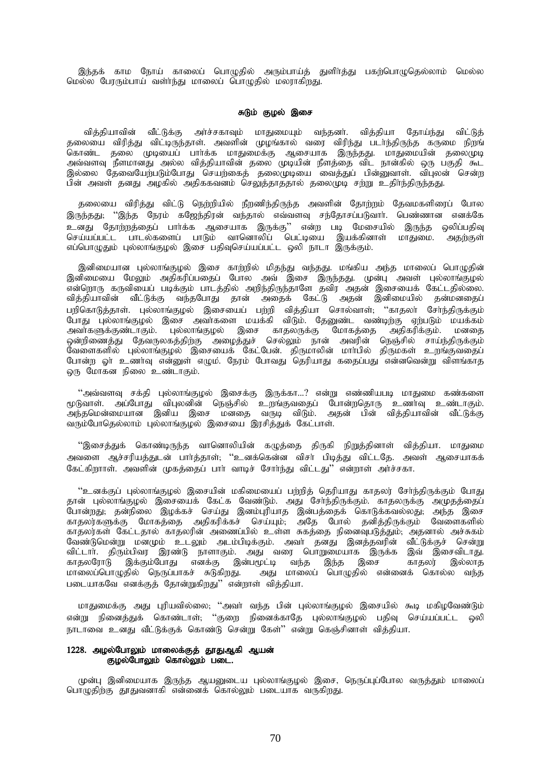இந்தக் காம நோய் காலைப் பொழுதில் அரும்பாய்த் துளிர்த்து பகற்பொழுதெல்லாம் மெல்ல மெல்ல பேரரும்பாய் வளா்ந்து மாலைப் பொழுதில் மலாாகிறது.

### சுடும் குழல் இசை

வித்தியாவின் வீட்டுக்கு அர்ச்சகாவும் மாதுமையும் வந்தனர். வித்தியா தோய்ந்து விட்டுத் ்தலையை விரித்து விட்டிருந்தாள். அவளின் முழங்கால் வரை விரிந்து படர்ந்திருந்த கருமை நிறங் கொண்ட தலை முடியைப் பார்க்க மாதுமைக்கு ஆசையாக இருந்தது. மாதுமையின் தலைமுடி அவ்வளவு நீளமானது அல்ல வித்தியாவின் தலை முடியின் நீளத்தை விட நான்கில் ஒரு பகுதி கூட இல்லை கதவையேற்படும்போது செயற்கைத் தலைமுடியை வைத்துப் பின்னுவாள். விபுலன் சென்ற ்<br>பின் அவள் தனது அழகில் அதிககவனம் செலுத்தாத்தால் தலைமுடி சற்று உதிாந்திருந்தது.

தலையை விரித்து விட்டு நெற்றியில் நீறணிந்திருந்த அவளின் தோற்றம் தேவமகளிரைப் போல இருந்தது; ''இந்த நேரம் கஜேந்திரன் வந்தால் எவ்வளவு சந்தோசப்படுவார். பெண்ணான எனக்கே உனது தோற்றத்தைப் பார்க்க ஆசையாக இருக்கு'' என்ற படி மேசையில் இருந்த ஒலிப்பதிவு செய்யப்பட்ட பாடல்களைப் பாடும் வானொலிப் பெட்டியை இயக்கினாள் மாதுமை. அதற்குள் எப்பொழுதும் புல்லாங்குழல் இசை பதிவுசெய்யப்பட்ட ஒலி நாடா இருக்கும்.

இனிமையான புல்லாங்குழல் இசை காற்றில் மிதந்து வந்தது. மங்கிய அந்த மாலைப் பொழுதின் இனிமையை மேலும் அதிகரிப்பதைப் போல அவ் இசை இருந்தது. முன்பு அவள் புல்லாங்குழல் என்றொரு கருவியைப் படிக்கும் பாடத்தில் அறிந்திருந்தாளே தவிர அதன் இசையைக் கேட்டதில்லை. வித்தியாவின் வீட்டுக்கு வந்தபோது தான் அதைக் கேட்டு அதன் இனிமையில் தன்மனதைப் பறிகொடுத்தாள். புல்லாங்குழல் இசையைப் பற்றி வித்தியா சொல்வாள்; ''காதலா் சோ்ந்திருக்கும் போது புல்லாங்குழல் இசை அவர்களை மயக்கி விடும். தேனுண்ட வண்டிற்கு ஏற்படும் மயக்கம் அவர்களுக்குண்டாகும். புல்லாங்குழல் இசை காதலருக்கு மோகத்தை அதிகரிக்கும். மனதை ஒன்றிணைத்து தேவருலகத்திற்கு அழைத்துச் செல்லும் நான் அவரின் நெஞ்சில் சாய்ந்திருக்கும் வேளைகளில் புல்லாங்குழல் இசையைக் கேட்பேன். திருமாலின் மார்பில் திருமகள் உறங்குவதைப் போன்ற வர் உணர்வ என்னுள் எமும். நேரம் போவது தெரியாது கதைப்பது என்னவென்று விளங்காத லரு மோகன நிலை உண்டாகும்.

"அவ்வளவு சக்தி புல்லாங்குழல் இசைக்கு இருக்கா…? என்று எண்ணியபடி மாதுமை கண்களை மூடுவாள். அப்போது விபுலனின் நெஞ்சில் உருங்குவதைப் போன்றதொரு உணர்வு உண்டாகும். .<br>அந்தமென்மையான இனிய இசை மனதை வருடி விடும். அதன் பின் வித்தியாவின் வீட்டுக்கு வரும்போதெல்லாம் புல்லாங்குழல் இசையை இரசித்துக் கேட்பாள்.

"இசைத்துக் கொண்டிருந்த வானொலியின் கழுத்தை திருகி நிறுத்தினாள் வித்தியா. மாதுமை அவளை ஆச்சரியத்துடன் பார்த்தாள்; ''உனக்கென்ன விசர் பிடித்து விட்டதே. அவள் ஆசையாகக் கேட்கிறாாள். அவளின் முகக்கைப் பார் வாடிச் சோர்ந்து விட்டது'' என்றாள் அர்ச்சகா.

"உனக்குப் புல்லாங்குழல் இசையின் மகிமையைப் பற்றித் தெரியாது காதலர் சேர்ந்திருக்கும் போது தான் புல்லாங்குழல் இசையைக் கேட்க வேண்டும். அது சோந்திருக்கும். காதலருக்கு அமுதத்தைப் போன்றது; தன்நிலை இழக்கச் செய்து இனம்புரியாத இன்பத்தைக் கொடுக்கவல்லது; அந்த இசை காதலர்களுக்கு மோகத்தை அதிகரிக்கச் செய்யும். அதே போல் தனித்திருக்கும் வேளைகளில் காதலர்கள் கேட்டதால் காதலரின் அணைப்பில் உள்ள சுகக்கை நினைவுபடுக்கும். அதனால் அச்சுகம் வேண்டுமென்று மனமும் உடலும் அடம்பிடிக்கும். அவர் கன்து இனக்கவரின் வீட்டுக்குச் சென்று விட்டார். திரும்பிவர இரண்டு நாளாகும். அது வரை பொறுமையாக இருக்க இவ் இசைவிடாது.<br>காதலரோடு இக்கும்போது எனக்கு இன்பமூட்டி வந்த இந்த இசை காதலர் இல்லாத காதலரோடு இக்கும்போது எனக்கு இ<br>மாலைப்பொழுதில் நெருப்பாகச் சுடுகிறது. ்அது மாலைப் பொமுதில் என்னைக் கொல்ல வந்த படையாகவே எனக்குத் தோன்றுகிறது'' என்றாள் வித்தியா.

மாதுமைக்கு அது புரியவில்லை; ''அவா் வந்த பின் புல்லாங்குழல் இசையில் கூடி மகிழவேண்டும் என்று நினைத்துக் கொண்டாள்; ''குறை நினைக்காதே புல்லாங்குழல் பதிவு செய்யப்பட்ட ஒலி நாடாவை உனது வீட்டுக்குக் கொண்டு சென்று கேள்'' என்று கெஞ்சினாள் வித்தியா.

# 1228. அழல்போலும் மாலைக்குத் தூதுஆகி ஆயன் குழல்போலும் கொல்லும் படை.

முன்பு இனிமையாக இருந்த ஆயனுடைய புல்லாங்குழல் இசை, நெருப்புப்போல வருத்தும் மாலைப் பொழுதிற்கு தூதுவனாகி என்னைக் கொல்லும் படையாக வருகிறது.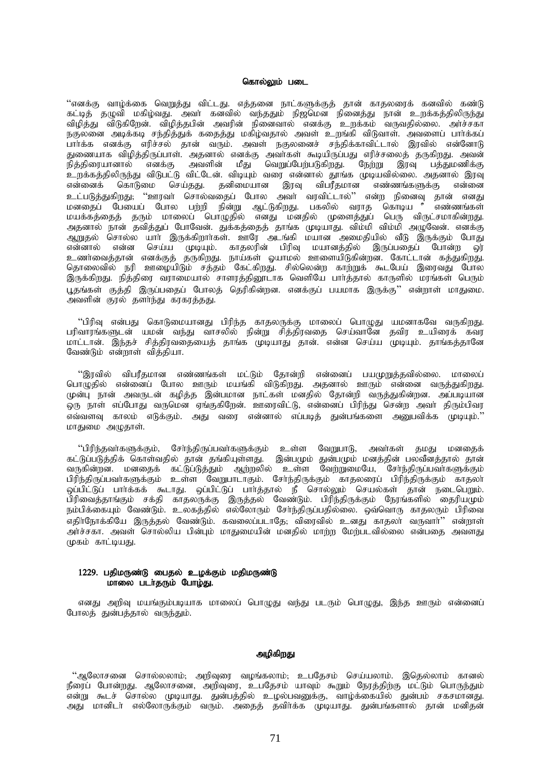#### கொல்லும் படை

"எனக்கு வாழ்க்கை வெறுத்து விட்டது. எத்தனை நாட்களுக்குத் தான் காதலரைக் கனவில் கண்டு கட்டித் தழுவி மகிழ்வது. அவா் கனவில் வந்ததும் நிஜமென நினைத்து நான் உறக்கத்திலிருந்து ்விழித்து விடுகிறேன். விழித்தபின் அவரின் நினைவால் எனக்கு உறக்கம் வருவதில்லை. அர்ச்சகா நகுல்லை அடிக்கடி சந்தித்துக் கதைத்து மகிழ்வதால் அவள் உறங்கி விடுவாள். அவளைப் பாா்க்கப் .<br>பார்க்க எனக்கு எரிச்சல் தான் வரும். அவள் நகுலனைச் சந்திக்காவிட்டால் இரவில் என்னோடு துணையாக விழித்திருப்பாள். அதனால் எனக்கு அவாகள் கூடியிருப்பது எரிச்சலைத் தருகிறது. அவன் நித்திரையானால் எனக்கு அவளின் மீது வெறுப்பேற்படுகிறது. நேற்று இரவு பத்துமணிக்கு உறக்கத்திலிருந்து விடுபட்டு விட்டேன். விடியும் வரை என்னால் தூங்க முடியவில்லை. அதனால் இரவு என்னைக் கொடுமை செய்தது. தனிமையான இரவு விபரீதமான எண்ணங்களுக்கு என்னை உட்படுத்துகிறது; ''ஊரவா் சொல்வதைப் போல அவா் வரவிட்டால்'' என்ற நினைவு தான் எனது மனதைப் பேயைப் போல பற்றி நின்று ஆட்டுகிறது. பகலில் வராத கொடிய ° எண்ணங்கள் மயக்கத்தைத் தரும் மாலைப் பொழுதில் எனது மனதில் முளைத்துப் பெரு விருட்சமாகின்றது. அதனால் நான் தவித்துப் போவேன். துக்கத்தைத் தாங்க முடியாது. விம்மி விம்மி அழுவேன். எனக்கு ஆறுதல் சொல்ல யாா் இருக்கிறாா்கள். ஊரே அடங்கி மயான அமைதியில் வீடு இருக்கும் போது என்னால் என்ன செய்ய முடியும். காதலரின் பிரிவு மயானத்தில் இருப்பதைப் போன்ற ஒர் உணர்வைத்தான் எனக்குத் தருகிறது. நாய்கள் ஓயாமல் ஊளையிடுகின்றன. கோட்டான் கத்துகிறது. தொலைவில் நரி ஊழையிடும் சத்தம் கேட்கிறது. சில்லென்ற காற்றுக் கூடபேய் இரைவது போல இருக்கிறது. நித்திரை வராமையால் சாளரத்தினூடாக வெளியே பார்த்தால் காருளில் மரங்கள் பெரும் பூதங்கள் குத்தி இருப்பதைப் போலத் தெரிகின்றன. எனக்குப் பயமாக இருக்கு'' என்றாள் மாதுமை. ு.<br>அவளின் குரல் தளர்ந்து கரகரத்தது.

"பிரிவு என்பது கொடுமையானது பிரிந்த காதலருக்கு மாலைப் பொழுது யமனாகவே வருகிறது. பரிவாரங்களுடன் யமன் வந்து வாசலில் நின்று சித்திரவதை செய்வானே தவிர உயிரைக் கவர ் மாட்டான். இந்தச் சித்திரவதையைத் தாங்க முடியாது தான். என்ன செய்ய முடியும். தாங்கத்தானே வேண்டும் என்றாள் வித்தியா.

"இரவில் விபரீதமான எண்ணங்கள் மட்டும் தோன்றி என்னைப் பயமுறுத்தவில்லை. மாலைப் பொழுதில் என்னைப் போல ஊரும் மயங்கி விடுகிறது. அதனால் ஊரும் என்னை வருத்துகிறது. முன்பு நான் அவருடன் கழித்த இன்பமான நாட்கள் மனதில் தோன்றி வருத்துகின்றன. அப்படியான ஒரு நாள் எப்போது வருமென ஏங்குகிறேன். ஊரைவிட்டு, என்னைப் பிரிந்து சென்ற அவா திரும்பிவர எவ்வளவு காலம் எடுக்கும். அது வரை என்னால் எப்படித் துன்பங்களை அனுபவிக்க முடியும்.'' மாதுமை அழுதாள்.

"பிரிந்தவாகளுக்கும், சோந்திருப்பவாகளுக்கும் உள்ள வேறுபாடு, அவாகள் தமது மனதைக் கட்டுப்படுத்திக் கொள்வதில் தான் தங்கியுள்ளது. இன்பமும் துன்பமும் மனத்தின் பலவீனத்தால் தான் வருகின்றன. மனதைக் கட்டுப்டுத்தும் ஆற்றலில் உள்ள வேற்றுமையே, சேர்ந்திருப்பவர்களுக்கும் பிரிந்திருப்பவாகளுக்கும் உள்ள வேறுபாடாகும். சோந்திருக்கும் காதலரைப் பிரிந்திருக்கும் காதலா ஒப்பிட்டுப் பார்க்கக் கூடாது. ஒப்பிட்டுப் பார்த்தால் நீ சொல்லும் செயல்கள் தான் நடைபெறும். பிரிவைத்தாங்கும் சக்தி காதலருக்கு இருத்தல் வேண்டும். பிரிந்திருக்கும் நேரங்களில் தைரியமும் நம்பிக்கையும் வேண்டும். உலகத்தில் எல்லோரும் சோந்திருப்பதில்லை. ஒவ்வொரு காதலரும் பிரிவை எதிர்நோக்கியே இருத்தல் வேண்டும். கவலைப்படாதே; விரைவில் உனது காதலர் வருவார்'' என்றாள் அர்ச்சகா. அவள் சொல்லிய பின்பும் மாதுமையின் மனதில் மாற்ற மேற்படவில்லை என்பதை அவளது .<br>முகம் காட்டியது.

## 1229. பதிமருண்டு பைதல் உழக்கும் மதிமருண்டு மாலை படர்தரும் போழ்து.

எனது அறிவு மயங்கும்படியாக மாலைப் பொழுது வந்து படரும் பொழுது, இந்த ஊரும் என்னைப் போலத் துன்பத்தால் வருந்தும்.

# அமிகிரகு

"ஆலோசனை சொல்லலாம்; அறிவுரை வழங்கலாம்; உபதேசம் செய்யலாம். இதெல்லாம் கானல் நீரைப் போன்றது. ஆலோசனை, அறிவுரை, உபதேசம் யாவும் கூறும் நேரத்திற்கு மட்டும் பொருந்தும் .<br>என்று கூடச் சொல்ல முடியாது. துன்பத்தில் உழல்பவனுக்கு, வாழ்க்கையில் துன்பம் சகசமானது. அது மானிடா் எல்லோருக்கும் வரும். அதைத் தவிா்க்க முடியாது. துன்பங்களால் தான் மனிதன்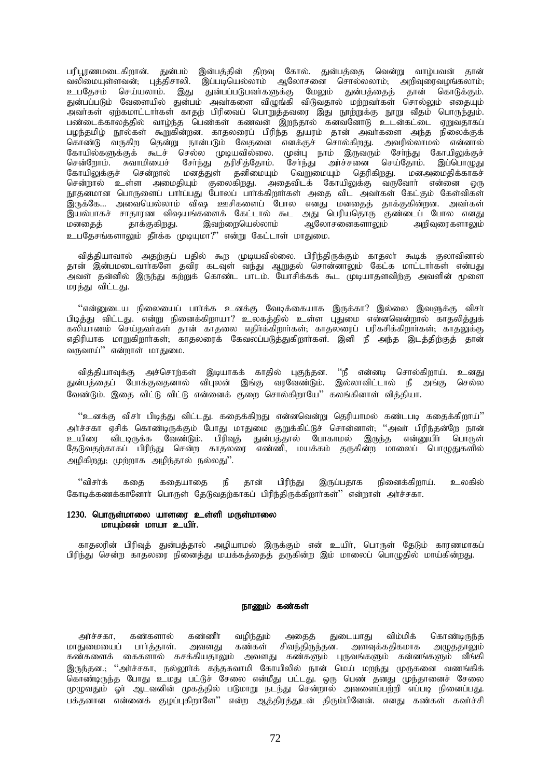பரிபூரணமடைகிறான். துன்பம் இன்பத்தின் திறவு கோல். துன்பத்தை வென்று வாழ்பவன் தான் ்வலிமையுள்ளவன், புத்திசாலி. இப்படியெல்லாம் ஆலோசனை சொல்லலாம், அறிவுரைவழங்கலாம், உபதேசம் செய்யலாம். இது துன்பப்படுபவர்களுக்கு மேலும் துன்பத்தைத் தான் கொடுக்கும். துன்பப்படும் வேளையில் துன்பம் அவர்களை விழுங்கி விடுவதால் மற்றவர்கள் சொல்லும் எதையும் ுவாகள் ஏற்கமாட்டாாகள் காதற் பிரிவைப் பொறுத்தவரை இது நூற்றுக்கு நூறு வீதம் பொருந்தும். பண்டைக்காலத்தில் வாழ்ந்த பெண்கள் கணவன் இறந்தால் கனவனோடு உடன்கட்டை ஏறுவதாகப் பழந்தமிழ் நூல்கள் கூறுகின்றன. காதலரைப் பிரிந்த துயரம் தான் அவர்களை அந்த நிலைக்குக் படித்ததை துணை வதுப்பத்தை படித்ததை படத்தத்தை படத்தத்தினர்.<br>கொண்டு வருகிற தென்று நான்படும் வேதனை எனக்குச் சொல்கிறது. அவரில்லாமல் என்னால் கோயில்களுக்குக் கூடச் செல்ல முடியவில்லை. முன்பு நாம் இருவரும் சேர்ந்து கோயிலுக்குச்<br>சென்ளோம். சுவாமியைச் சேர்ந்து கரிசிக்கோம். சேர்ந்து அர்ச்சனை செய்கோம். இப்பொமுது சென்றோம். சுவாமியைச் சோ்ந்து தரிசித்தோம். சோ்ந்து அா்ச்சனை செய்தோம். இப்பொழுது<br>கோயிலுக்குச் சென்றால் மனத்துள் தனிமையும் வெறுமையும் தெரிகிறது. மனஅமைதிக்காகச் சென்றால் மனத்துள் தனிமையும் வெறுமையும் தெரிகிறது. மனஅமைதிக்காகச் சென்றால் உள்ள அமைதியும் குலைகிறது. அதைவிடக் கோயிலுக்கு வருவோர் என்னை ஒரு நூதன்மான பொருளைப் பார்ப்பது போலப் பார்க்கிறார்கள் அதை விட அவர்கள் கேட்கும் கேள்விகள் இருக்கே... அவையெல்லாம் விஷ ஊசிகளைப் போல எனது மனதைத் தாக்குகின்றன. அவர்கள் ,ay;ghfr; rhjhuz tp\aq;fisf; Nfl;lhy; \$l mJ ngupanjhU Fz;ilg; Nghy vdJ ஆலோசனைகளாலும் உபதேசங்களாலும் தீர்க்க முடியுமா?" என்று கேட்டாள் மாதுமை.

வித்தியாவால் அதற்குப் பதில் கூற முடியவில்லை. பிரிந்திருக்கும் காதலா் கூடிக் குலாவினால் தான் இன்பமடைவார்களே தவிர கடவுள் வந்து ஆறுதல் சொன்னாலும் கேட்க மாட்டார்கள் என்பது .<br>அவள் தன்னில் இருந்து கற்றுக் கொண்ட பாடம். யோசிக்கக் கூட முடியாதளவிற்கு அவளின் மூளை மரத்து விட்டது.

"என்னுடைய நிலையைப் பார்க்க உனக்கு வேடிக்கையாக இருக்கா? இல்லை இவளுக்கு விசர் பிடித்து விட்டது. என்று நினைக்கிறாயா? உலகத்தில் உள்ள புதுமை என்னவென்றால் காதலித்துக் கலியாணம் செய்தவாகள் தான் காதலை எதிர்க்கிறார்கள்; காதலரைப் பரிகசிக்கிறார்கள்; காதலுக்கு எதிரியாக மாறுகிறாாகள். காதலரைக் கேவலப்படுத்துகிறாாகள். இனி நீ அந்த இடத்திற்குத் தான் வருவாய் $"$  என்றாள் மாகுமை.

வித்தியாவுக்கு அச்சொற்கள் இடியாகக் காதில் புகுந்தன. ''நீ என்னடி சொல்கிறாய். உனது துன்பத்தைப் போக்குவதனால் விபுலன் இங்கு வரவேண்டும். இல்லாவிட்டால் நீ அங்கு செல்ல வேண்டும். இதை விட்டு விட்டு என்னைக் குறை சொல்கிறாயே'' கலங்கினாள் வித்தியா.

 $\lq\lq$  எக்கு விசா பிடித்து விட்டது. கதைக்கிறது என்னவென்று தெரியாமல் கண்டபடி கதைக்கிறாய் $\lq\rq$ அர்ச்சகா ஏசிக் கொண்டிருக்கும் போது மாதுமை குறுக்கிட்டுச் சொன்னாள்; ''அவர் பிரிந்தன்றே நான்<br>உயிரை விடடிருக்க வேண்டும். பிரிவுக் துன்பத்தால் போகாமல் இருந்த என்னுயிர் பொருள் உயிரை விடடிருக்க வேண்டும். பிரிவுத் துன்பத்தால் போகாமல் தேடுவதற்காகப் பிரிந்து சென்ற காதலரை எண்ணி, மயக்கம் தருகின்ற மாலைப் பொழுதுகளில் அழிகிறது; முற்றாக அழிந்தால் நல்லது''.

''விசா்க் கதை கதையாகை நீ கான் பிரிந்து இருப்பதாக நினைக்கிறாய். உலகில் கோடிக்கணக்கானோர் பொருள் தேடுவதற்காகப் பிரிந்திருக்கிறார்கள்'' என்றாள் அர்ச்சகா.

## $1230.$  பொருள்மாலை யாளரை உள்ளி மருள்மாலை  $L$ *orrugiossi* Lorrum  $\epsilon$  with.

காதலரின் பிரிவுத் துன்பத்தால் அழியாமல் இருக்கும் என் உயிர், பொருள் தேடும் காரணமாகப் பிரிந்து சென்ற காதலரை நினைத்து மயக்கத்தைத் தருகின்ற இம் மாலைப் பொமுதில் மாய்கின்றது.

#### நாணும் கண்கள்

அர்ச்சகா, கண்களால் கண்ணீர் வழிந்தும் அதைத் துடையாது விம்மிக் கொண்டிருந்த<br>மாதுமையைப் பார்த்தாள். அவளது கண்கள் சிவந்திருந்தன. அளவுக்கதிகமாக அழுததாலும் கண்கள் சிவந்திருந்தன. அளவுக்கதிகமாக அழுததாலும் கண்களைக் கைகளால் கசக்கியதாலும் அவளது கண்களும் புருவங்களும் கன்னங்களும் வீங்கி இருந்தன.; ''அர்ச்சகா, நல்லூர்க் கந்தசுவாமி கோயிலில் நான் மெய் மறந்து முருகனை வணங்கிக் ொண்டிருந்த போது உமது பட்டுச் சேலை என்மீது பட்டது. ஒரு பெண் தனது முந்தானைச் சேலை முழுவதும் ஓா் ஆடவனின் முகத்தில் படுமாறு நடந்து சென்றால் அவளைப்பற்றி எப்படி நினைப்பது. பக்தனான என்னைக் குழப்புகிறாளே'' என்ற ஆத்திரத்துடன் திரும்பினேன். எனது கண்கள் கவர்ச்சி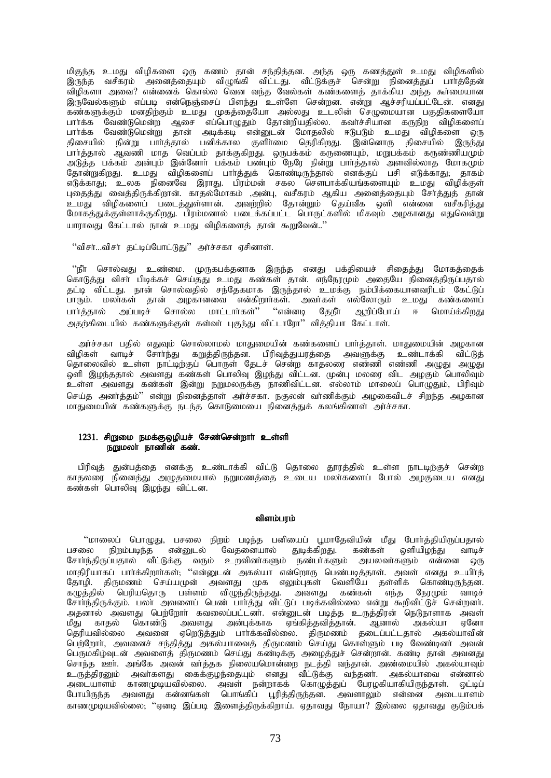மிகுந்த உமது விழிகளை ஒரு கணம் தான் சந்தித்தன. அந்த ஒரு கணத்துள் உமது விழிகளில் இருந்த வசீகரம் அனைத்தையும் விழுங்கி விட்டது. வீட்டுக்குச் சென்று நினைத்துப் பார்த்தேன் விழிகளா அவை? என்னைக் கொல்ல வென வந்த வேல்கள் கண்களைத் தாக்கிய அந்த கூர்மையான இருவேல்களும் எப்படி என்நெஞ்சைப் பிளந்து உள்ளே சென்றன. என்று ஆச்சரியப்பட்டேன். எனது கண்களுக்கும் மனதிற்கும் உமது முகத்தையோ அல்லது உடலின் செழுமையான பகுதிகளையோ ் கையில் பின்றும் உயறு முக்குதையோ அல்லது உடல்கள் குழுகையான பகுதிக்கையான<br>பார்க்க வேண்டுமென்ற ஆசை எப்பொழுதும் தோன்றியதில்ல. கவர்ச்சியான கருநிற விழிகளைப்<br>பார்க்க வேண்டுமென்று தான் அடிக்கடி என்னுடன் மோதலில் ஈடுபடும் உமது விழி பார்த்தால் ஆவணி மாத வெப்பம் தாக்குகிறது. ஒருபக்கம் கருணையும், மறுபக்கம் கருண்ணியமும் அடுத்த பக்கம் அன்பும் இன்னோர் பக்கம் பண்பும் நேரே நின்று பார்த்தால் அளவில்லாத மோகமும் தோன்றுகிறது. உமது விழிகளைப் பார்த்துக் கொண்டிருந்தால் எனக்குப் பசி எடுக்காது; தாகம் எடுக்காது; உலக நினைவே இராது. பிரம்மன் சகல சௌபாக்கியங்களையும் உமது விழிக்குள் புதைத்து வைத்திருக்கிறான். காதல்மோகம் ,அன்பு, வசீகரம் ஆகிய அனைத்தையும் சோத்துத் தான் புவத்தது வழைத்திருக்கதான். உர்தல் கோக்கி நர்ளு, கேச்தை திரையை வெளுத்தும் கோத்துத் தான்.<br>உமது விழிகளைப் படைத்துள்ளான். அவற்றில் தோன்றும் தெய்வீக ஒளி என்னை வசீகரித்து<br>மோகத்துக்குள்ளாக்குகிறது. பிரம்மனால் படைக்கப்பட்ட பொருட் யாராவது கேட்டால் நான் உமது விழிகளைத் தான் கூறுவேன்.."

''விசர்...விசர் தட்டிப்போட்டுது'' அர்ச்சகா ஏசினாள்.

"நீா சொல்வது உண்மை. முருகபக்கனாக இருந்த எனது பக்கியைச் சிதைத்து மோகத்தைக் கொடுத்து விசா பிடிக்கச் செய்தது உமது கண்கள் தான். எந்நேரமும் அதையே நினைத்திருப்பதால் தட்டி விட்டது. நான் சொல்வதில் சந்தேகமாக இருந்தால் உமக்கு நம்பிக்கையானவரிடம் கேட்டுப் .<br>பாரும். மலாகள் தான் அழகானவை என்கிறாா்கள். அவா்கள் எல்லோரும் உமது கண்களைப் பார்த்தால் அப்படிச் சொல்ல மாட்டார்கள்'' ''என்னடி தேநீா் ஆறிப்போய் ஈ மொய்க்கிறது அதற்கிடையில் கண்களுக்குள் கள்வர் புகுந்து விட்டாரோ" வித்தியா கேட்டாள்.

அர்ச்சகா பதில் எதுவும் சொல்லாமல் மாதுமையின் கண்களைப் பார்த்தாள். மாதுமையின் அழகான விமிகள் வாமச் சோர்ந்து கறுத்திருந்தன. பிரிவுத்துயரத்தை அவளுக்கு உண்டாக்கி விட்டுத் தொலைவில் உள்ள நாட்டிற்குப் பொருள் தேடச் சென்ற காதலரை எண்ணி எண்ணி அழுது அழுது ஒளி இழந்ததால் அவளது கண்கள் பொலிவு இழந்து விட்டன. முன்பு மலரை விட அழகும் பொலிவும் உள்ள அவளது கண்கள் இன்று நறுமலருக்கு நாணிவிட்டன. எல்லாம் மாலைப் பொழுதும், பிரிவும் செய்த அனர்த்தம்'' என்று நினைத்தாள் அர்ச்சகா. நகுலன் வர்ணிக்கும் அழகைவிடச் சிறந்த அழகான மாதுமையின் கண்களுக்கு நடந்த கொடுமையை நினைத்துக் கலங்கினாள் அர்ச்சகா.

### 1231. சிறுமை நமக்குஒழியச் சேண்சென்றார் உள்ளி நறுமலா் நாணின் கண்.

பிரிவுத் துன்பத்தை எனக்கு உண்டாக்கி விட்டு தொலை தூரத்தில் உள்ள நாடடிற்குச் சென்ற காதலரை நினைத்து அழுதமையால் நறுமணத்தை உடைய மலாகளைப் போல் அழகுடைய எனது கண்கள் பொலிவ இமந்து விட்டன.

#### விளம்பரம்

''மாலைப் பொழுது, பசலை நிறம் படிந்த பனியைப் பூமாதேவியின் மீது போர்த்தியிருப்பதால் பசலை நிறம்படிந்த என்னுடல் வேதனையால் துடிக்கிறது. கண்கள் ஒளியிழந்து வாடிச்<br>சோர்ந்திருப்பதால் வீட்டுக்கு வரும் உறவினர்களும் நண்பர்களும் அயலவர்களும் என்னை ஒரு மாதிரியாகப் பார்க்கிறார்கள்; ''என்னுடன் அகல்யா என்றொரு பெண்படித்தாள். அவள் எனது உயிர்த் தோழி. திருமணம் செய்யமுன் அவளது முக எலும்புகள் வெளியே தள்ளிக் கொண்டிருந்தன. கழுத்தில் பெரியதொரு பள்ளம் விழுந்திருந்தது. அவளது கண்கள் எந்த நேரமும் வாடிச் சோர்ந்திருக்கும். பலா அவளைப் பெண் பார்த்து விட்டுப் படிக்கவில்லை என்று கூறிவிட்டுச் சென்றனா். அதனால் அவளது பெற்றோர் கவலைப்பட்டனர். என்னுடன் படித்த உருத்திரன் நெடுநாளாக அவள் .<br>மீது காதல் கொண்டு அவளது அன்புக்காக ஏங்கித்தவித்தான். ஆனால் அகல்யா ஏனோ<br>தெரியவில்லை அவனை ஏறெடுத்தும் பார்க்கவில்லை. திருமணம் தடைப்பட்டதால் அகல்யாவின் பெர்ரோர், அவனைச் சந்தித்து அகல்யாவைத் திருமணம் செய்து கொள்ளும் படி வேண்டினர் அவன் பெருமகிழ்வுடன் அவளைத் திருமணம் செய்து கண்டிக்கு அழைத்துச் சென்றான். கண்டி தான் அவனது சொந்த ஊர். அங்கே அவன் வாத்தக நிலையமொன்றை நடத்தி வந்தான். அண்மையில் அகல்யாவும் ுவற்ற ஊர். அங்கை அங்கு வாத்தக நிலையையானதை நடத்து வந்தான். அண்மையில் அக்கையாவும்<br>உருத்திரனும் அவர்களது கைக்குழந்தையும் எனது வீட்டுக்கு வந்தனர். அகல்யாவை என்னால்<br>அடையாளம் காணமுடியவில்லை. அவள் நன்றாகக் கொழுத்துப் பேரழகியாகிய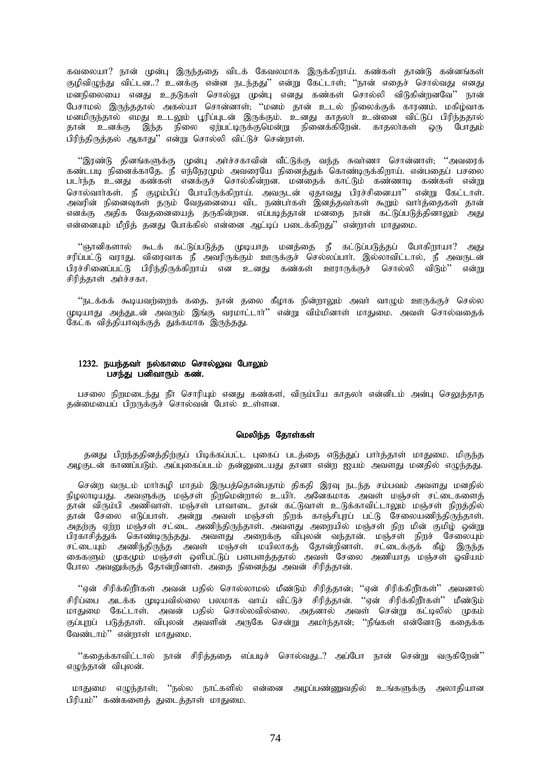கவலையா? நான் முன்பு இருந்ததை விடக் கேவலமாக இருக்கிறாய். கண்கள் தாண்டு கன்னங்கள் குழிவிழுந்து விட்டன..? உனக்கு என்ன நடந்தது'' என்று கேட்டாள், ''நான் எதைச் சொல்வது எனது மனநிலையை எனது உதடுகள் சொல்லு முன்பு எனது கண்கள் சொல்லி விடுகின்றனவே'' நான் .<br>பேசாமல் இருந்ததால் அகல்யா சொன்னாள், ''மனம் தான் உடல் நிலைக்குக் காரணம். மகிழ்வாக .<br>மனமிருந்தால் எமது உடலும் பூரிப்புடன் இருக்கும். உனது காதலா் உன்னை விட்டுப் பிரிந்ததால் தான் உனக்கு இந்த நிலை ஏற்பட்டிருக்குமென்று நினைக்கிறேன். காதலாகள் ஒரு போதும் பிரிந்திருக்கல் அகாது'' என்று சொல்லி விட்டுச் சென்றாள்.

ீஇரண்டு தினங்களுக்கு முன்பு அர்ச்சகாவின் வீட்டுக்கு வந்த சுவர்ணா சொன்னாள்; ''அவரைக்<br>கண்டபடி நினைக்காதே. நீ எந்நேரமும் அவரையே நினைத்துக் கொண்டிருக்கிறாய். என்பதைப் பசலை .<br>சொல்வாா்கள். நீ குழம்பிப் போயிருக்கிறாய். அவருடன் ஏதாவது பிரச்சினையா'' என்று கேட்டாள்.<br>அவரின் நினைவுகள் தரும் வேதனையை விட நண்பா்கள் இனத்தவா்கள் கூறும் வாா்த்தைகள் தான் எனக்கு அதிக வேதனையைத் தருகின்றன. எப்படித்தான் மனதை நான் கட்டுப்படுத்தினாலும் அது என்னையும் மீறித் தனது போக்கில் என்னை ஆட்டிப் படைக்கிறது'' என்றாள் மாதுமை.

''ஞானிகளால் கூடக் கட்டுப்படுத்த முடியாத மனத்தை நீ கட்டுப்படுத்தப் போகிறாயா? அது சரிப்பட்டு வராது. விரைவாக நீ அவரிருக்கும் ஊருக்குச் செல்லப்பார். இல்லாவிட்டால், நீ அவருடன் பிரச்சினைப்பட்டு பிரிந்திருக்கிறாய் என உனது கண்கள் ஊராருக்குச் சொல்லி விடும்'' என்று சிரித்தாள் அர்ச்சகா.

''நடக்கக் கூடியவர்ளைக் ககை. நான் கலை கீழாக நின்றாலும் அவர் வாமும் ஊருக்குச் செல்ல முடியாது அத்துடன் அவரும் இங்கு வரமாட்டார்'' என்று விம்மினாள் மாதுமை. அவள் சொல்வதைக் கேட்க வித்தியாவுக்குத் துக்கமாக இருந்தது.

### 1232. நயந்தவர் நல்காமை சொல்லுவ போலும் பசந்து பனிவாரும் கண்.

பசலை நிறுமடைந்து நீா சொரியும் எனது கண்கள், விரும்பிய காதலா் என்னிடம் அன்பு செலுத்தாத தன்மையைப் பிறருக்குச் சொல்வன் போல் உள்ளன.

#### மெலிந்த தோள்கள்

தனது பிறந்ததினத்திற்குப் பிடிக்கப்பட்ட புகைப் படத்தை எடுத்துப் பார்த்தாள் மாதுமை. மிகுந்த அழகுடன் காணப்படும். அப்புகைப்படம் தன்னுடையது தானா என்ற ஐயம் அவளது மனதில் எழுந்தது.

சென்ற வருடம் மாா்கழி மாதம் இருபத்தொன்பதாம் திகதி இரவு நடந்த சம்பவம் அவளது மனதில் நிழலாடியது. அவளுக்கு மஞ்சள் நிறமென்றால் உயிர். அனேகமாக அவள் மஞ்சள் சட்டைகளைக் .<br>தான் விரும்பி அணிவாள். மஞ்சள் பாவாடை தான் கட்டுவாள் உடுக்காவிட்டாலும் மஞ்சள் நிறத்தில் தான் சேலை எடுப்பாள். அன்று அவள் மஞ்சள் நிறக் காஞ்சிபுரப் பட்டு சேலையணிந்திருந்தாள். அதற்கு ஏற்ற மஞ்சள் சட்டை அணிந்திருந்தாள். அவளது அறையில் மஞ்சள் நிற மின் குமிழ் ஒன்று சட்டையும் அணிந்திருந்த அவள் மஞ்சள் மயிலாகத் தோன்றினாள். சட்டைக்குக் கீழ் இருந்த கைகளும் முகமும் மஞ்சள் ஒளிபட்டுப் பளபளத்ததால் அவள் சேலை அணியாத மஞ்சள் ஓவியம் போல அவனுக்குத் தோன்றினாள். அதை நினைத்து அவன் சிரித்தான்.

''ஏன் சிரிக்கிறீர்கள் அவன் பதில் சொல்லாமல் மீண்டும் சிரித்தான்; ''ஏன் சிரிக்கிறீர்கள்'' அவனால் சிரிப்பை அடக்க முடியவில்லை பலமாக வாய் விட்டுச் சிரித்தான். ''ஏன் சிரிக்கிறீர்கள்'' மீண்டும் மாதுமை கேட்டாள். அவன் பதில் சொல்லவில்லை. அதனால் அவள் சென்று கட்டிலில் முகம் குப்புறப் படுத்தாள். விபுலன் அவளின் அருகே சென்று அமா்ந்தான்; ''நீங்கள் என்னோடு கதைக்க வேண்டாம்'' என்றாள் மாதுமை.

''கதைக்காவிட்டால் நான் சிரிக்ககை எப்படிச் சொல்வது..?' அப்போ நான் சென்று வருகிறேன்'' எழுந்தான் விபுலன்.

மாதுமை எழுந்தாள், ''நல்ல நாட்களில் என்னை அழப்பண்ணுவதில் உங்களுக்கு அலாதியான பிரியம்'' கண்களைத் துடைத்தாள் மாதுமை.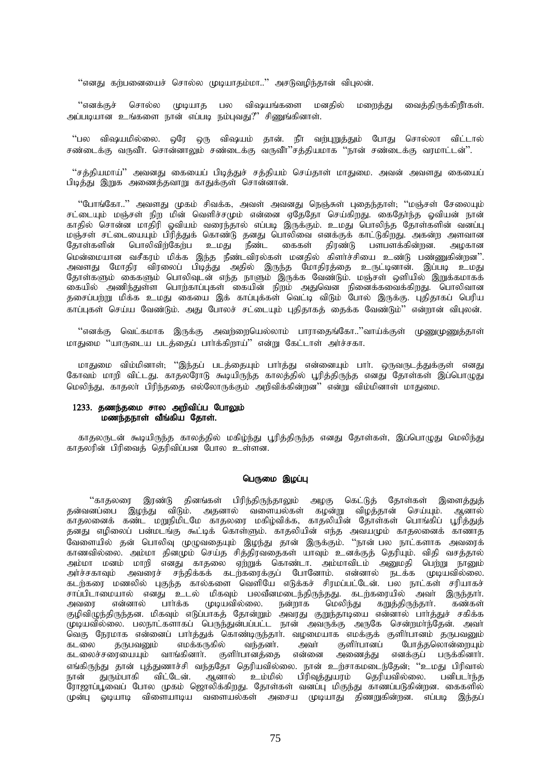"எனது கற்பனையைச் சொல்ல முடியாதம்மா.." அசடுவழிந்தான் விபுலன்.

"எனக்குச் சொல்ல முடியாத பல விஷயங்களை மனதில் மறைத்து வைத்திருக்கிறீாகள். அப்படியான உங்களை நான் எப்படி நம்புவது?" சிணுங்கினாள்.

"பல விஷயமில்லை. ஒரே ஒரு விஷயம் தான். நீர் வற்புறுத்தும் போது சொல்லா விட்டால் .<br>சண்டைக்கு வருவீர், சொன்னாலும் சண்டைக்கு வருவீர்"சக்கியமாக "நான் சண்டைக்கு வாமாட்டன்".

"சத்தியமாய்" அவனது கையைப் பிடித்துச் சத்தியம் செய்தாள் மாதுமை. அவன் அவளது கையைப் பிடித்து இறுக அணைத்தவாறு காதுக்குள் சொன்னான்.

"போங்கோ.." அவளது முகம் சிவக்க, அவள் அவனது நெஞ்சுள் புதைந்தாள்; ''மஞ்சள் சேலையும் சட்டையும் மஞ்சள் நிற மின் வெளிச்சமும் என்னை ஏதேதோ செய்கிறது. கைதோந்த ஓவியன் நான் காதில் சொன்ன மாதிரி ஓவியம் வரைந்தால் எப்படி இருக்கும். உமது பொலிந்த தோள்களின் வனப்பு மஞ்சள் சட்டையையும் பிரித்துக் கொண்டு தனது பொலிவை எனக்குக் காட்டுகிறது. அகன்ற அளவான<br>தோள்களின் பொலிவிற்கேற்ப உமது நீண்ட கைகள் திரண்டு பளபளக்கின்றன. அழகான பொலிவிற்கேற்ப உமது நீண்ட கைகள் திரண்டு பளபளக்கின்றன. அழகான மென்மையான வசீகரம் மிக்க இந்த நீண்டவிரல்கள் மனதில் கிளர்ச்சியை உண்டு பண்ணுகின்றன". அவளது மோதிர விரலைப் பிடித்து அதில் இருந்த மோதிரத்தை உருட்டினான். இப்படி உமது தோள்களும் கைகளும் பொலிவுடன் எந்த நாளும் இருக்க வேண்டும். மஞ்சள் ஒளியில் இறுக்கமாகக் கையில் அணிந்துள்ள பொற்காப்புகள் கையின் நிறம் அதுவென நினைக்கவைக்கிறது. பொலிவான தசைப்பற்று மிக்க உமது கையை இக் காப்புக்கள் வெட்டி விடும் போல் இருக்கு. புதிதாகப் பெரிய காப்புகள் செய்ய வேண்டும். அது போலச் சட்டையும் புதிதாகக் கைக்க வேண்டும்'' என்றான் விபுலன்.

''எனக்கு வெட்கமாக இருக்கு அவற்றையெல்லாம் பாராதைங்கோ..''வாய்க்குள் மு<u>ண</u>ைமுணுக்காள் மாதுமை "யாருடைய படத்தைப் பார்க்கிறாய்" என்று கேட்டாள் அர்ச்சகா.

மாதுமை விம்மினாள்; ''இந்தப் படத்தையும் பார்த்து என்னையும் பார். ஒருவருடத்துக்குள் எனது கோவம் மாறி விட்டது. காதலரோடு கூடியிருந்த காலத்தில் பூரித்திருந்த எனது தோள்கள் இப்பொழுது மெலிந்து, காதலா் பிரிந்ததை எல்லோருக்கும் அறிவிக்கின்றன'' என்று விம்மினாள் மாதுமை.

### 1233. தணந்தமை சால அறிவிப்ப போலும் மணந்தநாள் வீங்கிய தோள்.

காதலருடன் கூடியிருந்த காலத்தில் மகிழ்ந்து பூரித்திருந்த எனது தோள்கள், இப்பொழுது மெலிந்து காதலரின் பிரிவைத் தெரிவிப்பன போல உள்ளன.

### பெருமை இழப்பு

 $\lq\lq$ காதலரை இரண்டு தினங்கள் பிரிந்திருந்தாலும் அழகு கெட்டுத் தோள்கள் இளைத்துத் தன்வனப்பை இழந்து விடும். அதனால் வளையல்கள் கழன்று விழத்தான் செய்யும். ஆனால் .<br>காதலனைக் கண்ட மறுநிமிடமே காதலரை மகிழ்விக்க, காதலியின் தோள்கள் பொங்கிப் பூரித்துத் தனது எழிலைப் பன்மடங்கு கூட்டிக் கொள்ளும். காதலியின் எந்த அவயமும் காதலனைக் காணாத வேளையில் தன் பொலிவு முழுவதையும் இழந்து தான் இருக்கும். ''நான் பல நாட்களாக அவரைக் காணவில்லை. அம்மா கினமும் செய்த சிக்கிரவகைகள் யாவும் உனக்குக் கெரியும். விகி வசக்கால் அம்மா மனம் மாறி எனது காதலை ஏற்றுக் கொண்டா. அம்மாவிடம் அனுமதி பெற்று நானும் அர்ச்சகாவும் அவரைச் சந்திக்கக் கடற்கரைக்குப் போனோம். என்னால் நடக்க முடியவில்லை. கடற்கரை மணலில் புகுந்த கால்களை வெளியே எடுக்கச் சிரமப்பட்டேன். பல நாட்கள் சரியாகச் சாப்பிடாமையால் எனது உடல் மிகவும் பலவீனமடைந்திருந்தது. கடற்கரையில் அவா் இருந்தாா்.<br>அவரை என்னால் பாா்க்க முடியவில்லை. நன்றாக மெலிந்து கறுத்திருந்தாா். கண்கள் மெலிந்து கறுத்திருந்தார். கண்கள் குழிவிழுந்திருந்தன. மிகவும் எடுப்பாகத் தோன்றும் அவரது குறுந்தாடியை என்னால் பாா்த்துச் சகிக்க ் முடியவில்லை. பலநாட்களாகப் பெருந்துன்பப்பட்ட நான் அவருக்கு அருகே சென்றமாந்தேன். அவா் .<br>வெகு நேரமாக என்னைப் பார்த்துக் கொண்டிருந்தார். வழமையாக எமக்குக் குளிர்பானம் தருபவனும்<br>கடலை தருபவனும் எமக்கருகில் வந்தனர். அவர் குளிர்பானப் போத்தலொன்றையும் ்கடலை தருபவனும் எமக்கருகில் வந்தனர். அவர் குளிர்பானப் போத்தலொன்றையும்<br>கடலைச்சரையையும் வாங்கினார். குளிர்பானத்தை என்னை அணைத்து எனக்குப் பருக்கினார். அணைத்து எனக்குப் பருக்கினார். எங்கிருந்து தான் புத்துணாச்சி வந்ததோ தெரியவில்லை. நான் உற்சாகமடைந்தேன்; ''உமது பிரிவால்<br>நான் துரும்பாகி விட்டேன். ஆனால் உம்மில் பிரிவுத்துயரம் தெரியவில்லை. பனிபடா்ந்த துரும்பாகி விட்டேன். ஆனால் உம்மில் ரோஜாப்பூவைப் போல முகம் ஜொலிக்கிறது. தோள்கள் வனப்பு மிகுந்து காணப்படுகின்றன. கைகளில் முன்பு ஓடியாடி விளையாடிய வளையல்கள் அசைய முடியாது திணறுகின்றன. எப்படி இந்தப்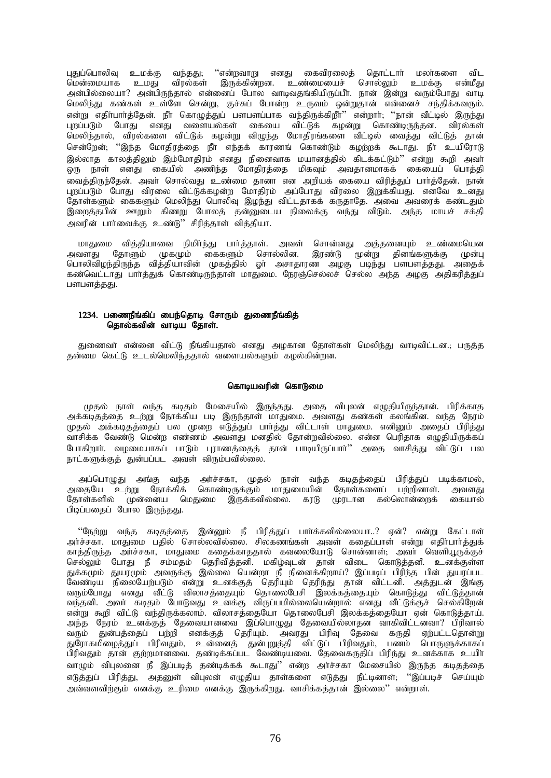புதுப்பொலிவு உமக்கு வந்தது; ''என்றவாறு எனது கைவிரலைத் தொட்டாா் மலா்களை விட<br>மென்மையாக உமது விரல்கள் இருக்கின்றன. உண்மையைச் சொல்லும் உமக்கு என்மீது<br>அன்பில்லையா? அன்பிருந்தால் என்னைப் போல வாடிவதங்கியிருப்பீா். நான் இன்று வரு மெலிந்து கண்கள் உள்ளே சென்று, குச்சுப் போன்ற உருவம் ஒன்றுதான் என்னைச் சந்திக்கவரும். என்று எதிா்பாா்த்தேன். நீா் கொழுத்துப் பளபளப்பாக வந்திருக்கிறீா்'' என்றாா்; ''நான் வீட்டில் இருந்து புறப்படும் போது எனது வளையல்கள் கையை விட்டுக் கழன்று கொண்டிருந்தன. விரல்கள் மெலிந்தால், விரல்களை விட்டுக் கழன்று விழுந்த மோதிரங்களை வீட்டில் வைத்து விட்டுத் தான் சென்றேன்; ''இந்த மோதிரத்தை நீர் எந்தக் காரணங் கொண்டும் கழற்றக் கூடாது. நீர் உயிரோடு இல்லாத காலத்திலும் இம்மோதிரம் எனது நினைவாக மயானத்தில் கிடக்கட்டும்'' என்று கூறி அவா் ஒரு நாள் எனது கையில் அணிந்த மோதிரத்தை மிகவும் அவதானமாகக் கையைப் பொத்தி ு<br>வைக்கிருந்கேன். அவர் சொல்வது உண்மை கானா என அறியக் கையை விரிக்குப் பார்க்கேன். நான் புறப்படும் போது விரலை விட்டுக்கழன்ற மோதிரம் அப்போது விரலை இறுக்கியது. எனவே உனது தோள்களும் கைகளும் மெலிந்து பொலிவு இழந்து விட்டதாகக் கருதாதே. அவை அவரைக் கண்டதும் இறைத்தபின் ஊறும் கிணறு போலத் தன்னுடைய நிலைக்கு வந்து விடும். அந்த மாயச் சக்தி .<br>அவரின் பார்வைக்கு உண்டு'' சிரிக்காள் விக்கியா.

மாதுமை வித்தியாவை நிமிர்ந்து பார்த்தாள். அவள் சொன்னது அத்தனையும் உண்மையென அவளது தோளும் முகமும் கைகளும் சொல்லின. இரண்டு மூன்று தினங்களுக்கு முன்பு<br>பொலிவிழந்திருந்த வித்தியாவின் முகத்தில் ஓா் அசாதாரண அழகு படிந்து பளபளத்தது. அதைக் கண்வெட்டாது பார்த்துக் கொண்டிருந்தாள் மாதுமை. நேரஞ்செல்லச் செல்ல அந்த அழகு அதிகரித்துப் பளபளத்தது.

### 1234. பணைநீங்கிப் பைந்தொடி சோரும் துணைநீங்கித் கொல்கவின் வாடிய தோள்.

துணைவா் என்னை விட்டு நீங்கியதால் எனது அழகான தோள்கள் மெலிந்து வாடிவிட்டன.; பருத்த தன்மை கெட்டு உடல்மெலிந்ததால் வளையல்களும் கழல்கின்றன.

#### கொடியவரின் கொடுமை

முதல் நாள் வந்த கடிதம் மேசையில் இருந்தது. அதை விபுலன் எழுதியிருந்தான். பிரிக்காத அக்கடிதத்தை உற்று நோக்கிய படி இருந்தாள் மாதுமை. அவளது கண்கள் கலங்கின. வந்த நேரம் முதல் அக்கடிதத்தைப் பல முறை எடுத்துப் பாா்த்து விட்டாள் மாதுமை. எனினும் அதைப் பிரித்து வாசிக்க வேண்டு மென்ற எண்ணம் அவளது மனதில் தோன்றவில்லை. என்ன பெரிதாக எழுதியிருக்கப் போகிறாா். வழமையாகப் பாடும் புராணத்தைத் தான் பாடியிருப்பாா்'' அதை வாசித்து விட்டுப் பல நாட்களுக்குத் துன்பப்பட அவள் விரும்பவில்லை.

அப்பொழுது அங்கு வந்த அர்ச்சகா, முதல் நாள் வந்த கடிதத்தைப் பிரித்துப் படிக்காமல், அதையே உற்று நோக்கிக் கொண்டிருக்கும் மாதுமையின் தோள்களைப் பற்றினாள். அவளது தோள்களில் முன்னைய மெதுமை இருக்கவில்லை. கரடு முரடான கல்லொன்றைக் கையால் பிடிப்பதைப் போல இருந்தது.

''நேற்று வந்த கடிதத்தை இன்னும் நீ பிரித்துப் பார்க்கவில்லையா..? ஏன்? என்று கேட்டாள் அர்ச்சகா. மாதுமை பதில் சொல்லவில்லை. சில்கணங்கள் அவள் கதைப்பாள் என்று எதிாபாாக்குக் காத்திருந்த அர்ச்சகா, மாதுமை கதைக்காததால் கவலையோடு சொன்னாள், அவா வெளியூருக்குச் செல்லும் போது நீ சம்மதம் தெரிவித்தனி. மகிழ்வுடன் தான் விடை கொடுத்தனீ. உனக்குள்ள துக்கமும் துயரமும் அவருக்கு இல்லை யென்றா நீ நினைக்கிறாய்? இப்படிப் பிரிந்த பின் துயரப்பட வேண்டிய நிலையேற்படும் என்று உனக்குத் தெரியும் தெரிந்து தான் விட்டனி. அத்துடன் இங்கு வரும்போது எனது வீட்டு விலாசத்தையும் தொலைபேசி இலக்கத்தையும் கொடுத்து விட்டுத்தான்<br>வந்தனி. அவா் கடிதம் போடுவது உனக்கு விருப்பமில்லையென்றால் எனது வீட்டுக்குச் செல்கிறேன் என்று கூறி விட்டு வந்திருக்கலாம். விலாசத்தையோ தொலைபேசி இலக்கத்தையோ ஏன் கொடுத்தாய். அந்த நேரம் உனக்குத் தேவையானவை இப்பொழுது தேவையில்லாதன வாகிவிட்டனவா? பிரிவால் ்.<br>வரும் துன்பத்தைப் பற்றி எனக்குத் தெரியும். அவரது பிரிவு தேவை கருதி ஏற்பட்டதொன்று<br>துரோகமிழைத்துப் பிரிவதும், உன்னைத் துன்புறுத்தி விட்டுப் பிரிவதும், பணம் பொருளுக்காகப் பிரிவதும் தான் குற்றமானவை. தண்டிக்கப்பட வேண்டியவை. தேவைகருதிப் பிரிந்து உனக்காக உயிா் வாழும் விபுலனை நீ இப்படித் தண்டிக்கக் கூடாது'' என்ற அர்ச்சகா மேசையில் இருந்த கடிதத்தை எடுத்துப் பிரித்து, அதனுள் விபுலன் எழுதிய தாள்களை எடுத்து நீட்டினாள்; ''இப்படிச் செய்யும் அவ்வளவிற்கும் எனக்கு உரிமை எனக்கு இருக்கிறது. வாசிக்கத்தான் இல்லை'' என்றாள்.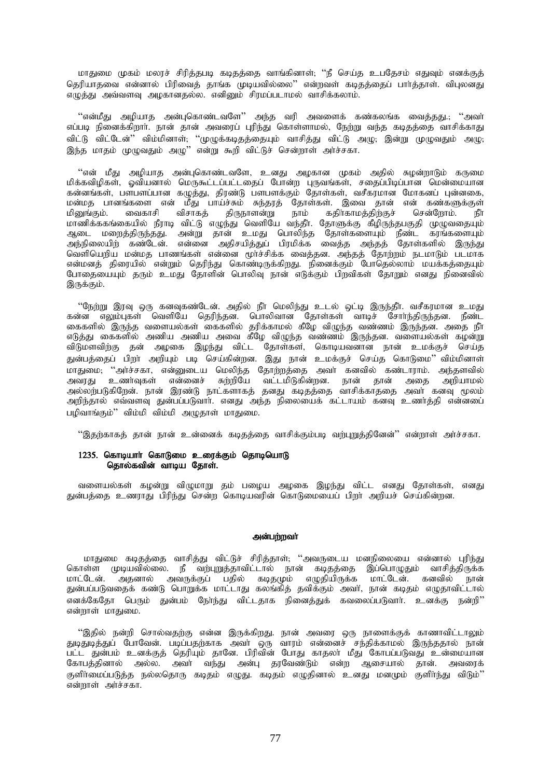மாதுமை முகம் மலரச் சிரித்தபடி கடிதத்தை வாங்கினாள்; ''நீ செய்த உபதேசம் எதுவும் எனக்குத் தெரியாதவை என்னால் பிரிவைத் தாங்க முடியவில்லை'' என்றவள் கடிதத்தைப் பார்த்தாள். விபலனது எழுத்து அவ்வளவு அழகானதல்ல. எனினும் சிரமப்படாமல் வாசிக்கலாம்.

''என்மீது அழியாத அன்புகொண்டவளே'' அந்த வரி அவளைக் கண்கலங்க வைத்தது.; ''அவா் எப்படி நினைக்கிறார். நான் தான் அவரைப் புரிந்து கொள்ளாமல், நேற்று வந்த கடிதத்தை வாசிக்காது விட்டு விட்டேன்'' விம்மினாள்; ''முழுக்கடிதத்தையும் வாசித்து விட்டு அழு; இன்று முழுவதும் அழு; ிருந்த மாகம் முழுவகும் அம<sup>்,</sup> என்று கூறி விட்டுச் சென்றாள் அர்ச்சகா.

"என் மீது அழியாத அன்புகொண்டவளே, உனது அழகான முகம் அதில் சுழன்றாடும் கருமை மிக்கவிழிகள், ஓவியனால் மெருகூட்டப்பட்டதைப் போன்ற புருவங்கள், சதைப்பிடிப்பான மென்மையான கன்னங்கள், பளபளப்பான கழுத்து, திரண்டு பளபளக்கும் தோள்கள், வசீகரமான மோகனப் புன்னகை, மன்மத பானங்களை என் மீது பாய்ச்சும் சுந்தரத் தோள்கள். இவை தான் என் கண்களுக்குள்<br>மினுங்கும். வைகாசி விசாகத் திருநாளன்று நாம் கதிர்காமத்திற்குச் சென்றோம். நீர் மினுங்கும். வைகாசி விசாகத் திருநாளன்று நாம் கதிர்காமத்திற்குச் சென்றோம். நீர் மாணிக்ககங்கையில் நீராடி விட்டு எழுந்து வெளியே வந்தீர். தோளுக்கு கீழிருந்தபகுதி முழுவதையும் ஆடை மறைத்திருந்தது. அன்று தான் உமது பொலிந்த தோள்களையும் நீண்ட கரங்களையும் அந்நிலையிற் கண்டேன். என்னை அதிசயித்துப் பிரமிக்க வைத்த அந்தத் தோள்களில் இருந்து வெளியெறிய மன்மத பாணங்கள் என்னை மூர்ச்சிக்க வைத்தன. அந்தத் தோற்றம் நடமாடும் படமாக என்மனத் திரையில் என்றும் தெரிந்து கொண்டிருக்கிறது. நினைக்கும் போதெல்லாம் மயக்கத்தையும் போதையையும் தரும் உமது தோளின் பொலிவு நான் எடுக்கும் பிறவிகள் தோறும் எனது நினைவில் இருக்கும்.

"நேற்று இரவு ஒரு கனவுகண்டேன். அதில் நீர் மெலிந்து உடல் ஒட்டி இருந்தீர். வசீகரமான உமது கன்ன எலும்புகள் வெளியே தெரிந்தன. பொலிவான தோள்கள் வாடிச் சோர்ந்திருந்தன. நீண்ட கைகளில் இருந்த வளையல்கள் கைகளில் தரிக்காமல் கீழே விழுந்த வண்ணம் இருந்தன. அதை நீா எடுத்து கைகளில் அணிய அணிய அவை கீழே விழுந்த வண்ணம் இருந்தன. வளையல்கள் கழன்று ்பை பையை படமான படமான படமான படமான படமான படமான படமான குறித்து.<br>விடுமளவிற்கு தன் அழகை இழந்து விட்ட தோள்கள், கொடியவனான நான் உமக்குச் செய்த துன்பத்தைப் பிறா் அறியும் படி செய்கின்றன. இது நான் உமக்குச் செய்த கொடுமை'' விம்மினாள் மாதுமை: ''அர்ச்சகா, என்னுடைய மெலிந்த கோற்றத்தை அவர் கனவில் கண்டாராம். அந்தளவில் அவரது உணர்வுகள் என்னைச் சுற்றியே வட்டமிடுகின்றன. நான் தான் அதை அறியாமல் அல்லற்படுகிறேன். நான் இரண்டு நாட்களாகத் தனது கடிதத்தை வாசிக்காததை அவர் கனவு மூலம் அறிந்தால் எவ்வளவு துன்பப்படுவாா். எனது அந்த நிலையைக் கட்டாயம் கனவு உணா்த்தி என்னபை புமிவாங்கும் $^{\prime\prime}$  விம்மி விம்மி அமுகாள் மாகுமை.

''இதற்காகத் தான் நான் உன்னைக் கடிதத்தை வாசிக்கும்படி வற்புறுத்தினேன்'' என்றாள் அர்ச்சகா.

### 1235. கொடியாா் கொடுமை உரைக்கும் தொடியொடு தொல்கவின் வாடிய தோள்.

வளையல்கள் கழன்று விழுமாறு தம் பழைய அழகை இழந்து விட்ட எனது தோள்கள், எனது துன்பத்தை உணராது பிரிந்து சென்ற கொடியவரின் கொடுமையைப் பிறா் அறியச் செய்கின்றன.

#### அன்பற்றவா்

மாதுமை கடிதத்தை வாசித்து விட்டுச் சிரித்தாள்; ''அவருடைய மனநிலையை என்னால் புரிந்து கொள்ள முடியவில்லை. நீ வற்புறுத்தாவிட்டால் நான் கடிதத்தை இப்பொழுதும் வாசித்திருக்க மாட்டேன். அதனால் அவருக்குப் பதில் கடிதமும் எழுதியிருக்க மாட்டேன். கனவில் நான் துன்பப்படுவதைக் கண்டு பொறுக்க மாட்டாது கலங்கித் தவிக்கும் அவர், நான் கடிதம் எழுதாவிட்டால் எனக்கேதோ பெரும் துன்பம் நேர்ந்து விட்டதாக நினைத்துக் கவலைப்படுவார். உனக்கு நன்றி<sup>?</sup>' என்றாள் மாதுமை.

"இதில் நன்றி சொல்வதற்கு என்ன இருக்கிறது. நான் அவரை ஒரு நாளைக்குக் காணாவிட்டாலும் துடிதுடிக்துப் போவேன். படிப்பதற்காக அவா் ஒரு வாரம் என்னைச் சந்திக்காமல் இருந்ததால் நான் து; பாட்டதுள்பம் உனக்குத் தெரியும் தானே. பிரிவின் போது காதலா் மீது கோபப்படுவது உன்மையான கோபத்தினால் அல்ல. அவா் வந்து அன்பு தரவேண்டும் என்ற ஆசையால் தான். அவரைக் குளிர்மைப்படுத்த நல்லதொரு கடிதம் எழுது. கடிதம் எழுதினால் உனது மனமும் குளிர்ந்து விடும்<sup>?</sup>  $\sigma$ ன்றாள் அர்ச்சகா.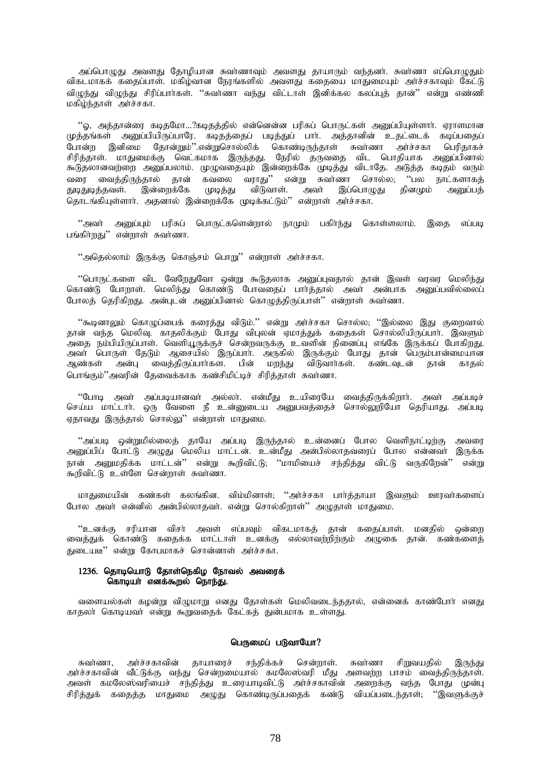அப்பொழுது அவளது தோழியான சுவாணாவும் அவளது தாயாரும் வந்தனா். சுவாணா எப்பொழுதும் ் விகடமாகக் கதைப்பாள். மகிழ்வான நேரங்களில் அவளது கதையை மாதுமையும் அர்ச்சகாவும் கேட்டு .<br>விமுந்து விமுந்து சிரிப்பார்கள். ''சுவர்ணா வந்து விட்டாள் இனிக்கல கலப்புத் தான்'' என்று எண்ணி மகிழ்ந்தாள் அர்ச்சகா.

"ஓ, அத்தான்ரை கடிதமோ…?கடிதத்தில் என்னென்ன பரிசுப் பொருட்கள் அனுப்பியுள்ளார். ஏராளமான முத்தங்கள் அனுப்பியிருப்பாரே. கடிதத்தைப் படித்துப் பாா். அத்தானின் உதட்டைக் கடிப்பதைப் .<br>போன்ற இனிமை தோன்றும்''.என்றுசொல்லிக் கொண்டிருந்தாள் சுவர்ணா அர்ச்சகா பெரிதாகச் சிரித்தாள். மாதுமைக்கு வெட்கமாக இருந்தது. நேரில் தருவதை விட பொதியாக அனுப்பினால் கூடுதலானவற்றை அனுப்பலாம். முழுவதையும் இன்றைக்கே முடித்து விடாதே. அடுத்த கடிதம் வரும் ்பரை வைத்திருந்தால் தான் கவலை வராது'' என்று சுவாணா சொல்ல, ''பல நாட்களாகத்<br>துடிதுடித்தவள். இன்றைக்கே முடித்து விடுவாள். அவா் இப்பொழுது தினமும் அனுப்பத் ் இன்றைக்கே **முடி**த்து தொடங்கியுள்ளார். அதனால் இன்றைக்கே முடிக்கட்டும்" என்றாள் அர்ச்சகா.

 $\cdot$ "அவா் அமைபம் பரிசுப் பொருட்களென்றால் நாமும் பகிா்ந்து கொள்ளலாம். இகை எப்படி பங்கிர்றது $"$  என்றாள் சுவர்ணா.

"அதெல்லாம் இருக்கு கொஞ்சம் பொறு" என்றாள் அர்ச்சகா.

"பொருட்களை விட வேறேதுவோ ஒன்று கூடுதலாக அனுப்புவதால் தான் இவள் வரவர மெலிந்து கொண்டு போறாள். மெலிந்து கொண்டு போவதைப் பார்த்தால் அவர் அன்பாக அனுப்பவில்லைப் .<br>போலத் தெரிகிறது. அன்புடன் அனுப்பினால் கொமுத்திருப்பாள்'' என்றாள் சுவர்ணா.

"கூடினாலும் கொழுப்பைக் கரைத்து விடும்." என்று அர்ச்சகா சொல்ல; ''இல்லை இது குறைவால் தான் வந்த மெலிவு. காதலிக்கும் போது விபுலன் ஏமாத்துக் கதைகள் சொல்லியிருப்பாா். இவளும் .<br>அதை நம்பியிருப்பாள். வெளியூருக்குச் சென்றவருக்கு உவளின் நினைப்பு எங்கே இருக்கப் போகிறது. அவா் பொருள் தேடும் ஆசையில் இருப்பாா். அருகில் இருக்கும் போது தான் பெரும்பான்மையான<br>ஆண்கள் அன்பு வைத்திருப்பாா்கள. பின் மறந்து விடுவாா்கள். கண்டவுடன் தான் காதல் ் பின் மறந்து விடுவாா்கள். கண்டவுடன் பொங்கும்"அவரின் தேவைக்காக கண்சிமிட்டிச் சிரித்தாள் சுவாணா.

"போடி அவா் அப்படியானவா் அல்லா். என்மீது உயிரையே வைக்கிருக்கிறாா். அவா் அப்படிச் செய்ய மாட்டார். ஒரு வேளை நீ உன்னுடைய அனுபவத்தைச் சொல்லுறியோ தெரியாது. அப்படி ஏதாவது இருந்தால் சொல்லு" என்றாள் மாதுமை.

"அப்படி ஒன்றுமில்லைத் தாயே அப்படி இருந்தால் உன்னைப் போல வெளிநாட்டிற்கு அவரை அனுப்பிப் போட்டு அழுது மெலிய மாட்டன். உன்மீது அன்பில்லாதவரைப் போல என்னவர் இருக்க நான் அனுமதிக்க மாட்டன்'' என்று கூறிவிட்டு; ''மாமியைச் சந்தித்து விட்டு வருகிறேன்'' என்று .<br>கூறிவிட்டு உள்ளே சென்றாள் சுவாணா.

மாதுமையின் கண்கள் கலங்கின. விம்மினாள்; ''அர்ச்சகா பார்த்தாயா இவளும் ஊரவர்களைப் போல அவர் என்னில் அன்பில்லாதவர். என்று சொல்கிறாள்'' அழுதாள் மாதுமை.

"உனக்கு சரியான விசா் அவள் எப்பவும் விகடமாகத் தான் கதைப்பாள். மனதில் ஒன்றை .<br>வைத்துக் கொண்டு கதைக்க மாட்டாள் உனக்கு எல்லாவற்றிற்கும் அழுகை தான். கண்களைத் துடையடி" என்று கோபமாகச் சொன்னாள் அர்ச்சகா.

## $1236$ . தொடியொடு தோள்நெகிழ நோவல் அவரைக் கொடியா எனக்கூறல் நொந்து.

வளையல்கள் கழன்று விழுமாறு எனது தோள்கள் மெலிவடைந்ததால், என்னைக் காண்போர் எனது காதலா கொடியவா என்று கூறுவதைக் கேட்கத் துன்பமாக உள்ளது.

### பெருமைப் படுவாயோ?

சுவர்ணா, அர்ச்சகாவின் தாயாரைச் சந்திக்கச் சென்றாள். சுவர்ணா சிறுவயதில் இருந்து அர்ச்சகாவின் வீட்டுக்கு வந்து சென்றமையால் கமலேஸ்வரி மீது அளவற்ற பாசம் வைத்திருந்தாள். அவள் கமலேஸ்வரியைச் சந்தித்து உரையாடிவிட்டு அர்ச்சகாவின் அறைக்கு வந்த போது முன்பு சிரித்துக் கதைத்த மாதுமை அழுது கொண்டிருப்பதைக் கண்டு வியப்படைந்தாள்; ''இவளுக்குச்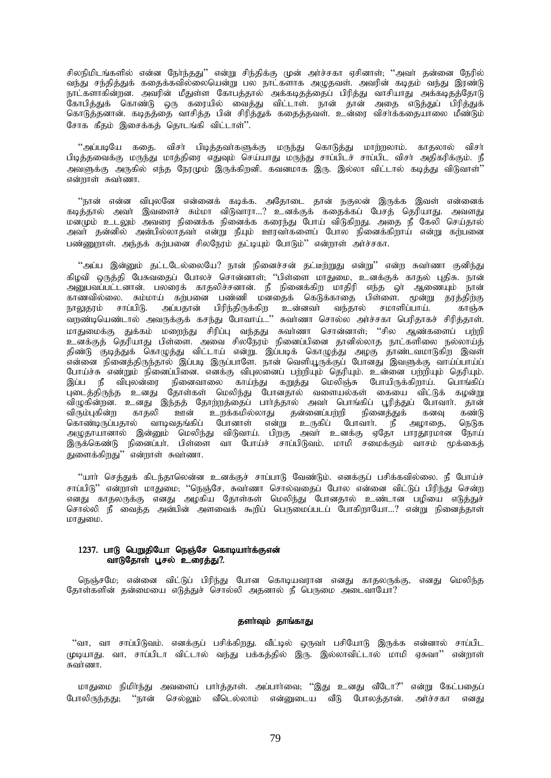சிலநிமிடங்களில் என்ன நேர்ந்தது'' என்று சிந்திக்கு முன் அர்ச்சகா ஏசினாள்; ''அவர் தன்னை நேரில் வந்து சந்தித்துக் கதைக்கவில்லையென்று பல நாட்களாக அழுதவள். அவரின் கடிதம் வந்து இரண்டு நாட்களாகின்றன. அவரின் மீதுள்ள கோபத்தால் அக்கடிதத்தைப் பிரித்து வாசியாது அக்கடிதத்தோடு கோபித்துக் கொண்டு ஒரு கரையில் வைத்து விட்டாள். நான் தான் அதை எடுத்துப் பிரித்துக் கொடுத்தனான். கடிதத்தை வாசித்த பின் சிரித்துக் கதைத்தவள். உன்ரை விசாக்கதையாலை மீண்டும் சோக கீதம் இசைக்கத் தொடங்கி விட்டாள்".

"அப்படியே கதை. விசர் பிடித்தவர்களுக்கு மருந்து கொடுத்து மாற்றலாம். காதலால் விசர் பிடித்தவைக்கு மருந்து மாத்திரை எதுவும் செய்யாது மருந்து சாப்பிடச் சாப்பிட விசா் அதிகரிக்கும். நீ அவளுக்கு அருகில் எந்த நேரமும் இருக்கிறனி. கவனமாக இரு. இல்லா விட்டால் கடித்து விடுவாள்'' என்றாள் சுவர்ணா.

''நான் என்ன விபுலனே என்னைக் கடிக்க. அதோடை தான் நகுலன் இருக்க இவள் என்னைக் ்கடித்தால் அவா் இவளைச் சும்மா விடுவாரா...? உனக்குக் கதைக்கப் பேசத் தெரியாது. அவளது மனமும் உடலும் அவரை நினைக்க நினைக்க கரைந்து போய் விடுகிறது. அதை நீ கேலி செய்தால் அவா் தன்னில் அன்பில்லாதவா் என்று நீயும் ஊரவா்களைப் போல நினைக்கிறாய் என்று கற்பனை பண்ணுறாள். அந்தக் கற்பனை சிலநேரம் தட்டியும் போடும்'' என்றாள் அர்ச்சகா.

 $\lq$ அப்ப இன்னும் தட்டடேல்லையே? நான் நினைச்சன் தட்டீற்றுது என்று" என்ற சுவாணா குனிந்து கிழவி ஒருத்தி பேசுவதைப் போலச் சொன்னாள்; ''பிள்ளை மாதுமை, உனக்குக் காதல் புதிசு. நான் mDgtg ;gl;ldhd;. gyiuf; fhjypr;rdhd;. eP epidf;fpw khjpup ve;j xh; MizAk; ehd; ்காணவில்லை. சும்மாய் கற்பனை பண்ணி மனதைக் கெடுக்காதை பிள்ளை. மூன்று தரத்திற்கு<br>நாலுதரம் சாப்பிடு. அப்பதான் பிரிந்திருக்கிற உன்னவா் வந்தால் சமாளிப்பாய். காஞ்சு அப்பதான் பிரிந்திருக்கிற உன்னவா் வந்தால் சமாளிப்பாய். வறண்டியெண்டால் அவருக்குக் கசந்து போவாய்...'' சுவர்ணா சொல்ல அர்ச்சகா பெரிதாகச் சிரித்தாள். khJikf;F Jf ;fk; kiwe;J rpupg;G te;jJ Rth;zh nrhd;dhs;@ "rpy Mz;fisg; gw;wp உனக்குத் தெரியாது பிள்ளை. அவை சிலநேரம் நினைப்பினை தானில்லாத நாட்களிலை நல்லாய்த் திண்டு குடித்துக் கொழுத்து விட்டாய் என்று. இப்படிக் கொழுத்து அழகு தாண்டவமாடுகிற இவள் .<br>என்னை நினைத்திருந்தால் இப்படி இருப்பாளே. நான் வெளியூருக்குப் போனது இவளுக்கு வாய்ப்பாய்ப் போய்ச்சு எண்றும் நினைப்பினை. எனக்கு விபுலனைப் பற்றியும் தெரியும். உன்னை பற்றியும் தெரியும். இப்ப நீ விபுலன்ரை நினைவாலை காய்ந்து கறுத்து மெலிஞ்சு போயிருக்கிறாய். பொங்கிப் புடைத்திருந்த உனது தோள்கள் மெலிந்து போனதால் வளையல்கள் கையை விட்டுக் கழன்று விழுகின்றன. உனது இந்தத் தோற்றத்தைப் பார்த்தால் அவர் பொங்கிப் பூரித்துப் போவார். தான் ்பிருவனந்து, உதை கைத்த அதிரையில்லாது கன்னைப்பற்றி நினைத்துக் கனவு கண்டு<br>விரும்புகின்ற காதலி ஊன் உறக்கமில்லாது தன்னைப்பற்றி நினைத்துக் கனவு கண்டு கொண்டிருப்பதால் வாடிவதங்கிப் போனாள் என்று உருகிப் போவார். நீ அழாதை, நெடுக அழுதாயானால் இன்னும் மெலிந்து விடுவாய். பிறகு அவர் உனக்கு ஏதோ பாரதூரமான நோய் இருக்கெண்டு நினைப்பா். பிள்ளை வா போய்ச் சாப்பிடுவம். மாமி சமைக்கும் வாசம் மூக்கைத் துளைக்கிறது $"$  என்றாள் சுவர்ணா.

 $\lq\lq$ பார் செத்துக் கிடந்தாலென்ன உனக்குச் சாப்பாடு வேண்டும். எனக்குப் பசிக்கவில்லை. நீ போய்ச் சாப்பிடு'' என்றாள் மாதுமை; ''நெஞ்சே, சுவா்ணா சொல்வதைப் போல என்னை விட்டுப் பிரிந்து சென்ற எனது காதலருக்கு எனது அழகிய தோள்கள் மெலிந்து போனதால் உண்டான பழியை எடுத்துச் சொல்லி நீ வைத்த அன்பின் அளவைக் கூறிப் பெருமைப்படப் போகிறாயோ...? என்று நினைத்தாள் மாதுமை.

### 1237. பாடு பெறுதியோ நெஞ்சே கொடியார்க்குஎன் வாடுதோள் பூசல் உரைத்து?.

நெஞ்சமே; என்னை விட்டுப் பிரிந்து போன கொடியவரான எனது காதலருக்கு, எனது மெலிந்த தோள்களின் தன்மையை எடுத்துச் சொல்லி அதனால் நீ பெருமை அடைவாயோ?

# தளா்வும் தாங்காது

"வா, வா சாப்பிடுவம். எனக்குப் பசிக்கிறது. வீட்டில் ஒருவா் பசியோடு இருக்க என்னால் சாப்பிட (முடியாது. வா, சாப்பிடா விட்டால் வந்து பக்கத்தில் இரு. இல்லாவிட்டால் மாமி ஏசுவா'' என்றாள் சுவர்ணா.

மாதுமை நிமிர்ந்து அவளைப் பார்த்தாள். அப்பார்வை; ''இது உனது வீடோ?'' என்று கேட்பதைப் போலிருந்தது; ''நான் செல்லும் வீடெல்லாம் என்னுடைய வீடு போலத்தான். அர்ச்சகா எனது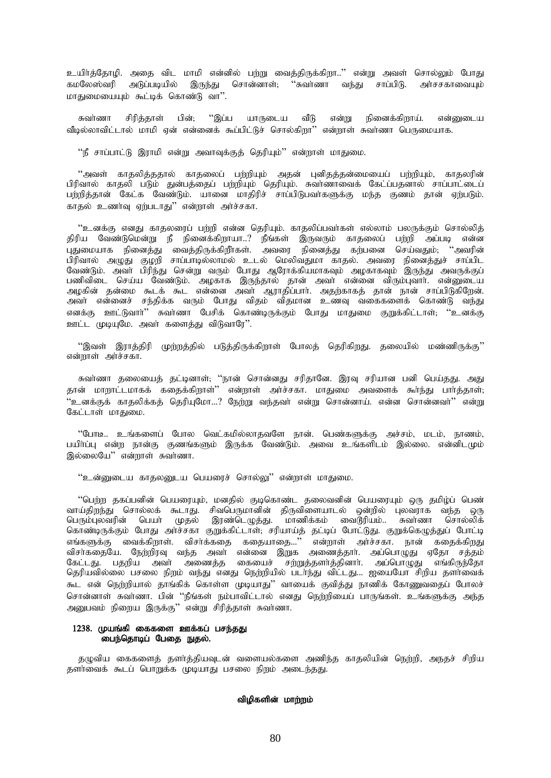உயிர்த்தோழி. அதை விட மாமி என்னில் பற்று வைத்திருக்கிறா..'' என்று அவள் சொல்லும் போது கமலேஸ்வரி அடுப்படியில் இருந்து சொன்னாள்; "சுவாணா வந்து சாப்பிடு. அாசசகாவையும் மாகுறையையும் கூட்டிக் கொண்டு வா".

சுவர்ணா சிரிக்காள் பின்; "இப்ப யாருடைய வீடு என்று நினைக்கிறாய். என்னடைய .<br>வீடில்லாவிட்டால் மாமி என் என்னைக் கூப்பிட்டுச் சொல்கிறா'' என்றாள் சுவாணா பெருமையாக.

"நீ சாப்பாட்டு இராமி என்று அவாவுக்குத் தெரியும்" என்றாள் மாதுமை.

''அவள் காதலித்ததால் காதலைப் பற்றியும் அதன் புனிதத்தன்மையைப் பற்றியும், காதலரின் பிரிவால் காகலி படும் குன்பக்கைப் பற்றியும் தெரியும். சுவாணாவைக் கேட்ப்பகனால் சாப்பாட்டைப் பற்றித்தான் கேட்க வேண்டும். யானை மாதிரிச் சாப்பிடுபவாகளுக்கு மந்த குணம் தான் ஏற்படும். . . . . . .<br>காகல் உணர்வு ஏற்படாது'' என்றாள் அர்ச்சகா.

''உனக்கு எனது காதலரைப் பற்றி என்ன தெரியும். காதலிப்பவர்கள் எல்லாம் பலருக்கும் சொல்லித் .<br>திரிய வேண்டுமென்று நீ நினைக்கிறாயா..? நீங்கள் இருவரும் காதலைப் பற்றி அப்படி என்ன .<br>புதுமையாக நினைத்து வைத்திருக்கிறீாகள். அவரை நினைத்து கற்பனை செய்வதும், ''அவரின் பிரிவால் அழுது குழறி சாப்பாடில்லாமல் உடல் மெலிவதுமா காதல். அவரை நினைத்துச் சாப்பிட வேண்டும். அவா் பிரிந்து சென்று வரும் போது ஆரோக்கியமாகவும் அழகாகவும் இருந்து அவருக்குப் வேண்டும். அவர் படுந்து லைவது வரும் போது ஆரோக்கியமாகவும் அழகாகவும் துருந்து அவருக்குப்<br>பணிவிடை செய்ய வேண்டும். அழகாக இருந்தால் தான் அவர் என்னை விரும்புவார். என்னுடைய<br>அழகின் தன்மை கூடக் கூட என்னை அவர் ஆராதிப்பார். அதற்காகத் எனக்கு ஊட்டுவார்'' சுவர்ணா பேசிக் கொண்டிருக்கும் போது மாதுமை குறுக்கிட்டாள்; ''உனக்கு ஊட்ட முடியுமே. அவர் களைத்து விடுவாரே".

''இவள் இராத்திரி முற்றத்தில் படுத்திருக்கிறாள் போலத் தெரிகிறது. தலையில் மண்ணிருக்கு'' என்றாள் அர்ச்சகா.

சுவாணா தலையைத் தட்டினாள்; ''நான் சொன்னது சரிதானே. இரவு சரியான பனி பெய்தது. அது<br>தான் மாறாட்டமாகக் கதைக்கிறாள்'' என்றாள் அா்ச்சகா. மாதுமை அவளைக் கூா்ந்து பாா்த்தாள்; .<br>''உனக்குக் காதலிக்கக் தெரியுமோ…? நேற்று வந்தவா் என்று சொன்னாய். என்ன சொன்னவா்'' என்று கேட்டாள் மாதுமை.

"போடீ.. உங்களைப் போல வெட்கமில்லாதவளே நான். பெண்களுக்கு அச்சம், மடம், நாணம், பயிா்ப்பு என்ற நான்கு குணங்களும் இருக்க வேண்டும். அவை உங்களிடம் இல்லை. என்னிடமும் இல்லையே" என்றாள் சுவர்ணா.

''உன்னுடைய காதலனுடய பெயரைச் சொல்லு'' என்றாள் மாதுமை.

''பெற்ற தகப்பனின் பெயரையும், மனதில் குடிகொண்ட தலைவனின் பெயரையும் ஒரு தமிழ்ப் பெண் வாய்திறந்து சொல்லக் கூடாது. சிவபெருமானின் திருவிளையாடல் ஒன்றில் புலவராக வந்த ஒரு .<br>பெரும்புலவரின் பெயா் முதல் இரண்டெழுத்து. மாணிக்கம் வைடூரியம்.. சுவாணா சொல்லிக் கொண்டிருக்கும் போது அர்ச்சகா குறுக்கிட்டாள், சரியாய்த் தட்டிப் போட்டுது. குறுக்கெழுத்துப் போட்டி கேட்டது. பதறிய அவா் அணைத்த கையைச் சற்றுத்தளா்த்தினாா். அப்பொழுது எங்கிருந்தோ தெரியவில்லை பசலை நிறம் வந்து எனது நெற்றியில் படர்ந்து விட்டது... ஐயையோ சிறிய தளர்வைக் கூட என் நெற்றியால் தாங்கிக் கொள்ள முடியாது'' வாயைக் குவித்து நாணிக் கோணுவதைப் போலச் அனுபவம் நிறைய இருக்கு'' என்று சிரித்தாள் சுவாணா.

### 1238. முயங்கி கைகளை ஊக்கப் பசந்தது பைந்தொடிப் பேதை நுதல்.

குமுவிய கைகளைக் களர்க்கியவுடன் வளையல்களை அணிந்த காகலியின் நெற்றி, அநகச் சிறிய தளர்வைக் கூடப் பொறுக்க முடியாது பசலை நிறம் அடைந்தது.

# விழிகளின் மாற்றம்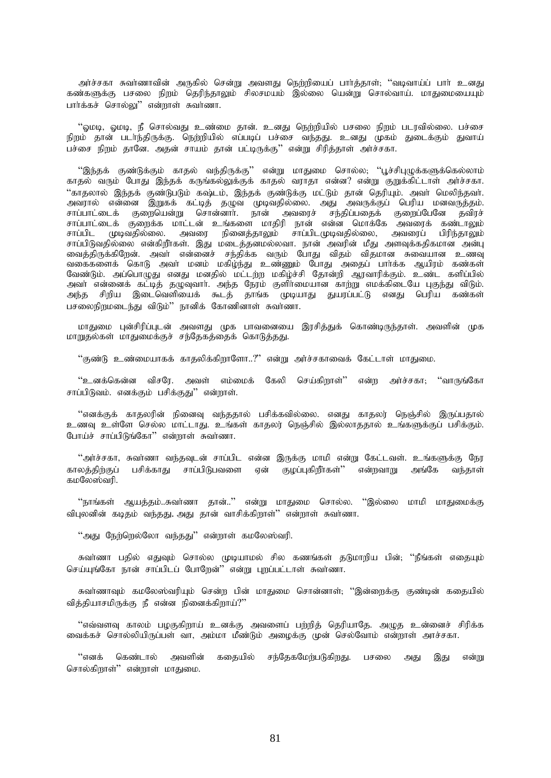அர்ச்சகா சுவர்ணாவின் அருகில் சென்று அவளது நெற்றியைப் பார்த்தாள்; "வடிவாய்ப் பார் உனது கண்களுக்கு பசலை நிறம் தெரிந்தாலும் சிலசமயம் இல்லை யென்று சொல்வாய். மாதுமையையும் பார்க்கச் சொல்லு" என்றாள் சுவர்ணா.

 $\cdot$  ஓமடி, ஓமடி, நீ சொல்வது உண்மை தான். உனது நெற்றியில் பசலை நிறம் படரவில்லை. பச்சை நிறம் தான் படாந்திருக்கு. நெற்றியில் எப்படிப் பச்சை வந்தது. உனது முகம் துடைக்கும் துவாய் பச்சை நிறும் தானே. அதன் சாயம் தான் பட்டிருக்கு'' என்று சிரித்தாள் அர்ச்சகா.

"இந்தக் குண்டுக்கும் காதல் வந்திருக்கு'' என்று மாதுமை சொல்ல; ''பூச்சிபுழுக்களுக்கெல்லாம் காதல் வரும் போது இந்தக் கருங்கல்லுக்குக் காதல் வராதா என்ன? என்று குறுக்கிட்டாள் அர்ச்சகா. "காதலால் இந்தக் குண்டுபடும் கஷ்டம், இந்தக் குண்டுக்கு மட்டும் தான் தெரியும். அவா் மெலிந்தவா். அவரால் என்னை இறுகக் கட்டித் தழுவ முடிவதில்லை. அது அவருக்குப் பெரிய மனவருத்தம். சாப்பாட்டைக் குறையென்று சொன்னார். நான் அவரைச் சந்திப்பதைக் குறைப்பேனே தவிரச் சாப்பாட்டைக் குறைக்க மாட்டன் உங்களை மாதிரி நான் என்ன மொக்கே அவரைக் கண்டாலும் சாப்பிட முடிவதில்லை. அவரை நினைத்தாலும் சாப்பிடமுடிவதில்லை, அவரைப் பிரிந்தாலும் சாப்பிடுவதில்லை என்கிறீர்கள். இது மடைத்தனமல்லவா. நான் அவரின் மீது அளவுக்கதிகமான அன்பு ் வைத்திருக்கிறேன். அவர் என்னைச் சந்திக்க வரும் போது விதம் விதமான சுவையான உணவு வகைகளைக் கொடு அவா் மனம் மகிழ்ந்து உண்ணும் போது அதைப் பாா்க்க ஆயிரம் கண்கள் வேண்டும். அப்பொழுது எனது மனதில் மட்டற்ற மகிழ்ச்சி தோன்றி ஆரவாரிக்கும். உண்ட களிப்பில் அவா் என்னைக் கட்டித் தழுவுவாா். அந்த நேர்ம் குளிா்மையான காற்று எமக்கிடையே புகுந்து விடும். அந்த சிறிய இடைவெளியைக் கூடத் தாங்க முடியாது துயரப்பட்டு எனது பெரிய கண்கள் .<br>பசலைநிறமடைந்து விடும்'' நானிக் கோணினாள் சுவாணா.

மாதுமை புன்சிரிப்புடன் அவளது முக பாவனையை இரசித்துக் கொண்டிருந்தாள். அவளின் முக மாறுதல்கள் மாதுமைக்குச் சந்தேகத்தைக் கொடுத்தது.

 $"$ குண்டு உண்மையாகக் காதலிக்கிறாளோ..?" என்று அர்ச்சகாவைக் கேட்டாள் மாதுமை.

 $\lq$ ்உனக்கென்ன விசரே. அவள் எம்மைக் கேலி செய்கிறாள் $\lqq$  என்ற அர்ச்சகா $;$  "வாருங்கோ சாப்பிடுவம். எனக்கும் பசிக்குது'' என்றாள்.

"எனக்குக் காதலரின் நினைவு வந்ததால் பசிக்கவில்லை. எனது காதலர் நெஞ்சில் இருப்பதால் உணவு உள்ளே செல்ல மாட்டாது. உங்கள் காதலர் நெஞ்சில் இல்லாததால் உங்களுக்குப் பசிக்கும். போய்ச் சாப்பிடுங்கோ'' என்றாள் சுவர்ணா.

"அர்ச்சகா, சுவர்ணா வந்தவுடன் சாப்பிட என்ன இருக்கு மாமி என்று கேட்டவள். உங்களுக்கு நேர காலக்கிற்குப் பசிக்காது சாப்பிடுபவளை ஏன் குமப்புகிறீர்கள்'' என்றவாறு அங்கே வந்தாள்  $BID$ லேஸ்வரி.

"நாங்கள் ஆயத்தம்..சுவர்ணா தான்.." என்று மாதுமை சொல்ல. ''இல்லை மாமி மாதுமைக்கு விபுலனின் கடிதம் வந்தது. அது தான் வாசிக்கிறாள்" என்றாள் சுவர்ணா.

"அது நேற்றெல்லோ வந்தது" என்றாள் கமலேஸ்வரி.

சுவர்ணா பதில் எதுவும் சொல்ல முடியாமல் சில கணங்கள் தடுமாறிய பின்; ''நீங்கள் எதையும் செய்யுங்கோ நான் சாப்பிடப் போறேன்'' என்று புறப்பட்டாள் சுவர்ணா.

சுவாணாவும் கமலேஸ்வரியும் சென்ற பின் மாதுமை சொன்னாள்; ''இன்றைக்கு குண்டின் கதையில் வித்தியாசமிருக்கு நீ என்ன நினைக்கிறாய்?''

"எவ்வளவு காலம் பழகுகிறாய் உனக்கு அவளைப் பற்றித் தெரியாதே. அழுத உன்னைச் சிரிக்க வைக்கச் சொல்லியிருப்பள் வா, அம்மா மீண்டும் அமைக்கு முன் செல்வோம் என்றாள் அாச்சகா.

"எனக் கெண்டால் அவளின் கதையில் சந்தேகமேற்படுகிறது. பசலை அது இது என்று சொல்கிறாள்" என்றாள் மாதுமை.

81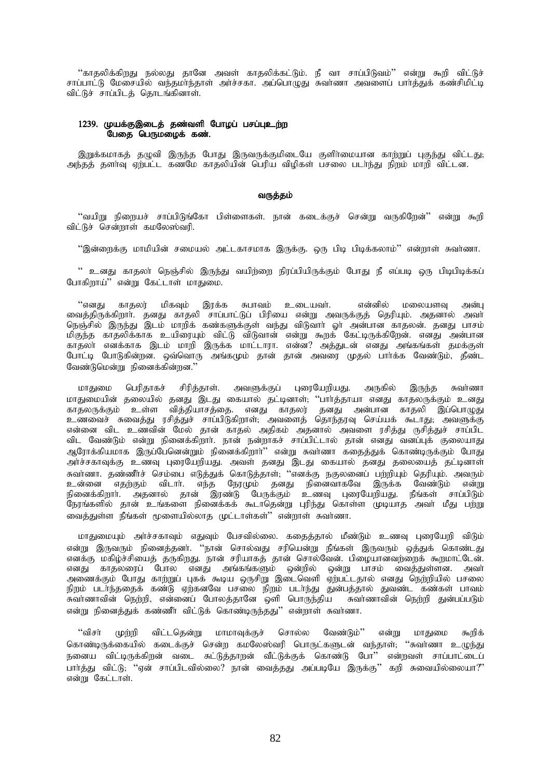''காதலிக்கிறது நல்லது தானே அவள் காதலிக்கட்டும். நீ வா சாப்பிடுவம்'' என்று கூறி விட்டுச் சாப்பாட்டு மேசையில் வந்தமா்ந்தாள் அா்ச்சகா. அப்பொமுது சுவாணா அவளைப் பாா்த்துக் கண்சிமிட்டி .<br>விட்டுச் சாப்பிடத் தொடங்கினாள்.

### 1239. முயக்குஇடைத் தண்வளி போழப் பசப்புஉற்ற .<br>பேதை பெருமழைக் கண்.

இறுக்கமாகத் தழுவி இருந்த போது இருவருக்குமிடையே குளிர்மையான காற்றுப் புகுந்து விட்டது; அந்தத் தளாவு ஏற்பட்ட கணமே காதலியின் பெரிய விழிகள் பசலை படாந்து நிறம் மாறி விட்டன.

#### வருத்தம்

''வயிறு நிறையச் சாப்பிடுங்கோ பிள்ளைகள். நான் கடைக்குச் சென்று வருகிறேன்'' என்று கூறி விட்டுச் சென்றாள் கமலேஸ்வரி.

''இன்ளைக்கு மாமியின் சமையல் அட்டகாசமாக இருக்கு. ஒரு பிடி பிடிக்கலாம்'' என்றாள் சுவர்ணா.

'' உனது காதலா் நெஞ்சில் இருந்து வயிற்றை நிரப்பியிருக்கும் போது நீ எப்படி ஒரு பிடிபிடிக்கப் போகிறாய்'' என்று கேட்டாள் மாதுமை.

"எனகு காதலர் மிகவும் இரக்க சுபாவம் உடையவர். என்னில் மலையளவு அன்பு வைத்திருக்கிறார். தனது காதலி சாப்பாட்டுப் பிரியை என்று அவருக்குத் தெரியும். அதனால் அவா நெஞ்சில் இருந்து இடம் மாறிக் கண்களுக்குள் வந்து விடுவாா் ஓா் அன்பான காதலன். தனது பாசம் மிகுந்த காதலிக்காக உயிரையும் விட்டு விடுவான் என்று கூறக் கேட்டிருக்கிறேன். எனது அன்பான காதலா எனக்காக இடம் மாறி இருக்க மாட்டாரா. என்ன? அத்துடன் எனது அங்கங்கள் தமக்குள் போட்டி போடுகின்றன. ஒவ்வொரு அங்கமும் தான் தான் அவரை முதல் பார்க்க வேண்டும், தீண்ட வேண்டுமென்று நினைக்கின்றன.''

மாதுமை பெரிதாகச் சிரித்தாள். அவளுக்குப் புரையேறியது. அருகில் இருந்த சுவர்ணா பாதுவம் பெருநாகச் குடித்தான். அவனுக்கும் புதையதாயது. அருக்க இருந்த என்னா<br>மாதுமையின் தலையில் தனது இடது கையால் தட்டினாள், ''பார்த்தாயா எனது காதலருக்கும் உனது<br>உணவைச் சுவைத்து ரசித்துச் சாப்பிடுகிறாள்; அவளைத் தொந்தரவு செய்யக் விட வேண்டும் என்று நினைக்கிறார். நான் நன்றாகச் சாப்பிட்டால் தான் எனது வனப்புக் குலையாது .<br>ஆரோக்கியமாக இருப்பேனென்றும் நினைக்கிறார்'' என்று சுவர்ணா கதைத்துக் கொண்டிருக்கும் போது அர்ச்சகாவுக்கு உணவு புரையேறியது. அவள் தனது இடது கையால் தனது தலையைத் தட்டினாள் .<br>சுவாணா. தண்ணீாச் செம்பை எடுத்துக் கொடுத்தாள், ''எனக்கு நகுலனைப் பற்றியும் தெரியும். அவரும் ுவாணா: தண்ணாச செய்வுப் எடுத்தும் வொடுத்தாள், என்க்கு நகுகளைப் பந்நாடிம் எத்தாடிக் அன்கும்<br>உன்னை எதற்கும் விடார். எந்த நேரமும் தனது நினைவாகவே இருக்க வேண்டும் என்று<br>நினைக்கிறார். அதனால் தான் இரண்டு பேருக்கும் உணவு புரையேறிய வைத்துள்ள நீங்கள் மூளையில்லாத முட்டாள்கள்" என்றாள் சுவர்ணா.

மாதுமையும் அர்ச்சகாவும் எதுவும் பேசவில்லை. கதைத்தால் மீண்டும் உணவு புரையேறி விடும் என்று இருவரும் நினைத்தனர். ''நான் சொல்வது சரியென்று நீங்கள் இருவரும் ஒத்துக் கொண்டது எனக்கு மகிழ்ச்சியைத் தருகிறது. நான் சரியாகத் தான் சொல்வேன். பிழையானவற்றைக் கூறமாட்டேன். எனது காதலரைப் போல எனது அங்கங்களும் ஒன்றில் ஒன்று பாசம் வைத்துள்ளன. அவா்<br>அணைக்கும் போது காற்றுப் புகக் கூடிய ஒருசிறு இடைவெளி ஏற்பட்டதால் எனது நெற்றியில் பசலை நிறம் படர்ந்ததைக் கண்டு ஏற்கனவே பசலை நிறம் படர்ந்து துன்பத்தால் துவண்ட கண்கள் பாவம் சுவாணாவின் நெற்றி, என்னைப் போலத்தானே ஒளி பொருந்திய சுவா்ணாவின் நெற்றி துன்பப்படும் என்று நினைத்துக் கண்ணீர் விட்டுக் கொண்டிருந்தது'' என்றாள் சுவர்ணா.

"விசா் விட்டதென்று மாமாவுக்குச் சொல்ல வேண்டும்'' முர்றி என்று மாதுமை கூறிக் கொண்டிருக்கையில் கடைக்குச் சென்ற கமலேஸ்வரி பொருட்களுடன் வந்தாள்; ''சுவா்ணா உழுந்து நனைய விட்டிருக்கிறன் வடை சுட்டுக்காறன் வீட்டுக்குக் கொண்டு போ'' என்றவள் சாப்பாட்டைப் .<br>பார்த்து விட்டு, ''ஏன் சாப்பிடவில்லை? நான் வைத்தது அப்படியே இருக்கு'' கறி சுவையில்லையா?'' என்று கேட்டாள்.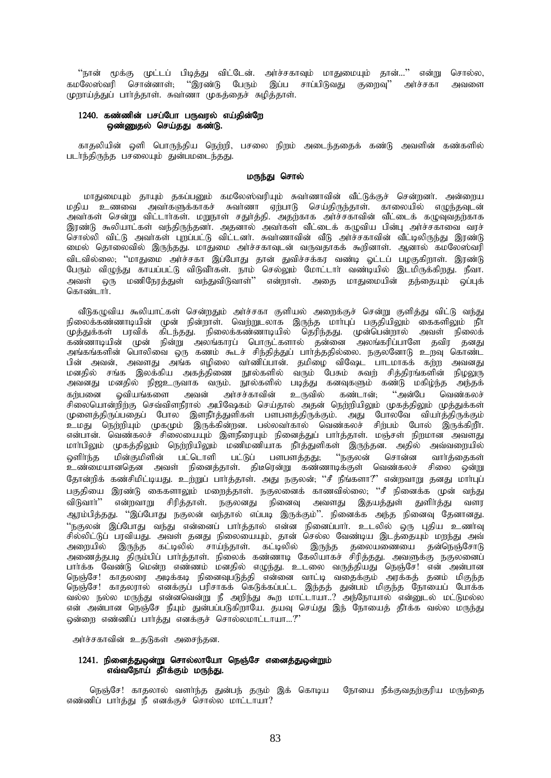''நான் மூக்கு முட்டப் பிடித்து விட்டேன். அர்ச்சகாவும் மாதுமையும் தான்...'' என்று சொல்ல, கமலேஸ்வரி சொன்னாள்; ''இரண்டு பேரும் இப்ப சாப்பிடுவது குறைவு'' அர்ச்சகா அவளை முறாய்த்துப் பார்த்தாள். சுவாணா முகத்தைச் சுழித்தாள்.

## 1240. கண்ணின் பசப்போ பருவரல் எய்தின்றே ஒண்ணுதல் செய்தது கண்டு.

காதலியின் ஒளி பொருந்திய நெற்றி, பசலை நிறம் அடைந்ததைக் கண்டு அவளின் கண்களில் படாந்திருந்த பசலையும் துன்பமடைந்தது.

#### மருந்து சொல்

மாதுமையும் தாயும் தகப்பனும் கமலேஸ்வரியும் சுவாணாவின் வீட்டுக்குச் சென்றனா். அன்றைய மதிய உணவை அவாகளுக்காகச் சுவாணா ஏற்பாடு செய்திருந்தாள். காலையில் எழுந்தவுடன் .<br>இரண்டு கூலியாட்கள் வந்திருந்தனா். அதனால் அவா்கள் வீட்டைக் கழுவிய பின்பு அா்ச்சகாவை வரச் சொல்லி விட்டு அவாகள் புறப்பட்டு விட்டனா். சுவாணாவின் வீடு அா்ச்சகாவின் வீட்டிலிருந்து இரண்டு .<br>மைல் தொலைவில் இருந்தது. மாதுமை அர்ச்சகாவுடன் வருவதாகக் கூறினாள். ஆனால் கமலேஸ்வரி .<br>விடவில்லை, ''மாதுமை அர்ச்சகா இப்போது தான் துவிச்சக்கர வண்டி ஓட்டப் பழகுகிறாள். இரண்டு பேரும் விமுந்து காயப்பட்டு விடுவீர்கள். நாம் செல்லும் மோட்டார் வண்டியில் இடமிருக்கிறது. நீவா அவள் ஒரு மணிநேரத்துள் வந்துவிடுவாள்'' என்றாள். அதை மாதுமையின் தந்தையும் ஒப்புக் கொண்டார்.

வீடுகழுவிய கூலியாட்கள் சென்றதும் அர்ச்சகா குளியல் அறைக்குச் சென்று குளித்து விட்டு வந்து<br>நிலைக்கண்ணாடியின் முன் நின்றாள். வெற்றுடலாக இருந்த மார்புப் பகுதியிலும் கைகளிலும் நீர் திலைக்கணையைப் படுவின் தினநாள். என்றதுடனாக இருந்த மார்புப் படுதியினும் வைகளிலும் நா<br>முத்துக்கள் பரவிக் கிடந்தது. நிலைக்கண்ணாடியில் தெரிந்தது. முன்பென்றால் அவள் நிலைக்<br>கண்ணாடியின் முன் நின்று அலங்காரப் பொருட்களால் தன்னை அலங அங்கங்களான வால்லைய ஒரு கணம் வடச் சுந்துத்துப் பார்த்ததால்லை. நகுல்லளாடு உந்வு வோண்ட்<br>பின் அவன், அவளது அங்க எழிலை வாணிப்பான். தமிழை விஷேட பாடமாகக் கற்ற அவனது<br>மனதில் சங்க இலக்கிய அகத்திணை நூல்களில் வரும் பேசும் சுவற் சித்தி -<br>அர்சச்காவின் உருவில் கண்டான். ''அன்பே வெண்கலச் லியங்களை அவன் கர்பனை சிலையொன்றிற்கு செவ்விளநீரால் அபிஷேகம் செய்தால் அதன் நெற்றியிலும் முகத்திலும் முக்துக்கள் ் கையோனந்நகு செவ்விவந்தால் அபிக்ஷ்கம் செய்தால் அதன் நெந்நியிலும் முதைதிலும் முதலுகளை<br>முளைத்திருப்பதைப் போல இளநீர்த்துளிகள் பளபளத்திருக்கும். அது போலவே வியர்த்திருக்கும்<br>உமது நெற்றியும் முகமும் இருக்கின்றன. பல்லவர்கால் வெண மாாபிலும் முகத்திலும் நெற்றியிலும் மணிமணியாக நீாத்துளிகள் இருந்தன. அதில் அவ்வறையில் ் பட்டுப் பளபளத்தது<del>,</del> ''நகுலன் சொன்ன வார்த்தைகள் மின்குமிளின் பட்டொளி விொ்க்க உண்மையானதென அவள் நினைத்தாள். திடீரென்று கண்ணாடிக்குள் வெண்கலச் சிலை ஒன்று தோன்றிக் கண்சிமிட்டியது. உற்றுப் பார்த்தாள். அது நகுலன்; ''சீ நீங்களா?'' என்றவாறு தனது மார்புப் பகுதியை இரண்டு கைகளாலும் மறைத்தாள். நகுலனைக் காணவில்லை; ''சீ நினைக்க முன் வந்து விடுவாா்'' என்றவாறு சிரித்தாள். நகுலனது நினைவு அவளது இதயத்துள் துளிா்த்து வளர ஆரம்பித்தது. ''இப்போது நகுலன் வந்தால் எப்படி இருக்கும்''. நினைக்க அந்த நினைவு தேனானது. ''நகுலன் இப்போது வந்து என்னைப் பார்த்தால் என்ன நினைப்பார். உடலில் ஒரு புதிய உணர்வு ு<br>சில்லிட்டுப் பரவியது. அவள் தனது நிலையையும், தான் செல்ல வேண்டிய இடத்தையும் மறந்து அவ் பார்க்க வேண்டு மென்ற எண்ணம் மனதில் எழுந்து. உடலை வருத்தியது நெஞ்சே! என் அன்பான நெஞ்சே! காதலரை அடிக்கடி நினைவுபடுத்தி என்னை வாட்டி வதைக்கும் அரக்கத் தனம் மிகுந்த என் அன்பான நெஞ்சே நீயும் துன்பப்படுகிறாயே. தயவு செய்து இந் நோயைத் தீாக்க வல்ல மருந்து ஒன்றை எண்ணிப் பார்த்து எனக்குச் சொல்லமாட்டாயா...?"

அர்ச்சகாவின் உதடுகள் அசைந்தன.

### 1241. நினைத்துஒன்று சொல்லாயோ நெஞ்சே எனைத்துஒன்றும் எவ்வநோய் தீர்க்கும் மருந்து.

நெஞ்சே! காதலால் வளா்ந்த துன்பந் தரும் இக் கொடிய நோயை நீக்குவதற்குரிய மருந்தை எண்ணிப் பார்த்து நீ எனக்குச் சொல்ல மாட்டாயா?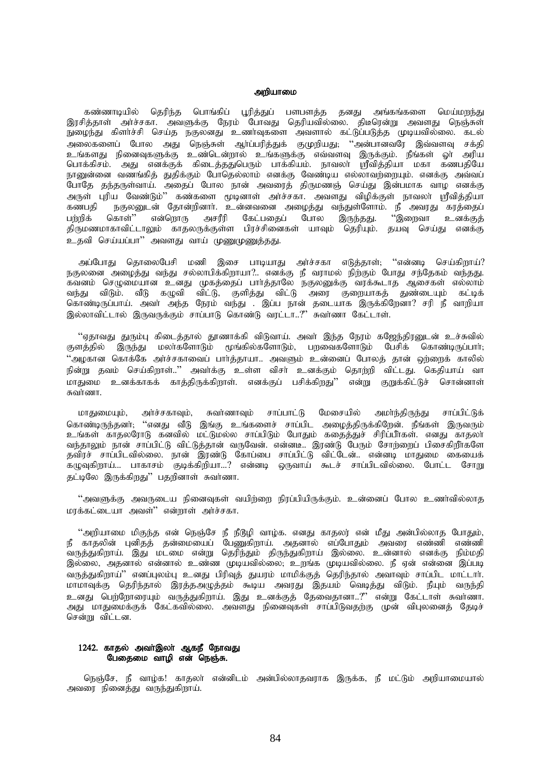#### அறியாமை

கண்ணாடியில் தெரிந்த பொங்கிப் பூரித்துப் பளபளத்த தனது அங்கங்களை மெய்மறந்து இரசித்தாள் அர்ச்சகா. அவளுக்கு நேரம் போவது தெரியவில்லை. திடீரென்று அவளது நெஞ்சுள் நுழைந்து கிளாச்சி செய்த நகுலனது உணாவுகளை அவளால் கட்டுப்படுத்த முடியவில்லை. கடல் அலைகளைப் போல அது நெஞ்சுள் ஆர்ப்பரித்துக் குமுறியது; ''அன்பானவரே இவ்வளவு சக்தி உங்களது நினைவுகளுக்கு உண்டென்றால் உங்களுக்கு எவ்வளவு இருக்கும். நீங்கள் ஓா் அரிய பொக்கிசம். அது எனக்குக் கிடைத்ததுபெரும் பாக்கியம். நாவலா் ஸ்ரீவித்தியா மகா கணபதியே நானுன்னை வணங்கித் துதிக்கும் போதெல்லாம் எனக்கு வேண்டிய எல்லாவற்றையும். எனக்கு அவ்வப் போதே தந்தருள்வாய். அதைப் போல நான் அவரைத் திருமணஞ் செய்து இன்பமாக வாழ எனக்கு அருள் புரிய வேண்டும்'' கண்களை மூடினாள் அர்ச்சகா. அவளது விழிக்குள் நாவலர் ஸ்ரீவித்தியா<br>கணபதி நகுலனுடன் தோன்றினார். உன்னவனை அழைத்து வந்துள்ளோம். நீ அவரது கரத்தைப் நகுலனுடன் தோன்றினார். உன்னவனை அழைத்து வந்துள்ளோம். நீ அவரது கரத்தைப் பற்றிக் கொள்'' என்றொரு அசரீரி கேட்பதைப் போல இருந்தது. ''இறைவா உனக்குத் திருமணமாகாவிட்டாலும் காதலருக்குள்ள பிரச்சினைகள் யாவும் தெரியும். தயவு செய்து எனக்கு உதவி செய்யப்பா'' அவளது வாய் முணுமுணுத்தது.

அப்போது தொலைபேசி மணி இசை பாடியாது அர்ச்சகா எடுத்தாள்; ''என்னடி செய்கிறாய்? நகுலனை அழைத்து வந்து சல்லாபிக்கிறாயா?.. எனக்கு நீ வராமல் நிற்கும் போது சந்தேகம் வந்தது. .<br>கவனம் செழுமையான உனது முகத்தைப் பார்த்தாலே நகுலனுக்கு வரக்கூடாத ஆசைகள் எல்லாம் வந்து விடும். வீடு கழுவி விட்டு, குளித்து விட்டு அரை குறையாகத் துண்டையும் கட்டிக் கொண்டிருப்பாய். அவா் அந்த நேரம் வந்து . இப்ப நான் தடையாக இருக்கிறேனா? சரி நீ வாறியா இல்லாவிட்டால் இருவருக்கும் சாப்பாடு கொண்டு வரட்டா..?" சுவர்ணா கேட்டாள்.

"ஏதாவது துரும்பு கிடைத்தால் தூணாக்கி விடுவாய். அவர் இந்த நேரம் கஜேந்திரனுடன் உச்சுவில் குளத்தில் இருந்து மலர்களோடும் மூங்கில்களோடும், பறவைகளோடும் பேசிக் கொண்டிருப்பார். "அழகான கொக்கே அர்ச்சகாவைப் பார்த்தாயா.. அவளும் உன்னைப் போலத் தான் ஒற்றைக் காலில் நின்று கவம் செய்கிறாள்..'' அவர்க்கு உள்ள விசர் உனக்கும் கொற்றி விட்டது. கெகியாய் வா மாதுமை உனக்காகக் காத்திருக்கிறாள். எனக்குப் பசிக்கிறது'' என்று குறுக்கிட்டுச் சொன்னாள் சுவர்ணா.

மாதுமையும், அர்ச்சகாவும், சுவர்ணாவும் சாப்பாட்டு மேசையில் அமா்ந்திருந்து சாப்பிட்டுக் கொண்டிருந்தனர்; ''எனது வீடு இங்கு உங்களைச் சாப்பிட அழைத்திருக்கிறேன். நீங்கள் இருவரும் உங்கள் காதலரோடு கனவில் மட்டுமல்ல சாப்பிடும் போதும் கதைத்துச் சிரிப்பீர்கள். எனது காதலா் வந்தாலும் நான் சாப்பிட்டு விட்டுத்தான் வருவேன். என்னடீ.. இரண்டு பேரும் சோற்றைப் பிசைகிறீர்களே தவிரச் சாப்பிடவில்லை. நான் இரண்டு கோப்பை சாப்பிட்டு விட்டேன்.. என்னடி மாதுமை கையைக் கழுவுகிறாய்... பாகாசம் குடிக்கிறியா...? என்னடி ஒருவாய் கூடச் சாப்பிடவில்லை. போட்ட சோறு தட்டிலே இருக்கிறது'' பதறினாள் சுவர்ணா.

 $\lq\lq$ அவளுக்கு அவருடைய நினைவுகள் வயிற்றை நிரப்பியிருக்கும். உன்னைப் போல உணர்வில்லாத மரக்கட்டையா அவள்" என்றாள் அர்ச்சகா.

"அறியாமை மிகுந்த என் நெஞ்சே நீ நீடூழி வாழ்க. எனது காதலர் என் மீது அன்பில்லாத போதும், நீ காதலின் புனிதத் தன்மையைப் பேணுகிறாய். அதனால் எப்போதும் அவரை எண்ணி எண்ணி ்வருத்துகிறாய். இது மடமை என்று தெரிந்தும் திருந்துகிறாய் இல்லை. உன்னால் எனக்கு நிம்மதி இல்லை, அதனால் என்னால் உண்ண முடியவில்லை, உறங்க முடியவில்லை. நீ ஏன் என்னை இப்படி வருத்துகிறாய்'' எனப்புலம்பு உனது பிரிவுத் துயரம் மாமிக்குத் தெரிந்தால் அவாவும் சாப்பிட மாட்டாா். மாமாவுக்கு தெரிந்தால் இரத்தஅழுத்தம் கூடிய அவரது இதயம் வெடித்து விடும். நீயும் வருந்தி உனது பெற்றோரையும் வருத்துகிறாய். இது உனக்குத் தேவைதானா..?" என்று கேட்டாள் சுவா்ணா. அது மாதுமைக்குக் கேட்கவில்லை. அவளது நினைவுகள் சாப்பிடுவதற்கு முன் விபுலனைத் தேடிச் சென்று விட்டன.

### 1242. காதல் அவா்இலா் ஆகநீ நோவது பேதைமை வாழி என் நெஞ்சு.

நெஞ்சே, நீ வாழ்க! காதலா் என்னிடம் அன்பில்லாதவராக இருக்க, நீ மட்டும் அறியாமையால் அவரை நினைத்து வருந்துகிறாய்.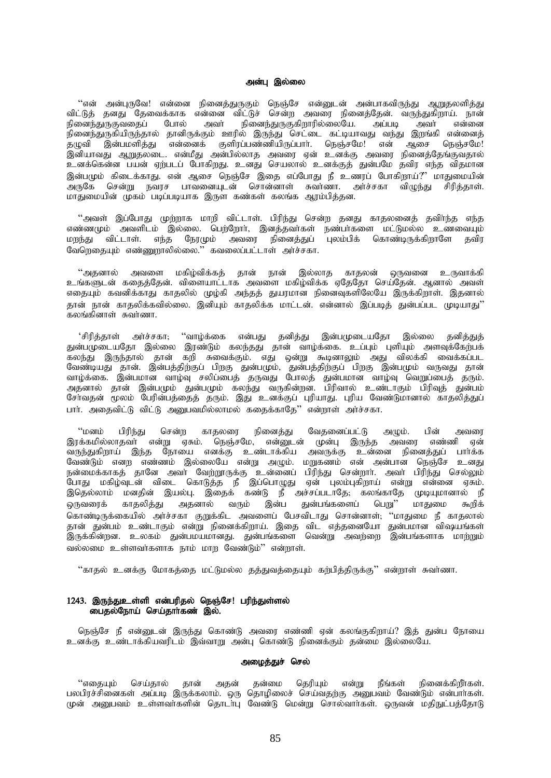#### அன்பு இல்லை

"என் அன்புருவே! என்னை நினைத்துருகும் நெஞ்சே என்னுடன் அன்பாகவிருந்து ஆறுதலளித்து விட்டுத் தனது தேவைக்காக என்னை விட்டுச் சென்ற அவரை நினைத்தேன். வருந்துகிறாய். நான் .<br>நினைந்துருகுவதைப் போல் அவா் நினைந்துருகுகிறாரில்லையே. அப்படி அவா் என்னை .<br>நினைந்துருகியிருந்தால் தானிருக்கும் ஊரில் இருந்து செட்டை கட்டியாவது வந்து இறங்கி என்னைத் தழுவி இன்பமளித்து என்னைக் குளிரப்பண்ணியிருப்பார். நெஞ்சமே! என் ஆசை நெஞ்சமே! இனியாவது ஆறுதலடை. என்மீது அன்பில்லாத அவரை ஏன் உனக்கு அவரை நினைத்தேங்குவதால் உனக்கென்ன பயன் ஏற்படப் போகிறது. உனது செயலால் உனக்குத் துன்பமே தவிர எந்த விதமான இன்பமும் கிடைக்காது. என் ஆசை நெஞ்சே இதை எப்போது நீ உணரப் போகிறாய்?" மாதுமையின் ு ருகே சென்று நவரச பாவனையுடன் சொன்னாள் சுவாணா. அாச்சகா விழுந்து சிரித்தாள். மாதுமையின் முகம் படிப்படியாக இருள கண்கள் கலங்க ஆரம்பித்தன.

"அவள் இப்போது முற்றாக மாறி விட்டாள். பிரிந்து சென்ற தனது காதலனைத் தவிா்ந்த எந்த எண்ணமும் அவளிடம் இல்லை. பெற்றோர், இனத்தவர்கள் நண்பர்களை மட்டுமல்ல உணவையும் மறந்து விட்டாள். எந்த நேரமும் அவரை நினைத்துப் புலம்பிக் கொண்டிருக்கிறாளே தவிர வேளெகையும் எண்ணுறாலில்லை." கவலைப்பட்டாள் அர்ச்சகா.

"அதனால் அவளை மகிழ்விக்கத் தான் நான் இல்லாத காதலன் ஒருவனை உருவாக்கி உங்களுடன் ககைத்தேன். விளையாட்டாக அவளை மகிம்விக்க ஏதேகோ செய்தேன். ஆனால் அவள் எதையும் கவனிக்காது காதலில் முழ்கி அந்தத் துயரமான நினைவுகளிலேயே இருக்கிறாள். இதனால் தான் நான் காதலிக்கவில்லை. இனியும் காதலிக்க மாட்டன். என்னால் இப்படித் துன்பப்பட முடியாது'' கலங்கினாள் சுவர்ணா.

'சிரித்தாள் அர்ச்சகா; ''வாழ்க்கை என்பது தனித்து இன்பமுடையதோ இல்லை தனித்துத் துன்பமுடையதோ இல்லை இரண்டும் கலந்தது தான் வாழ்க்கை. உப்பும் புளியும் அளவுக்கேற்பக் கலந்து இருந்தால் தான் கறி சுவைக்கும். எது ஒன்று கூடினாலும் அது விலக்கி வைக்கப்பட வேண்டியது தான். இன்பத்திற்குப் பிறகு துன்பமும், துன்பத்திற்குப் பிறகு இன்பமும் வருவது தான் வாழ்க்கை. இன்பமான வாழ்வு சலிப்பைத் தருவது போலத் துன்பமான வாழ்வு வெறுப்பைத் தரும். அதனால் தான் இன்பமும் துன்பமும் கலந்து வருகின்றன. பிரிவால் உண்டாகும் பிரிவுத் துன்பம் சேர்வதன் மூலம் பேரின்பத்தைத் தரும். இது உனக்குப் புரியாது. புரிய வேண்டுமானால் காதலித்துப் பார். அதைவிட்டு விட்டு அனுபவமில்லாமல் கதைக்காகே?' என்றாள் அர்ச்சகா.

"மனம் பிரிந்து சென்ற காதலரை நினைத்து வேதனைப்பட்டு அழும். பின் அவரை இரக்கமில்லாதவா் என்று ஏசும். நெஞ்சமே, என்னுடன் முன்பு இருந்த அவரை எண்ணி ஏன் வருந்துகிறாய் இந்த நோயை எனக்கு உண்டாக்கிய அவருக்கு உன்னை நினைத்துப் பார்க்க வேண்டும் எனற எண்ணம் இல்லையே என்று அழும். மறுகணம் என் அன்பான நெஞ்சே உனது நன்மைக்காகத் தானே அவா் வேற்றூருக்கு உன்னைப் பிரிந்து சென்றாா். அவா் பிரிந்து செல்லும் போது மகிழ்வுடன் விடை கொடுத்த நீ இப்பொழுது ஏன் புலம்புகிறாய் என்று என்னை ஏசும். இதெல்லாம் மனதின் இயல்பு. இதைக் கண்டு நீ அச்சப்படாதே; கலங்காதே முடியுமானால் நீ ஒருவரைக் காதலித்து அதனால் வரும் இன்ப துன்பங்களைப் பெறு'' மாதுமை கூறிக் கொண்டிருக்கையில் அர்ச்சகா குறுக்கிட அவளைப் பேசவிடாது சொன்னாள்; ''மாதுமை நீ காதலால் தான் துன்பம் உண்டாகும் என்று நினைக்கிறாய். இதை விட எத்தனையோ துன்பமான விஷயங்கள் இருக்கின்றன. உலகம் துன்பமயமானது. துன்பங்களை வென்று அவற்றை இன்பங்களாக மாற்றும் வல்லமை உள்ளவர்களாக நாம் மாற வேண்டும் $^{\prime\prime}$  என்றாள்.

 $"$ காதல் உனக்கு மோகத்தை மட்டுமல்ல தத்துவத்தையும் கற்பித்திருக்கு $"$  என்றாள் சுவாணா.

# 1243. இருந்துஉள்ளி என்பரிதல் நெஞ்சே! பரிந்துள்ளல் பைதல்நோய் செய்தாா்கண் இல்.

நெஞ்சே நீ என்னுடன் இருந்து கொண்டு அவரை எண்ணி ஏன் கலங்குகிறாய்? இத் துன்ப நோயை உனக்கு உண்டாக்கியவரிடம் இவ்வாறு அன்பு கொண்டு நினைக்கும் தன்மை இல்லையே.

#### அமைத்துச் செல்

"எதையும் செய்தால் தான் அதன் தன்மை தெரியும் என்று நீங்கள் நினைக்கிறீாகள். பலபிரச்சினைகள் அப்படி இருக்கலாம். ஒரு தொழிலைச் செய்வதற்கு அனுபவம் வேண்டும் என்பார்கள். முன் அனுபவம் உள்ளவர்களின் தொடர்பு வேண்டு மென்று சொல்வார்கள். ஒருவன் மதிநுட்பத்தோடு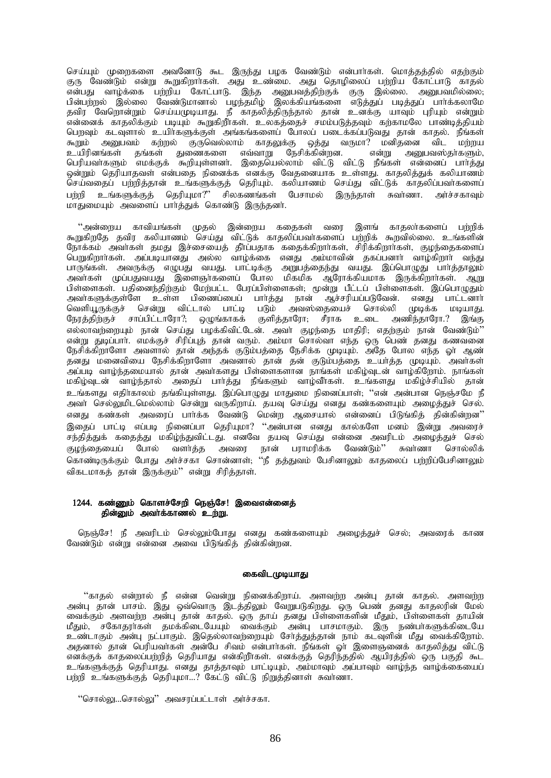செய்யும் முறைகளை அவனோடு கூட இருந்து பழக வேண்டும் என்பார்கள். மொத்தத்தில் எதற்கும் குரு வேண்டும் என்று கூறுகிறாாகள். அது உண்மை. அது தொழிலைப் பற்றிய கோட்பாடு காதல் என்பது வாழ்க்கை பற்றிய கோட்பாடு. இந்த அனுபவத்திற்குக் குரு இல்லை. அனுபவமில்லை; பின்பற்றல் இல்லை வேண்டுமானால் பழந்தமிழ் இலக்கியங்களை எடுத்துப் படித்துப் பார்க்கலாமே தவிர வேறொன்றும் செய்யமுடியாது. நீ காதலித்திருந்தால் தான் உனக்கு யாவும் புரியும் என்றும் .<br>என்னைக் காதலிக்கும் படியும் கூறுகிறீாகள். உலகத்தைச் சமம்படுத்தவும் கற்காமலே பாண்டித்தியம் பொவம் கடவளால் உயிர்களுக்கள் அங்கங்களைப் போலப் படைக்கப்படுவது கான் காகல். நீங்கள் கூறும் அனுபவம் கற்றல் குருவெல்லாம் காதலுக்கு ஒத்து வருமா? மனிதனை விட மற்றய<br>உயிரினங்கள் தங்கள் துணைகளை எவ்வாறு நேசிக்கின்றன. என்று அனுபவஸ்தா்களும், உயிரினங்கள் தங்கள் துணைகளை எவ்வாறு நேசிக்கின்றன. என்று அனுபவஸ்தா்களும், பெரியவா்களும் எமக்குக் கூறியுள்ளனா். இதையெல்லாம் விட்டு விட்டு நீங்கள் என்னைப் பாா்த்து ஒன்றும் தெரியாதவள் என்பதை நினைக்க எனக்கு வேதனையாக உள்ளது. காதலித்துக் கலியாணம் செய்வதைப் பற்றித்தான் உங்களுக்குத் தெரியும். கலியாணம் செய்து விட்டுக் காதலிப்பவா்களைப் பற்றி உங்களுக்குத் தெரியுமா?" சிலகணங்கள் பேசாமல் இருந்தாள் சுவா்ணா. அா்ச்சகாவும் khJikAk; mtisg; ghh;j;Jf; nfhz;L ,Ue;jdh;.

"அன்றைய காவியங்கள் முதல் இன்றைய கதைகள் வரை இளங் காதலா்களைப் பற்றிக் கூறுகிறதே தவிர கலியாணம் செய்து விட்டுக் காதலிப்பவாகளைப் பற்றிக் கூறவில்லை. உங்களின் நோக்கம் அவர்கள் தமது இச்சையைத் தீர்ப்பதாக கதைக்கிறார்கள், சிரிக்கிறார்கள், குழந்தைகளைப் பெறுகிறார்கள். அப்படியானது அல்ல வாழ்க்கை எனது அம்மாவின் தகப்பனார் வாழ்கிறார் வந்து பாருங்கள். அவருக்கு எழுபது வயது. பாட்டிக்கு அறுபத்தைந்து வயது. இப்பொழுது பார்த்தாலும் அவர்கள் முப்பதுவயது இளைஞர்களைப் போல மிகமிக ஆரோக்கியமாக இருக்கிறார்கள். ஆறு பிள்ளைகள். பதினைந்திற்கும் மேற்பட்ட பேரப்பிள்ளைகள்; மூன்று பீட்டப் பிள்ளைகள். இப்பொழுதும் அவர்களுக்குள்ளே உள்ள பிணைப்பைப் பார்த்து நான் ஆச்சரியப்படுவேன். எனது பாட்டனார் வெளியூருக்குச் சென்று விட்டால் பாட்டி படும் அவஸ்தையைச் சொல்லி முடிக்க மடியாது. நேரத்திற்குச் சாப்பிட்டாரோ?; ஒழுங்காகக் குளித்தாரோ; சீராக உடை அணிந்தாரோ.? இங்கு எல்லாவற்றையும் நான் செய்து பழக்கிவிட்டேன். அவர் குழந்தை மாதிரி; எதற்கும் நான் வேண்டும்'' என்று துடிப்பாா். எமக்குச் சிரிப்புத் தான் வரும். அம்மா சொல்வா எந்த ஒரு பெண் தனது கணவனை நேசிக்கிறாளோ அவளால் கான் அந்கக் குடும்பக்கை நேசிக்க முடியும். அதே போல எந்த வர் ஆண் ்கனது மனைவியை நேசிக்கிறாளோ அவனால் கான் கன் குடும்பக்கை உயர்க்க முடியும். அவர்கள் அப்படி வாழ்ந்தமையால் தான் அவாகளது பிள்ளைகளான நாங்கள் மகிழ்வுடன் வாழ்கிறோம். நாங்கள் மகிழ்வுடன் வாழ்ந்தால் அதைப் பார்த்து நீங்களும் வாழ்வீர்கள். உங்களது மகிழ்ச்சியில் தான் உங்களது எதிர்காலம் தங்கியுள்ளது. இப்பொழுது மாதுமை நினைப்பாள்; ''என் அன்பான நெஞ்சமே நீ அவா் செல்லுமிடமெல்லாம் சென்று வருகிறாய். தயவு செய்து எனது கண்களையும் அழைத்துச் செல். எனது கண்கள் அவரைப் பார்க்க வேண்டு மென்ற ஆசையால் என்னைப் பிடுங்கிக் தின்கின்றன $"$ இதைப் பாட்டி எப்படி நினைப்பா தெரியுமா? ''அன்பான எனது கால்களே மனம் இன்று அவரைச் சந்தித்துக் கதைத்து மகிழ்ந்துவிட்டது. எனவே தயவு செய்து என்னை அவரிடம் அழைத்துச் செல் குழந்தையைப் போல் வளர்த்த அவரை நான் பராமரிக்க வேண்டும்'' சுவர்ணா சொல்லிக் கொண்டிருக்கும் போது அர்ச்சகா சொன்னாள்; ''நீ தத்துவம் பேசினாலும் காதலைப் பற்றிப்பேசினாலும் விகடமாகத் தான் இருக்கும்'' என்று சிரித்தாள்.

# 1244. கண்ணும் கொளச்சேறி நெஞ்சே! இவைஎன்னைத் கின்னும் அவர்க்காணல் உற்று.

நெஞ்சே! நீ அவரிடம் செல்லும்போது எனது கண்களையும் அழைத்துச் செல், அவரைக் காண வேண்டும் என்று என்னை அவை பிடுங்கித் தின்கின்றன.

# கைவிடமுடியாது

"காதல் என்றால் நீ என்ன வென்று நினைக்கிறாய். அளவற்ற அன்பு தான் காதல். அளவற்ற அன்பு தான் பாசம். இது ஒவ்வொரு இடத்திலும் வேறுபடுகிறது. ஒரு பெண் தனது காதலரின் மேல் வைக்கும் அளவற்ற அன்பு தான் காதல். ஒரு தாய் தனது பிள்ளைகளின் மீதும், பிள்ளைகள் தாயின் மீதும், சகோதரா்கள் தமக்கிடையேயும் வைக்கும் அன்பு பாசமாகும். இரு நண்பா்களுக்கிடையே உண்டாகும் அன்பு நட்பாகும். இதெல்லாவற்றையும் சேர்த்துத்தான் நாம் கடவுளின் மீது வைக்கிறோம். அதனால் தான் பெரியவாகள் அன்பே சிவம் என்பாாகள். நீங்கள் ஓா இளைஞனைக் காதலித்து விட்டு எனக்குக் காதலைப்பற்றித் தெரியாது என்கிறீர்கள். எனக்குத் தெரிந்ததில் ஆயிரத்தில் ஒரு பகுதி கூட உங்களுக்குத் தெரியாது. எனது தாத்தாவும் பாட்டியும், அம்மாவும் அப்பாவும் வாழ்ந்த வாழ்க்கையைப் பற்றி உங்களுக்குத் தெரியுமா…? கேட்டு விட்டு நிறுத்தினாள் சுவர்ணா.

"சொல்லு...சொல்லு" அவசரப்பட்டாள் அர்ச்சகா.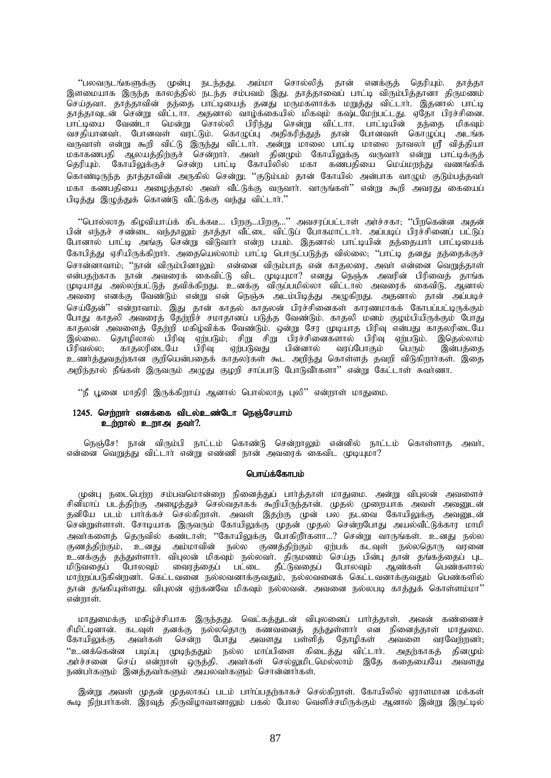"பலவருடங்களுக்கு முன்பு நடந்தது. அம்மா சொல்லித் தான் எனக்குத் தெரியும். தாத்தா இளமையாக இருந்த காலத்தில் நடந்த சம்பவம் இது. தாத்தாவைப் பாட்டி விரும்பித்தானா திருமணம் .<br>செய்தவா. தாத்தாவின் தந்தை பாட்டியைத் தனது மருமகளாக்க மறுத்து விட்டார். இதனால் பாட்டி தாத்தாவுடன் சென்று விட்டாா. அதனால் வாழ்க்கையில் மிகவும் கஷ்டமேற்பட்டது. ஏதோ பிரச்சினை. பாட்டியை வேண்டா மென்று சொல்லி பிரிந்து சென்று விட்டாா. பாட்டியின் தந்தை மிகவும் வசதியானவா். போனவள் வரட்டும். கொழுப்பு அதிகரித்துத் தான் போனவள் கொழுப்பு அடங்க வருவாள் என்று கூறி விட்டு இருந்து விட்டார். அன்று மாலை பாட்டி மாலை நாவலர் ஸ்ரீ வித்தியா மகாகணபதி ஆலயத்திற்குச் சென்றார். அவர் தினமும் கோயிலுக்கு வருவார் என்று பாட்டிக்குத் தெரியும். கோயிலுக்குச் சென்ற பாட்டி கோயிலில் மகா கணபதியை மெய்மறந்து வணங்கிக் .<br>கொண்டிருந்த தாத்தாவின் அருகில் சென்று; ''குடும்பம் தான் கோயில் அன்பாக வாழும் குடும்பத்தவா் மகா கணபதியை அழைத்தால் அவா் வீட்டுக்கு வருவாா். வாருங்கள்'' என்று கூறி அவரது கையைப் பிடிக்கு இமுக்குக் கொண்டு வீட்டுக்கு வந்து விட்டார்."

 $"$ பொல்லாத கிழவியாய்க் கிடக்கடீ... பிறகு...பிறகு... $"$  அவசரப்பட்டாள் அர்ச்சகா;  $"$ பிறகென்ன அதன் பின் எந்தச் சண்டை வந்தாலும் தாத்தா வீட்டை விட்டுப் போகமாட்டாா். அப்படிப் பிரச்சினைப் பட்டுப் போனால் பாட்டி அங்கு சென்று விடுவாா் என்ற பயம். இதனால் பாட்டியின் தந்தையாா் பாட்டியைக் கோபித்து ஏசியிருக்கிறாா். அதையெல்லாம் பாட்டி பொருட்படுத்த வில்லை; ''பாட்டி தனது தந்தைக்குச் சொன்னாவாம்; ''நான் விரும்பினாலும் என்னை விரும்பாத என் காதலரை, அவர் என்னை வெறுத்தாள் என்பதற்காக நான் அவரைக் கைவிட்டு விட முடியுமா? எனது நெஞ்சு அவரின் பிரிவைத் தாங்க முடியாது அல்லற்பட்டுத் தவிக்கிறது. உனக்கு விருப்பமில்லா விட்டால் அவரைக் கைவிடு, ஆனால் அவரை எனக்கு வேண்டும் என்று என் நெஞ்சு அடம்பிடித்து அழுகிறது. அதனால் தான் அப்படிச் செய்தேன்" என்றாவாம். இது தான் காதல் காதலன் பிரச்சினைகள் காரணமாகக் கோபப்பட்டிருக்கும் போது காதலி அவரைத் தேற்றிச் சமாதானப் படுத்த வேண்டும். காதலி மனம் குழம்பியிருக்கும் போது காதலன் அவளைத் தேற்றி மகிழ்விக்க வேண்டும். ஒன்று சேர முடியாத பிரிவு என்பது காதலரிடையே இல்லை. தொழிலால் பிரிவு ஏற்படும், சிறு சிறு பிரச்சினைகளால் பிரிவு ஏற்படும். இதெல்லாம்<br>பிரிவல்ல, காதலரிடையே பிரிவு ஏற்படுவது பின்னால் வரப்போகும் பெரும் இன்பத்தை பிரிவல்ல; காதலரிடையே பிரிவு ஏற்படுவது பின்னால் வரப்போகும் பெரும் இன்பத்தை உணர்த்துவதற்கான குறியென்பதைக் காதலர்கள் கூட அறிந்து கொள்ளத் தவறி விடுகிறார்கள். இதை அறிந்தால் நீங்கள் இருவரும் அமுது குழறி சாப்பாடு போடுவீா்களா'' என்று கேட்டாள் சுவா்ணா.

"நீ பூனை மாதிரி இருக்கிறாய் ஆனால் பொல்லாத புலி" என்றாள் மாதுமை.

### 1245. செற்றார் எனக்கை விடல்உண்டோ நெஞ்சேயாம் உற்றால் உறாஅ தவர்?.

நெஞ்சே! நான் விரும்பி நாட்டம் கொண்டு சென்றாலும் என்னில் நாட்டம் கொள்ளாத அவா், என்னை வெறுத்து விட்டார் என்று எண்ணி நான் அவரைக் கைவிட முடியுமா $?$ 

# பொய்க்கோபம்

முன்பு நடைபெற்ற சம்பவமொன்றை நினைத்துப் பார்த்தாள் மாதுமை. அன்று விபுலன் அவளைச் சினிமாப் படத்திற்கு அழைத்துச் செல்வதாகக் கூறியிருந்தான். முதல் முறையாக அவள் அவனுடன் தனியே படம் பார்க்கச் செல்கிறாள். அவள் இதற்கு முன் பல தடவை கோயிலுக்கு அவனுடன் சென்றுள்ளாள். சோடியாக இருவரும் கோயிலுக்கு முதன் முதல் சென்றபோது அயல்வீட்டுக்கார மாமி அவர்களைத் தெருவில் கண்டாள்; ''கோயிலுக்கு போகிறீர்களா...? சென்று வாருங்கள். உனது நல்ல குணத்திற்கும், உனது அம்மாவின் நல்ல குணத்திற்கும் ஏற்பக் கடவுள் நல்லதொரு வரனை ்உனக்குத் தந்துள்ளாா். விபுலன் மிகவும் நல்லவா். திருமணம் செய்த பின்பு தான் தங்கத்தைப் புட<br>மிடுவதைப் போலவும் வைரத்தைப் பட்டை தீட்டுவதைப் போலவும் ஆண்கள் பெண்களால் .<br>டோலவும் வைரத்தைப் பட்டை தீட்டுவதைப் மாற்றப்படுகின்றனர். கெட்டவனை நல்லவனாக்குவதும், நல்லவனைக் கெட்டவனாக்குவதும் பெண்களில் தான் தங்கியுள்ளது. விபுலன் ஏற்கனவே மிகவும் நல்லவன். அவனை நல்லபடி காத்துக் கொள்ளம்மா<sup></sup>'' என்றாள்.

மாதுமைக்கு மகிழ்ச்சியாக இருந்தது. வெட்கத்துடன் விபுலனைப் பார்த்தாள். அவன் கண்ணைச் சிமிட்டினான். கடவுள் தனக்கு நல்லதொரு கணவனைத் தந்துள்ளார் என நினைத்தாள் மாதுமை.<br>கோயிலுக்கு அவர்கள் சென்ற போது அவளது பள்ளித் தோழிகள் அவளை வரவேற்றனர்; அவா்கள் சென்ற போது அவளது பள்ளித் தோழிகள் அவளை "உனக்கென்ன படிப்பு முடிந்ததும் நல்ல மாப்பிளை கிடைத்து விட்டார். அதற்காகத் தினமும் அர்ச்சனை செய் என்றாள் ஒருத்தி. அவர்கள் செல்லுமிடமெல்லாம் இதே கதையையே அவளது  $E$ ண்பாகளும் இனத்தவாகளும் அயலவாகளும் சொன்னாாகள்.

இன்று அவள் முதன் முதலாகப் படம் பார்ப்பதற்காகச் செல்கிறாள். கோயிலில் ஏராளமான மக்கள் கூட நிற்பாா்கள். இரவுத் திருவிழாவானாலும் பகல் போல வெளிச்சமிருக்கும் ஆனால் இன்று இருட்டில்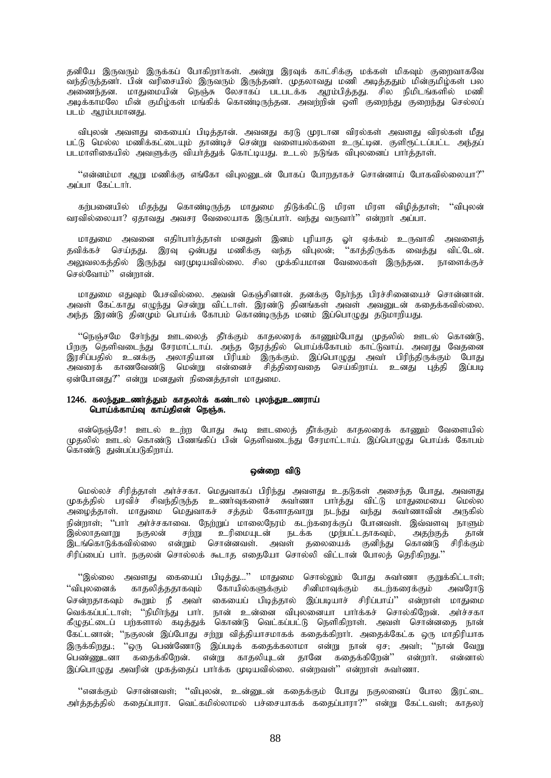தனியே இருவரும் இருக்கப் போகிறார்கள். அன்று இரவுக் காட்சிக்கு மக்கள் மிகவும் குறைவாகவே .<br>வந்திருந்தனர். பின் வரிசையில் இருவரும் இருந்தனர். முதலாவது மணி அடித்ததும் மின்குமிழ்கள் பல அணைந்தன. மாதுமையின் நெஞ்சு லேசாகப் படபடக்க ஆரம்பித்தது. சில நிமிடங்களில் மணி அடிக்காமலே மின் குமிழ்கள் மங்கிக் கொண்டிருந்தன. அவற்றின் ஒளி குறைந்து குறைந்து செல்லப் படம் ஆரம்பமானது.

விபுலன் அவளது கையைப் பிடித்தான். அவனது கரடு முரடான விரல்கள் அவளது விரல்கள் மீகு பட்டு மெல்ல மணிக்கட்டையும் காண்டிச் சென்று வளையல்களை உருட்டின. குளிரூட்டப்பட்ட அந்தப் படமாளிகையில் அவளுக்கு வியா்த்துக் கொட்டியது. உடல் நடுங்க விபுலனைப் பாா்த்தாள்.

''என்னம்மா ஆறு மணிக்கு எங்கோ விபுலனுடன் போகப் போறதாகச் சொன்னாய் போகவில்லையா?'' அப்பா கேட்டார்.

கற்பனையில் மிதந்து கொண்டிருந்த மாதுமை திடுக்கிட்டு மிரள மிரள விழித்தாள்; ''விபுலன் வாவில்லையா? எகாவகு அவசா வேலையாக இருப்பார். வந்து வருவார்'' என்றார் அப்பா.

மாதுமை அவனை எதிா்பாா்த்தாள் மனதுள் இனம் புரியாத ஓா் ஏக்கம் உருவாகி அவளைத் தவிக்கச் செய்தது. இரவு ஒன்பது மணிக்கு வந்த விபுலன்; ''காத்திருக்க வைத்து விட்டேன். அலுவலகத்தில் இருந்து வரமுடியவில்லை. சில முக்கியமான வேலைகள் இருந்தன. நாளைக்குச் செல்வோம் $"$  என்றான்.

மாதுமை எதுவும் பேசவில்லை. அவன் கெஞ்சினான். தனக்கு நேர்ந்த பிரச்சினையைச் சொன்னான். அவள் கேட்காது எழுந்து சென்று விட்டாள். இரண்டு தினங்கள் அவள் அவனுடன் கதைக்கவில்லை. அந்த இரண்டு தினமும் பொய்க் கோபம் கொண்டிருந்த மனம் இப்பொழுது தடுமாறியது.

"நெஞ்சமே சேர்ந்து ஊடலைத் தீர்க்கும் காதலரைக் காணும்போது முதலில் ஊடல் கொண்டு, பிறகு தெளிவடைந்து சேரமாட்டாய். அந்த நேரத்தில் பொய்க்கோபம் காட்டுவாய். அவரது வேதனை இரசிப்பதில் உனக்கு அலாதியான பிரியம் இருக்கும். இப்பொழுது அவா் பிரிந்திருக்கும் போது அவரைக் காணவேண்டு மென்று என்னைச் சித்திரைவதை செய்கிறாய். உனது புத்தி இப்படி ஏன்போனது?" என்று மனதுள் நினைத்தாள் மாதுமை.

### 1246. கலந்துஉணர்த்தும் காதலர்க் கண்டால் புலந்துஉணராய் பொய்க்காய்வு காய்திஎன் நெஞ்சு.

என்நெஞ்சே! ஊடல் உற்ற போது கூடி ஊடலைத் தீர்க்கும் காதலரைக் காணும் வேளையில் முதலில் ஊடல் கொண்டு பிணங்கிப் பின் தெளிவடைந்து சேரமாட்டாய். இப்பொழுது பொய்க் கோபம் ்.<br>கொண்டு துன்பப்படுகிறாய்.

### ஒன்றை விடு

மெல்லச் சிரித்தாள் அர்ச்சகா. மெதுவாகப் பிரிந்து அவளது உதடுகள் அசைந்த போது, அவளது முகத்தில் பரவிச் சிவந்திருந்த உணர்வுகளைச் சுவர்ணா பார்த்து விட்டு மாதுமையை மெல்ல அழைத்தாள். மாதுமை மெதுவாகச் சத்தம் கேளாதவாறு நடந்து வந்து சுவாணாவின் அருகில் .<br>நின்றாள்; ''பார் அர்ச்சகாவை. நேற்றுப் மாலைநேரம் கடற்கரைக்குப் போனவள். இவ்வளவு நாளும் இல்லாதவாறு நகுலன் சற்று உரிமையுடன் நடக்க முற்பட்டதாகவும், அதற்குத் தான் இடங்கொடுக்கவில்லை என்றும் சொன்னவள். அவள் தலையைக் குனிந்து கொண்டு சிரிக்கும் சிரிப்பைப் பார். நகுலன் சொல்லக் கூடாத எதையோ சொல்லி விட்டான் போலத் தெரிகி<u>றது</u>."

 $"$ இல்லை அவளது கையைப் பிடித்து...'' மாதுமை சொல்லும் போது சுவா்ணா குறுக்கிட்டாள்;  $\lq$ ிபுலனைக் காதலித்ததாகவும் கோயில்களுக்கும் சினிமாவுக்கும் கடர்கரைக்கும் அவரோடு சென்றதாகவும் கூறும் நீ அவா் கையைப் பிடித்தால் இப்படியாச் சிரிப்பாய்'' என்றாள் மாதுமை வெக்கப்பட்டாள்; "நிமிர்ந்து பார். நான் உன்னை விபுலனையா பார்க்கச் சொல்கிறேன். அர்ச்சகா கீழுதட்டைப் பற்களால் கடித்துக் கொண்டு வெட்கப்பட்டு நெளிகிறாள். அவள் சொன்னதை நான் கேட்டனான்; ''நகுலன் இப்போது சற்று வித்தியாசமாகக் கதைக்கிறார். அதைக்கேட்க ஒரு மாதிரியாக இருக்கிறது.; ''ஒரு பெண்ணோடு இப்படிக் கதைக்கலாமா என்று நான் ஏச; அவர்; ''நான் வேறு பெண்ணுடனா கதைக்கிறேன். என்று காதலியுடன் தானே கதைக்கிறேன்'' என்றார். என்னால் இப்பொழுது அவரின் முகத்தைப் பார்க்க முடியவில்லை. என்றவள்'' என்றாள் சுவர்ணா.

"எனக்கும் சொன்னவள்; ''விபுலன், உன்னுடன் கதைக்கும் போது நகுலனைப் போல இரட்டை அர்க்குக்கில் ககைப்பாரா. வெட்கமில்லாமல் பச்சையாகக் ககைப்பாரா?'' என்று கேட்டவள்; காகலர்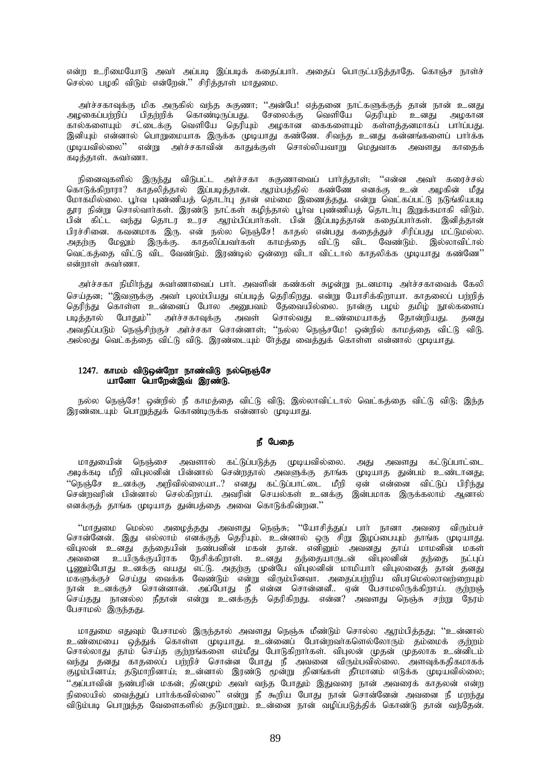என்ற உரிமையோடு அவா் அப்படி இப்படிக் கதைப்பாா். அதைப் பொருட்படுத்தாதே. கொஞ்ச நாள்ச் செல்ல பழகி விடும் என்றேன்.'' சிரித்தாள் மாதுமை.

அர்ச்சகாவுக்கு மிக அருகில் வந்த சுகுணா, ''அன்பே! எத்தனை நாட்களுக்குத் தான் நான் உனது அழகைப்பற்றிப் பிதற்றிக் கொண்டிருப்பது. சேலைக்கு வெளியே தெரியும் உனது அழகான<br>கால்களையும் சட்டைக்கு வெளியே தெரியும் அழகான கைகளையும் கள்ளத்தனமாகப் பாா்ப்பது. இனியும் என்னால் பொறுமையாக இருக்க முடியாது கண்ணே. சிவந்த உனது கன்னங்களைப் பார்க்க முடியவில்லை'' என்று அர்ச்சகாவின் காதுக்குள் சொல்லியவாறு மெதுவாக அவளது காதைக் .<br>கடித்தாள். சுவர்ணா.

நினைவுகளில் இருந்து விடுபட்ட அர்ச்சகா சுகுணாவைப் பார்த்தாள்; ''என்ன அவர் கரைச்சல் கொடுக்கிறாரா? காகலிக்கால் இப்படிக்கான். அரம்பக்கில் கண்ணே எனக்கு உன் அமகின் மீகு மோகமில்லை. பாவ பண்ணியத் தொடாபு தான் எம்மை இணைத்தது. என்று வெட்கப்பட்டு நடுங்கியபடி தூர நின்று சொல்வார்கள். இரண்டு நாட்கள் கழிந்தால் பூர்வ புண்ணியத் தொடர்பு இறுக்கமாகி விடும். பின் கிட்ட வந்து தொடர உரச அரம்பிப்பார்கள். பின் இப்படித்தான் கதைப்பார்கள். இனித்தான் பிரச்சினை. கவனமாக இரு. என் நல்ல நெஞ்சே! காதல் என்பது கதைத்துச் சிரிப்பது மட்டுமல்ல. மேலும் இருக்கு. காதலிப்பவாகள் காமத்தை விட்டு விட வேண்டும். இல்லாவிடால் அதற்கு வெட்கத்தை விட்டு விட வேண்டும். இரண்டில் ஒன்றை விடா விட்டால் காதலிக்க முடியாது கண்ணே'' என்றாள் சுவர்ணா.

அர்ச்சகா நிமிர்ந்து சுவர்ணாவைப் பார். அவளின் கண்கள் சுழன்று நடனமாடி அர்ச்சகாவைக் கேலி செய்தன; ''இவளுக்கு அவா் புலம்பியது எப்படித் தெரிகிறது. என்று யோசிக்கிறாயா. காதலைப் பற்றித் தெரிந்து கொள்ள உன்னைப் போல அனுபவம் தேவையில்லை. நான்கு பழம் தமிழ் நூல்களைப் படித்தால் போதும்'' அர்ச்சகாவுக்கு அவள் சொல்வது உண்மையாகத் தோன்றியது. கனகு .<br>அவகிப்படும் நெஞ்சிற்குச் அர்ச்சகா சொன்னாள். ''நல்ல நெஞ்சமே! ஒன்றில் காமத்தை விட்டு விடு. அல்லது வெட்கத்தை விட்டு விடு. இரண்டையும் ரேத்து வைத்துக் கொள்ள என்னால் முடியாது.

# 1247. காமம் விடுஒன்றோ நாண்விடு நல்நெஞ்சே யானோ பொறேன்இவ் இரண்டு.

நல்ல நெஞ்சே! ஒன்றில் நீ காமத்தை விட்டு விடு; இல்லாவிட்டால் வெட்கத்தை விட்டு விடு; இந்த இரண்டையும் பொறுத்துக் கொண்டிருக்க என்னால் முடியாது.

### நீ பேகை

மாதுயைின் நெஞ்சை அவளால் கட்டுப்படுத்த முடியவில்லை. அது அவளது கட்டுப்பாட்டை<br>அடிக்கடி மீறி விபுலனின் பின்னால் சென்றதால் அவளுக்கு தாங்க முடியாத துன்பம் உண்டானது; .<br>''நெஞ்சே உனக்கு அறிவில்லையா..? எனது கட்டுப்பாட்டை மீறி ஏன் என்னை விட்டுப் பிரிந்து<br>சென்றவரின் பின்னால் செல்கிறாய். அவரின் செயல்கள் உனக்கு இன்பமாக இருக்கலாம் ஆனால் எனக்குத் தாங்க முடியாத துன்பத்தை அவை கொடுக்கின்றன."

''மாதுமை மெல்ல அழைத்தது அவளது நெஞ்சு; ''யோசித்துப் பாா் நானா அவரை விரும்பச் சொன்னேன். இது எல்லாம் எனக்குத் தெரியும். உன்னால் ஒரு சிறு இழப்பையும் தாங்க முடியாது. விபுலன் உனது தந்தையின் நண்பனின் மகன் தான். எனினும் அவனது தாய் மாமனின் மகள் மகளுக்குச் செய்து வைக்க வேண்டும் என்று விரும்பினவா. அதைப்பற்றிய விபரமெல்லாவற்றையும் நான் உனக்குச் சொன்னான். அப்போது நீ என்ன சொன்னனீ.. ஏன் பேசாமலிருக்கிறாய். குற்றஞ் செய்தது நானல்ல நீதான் என்று உனக்குத் தெரிகிறது. என்ன? அவளது நெஞ்சு சற்று நேரம் பேசாமல் இருந்தது.

மாதுமை எதுவும் பேசாமல் இருந்தால் அவளது நெஞ்சு மீண்டும் சொல்ல ஆரம்பித்தது, ''உன்னால் உண்மையை ஒத்துக் கொள்ள முடியாது. உன்னைப் போன்றவாகளெல்லோரும் தம்மைக் குற்றம் சொல்லாது தாம் செய்த குற்றங்களை எம்மீது போடுகிறாா்கள். விபுலன் முதன் முதலாக உன்னிடம் வந்து தனது காதலைப் பற்றிச் சொன்ன போது நீ அவனை விரும்பவில்லை. அளவுக்கதிகமாகக் குழம்பினாய், தடுமாறினாய், உன்னால் இரண்டு மூன்று தினங்கள் தீாமானம் எடுக்க முடியவில்லை, ''அப்பாவின் நண்பரின் மகன், தினமும் அவர் வந்த போதும் இதுவரை நான் அவரைக் காதலன் என்ற நிலையில் வைத்துப் பார்க்கவில்லை'' என்று நீ கூறிய போது நான் சொன்னேன் அவனை நீ மறந்து விடும்படி பொறுத்த வேளைகளில் தடுமாறும். உன்னை நான் வழிப்படுத்திக் கொண்டு தான் வந்தேன்.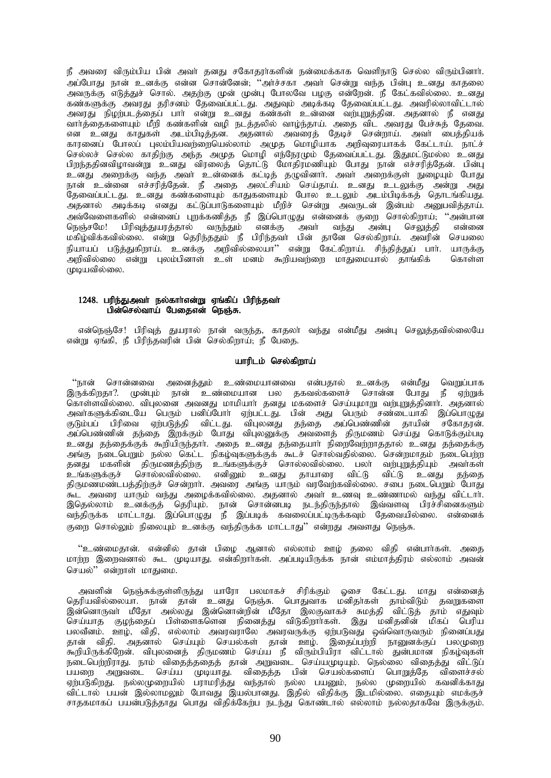நீ அவரை விரும்பிய பின் அவர் தனது சகோதரர்களின் நன்மைக்காக வெளிநாடு செல்ல விரும்பினார். .<br>அப்போது நான் உனக்கு என்ன சொன்னேன்; ''அர்ச்சகா அவர் சென்று வந்த பின்பு உனது காதலை அவருக்கு எடுத்துச் சொல். அதற்கு முன் முன்பு போலவே பமகு என்றேன். நீ கேட்கவில்லை. உனது ் என்களுக்கு அவரது தரிசனம் தேவைப்பட்டது. அதுவும் அடிக்கடி தேவைப்பட்டது. அவரில்லாவிட்டால் அவரது நிழற்படத்தைப் பார் என்று உனது கண்கள் உன்னை வற்புறுத்தின. அதனால் நீ எனது வார்த்தைகளையும் மீறி கண்களின் வழி நடத்தலில் வாழ்ந்தாய். அதை விட அவரது பேச்சுத் தேவை. என உனது காதுகள் அடம்பிடித்தன. அதனால் அவரைத் தேடிச் சென்றாய். அவர் பைத்தியக் காரனைப் போலப் புலம்பியவற்றையெல்லாம் அமுத மொழியாக அறிவுரையாகக் கேட்டாய். நாட்ச் செல்லச் செல்ல காதிற்கு அந்த அமுத மொழி எந்நேரமும் தேவைப்பட்டது. இதுமட்டுமல்ல உனது பிறந்ததினவிழாவன்று உனது விரலைத் தொட்டு மோதிரமணியும் போது நான் எச்சரித்தேன். பின்பு cdJ miwf;F te;j mth; cd;idf; fl;bj; jOtpdhh;. mth; miwf;Fs; EioAk; NghJ நான் உன்னை எச்சரித்தேன். நீ அதை அலட்சியம் செய்தாய். உனது உடலுக்கு அன்று அது தேவைப்பட்டது. உனது கண்களையும் காதுகளையும் போல உடலும் அடம்பிடிக்கத் தொடங்கியது. அதனால் அடிக்கடி எனது கட்டுப்பாடுகளையும் மீறிச் சென்று அவருடன் இன்பம் அனுபவித்தாய். அவ்வேளைகளில் என்னைப் புறக்கணித்த நீ இப்பொழுது என்னைக் குறை சொல்கிறாய்; ''அன்பான<br>நெஞ்சமே! பிரிவக்கயாக்கால் வருந்தும் எனக்க அவர் வந்து அன்ப செலுக்கி என்னை நெஞ்சமே! பிரிவுத்துயரத்தால் வருந்தும் எனக்கு அவா் வந்து அன்பு செலுத்தி மகிழ்விக்கவில்லை. என்று தெரிந்ததும் நீ பிரிந்தவா் பின் தானே செல்கிறாய். அவரின் செயலை நியாயப் படுத்துகிறாய். உனக்கு அறிவில்லையா'' என்று கேட்கிறாய். சிந்தித்துப் பாா். யாருக்கு அறிவில்லை என்று புலம்பினாள் உள் மனம் கூறியவற்றை மாதுமையால் தாங்கிக் கொள்ள  $\mu$ டியவில்லை.

# 1248. பரிந்துஅவா் நல்காா்என்று ஏங்கிப் பிரிந்தவா்  $\overline{\mathsf{u}}$ ன்செல்வாய் பேதைஎன் நெஞ்சு.

என்நெஞ்சே! பிரிவுத் துயரால் நான் வருந்த, காதலா் வந்து என்மீது அன்பு செலுத்தவில்லையே என்று ஏங்கி, நீ பிரிந்தவரின் பின் செல்கிறாய்; நீ பேதை.

## யாரிடம் செல்கிறாய்

"நான் சொன்னவை அனைத்தும் உண்மையானவை என்பதால் உனக்கு என்மீது வெறுப்பாக இருக்கிறதா?. முன்பும் நான் உண்மையான பல தகவல்களைச் சொன்ன போது நீ ஏற்றுக் .<br>கொள்ளவில்லை. விபுலனை அவனது மாமியாா் தனது மகளைச் செய்யுமாறு வற்புறுத்தினாா். அதனால் அவா்களுக்கிடையே பெரும் பனிப்போா் ஏற்பட்டது. பின் அது பெரும் சண்டையாகி இப்பொழுது குடும்பப் பிரிவை ஏற்படுத்தி விட்டது. விபுலனது தந்தை அப்பெண்ணின் தாயின் சகோதரன். அப்பெண்ணின் தந்தை இறக்கும் போது விபுலனுக்கு அவளைத் திருமணம் செய்து கொடுக்கும்படி உனது தந்தைக்குக் கூறியிருந்தாா். அதை உனது தந்தையாா் நிறைவேற்றாததால் உனது தந்தைக்கு அங்கு நடைபெறும் நல்ல கெட்ட நிகழ்வுகளுக்குக் கூடச் சொல்வதில்லை. சென்றமாதம் நடைபெற்ற தனது மகளின் திருமணத்திற்கு உங்களுக்குச் சொல்லவில்லை. பலா் வற்புறுத்தியும் அவா்கள் உங்களுக்குச் சொல்லவில்லை. எனினும் உனது தாயாரை விட்டு விட்டு உனது தந்தை திருமணமண்டபத்திற்குச் சென்றார். அவரை அங்கு யாரும் வரவேற்கவில்லை. சபை நடைபெறும் போது .<br>கூட அவரை யாரும் வந்து அழைக்கவில்லை. அதனால் அவா் உணவு உண்ணாமல் வந்து விட்டாா். இதெல்லாம் உனக்குத் தெரியும். நான் சொன்னபடி நடந்திருந்தால் இவ்வளவு பிரச்சினைகளும் வந்திருக்க மாட்டாது. இப்பொழுது நீ இப்படிக் கவலைப்பட்டிருக்கவும் தேவையில்லை. என்னைக் குறை சொல்லும் நிலையும் உனக்கு வந்திருக்க மாட்டாது'' என்றது அவளது நெஞ்சு.

"உண்மைதான். என்னில் தான் பிழை ஆனால் எல்லாம் ஊழ் தலை விதி என்பார்கள். அதை மாற்ற இறைவனால் கூட முடியாது. என்கிறாா்கள். அப்படியிருக்க நான் எம்மாத்திரம் எல்லாம் அவன் செயல்" என்றாள் மாதுமை.

அவளின் நெஞ்சுக்குள்ளிருந்து யாரோ பலமாகச் சிரிக்கும் ஓசை கேட்டது. மாது என்னைத் தெரியவில்லையா. நான் தான் உனது நெஞ்சு. பொதுவாக மனிதர்கள் தாம்விடும் தவறுகளை இன்னொருவா் மீதோ அல்லது இன்னொன்றின் மீதோ இலகுவாகச் சுமத்தி விட்டுத் தாம் எதுவும் செய்யாத குழந்தைப் பிள்ளைகளென நினைத்து விடுகிறார்கள். இது மனிதனின் மிகப் பெரிய பலவீனம். ஊழ், விதி, எல்லாம் அவரவராலே அவரவருக்கு ஏற்படுவது ஒவ்வொருவரும் நினைப்பது தான் விதி. அதனால் செய்யும் செயல்கள் தான் ஊழ். இதைப்பற்றி நானுனக்குப் பலமுறை .<br>கூறியிருக்கிறேன். விபுலனைத் திருமணம் செய்ய நீ விரும்பியிரா விட்டால் துன்பமான நிகழ்வுகள் நடைபெற்றிராது. நாம் விதைத்ததைத் தான் அறுவடை செய்யமுடியும். நெல்லை விதைத்து விட்டுப் பயறை அறுவடை செய்ய முடியாது. விதைத்த பின் செயல்களைப் பொறுத்தே விளைச்சல் ஏற்படுகிறது. நல்லமுறையில் பராமரித்து வந்தால் நல்ல பயனும், நல்ல முறையில் கவனிக்காது விட்டால் பயன் இல்லாமலும் போவது இயல்பானது. இதில் விதிக்கு இடமில்லை. எதையும் எமக்குச் சாதகமாகப் பயன்படுத்தாது பொது விதிக்கேற்ப நடந்து கொண்டால் எல்லாம் நல்லதாகவே இருக்கும்.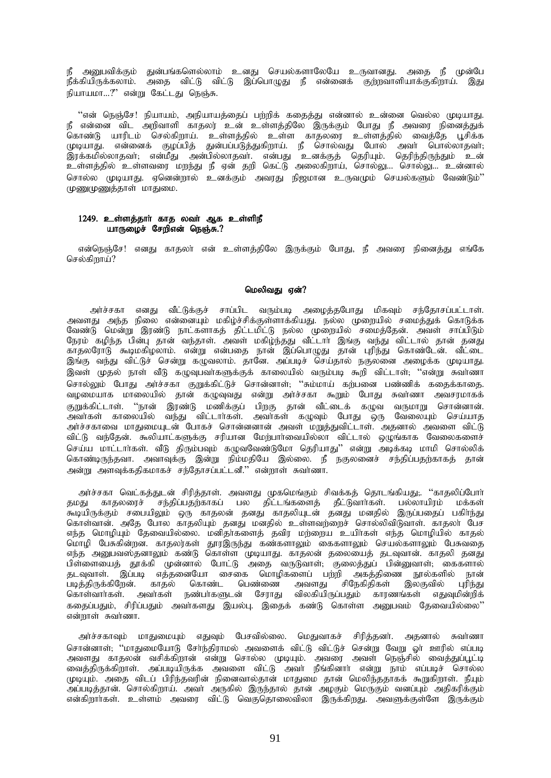நீ அனுபவிக்கும் துன்பங்களெல்லாம் உனது செயல்களாலேயே உருவானது. அதை நீ முன்பே .<br>நீக்கியிருக்கலாம். அதை விட்டு விட்டு இப்பொழுது நீ என்னைக் குற்றவாளியாக்குகிறாய். இது நியாயமா...?" என்று கேட்டது நெஞ்சு.

்'என் நெஞ்சே! நியாயம், அநியாயத்தைப் பற்றிக் கதைத்து என்னால் உன்னை வெல்ல முடியாது.<br>நீ என்னை விட அறிவாளி காதலர் உன் உள்ளத்திலே இருக்கும் போது நீ அவரை நினைத்துக் கொண்டு யாரிடம் செல்கிறாய். உள்ளத்தில் உள்ள காதலரை உள்ளத்தில் வைத்தே பூசிக்க ்கொண்டு கார்க்க கைகளும். உள்ளதுகை உள்ள காதல்வர உள்ளதுகை வைத்தை பூசிக்க<br>இரக்கமில்லாதவர்; என்மீது அன்பில்லாதவர். என்பது உனக்குத் தெரியும். தெரிந்திருந்தும் உன்<br>உள்ளத்தில் உள்ளவரை மறந்து நீ ஏன் தறி கெட்டு அலைகிறாய், சொல்லு.. சொல்ல முடியாது. ஏனென்றால் உனக்கும் அவரது நிஜமான உருவமும் செயல்களும் வேண்டும்'' முணுமுணுத்தாள் மாதுமை.

# 1249. உள்ளத்தாா் காத லவா் ஆக உள்ளிநீ யாருமைச் சேறிஎன் நெஞ்சு.?

என்நெஞ்சே! எனது காதலா என் உள்ளத்திலே இருக்கும் போது, நீ அவரை நினைத்து எங்கே செல்கிறாய்?

# மெலிவகு என்?

அர்ச்சகா எனது வீட்டுக்குச் சாப்பிட வரும்படி அழைத்தபோது மிகவும் சந்தோசப்பட்டாள். அவளது அந்த நிலை என்னையும் மகிழ்ச்சிக்குள்ளாக்கியது. நல்ல முறையில் சமைத்துக் கொடுக்க வேண்டு மென்று இரண்டு நாட்களாகத் திட்டமிட்டு நல்ல முறையில் சமைத்தேன். அவள் சாப்பிடும் நேரம் கழிந்த பின்பு தான் வந்தாள். அவள் மகிழ்ந்தது வீட்டார் இங்கு வந்து விட்டால் தான் தனது காதலரோடு கூடிமகிழலாம். என்று என்பதை நான் இப்பொழுது தான் புரிந்து கொண்டேன். வீட்டை இங்கு வந்து விட்டுச் சென்று கமுவலாம். தானே. அப்படிச் செய்தால் நகுலணை அமைக்க முடியாது. இவள் முதல் நாள் வீடு கமுவுபவர்களுக்குக் காலையில் வரும்படி கூறி விட்டாள்: ''என்று சுவர்ணா வழமையாக மாலையில் தான் கழுவுவது என்று அர்ச்சகா கூறும் போது சுவர்ணா அவசரமாகக் .<br>குறுக்கிட்டாள். ''நான் இரண்டு மணிக்குப் பிறகு தான் வீட்டைக் கழுவ வருமாறு சொன்னான்.<br>அவர்கள் காலையில் வந்து விட்டார்கள். அவர்கள் கழுவும் போது ஒரு வேலையும் செய்யாத அர்ச்சகாவை மாதுமையுடன் போகச் சொன்னனான் அவள் மறுத்துவிட்டாள். அதனால் அவளை விட்டு விட்டு வந்தேன். கூலியாட்களுக்கு சரியான மேற்பார்வையில்லா விட்டால் ஒழுங்காக வேலைகளைச் .<br>செய்ய மாட்டார்கள். வீடு திரும்பவும் கழுவவேண்டுமோ தெரியாது'' என்று அடிக்கடி மாமி சொல்லிக் கொண்டிருந்தவா. அவாவுக்கு இன்று நிம்மதியே இல்லை. நீ நகுலனைச் சந்திப்பதற்காகத் தான் அன்று அளவுக்கதிகமாகச் சந்தோசப்பட்டனீ.'' என்றாள் சுவர்ணா.

அர்ச்சகா வெட்கத்துடன் சிரித்தாள். அவளது முகமெங்கும் சிவக்கத் தொடங்கியது;. ''காதலிப்போர் ் அடிப்படை படம்பட்டது.<br>தமது காதலரைச் சந்திப்பதற்காகப் பல திட்டங்களைத் தீட்டுவார்கள். பல்லாயிரம் மக்கள்<br>கூடியிருக்கும் சபையிலும் ஒரு காதலன் தனது காதலியுடன் தனது மனதில் இருப்பதைப் பகிர்ந்து கொள்வான். அதே போல காதலியும் தனது மனதில் உள்ளவர்ளைச் சொல்லிவிடுவாள். காதலா பேச எந்த மொழியும் தேவையில்லை. மனிதாகளைத் தவிர மற்றைய உயிாகள் எந்த மொழியில் காதல் மொழி பேசுகின்றன. காதலர்கள் தூரஇருந்து கண்களாலும் கைகளாலும் செயல்களாலும் பேசுவதை எந்த அனுபவஸ்தனாலும் கண்டு கொள்ள முடியாது. காதலன் தலையைத் தடவுவான். காதலி தனது பிள்ளையைத் தூக்கி முன்னால் போட்டு அதை வருடுவாள், குலைத்துப் பின்னுவாள், கைகளால் தடவுவாள். இப்படி எத்தனையோ சைகை மொழிகளைப் பற்றி அகத்திணை நூல்களில் நான் .<br>படிக்கிருக்கிறேன். காதல் கொண்ட சிநேகிதிகள் இல்குவில் பெண்ணை அவளது பரிந்து கொள்வார்கள். அவர்கள் நண்பர்களுடன் சேராது விலகியிருப்பதும் காரணங்கள் எதுவுமின்றிக் கதைப்பதும், சிரிப்பதும் அவர்களது இயல்பு. இதைக் கண்டு கொள்ள அனுபவம் தேவையில்லை'' என்றாள் சுவர்ணா.

அர்ச்சகாவும் மாதுமையும் எதுவும் பேசவில்லை. மெதுவாகச் சிரித்தனர். அதனால் சுவர்ணா சொன்னாள்; ''மாதுமையோடு சேர்ந்திராமல் அவளைக் விட்டு விட்டுச் சென்று வேறு ஓர் ஊரில் எப்படி ுள்ளைன், மாதுகைகள்டு காந்தநாகை அண்மை கூட்டு கூட்டும் கைநு கையுடையாகும் பட்டி<br>அவளது காதலன் வசிக்கிறான் என்று சொல்ல முடியும். அவரை அவள் நெஞ்சில் வைத்துப்பூட்டி<br>முடியும். அதை விடப் பிரிந்தவரின் நினைவால்தான் மாதுமை தான் மெலிந அப்படித்தான். சொல்கிறாய். அவா அருகில் இருந்தால் தான் அழகும் மெருகும் வனப்பும் அதிகரிக்கும் என்கிறார்கள். உள்ளம் அவரை விட்டு வெகுதொலைவிலா இருக்கிறது. அவளுக்குள்ளே இருக்கும்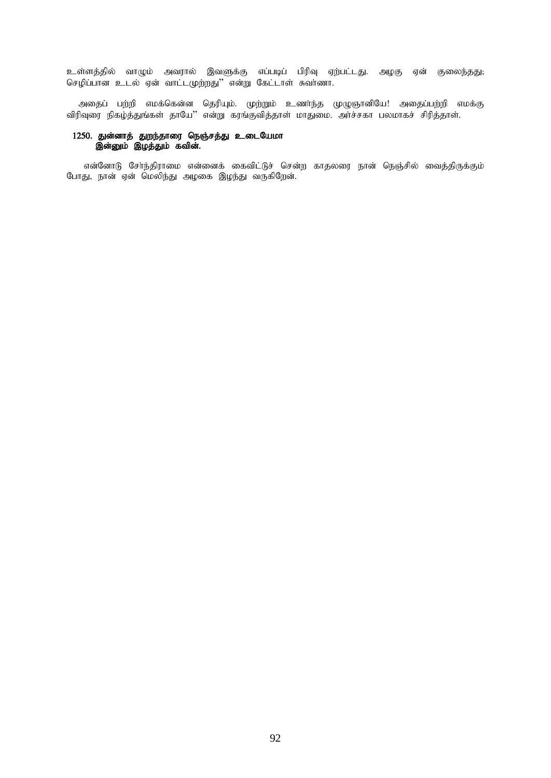உள்ளத்தில் வாழும் அவரால் இவளுக்கு எப்படிப் பிரிவு ஏற்பட்டது. அழகு ஏன் குலைந்தது; செழிப்பான உடல் ஏன் வாட்டமுற்றது'' என்று கேட்டாள் சுவாணா.

அதைப் பற்றி எமக்கென்ன தெரியும். முற்றும் உணர்ந்த முழுஞானியே! அதைப்பற்றி எமக்கு விரிவுரை நிகழ்த்துங்கள் தாயே'' என்று கரங்குவித்தாள் மாதுமை. அர்ச்சகா பலமாகச் சிரித்தாள்.

# 1250. துன்னாத் துறந்தாரை நெஞ்சத்து உடையேமா இன்னும் இழத்தும் கவின்.

என்னோடு சேர்ந்திராமை என்னைக் கைவிட்டுச் சென்ற காதலரை நான் நெஞ்சில் வைத்திருக்கும் போது, நான் ஏன் மெலிந்து அழகை இழந்து வருகிறேன்.